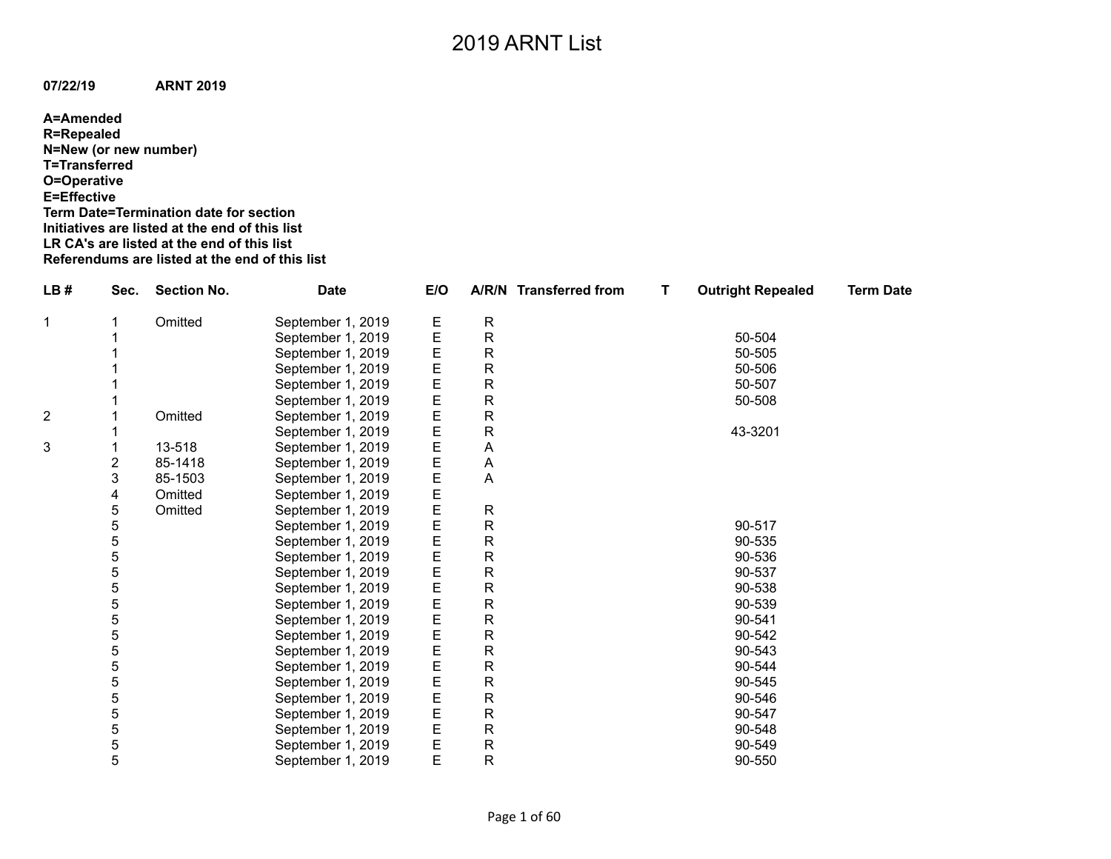**A=Amended R=Repealed N=New (or new number) T=Transferred O=Operative E=Effective Term Date=Termination date for section Initiatives are listed at the end of this list LR CA's are listed at the end of this list Referendums are listed at the end of this list**

| LB#            | Sec. | <b>Section No.</b> | <b>Date</b>       | E/O              |                           | A/R/N Transferred from | т | <b>Outright Repealed</b> | <b>Term Date</b> |
|----------------|------|--------------------|-------------------|------------------|---------------------------|------------------------|---|--------------------------|------------------|
| 1              |      | Omitted            | September 1, 2019 |                  | ${\sf R}$                 |                        |   |                          |                  |
|                |      |                    | September 1, 2019 | E<br>E           | $\mathsf{R}$              |                        |   | 50-504                   |                  |
|                |      |                    | September 1, 2019 | E                | ${\sf R}$                 |                        |   | 50-505                   |                  |
|                |      |                    | September 1, 2019 | E                | ${\sf R}$                 |                        |   | 50-506                   |                  |
|                |      |                    | September 1, 2019 | E                | ${\sf R}$                 |                        |   | 50-507                   |                  |
|                |      |                    | September 1, 2019 |                  | $\mathsf{R}$              |                        |   | 50-508                   |                  |
| $\overline{2}$ |      | Omitted            | September 1, 2019 | E<br>E<br>E<br>E | $\mathsf{R}$              |                        |   |                          |                  |
|                |      |                    | September 1, 2019 |                  | ${\sf R}$                 |                        |   | 43-3201                  |                  |
| 3              |      | 13-518             | September 1, 2019 | E                | $\boldsymbol{\mathsf{A}}$ |                        |   |                          |                  |
|                | 2    | 85-1418            | September 1, 2019 | E                | A                         |                        |   |                          |                  |
|                | 3    | 85-1503            | September 1, 2019 | E                | A                         |                        |   |                          |                  |
|                | 4    | Omitted            | September 1, 2019 |                  |                           |                        |   |                          |                  |
|                | 5    | Omitted            | September 1, 2019 | E<br>E           | ${\sf R}$                 |                        |   |                          |                  |
|                | 5    |                    | September 1, 2019 | E                | ${\sf R}$                 |                        |   | 90-517                   |                  |
|                | 5    |                    | September 1, 2019 | E                | ${\sf R}$                 |                        |   | 90-535                   |                  |
|                | 5    |                    | September 1, 2019 | E                | ${\sf R}$                 |                        |   | 90-536                   |                  |
|                | 5    |                    | September 1, 2019 | E                | $\mathsf{R}$              |                        |   | 90-537                   |                  |
|                | 5    |                    | September 1, 2019 | E                | $\mathsf{R}$              |                        |   | 90-538                   |                  |
|                | 5    |                    | September 1, 2019 | E<br>E           | ${\sf R}$                 |                        |   | 90-539                   |                  |
|                | 5    |                    | September 1, 2019 |                  | ${\sf R}$                 |                        |   | 90-541                   |                  |
|                | 5    |                    | September 1, 2019 | E                | ${\sf R}$                 |                        |   | 90-542                   |                  |
|                | 5    |                    | September 1, 2019 | E                | ${\sf R}$                 |                        |   | 90-543                   |                  |
|                | 5    |                    | September 1, 2019 | E                | $\mathsf{R}$              |                        |   | 90-544                   |                  |
|                | 5    |                    | September 1, 2019 | E<br>E           | $\mathsf{R}$              |                        |   | 90-545                   |                  |
|                | 5    |                    | September 1, 2019 |                  | ${\sf R}$                 |                        |   | 90-546                   |                  |
|                | 5    |                    | September 1, 2019 | E                | ${\sf R}$                 |                        |   | 90-547                   |                  |
|                | 5    |                    | September 1, 2019 | E                | ${\sf R}$                 |                        |   | 90-548                   |                  |
|                | 5    |                    | September 1, 2019 | Ε                | ${\sf R}$                 |                        |   | 90-549                   |                  |
|                | 5    |                    | September 1, 2019 | E                | $\mathsf{R}$              |                        |   | 90-550                   |                  |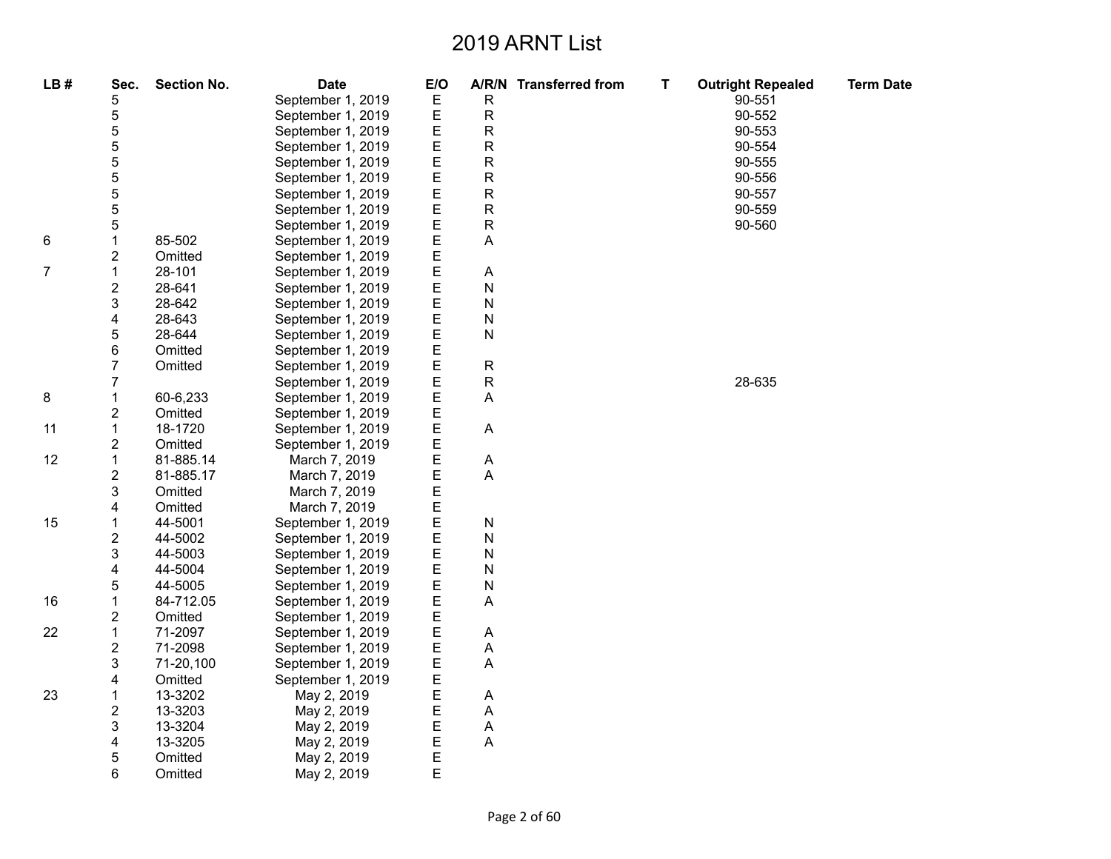| LB# | Sec.                    | <b>Section No.</b> | <b>Date</b>       | E/O    |                | A/R/N Transferred from | T. | <b>Outright Repealed</b> | <b>Term Date</b> |
|-----|-------------------------|--------------------|-------------------|--------|----------------|------------------------|----|--------------------------|------------------|
|     | 5                       |                    | September 1, 2019 | Ε      | R              |                        |    | 90-551                   |                  |
|     | 5                       |                    | September 1, 2019 | Ε      | R              |                        |    | 90-552                   |                  |
|     | 5                       |                    | September 1, 2019 | Ε      | R              |                        |    | 90-553                   |                  |
|     | 5                       |                    | September 1, 2019 | Ε      | R              |                        |    | 90-554                   |                  |
|     | 5                       |                    | September 1, 2019 | E      | R              |                        |    | 90-555                   |                  |
|     | 5                       |                    | September 1, 2019 | E      | R              |                        |    | 90-556                   |                  |
|     | 5                       |                    | September 1, 2019 | E      | R              |                        |    | 90-557                   |                  |
|     | 5                       |                    | September 1, 2019 | E      | R              |                        |    | 90-559                   |                  |
|     | 5                       |                    | September 1, 2019 | E      | R              |                        |    | 90-560                   |                  |
| 6   | $\mathbf{1}$            | 85-502             | September 1, 2019 | E      | A              |                        |    |                          |                  |
|     | 2                       | Omitted            | September 1, 2019 | E      |                |                        |    |                          |                  |
| 7   | $\mathbf{1}$            | 28-101             | September 1, 2019 | E      | A              |                        |    |                          |                  |
|     | $\overline{\mathbf{c}}$ | 28-641             | September 1, 2019 | E      | N              |                        |    |                          |                  |
|     | 3                       | 28-642             | September 1, 2019 | E      | N              |                        |    |                          |                  |
|     | 4                       | 28-643             | September 1, 2019 | E      | N              |                        |    |                          |                  |
|     | 5                       | 28-644             | September 1, 2019 | E      | N              |                        |    |                          |                  |
|     | 6                       | Omitted            | September 1, 2019 | E      |                |                        |    |                          |                  |
|     | 7                       | Omitted            | September 1, 2019 | E      | $\mathsf R$    |                        |    |                          |                  |
|     | 7                       |                    | September 1, 2019 | E      | $\mathsf R$    |                        |    | 28-635                   |                  |
| 8   | 1                       | 60-6,233           | September 1, 2019 | E      | A              |                        |    |                          |                  |
|     | 2                       | Omitted            | September 1, 2019 | E      |                |                        |    |                          |                  |
| 11  | 1                       | 18-1720            | September 1, 2019 | E      | A              |                        |    |                          |                  |
|     | 2                       | Omitted            | September 1, 2019 | E      |                |                        |    |                          |                  |
| 12  | $\mathbf 1$             | 81-885.14          | March 7, 2019     | E      | A              |                        |    |                          |                  |
|     | $\overline{c}$          | 81-885.17          | March 7, 2019     | E      | $\overline{A}$ |                        |    |                          |                  |
|     | 3                       | Omitted            | March 7, 2019     | E      |                |                        |    |                          |                  |
|     | 4                       | Omitted            | March 7, 2019     | E      |                |                        |    |                          |                  |
| 15  | 1                       | 44-5001            | September 1, 2019 | E      | N              |                        |    |                          |                  |
|     | $\overline{\mathbf{c}}$ | 44-5002            | September 1, 2019 | E      | N              |                        |    |                          |                  |
|     | 3                       | 44-5003            | September 1, 2019 | E      | N              |                        |    |                          |                  |
|     | 4                       | 44-5004            | September 1, 2019 | E      | N              |                        |    |                          |                  |
|     | 5                       | 44-5005            | September 1, 2019 | E      | N              |                        |    |                          |                  |
| 16  | $\mathbf 1$             | 84-712.05          | September 1, 2019 | E      | Α              |                        |    |                          |                  |
|     | $\overline{c}$          | Omitted            | September 1, 2019 | E      |                |                        |    |                          |                  |
| 22  | $\mathbf{1}$            | 71-2097            | September 1, 2019 | E      | A              |                        |    |                          |                  |
|     | $\overline{\mathbf{c}}$ | 71-2098            | September 1, 2019 | E      | A              |                        |    |                          |                  |
|     | 3                       | 71-20,100          | September 1, 2019 | E      | $\overline{A}$ |                        |    |                          |                  |
|     | 4                       | Omitted            | September 1, 2019 | E      |                |                        |    |                          |                  |
| 23  | $\mathbf 1$             | 13-3202            | May 2, 2019       | E      | A              |                        |    |                          |                  |
|     | $\overline{\mathbf{c}}$ | 13-3203            | May 2, 2019       | E      | $\mathsf{A}$   |                        |    |                          |                  |
|     | 3                       | 13-3204            | May 2, 2019       | E      | Α              |                        |    |                          |                  |
|     | 4                       | 13-3205            | May 2, 2019       | E<br>E | Α              |                        |    |                          |                  |
|     | 5                       | Omitted            | May 2, 2019       |        |                |                        |    |                          |                  |
|     | 6                       | Omitted            | May 2, 2019       | E      |                |                        |    |                          |                  |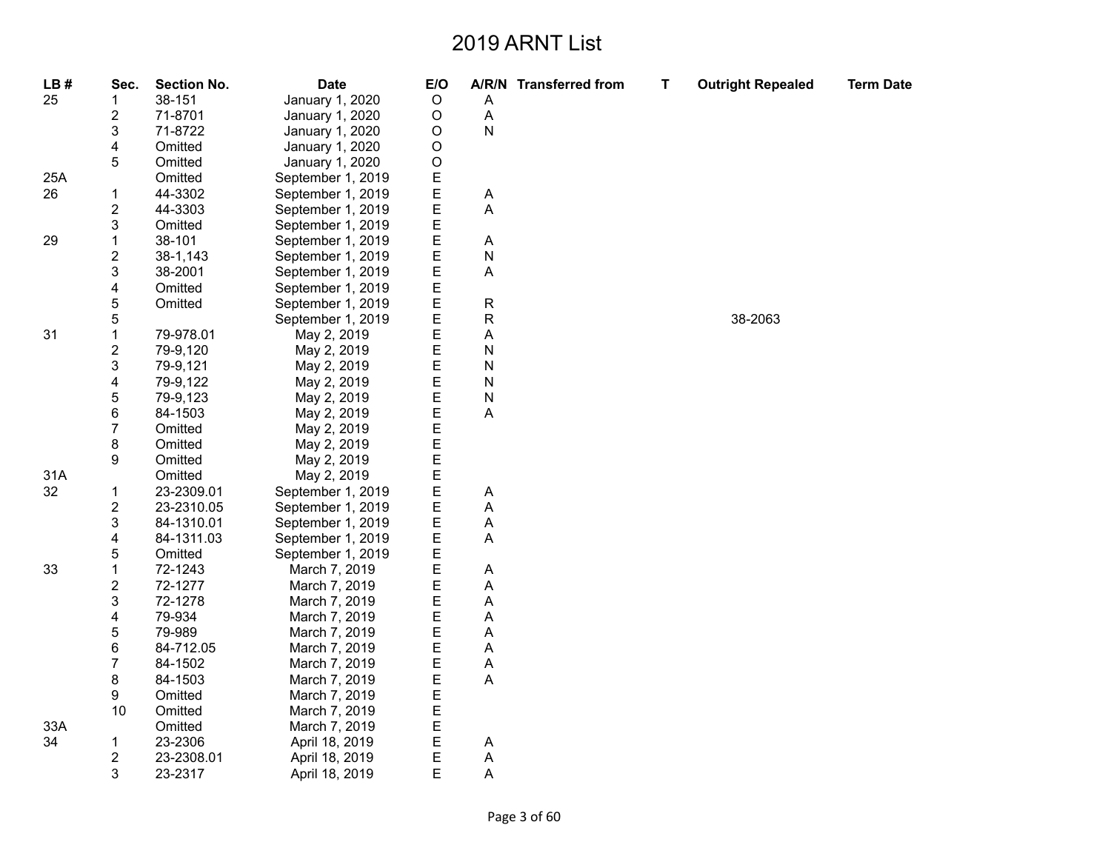| LB# | Sec.                    | <b>Section No.</b> | <b>Date</b>       | E/O         |             | A/R/N Transferred from | T | <b>Outright Repealed</b> | <b>Term Date</b> |
|-----|-------------------------|--------------------|-------------------|-------------|-------------|------------------------|---|--------------------------|------------------|
| 25  | 1                       | 38-151             | January 1, 2020   | $\mathsf O$ | Α           |                        |   |                          |                  |
|     | 2                       | 71-8701            | January 1, 2020   | $\mathsf O$ | Α           |                        |   |                          |                  |
|     | 3                       | 71-8722            | January 1, 2020   | O           | N           |                        |   |                          |                  |
|     | 4                       | Omitted            | January 1, 2020   | O           |             |                        |   |                          |                  |
|     | 5                       | Omitted            | January 1, 2020   | O           |             |                        |   |                          |                  |
| 25A |                         | Omitted            | September 1, 2019 | E           |             |                        |   |                          |                  |
| 26  | 1                       | 44-3302            | September 1, 2019 | E           | A           |                        |   |                          |                  |
|     | 2                       | 44-3303            | September 1, 2019 | E           | A           |                        |   |                          |                  |
|     | 3                       | Omitted            | September 1, 2019 | E           |             |                        |   |                          |                  |
| 29  | $\mathbf{1}$            | 38-101             | September 1, 2019 | E           | Α           |                        |   |                          |                  |
|     | 2                       | 38-1,143           | September 1, 2019 | E           | N           |                        |   |                          |                  |
|     | 3                       | 38-2001            | September 1, 2019 | E           | A           |                        |   |                          |                  |
|     | 4                       | Omitted            | September 1, 2019 | Ε           |             |                        |   |                          |                  |
|     | 5                       | Omitted            | September 1, 2019 | E           | $\mathsf R$ |                        |   |                          |                  |
|     | 5                       |                    | September 1, 2019 | E           | R           |                        |   | 38-2063                  |                  |
| 31  | $\mathbf{1}$            | 79-978.01          | May 2, 2019       | E           | А           |                        |   |                          |                  |
|     | 2                       | 79-9,120           | May 2, 2019       | Ε           | N           |                        |   |                          |                  |
|     | 3                       | 79-9,121           | May 2, 2019       | E           | N           |                        |   |                          |                  |
|     | 4                       | 79-9,122           | May 2, 2019       | E           | N           |                        |   |                          |                  |
|     | 5                       | 79-9,123           | May 2, 2019       | E           | N           |                        |   |                          |                  |
|     | 6                       | 84-1503            | May 2, 2019       | E           | A           |                        |   |                          |                  |
|     | $\overline{7}$          | Omitted            | May 2, 2019       | E           |             |                        |   |                          |                  |
|     | 8                       | Omitted            | May 2, 2019       | E           |             |                        |   |                          |                  |
|     | 9                       | Omitted            | May 2, 2019       | E           |             |                        |   |                          |                  |
| 31A |                         | Omitted            | May 2, 2019       | E           |             |                        |   |                          |                  |
| 32  | 1                       | 23-2309.01         | September 1, 2019 | E           | Α           |                        |   |                          |                  |
|     | 2                       | 23-2310.05         | September 1, 2019 | E           | Α           |                        |   |                          |                  |
|     | 3                       | 84-1310.01         | September 1, 2019 | E           | A           |                        |   |                          |                  |
|     | 4                       | 84-1311.03         | September 1, 2019 | E           | A           |                        |   |                          |                  |
|     | 5                       | Omitted            | September 1, 2019 | E           |             |                        |   |                          |                  |
| 33  | 1                       | 72-1243            | March 7, 2019     | Ε           | Α           |                        |   |                          |                  |
|     | $\overline{\mathbf{c}}$ | 72-1277            | March 7, 2019     | E           | A           |                        |   |                          |                  |
|     | 3                       | 72-1278            | March 7, 2019     | E           | Α           |                        |   |                          |                  |
|     | 4                       | 79-934             | March 7, 2019     | E           | A           |                        |   |                          |                  |
|     | 5                       | 79-989             | March 7, 2019     | E           | A           |                        |   |                          |                  |
|     | 6                       | 84-712.05          | March 7, 2019     | E           | А           |                        |   |                          |                  |
|     | 7                       | 84-1502            | March 7, 2019     | Ε           | А           |                        |   |                          |                  |
|     | 8                       | 84-1503            | March 7, 2019     | E           | A           |                        |   |                          |                  |
|     | 9                       | Omitted            | March 7, 2019     | E           |             |                        |   |                          |                  |
|     | 10                      | Omitted            | March 7, 2019     | E           |             |                        |   |                          |                  |
| 33A |                         | Omitted            | March 7, 2019     | E           |             |                        |   |                          |                  |
| 34  | $\mathbf{1}$            | 23-2306            | April 18, 2019    | Ε           | A           |                        |   |                          |                  |
|     | $\overline{c}$          | 23-2308.01         | April 18, 2019    | E           | A           |                        |   |                          |                  |
|     | 3                       | 23-2317            | April 18, 2019    | E           | Α           |                        |   |                          |                  |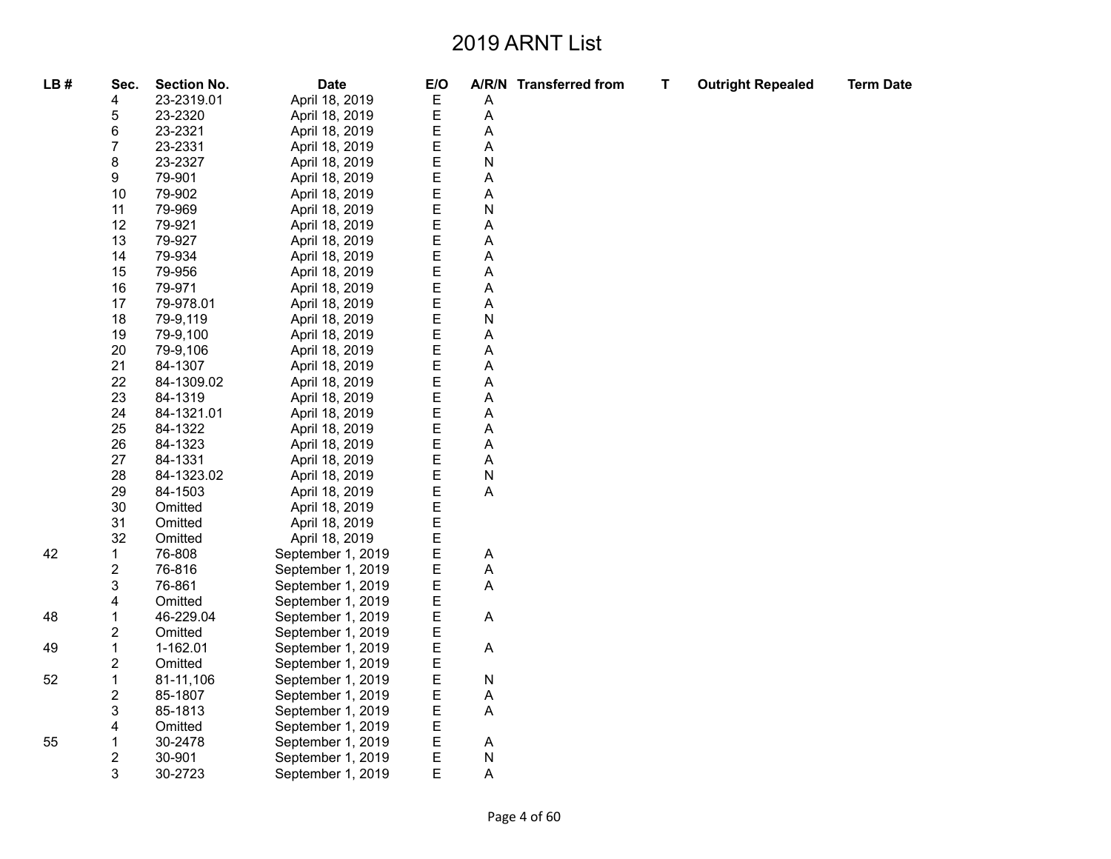| LB# | Sec.                    | <b>Section No.</b> | <b>Date</b>       | E/O |   | A/R/N Transferred from | T | <b>Outright Repealed</b> | <b>Term Date</b> |
|-----|-------------------------|--------------------|-------------------|-----|---|------------------------|---|--------------------------|------------------|
|     | 4                       | 23-2319.01         | April 18, 2019    | Ε   | Α |                        |   |                          |                  |
|     | 5                       | 23-2320            | April 18, 2019    | Ε   | Α |                        |   |                          |                  |
|     | 6                       | 23-2321            | April 18, 2019    | E   | Α |                        |   |                          |                  |
|     | $\overline{7}$          | 23-2331            | April 18, 2019    | Ε   | Α |                        |   |                          |                  |
|     | 8                       | 23-2327            | April 18, 2019    | E   | Ν |                        |   |                          |                  |
|     | 9                       | 79-901             | April 18, 2019    | E   | A |                        |   |                          |                  |
|     | 10                      | 79-902             | April 18, 2019    | E   | Α |                        |   |                          |                  |
|     | 11                      | 79-969             | April 18, 2019    | E   | Ν |                        |   |                          |                  |
|     | 12                      | 79-921             | April 18, 2019    | E   | A |                        |   |                          |                  |
|     | 13                      | 79-927             | April 18, 2019    | E   | Α |                        |   |                          |                  |
|     | 14                      | 79-934             | April 18, 2019    | E   | Α |                        |   |                          |                  |
|     | 15                      | 79-956             | April 18, 2019    | E   | Α |                        |   |                          |                  |
|     | 16                      | 79-971             | April 18, 2019    | E   | Α |                        |   |                          |                  |
|     | 17                      | 79-978.01          | April 18, 2019    | E   | Α |                        |   |                          |                  |
|     | 18                      | 79-9,119           | April 18, 2019    | E   | N |                        |   |                          |                  |
|     | 19                      | 79-9.100           | April 18, 2019    | E   | Α |                        |   |                          |                  |
|     | 20                      | 79-9,106           | April 18, 2019    | E   | A |                        |   |                          |                  |
|     | 21                      | 84-1307            | April 18, 2019    | E   | Α |                        |   |                          |                  |
|     | 22                      | 84-1309.02         | April 18, 2019    | E   | Α |                        |   |                          |                  |
|     | 23                      | 84-1319            | April 18, 2019    | E   | A |                        |   |                          |                  |
|     | 24                      | 84-1321.01         | April 18, 2019    | E   | Α |                        |   |                          |                  |
|     | 25                      | 84-1322            | April 18, 2019    | Ε   | Α |                        |   |                          |                  |
|     | 26                      | 84-1323            | April 18, 2019    | E   | Α |                        |   |                          |                  |
|     | 27                      | 84-1331            | April 18, 2019    | E   | Α |                        |   |                          |                  |
|     | 28                      | 84-1323.02         | April 18, 2019    | E   | N |                        |   |                          |                  |
|     | 29                      | 84-1503            | April 18, 2019    | E   | A |                        |   |                          |                  |
|     | 30                      | Omitted            | April 18, 2019    | E   |   |                        |   |                          |                  |
|     | 31                      | Omitted            | April 18, 2019    | E   |   |                        |   |                          |                  |
|     | 32                      | Omitted            | April 18, 2019    | E   |   |                        |   |                          |                  |
| 42  | $\mathbf{1}$            | 76-808             | September 1, 2019 | E   | Α |                        |   |                          |                  |
|     | $\overline{c}$          | 76-816             | September 1, 2019 | E   | Α |                        |   |                          |                  |
|     | 3                       | 76-861             | September 1, 2019 | E   | A |                        |   |                          |                  |
|     | 4                       | Omitted            | September 1, 2019 | Ε   |   |                        |   |                          |                  |
| 48  | $\mathbf{1}$            | 46-229.04          | September 1, 2019 | E   | A |                        |   |                          |                  |
|     | 2                       | Omitted            | September 1, 2019 | E   |   |                        |   |                          |                  |
| 49  | $\mathbf{1}$            | 1-162.01           | September 1, 2019 | E   | A |                        |   |                          |                  |
|     | $\overline{\mathbf{c}}$ | Omitted            | September 1, 2019 | E   |   |                        |   |                          |                  |
| 52  | $\mathbf 1$             | 81-11,106          | September 1, 2019 | E   | N |                        |   |                          |                  |
|     | $\overline{\mathbf{c}}$ | 85-1807            | September 1, 2019 | Ε   | Α |                        |   |                          |                  |
|     | 3                       | 85-1813            | September 1, 2019 | E   | Α |                        |   |                          |                  |
|     | 4                       | Omitted            | September 1, 2019 | E   |   |                        |   |                          |                  |
| 55  | 1                       | 30-2478            | September 1, 2019 | Ε   | Α |                        |   |                          |                  |
|     | 2                       | 30-901             | September 1, 2019 | Ε   | N |                        |   |                          |                  |
|     | 3                       | 30-2723            | September 1, 2019 | E   | A |                        |   |                          |                  |

Page 4 of 60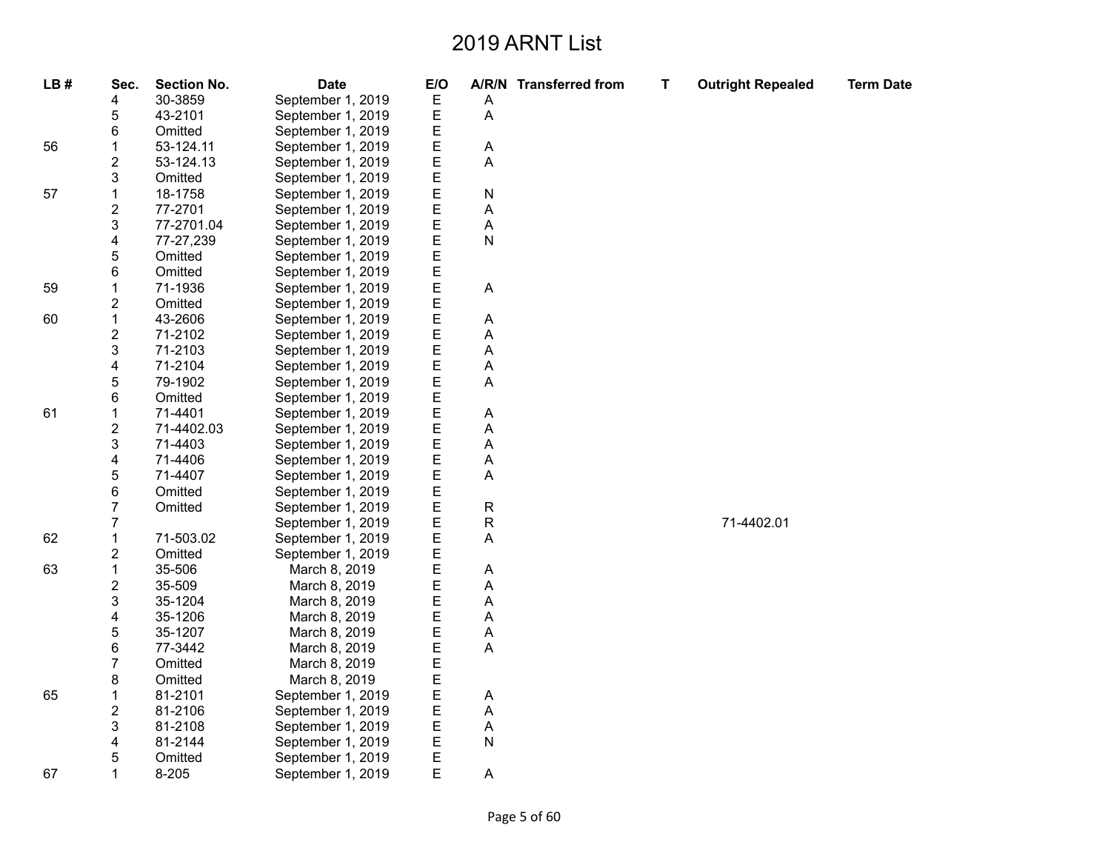| LB# | Sec.                    | <b>Section No.</b> | <b>Date</b>       | E/O |   | A/R/N Transferred from | T | <b>Outright Repealed</b> | <b>Term Date</b> |
|-----|-------------------------|--------------------|-------------------|-----|---|------------------------|---|--------------------------|------------------|
|     | 4                       | 30-3859            | September 1, 2019 | Ε   | Α |                        |   |                          |                  |
|     | 5                       | 43-2101            | September 1, 2019 | E   | A |                        |   |                          |                  |
|     | 6                       | Omitted            | September 1, 2019 | E   |   |                        |   |                          |                  |
| 56  | 1                       | 53-124.11          | September 1, 2019 | E   | Α |                        |   |                          |                  |
|     | $\overline{\mathbf{c}}$ | 53-124.13          | September 1, 2019 | E   | A |                        |   |                          |                  |
|     | 3                       | Omitted            | September 1, 2019 | E   |   |                        |   |                          |                  |
| 57  | $\mathbf 1$             | 18-1758            | September 1, 2019 | E   | N |                        |   |                          |                  |
|     | $\overline{c}$          | 77-2701            | September 1, 2019 | E   | Α |                        |   |                          |                  |
|     | 3                       | 77-2701.04         | September 1, 2019 | E   | А |                        |   |                          |                  |
|     | 4                       | 77-27,239          | September 1, 2019 | E   | N |                        |   |                          |                  |
|     | 5                       | Omitted            | September 1, 2019 | E   |   |                        |   |                          |                  |
|     | 6                       | Omitted            | September 1, 2019 | E   |   |                        |   |                          |                  |
| 59  | $\mathbf{1}$            | 71-1936            | September 1, 2019 | E   | Α |                        |   |                          |                  |
|     | $\overline{\mathbf{c}}$ | Omitted            | September 1, 2019 | E   |   |                        |   |                          |                  |
| 60  | $\mathbf{1}$            | 43-2606            | September 1, 2019 | E   | А |                        |   |                          |                  |
|     | $\overline{\mathbf{c}}$ | 71-2102            | September 1, 2019 | E   | А |                        |   |                          |                  |
|     | 3                       | 71-2103            | September 1, 2019 | E   | А |                        |   |                          |                  |
|     | 4                       | 71-2104            | September 1, 2019 | E   | А |                        |   |                          |                  |
|     | 5                       | 79-1902            | September 1, 2019 | E   | Α |                        |   |                          |                  |
|     | 6                       | Omitted            | September 1, 2019 | E   |   |                        |   |                          |                  |
| 61  | 1                       | 71-4401            | September 1, 2019 | E   | А |                        |   |                          |                  |
|     | $\overline{\mathbf{c}}$ | 71-4402.03         | September 1, 2019 | E   | Α |                        |   |                          |                  |
|     | 3                       | 71-4403            | September 1, 2019 | E   | А |                        |   |                          |                  |
|     | 4                       | 71-4406            | September 1, 2019 | E   | А |                        |   |                          |                  |
|     | 5                       | 71-4407            | September 1, 2019 | E   | Α |                        |   |                          |                  |
|     | 6                       | Omitted            | September 1, 2019 | E   |   |                        |   |                          |                  |
|     | $\overline{7}$          | Omitted            | September 1, 2019 | E   | R |                        |   |                          |                  |
|     | 7                       |                    | September 1, 2019 | E   | R |                        |   | 71-4402.01               |                  |
| 62  | 1                       | 71-503.02          | September 1, 2019 | E   | A |                        |   |                          |                  |
|     | $\overline{\mathbf{c}}$ | Omitted            | September 1, 2019 | E   |   |                        |   |                          |                  |
| 63  | 1                       | 35-506             | March 8, 2019     | E   | Α |                        |   |                          |                  |
|     | $\overline{\mathbf{c}}$ | 35-509             | March 8, 2019     | E   | А |                        |   |                          |                  |
|     | 3                       | 35-1204            | March 8, 2019     | E   | А |                        |   |                          |                  |
|     | 4                       | 35-1206            | March 8, 2019     | E   | Α |                        |   |                          |                  |
|     | 5                       | 35-1207            | March 8, 2019     | E   | А |                        |   |                          |                  |
|     | 6                       | 77-3442            | March 8, 2019     | E   | А |                        |   |                          |                  |
|     | 7                       | Omitted            | March 8, 2019     | E   |   |                        |   |                          |                  |
|     | 8                       | Omitted            | March 8, 2019     | E   |   |                        |   |                          |                  |
| 65  | 1                       | 81-2101            | September 1, 2019 | E   | А |                        |   |                          |                  |
|     | $\overline{\mathbf{c}}$ | 81-2106            | September 1, 2019 | E   | Α |                        |   |                          |                  |
|     | 3                       | 81-2108            | September 1, 2019 | E   | A |                        |   |                          |                  |
|     | 4                       | 81-2144            | September 1, 2019 | E   | Ν |                        |   |                          |                  |
|     | 5                       | Omitted            | September 1, 2019 | Ε   |   |                        |   |                          |                  |
| 67  | 1                       | $8 - 205$          | September 1, 2019 | E   | Α |                        |   |                          |                  |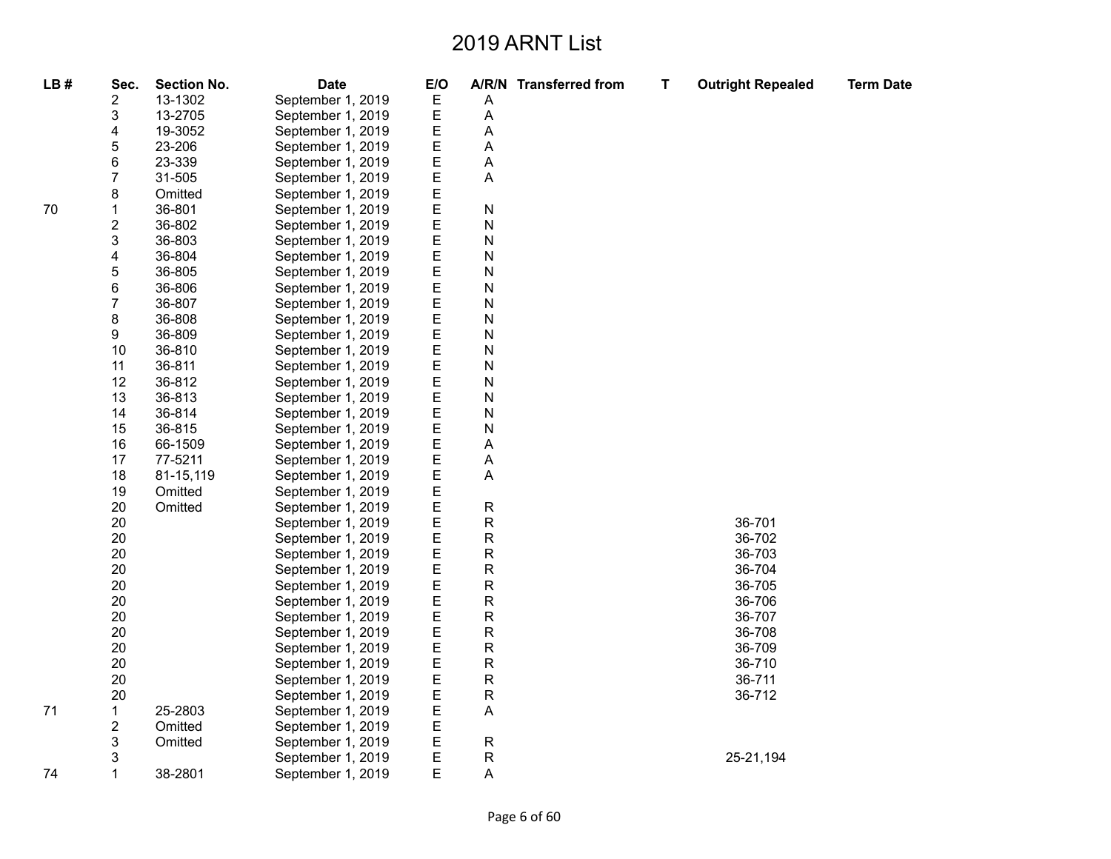| LB# | Sec.                    | <b>Section No.</b> | <b>Date</b>       | E/O |             | A/R/N Transferred from | T. | <b>Outright Repealed</b> | <b>Term Date</b> |
|-----|-------------------------|--------------------|-------------------|-----|-------------|------------------------|----|--------------------------|------------------|
|     | $\overline{\mathbf{c}}$ | 13-1302            | September 1, 2019 | Е   | Α           |                        |    |                          |                  |
|     | 3                       | 13-2705            | September 1, 2019 | E   | Α           |                        |    |                          |                  |
|     | 4                       | 19-3052            | September 1, 2019 | E   | Α           |                        |    |                          |                  |
|     | 5                       | 23-206             | September 1, 2019 | E   | A           |                        |    |                          |                  |
|     | 6                       | 23-339             | September 1, 2019 | E   | A           |                        |    |                          |                  |
|     | $\overline{7}$          | 31-505             | September 1, 2019 | E   | A           |                        |    |                          |                  |
|     | 8                       | Omitted            | September 1, 2019 | E   |             |                        |    |                          |                  |
| 70  | 1                       | 36-801             | September 1, 2019 | E   | N           |                        |    |                          |                  |
|     | $\overline{\mathbf{c}}$ | 36-802             | September 1, 2019 | Ε   | N           |                        |    |                          |                  |
|     | 3                       | 36-803             | September 1, 2019 | E   | N           |                        |    |                          |                  |
|     | 4                       | 36-804             | September 1, 2019 | E   | N           |                        |    |                          |                  |
|     | 5                       | 36-805             | September 1, 2019 | E   | N           |                        |    |                          |                  |
|     | 6                       | 36-806             | September 1, 2019 | E   | N           |                        |    |                          |                  |
|     | $\overline{7}$          | 36-807             | September 1, 2019 | E   | N           |                        |    |                          |                  |
|     | 8                       | 36-808             | September 1, 2019 | E   | N           |                        |    |                          |                  |
|     | 9                       | 36-809             | September 1, 2019 | E   | N           |                        |    |                          |                  |
|     | 10                      | 36-810             | September 1, 2019 | E   | N           |                        |    |                          |                  |
|     | 11                      | 36-811             | September 1, 2019 | E   | N           |                        |    |                          |                  |
|     | 12                      | 36-812             | September 1, 2019 | Е   | N           |                        |    |                          |                  |
|     | 13                      | 36-813             | September 1, 2019 | E   | N           |                        |    |                          |                  |
|     | 14                      | 36-814             | September 1, 2019 | E   | N           |                        |    |                          |                  |
|     | 15                      | 36-815             | September 1, 2019 | E   | N           |                        |    |                          |                  |
|     | 16                      | 66-1509            | September 1, 2019 | E   | A           |                        |    |                          |                  |
|     | 17                      | 77-5211            | September 1, 2019 | E   | Α           |                        |    |                          |                  |
|     | 18                      | 81-15,119          | September 1, 2019 | E   | Α           |                        |    |                          |                  |
|     | 19                      | Omitted            | September 1, 2019 | E   |             |                        |    |                          |                  |
|     | 20                      | Omitted            | September 1, 2019 | E   | $\mathsf R$ |                        |    |                          |                  |
|     | 20                      |                    | September 1, 2019 | E   | $\mathsf R$ |                        |    | 36-701                   |                  |
|     | 20                      |                    | September 1, 2019 | E   | R           |                        |    | 36-702                   |                  |
|     | 20                      |                    | September 1, 2019 | E   | R           |                        |    | 36-703                   |                  |
|     | 20                      |                    | September 1, 2019 | E   | R           |                        |    | 36-704                   |                  |
|     | 20                      |                    | September 1, 2019 | E   | R           |                        |    | 36-705                   |                  |
|     | 20                      |                    | September 1, 2019 | E   | R           |                        |    | 36-706                   |                  |
|     | 20                      |                    | September 1, 2019 | E   | $\mathsf R$ |                        |    | 36-707                   |                  |
|     | 20                      |                    | September 1, 2019 | E   | R           |                        |    | 36-708                   |                  |
|     | 20                      |                    | September 1, 2019 | E   | R           |                        |    | 36-709                   |                  |
|     | 20                      |                    | September 1, 2019 | E   | ${\sf R}$   |                        |    | 36-710                   |                  |
|     | 20                      |                    | September 1, 2019 | E   | $\mathsf R$ |                        |    | 36-711                   |                  |
|     | 20                      |                    | September 1, 2019 | E   | $\mathsf R$ |                        |    | 36-712                   |                  |
| 71  | $\mathbf{1}$            | 25-2803            | September 1, 2019 | E   | A           |                        |    |                          |                  |
|     | $\overline{c}$          | Omitted            | September 1, 2019 | E   |             |                        |    |                          |                  |
|     | 3                       | Omitted            | September 1, 2019 | E   | R           |                        |    |                          |                  |
|     | 3                       |                    | September 1, 2019 | E   | R           |                        |    | 25-21,194                |                  |
| 74  | 1                       | 38-2801            | September 1, 2019 | E   | A           |                        |    |                          |                  |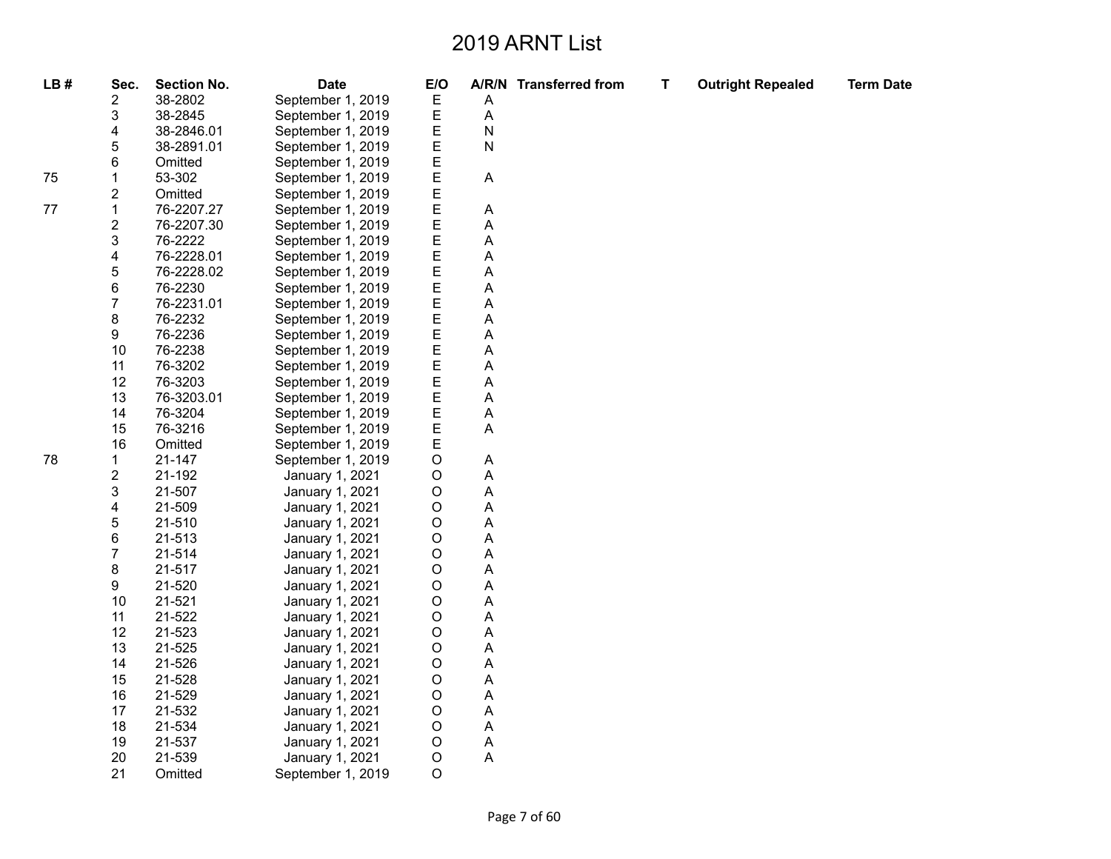**T Outright Repealed Term Date**

# 75

| LB# | Sec.                    | <b>Section No.</b> | <b>Date</b>       | E/O |   | A/R/N Transferred from |
|-----|-------------------------|--------------------|-------------------|-----|---|------------------------|
|     | 2                       | 38-2802            | September 1, 2019 | Е   | A |                        |
|     | 3                       | 38-2845            | September 1, 2019 | E   | A |                        |
|     | 4                       | 38-2846.01         | September 1, 2019 | Е   | N |                        |
|     | 5                       | 38-2891.01         | September 1, 2019 | E   | N |                        |
|     | 6                       | Omitted            | September 1, 2019 | E   |   |                        |
| 75  | 1                       | 53-302             | September 1, 2019 | E   | Α |                        |
|     | $\overline{\mathbf{c}}$ | Omitted            | September 1, 2019 | E   |   |                        |
| 77  | 1                       | 76-2207.27         | September 1, 2019 | E   | A |                        |
|     | $\overline{\mathbf{c}}$ | 76-2207.30         | September 1, 2019 | E   | A |                        |
|     | 3                       | 76-2222            | September 1, 2019 | E   | A |                        |
|     | 4                       | 76-2228.01         | September 1, 2019 | E   | A |                        |
|     | 5                       | 76-2228.02         | September 1, 2019 | E   | A |                        |
|     | 6                       | 76-2230            | September 1, 2019 | E   | A |                        |
|     | $\overline{7}$          | 76-2231.01         | September 1, 2019 | E   | A |                        |
|     | 8                       | 76-2232            | September 1, 2019 | E   | A |                        |
|     | 9                       | 76-2236            | September 1, 2019 | E   | A |                        |
|     | 10                      | 76-2238            | September 1, 2019 | E   | A |                        |
|     | 11                      | 76-3202            | September 1, 2019 | E   | A |                        |
|     | 12                      | 76-3203            | September 1, 2019 | E   | A |                        |
|     | 13                      | 76-3203.01         | September 1, 2019 | E   | A |                        |
|     | 14                      | 76-3204            | September 1, 2019 | E   | A |                        |
|     | 15                      | 76-3216            | September 1, 2019 | E   | A |                        |
|     | 16                      | Omitted            | September 1, 2019 | E   |   |                        |
| 78  | 1                       | 21-147             | September 1, 2019 | O   | Α |                        |
|     | $\overline{\mathbf{c}}$ | 21-192             | January 1, 2021   | O   | A |                        |
|     | 3                       | 21-507             | January 1, 2021   | O   | A |                        |
|     | 4                       | 21-509             | January 1, 2021   | O   | A |                        |
|     | 5                       | 21-510             | January 1, 2021   | O   | A |                        |
|     | 6                       | 21-513             | January 1, 2021   | O   | A |                        |
|     | $\overline{7}$          | 21-514             | January 1, 2021   | O   | A |                        |
|     | 8                       | 21-517             | January 1, 2021   | O   | A |                        |
|     | 9                       | 21-520             | January 1, 2021   | O   | A |                        |
|     | 10                      | 21-521             | January 1, 2021   | O   | A |                        |
|     | 11                      | 21-522             | January 1, 2021   | O   | A |                        |
|     | 12                      | 21-523             | January 1, 2021   | O   | A |                        |
|     | 13                      | 21-525             | January 1, 2021   | O   | A |                        |
|     | 14                      | 21-526             | January 1, 2021   | O   | A |                        |
|     | 15                      | 21-528             | January 1, 2021   | O   | A |                        |
|     | 16                      | 21-529             | January 1, 2021   | O   | A |                        |
|     | 17                      |                    |                   |     | A |                        |
|     | 18                      | 21-532<br>21-534   | January 1, 2021   | O   | A |                        |
|     |                         |                    | January 1, 2021   | O   |   |                        |
|     | 19                      | 21-537             | January 1, 2021   | O   | A |                        |
|     | 20                      | 21-539             | January 1, 2021   | O   | A |                        |
|     | 21                      | Omitted            | September 1, 2019 | O   |   |                        |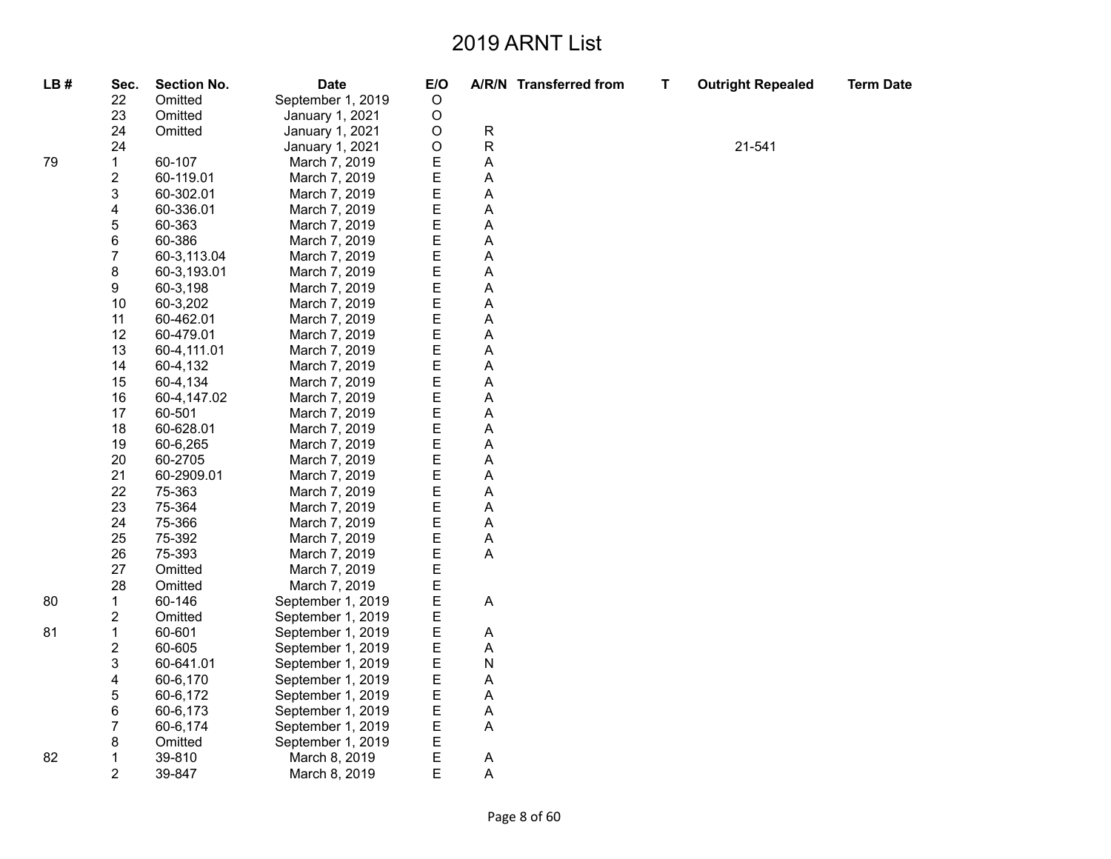| LB# | Sec.             | <b>Section No.</b> | <b>Date</b>       | E/O     |                           | A/R/N Transferred from | $\mathbf T$ | <b>Outright Repealed</b> | <b>Term Date</b> |
|-----|------------------|--------------------|-------------------|---------|---------------------------|------------------------|-------------|--------------------------|------------------|
|     | 22               | Omitted            | September 1, 2019 | $\circ$ |                           |                        |             |                          |                  |
|     | 23               | Omitted            | January 1, 2021   | $\circ$ |                           |                        |             |                          |                  |
|     | 24               | Omitted            | January 1, 2021   | $\circ$ | ${\sf R}$                 |                        |             |                          |                  |
|     | 24               |                    | January 1, 2021   | $\circ$ | ${\sf R}$                 |                        |             | 21-541                   |                  |
| 79  | $\mathbf{1}$     | 60-107             | March 7, 2019     | E       | A                         |                        |             |                          |                  |
|     | $\mathbf 2$      | 60-119.01          | March 7, 2019     | E       | A                         |                        |             |                          |                  |
|     | 3                | 60-302.01          | March 7, 2019     | E       | A                         |                        |             |                          |                  |
|     | 4                | 60-336.01          | March 7, 2019     | E       | A                         |                        |             |                          |                  |
|     | $\mathbf 5$      | 60-363             | March 7, 2019     | E       | A                         |                        |             |                          |                  |
|     | 6                | 60-386             | March 7, 2019     | E       | Α                         |                        |             |                          |                  |
|     | $\overline{7}$   | 60-3,113.04        | March 7, 2019     | E       | A                         |                        |             |                          |                  |
|     | 8                | 60-3,193.01        | March 7, 2019     | E       | A                         |                        |             |                          |                  |
|     | 9                | 60-3,198           | March 7, 2019     | E       | A                         |                        |             |                          |                  |
|     | 10               | 60-3,202           | March 7, 2019     | E       | Α                         |                        |             |                          |                  |
|     | 11               | 60-462.01          | March 7, 2019     | E       | A                         |                        |             |                          |                  |
|     | 12               | 60-479.01          | March 7, 2019     | E       | A                         |                        |             |                          |                  |
|     | 13               | 60-4,111.01        | March 7, 2019     | E       | A                         |                        |             |                          |                  |
|     | 14               | 60-4,132           | March 7, 2019     | E       | A                         |                        |             |                          |                  |
|     | 15               | 60-4,134           | March 7, 2019     | E       | A                         |                        |             |                          |                  |
|     | 16               | 60-4,147.02        | March 7, 2019     | E       | $\boldsymbol{\mathsf{A}}$ |                        |             |                          |                  |
|     | 17               | 60-501             | March 7, 2019     | E       | $\boldsymbol{\mathsf{A}}$ |                        |             |                          |                  |
|     | 18               | 60-628.01          | March 7, 2019     | E       | Α                         |                        |             |                          |                  |
|     | 19               | 60-6,265           | March 7, 2019     | E       | A                         |                        |             |                          |                  |
|     | 20               | 60-2705            | March 7, 2019     | E       | A                         |                        |             |                          |                  |
|     | 21               | 60-2909.01         | March 7, 2019     | E       | A                         |                        |             |                          |                  |
|     | 22               | 75-363             | March 7, 2019     | E       | Α                         |                        |             |                          |                  |
|     | 23               | 75-364             | March 7, 2019     | E       | A                         |                        |             |                          |                  |
|     | 24               | 75-366             | March 7, 2019     | E       | $\boldsymbol{\mathsf{A}}$ |                        |             |                          |                  |
|     | 25               | 75-392             | March 7, 2019     | E       | A                         |                        |             |                          |                  |
|     | 26               | 75-393             | March 7, 2019     | E       | A                         |                        |             |                          |                  |
|     | 27               | Omitted            | March 7, 2019     | E       |                           |                        |             |                          |                  |
|     | 28               | Omitted            | March 7, 2019     | E       |                           |                        |             |                          |                  |
| 80  | 1                | 60-146             | September 1, 2019 | E       | $\boldsymbol{\mathsf{A}}$ |                        |             |                          |                  |
|     | $\overline{c}$   | Omitted            | September 1, 2019 | E       |                           |                        |             |                          |                  |
| 81  | $\mathbf{1}$     | 60-601             | September 1, 2019 | E       | $\boldsymbol{\mathsf{A}}$ |                        |             |                          |                  |
|     | $\boldsymbol{2}$ | 60-605             | September 1, 2019 | E       | A                         |                        |             |                          |                  |
|     | 3                | 60-641.01          | September 1, 2019 | Ε       | N                         |                        |             |                          |                  |
|     | 4                | 60-6,170           | September 1, 2019 | E       | A                         |                        |             |                          |                  |
|     | $\mathbf 5$      | 60-6,172           | September 1, 2019 | E       | A                         |                        |             |                          |                  |
|     | 6                | 60-6,173           | September 1, 2019 | E       | A                         |                        |             |                          |                  |
|     | $\overline{7}$   | 60-6,174           | September 1, 2019 | E       | Α                         |                        |             |                          |                  |
|     | 8                | Omitted            | September 1, 2019 | E       |                           |                        |             |                          |                  |
| 82  | $\mathbf 1$      | 39-810             | March 8, 2019     | E       | $\boldsymbol{\mathsf{A}}$ |                        |             |                          |                  |
|     | $\overline{2}$   | 39-847             | March 8, 2019     | E       | A                         |                        |             |                          |                  |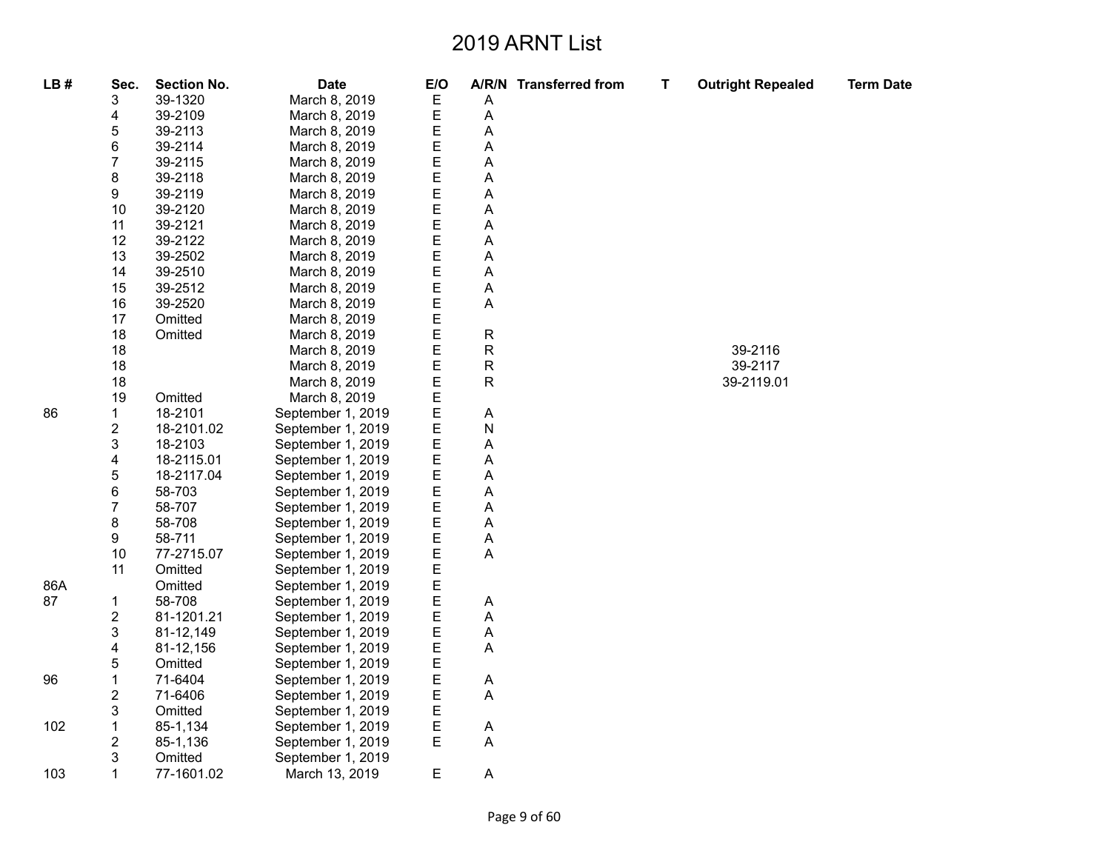| LB# | Sec.                      | <b>Section No.</b> | <b>Date</b>       | E/O |              | A/R/N Transferred from | Т | <b>Outright Repealed</b> | <b>Term Date</b> |
|-----|---------------------------|--------------------|-------------------|-----|--------------|------------------------|---|--------------------------|------------------|
|     | 3                         | 39-1320            | March 8, 2019     | Е   | А            |                        |   |                          |                  |
|     | 4                         | 39-2109            | March 8, 2019     | E   | А            |                        |   |                          |                  |
|     | 5                         | 39-2113            | March 8, 2019     | Е   | А            |                        |   |                          |                  |
|     | 6                         | 39-2114            | March 8, 2019     | E   | А            |                        |   |                          |                  |
|     | $\overline{7}$            | 39-2115            | March 8, 2019     | Е   | А            |                        |   |                          |                  |
|     | 8                         | 39-2118            | March 8, 2019     | Ε   | Α            |                        |   |                          |                  |
|     | 9                         | 39-2119            | March 8, 2019     | Ε   | А            |                        |   |                          |                  |
|     | 10                        | 39-2120            | March 8, 2019     | Е   | А            |                        |   |                          |                  |
|     | 11                        | 39-2121            | March 8, 2019     | Ε   | Α            |                        |   |                          |                  |
|     | 12                        | 39-2122            | March 8, 2019     | Ε   | А            |                        |   |                          |                  |
|     | 13                        | 39-2502            | March 8, 2019     | Е   | А            |                        |   |                          |                  |
|     | 14                        | 39-2510            | March 8, 2019     | Ε   | Α            |                        |   |                          |                  |
|     | 15                        | 39-2512            | March 8, 2019     | E   | А            |                        |   |                          |                  |
|     | 16                        | 39-2520            | March 8, 2019     | Е   | A            |                        |   |                          |                  |
|     | 17                        | Omitted            | March 8, 2019     | E   |              |                        |   |                          |                  |
|     | 18                        | Omitted            | March 8, 2019     | E   | ${\sf R}$    |                        |   |                          |                  |
|     | 18                        |                    | March 8, 2019     | Е   | $\mathsf R$  |                        |   | 39-2116                  |                  |
|     | 18                        |                    | March 8, 2019     | E   | ${\sf R}$    |                        |   | 39-2117                  |                  |
|     | 18                        |                    | March 8, 2019     | E   | $\mathsf{R}$ |                        |   | 39-2119.01               |                  |
|     | 19                        | Omitted            | March 8, 2019     | Е   |              |                        |   |                          |                  |
| 86  | $\mathbf{1}$              | 18-2101            | September 1, 2019 | E   | Α            |                        |   |                          |                  |
|     | $\overline{2}$            | 18-2101.02         | September 1, 2019 | Ε   | N            |                        |   |                          |                  |
|     | 3                         | 18-2103            | September 1, 2019 | Е   | А            |                        |   |                          |                  |
|     | 4                         | 18-2115.01         | September 1, 2019 | E   | А            |                        |   |                          |                  |
|     | $\mathbf 5$               | 18-2117.04         | September 1, 2019 | Е   | А            |                        |   |                          |                  |
|     | 6                         | 58-703             | September 1, 2019 | Ε   | Α            |                        |   |                          |                  |
|     | $\boldsymbol{7}$          | 58-707             | September 1, 2019 | E   | А            |                        |   |                          |                  |
|     | 8                         | 58-708             | September 1, 2019 | Е   | А            |                        |   |                          |                  |
|     | 9                         | 58-711             | September 1, 2019 | Ε   | Α            |                        |   |                          |                  |
|     | 10                        | 77-2715.07         | September 1, 2019 | E   | A            |                        |   |                          |                  |
|     | 11                        | Omitted            | September 1, 2019 | Е   |              |                        |   |                          |                  |
| 86A |                           | Omitted            | September 1, 2019 | E   |              |                        |   |                          |                  |
| 87  | $\mathbf 1$               | 58-708             | September 1, 2019 | Ε   | Α            |                        |   |                          |                  |
|     | $\overline{\mathbf{c}}$   | 81-1201.21         | September 1, 2019 | Е   | А            |                        |   |                          |                  |
|     | $\ensuremath{\mathsf{3}}$ | 81-12,149          | September 1, 2019 | E   | А            |                        |   |                          |                  |
|     | 4                         | 81-12,156          | September 1, 2019 | E   | Α            |                        |   |                          |                  |
|     | 5                         | Omitted            | September 1, 2019 | Е   |              |                        |   |                          |                  |
| 96  | $\mathbf{1}$              | 71-6404            | September 1, 2019 | E   | Α            |                        |   |                          |                  |
|     | $\boldsymbol{2}$          | 71-6406            | September 1, 2019 | Е   | Α            |                        |   |                          |                  |
|     | 3                         | Omitted            | September 1, 2019 | Е   |              |                        |   |                          |                  |
| 102 | $\mathbf 1$               | 85-1,134           | September 1, 2019 | Ε   | A            |                        |   |                          |                  |
|     | $\mathbf 2$               | 85-1,136           | September 1, 2019 | Е   | А            |                        |   |                          |                  |
|     | 3                         | Omitted            | September 1, 2019 |     |              |                        |   |                          |                  |
| 103 | 1                         | 77-1601.02         | March 13, 2019    | Е   | Α            |                        |   |                          |                  |

87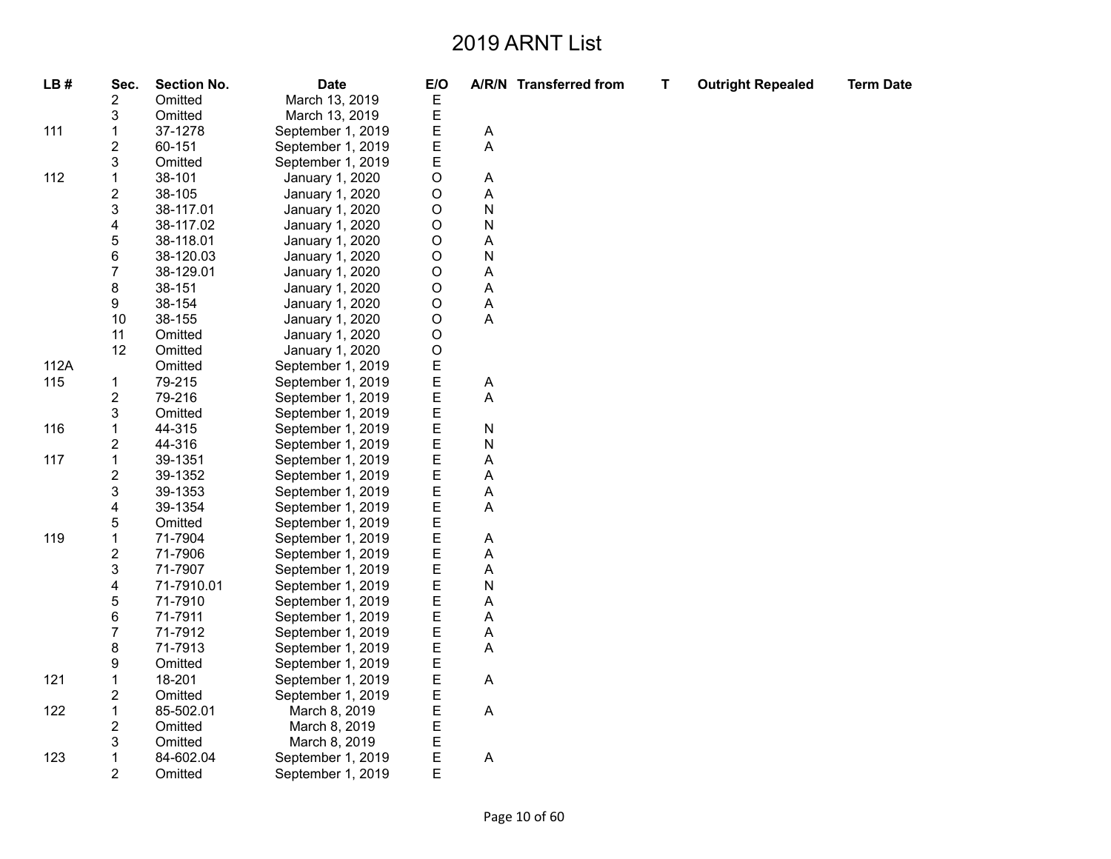| LB#  | Sec.                    | <b>Section No.</b> | <b>Date</b>       | E/O |           | A/R/N Transferred from |
|------|-------------------------|--------------------|-------------------|-----|-----------|------------------------|
|      | $\overline{\mathbf{c}}$ | Omitted            | March 13, 2019    | Е   |           |                        |
|      | 3                       | Omitted            | March 13, 2019    | E   |           |                        |
| 111  | $\mathbf 1$             | 37-1278            | September 1, 2019 | E   | Α         |                        |
|      | $\overline{c}$          | 60-151             | September 1, 2019 | E   | A         |                        |
|      | 3                       | Omitted            | September 1, 2019 | Ε   |           |                        |
| 112  | $\mathbf 1$             | 38-101             | January 1, 2020   | O   | A         |                        |
|      | $\overline{c}$          | 38-105             | January 1, 2020   | O   | A         |                        |
|      | 3                       | 38-117.01          | January 1, 2020   | O   | ${\sf N}$ |                        |
|      | 4                       | 38-117.02          | January 1, 2020   | O   | N         |                        |
|      | 5                       | 38-118.01          | January 1, 2020   | O   | A         |                        |
|      | 6                       | 38-120.03          | January 1, 2020   | O   | N         |                        |
|      | $\overline{7}$          | 38-129.01          | January 1, 2020   | O   | A         |                        |
|      | 8                       | 38-151             | January 1, 2020   | O   | A         |                        |
|      | 9                       | 38-154             | January 1, 2020   | O   | A         |                        |
|      | 10                      | 38-155             | January 1, 2020   | O   | A         |                        |
|      | 11                      | Omitted            | January 1, 2020   | O   |           |                        |
|      | 12                      | Omitted            | January 1, 2020   | O   |           |                        |
| 112A |                         | Omitted            | September 1, 2019 | E   |           |                        |
| 115  | $\mathbf{1}$            | 79-215             | September 1, 2019 | E   | Α         |                        |
|      | $\overline{\mathbf{c}}$ | 79-216             | September 1, 2019 | E   | A         |                        |
|      | 3                       | Omitted            | September 1, 2019 | E   |           |                        |
| 116  | $\mathbf 1$             | 44-315             | September 1, 2019 | E   | N         |                        |
|      | $\overline{2}$          | 44-316             | September 1, 2019 | E   | ${\sf N}$ |                        |
| 117  | $\mathbf 1$             | 39-1351            | September 1, 2019 | E   | A         |                        |
|      | $\overline{c}$          | 39-1352            | September 1, 2019 | E   | A         |                        |
|      | 3                       | 39-1353            | September 1, 2019 | E   | A         |                        |
|      | $\overline{\mathbf{4}}$ | 39-1354            | September 1, 2019 | E   | A         |                        |
|      | 5                       | Omitted            | September 1, 2019 | E   |           |                        |
| 119  | $\mathbf 1$             | 71-7904            | September 1, 2019 | E   | A         |                        |
|      | $\overline{c}$          | 71-7906            | September 1, 2019 | E   | A         |                        |
|      | 3                       | 71-7907            | September 1, 2019 | E   | A         |                        |
|      | 4                       | 71-7910.01         | September 1, 2019 | E   | N         |                        |
|      | 5                       | 71-7910            | September 1, 2019 | E   | A         |                        |
|      | 6                       | 71-7911            | September 1, 2019 | E   | A         |                        |
|      | 7                       | 71-7912            | September 1, 2019 | E   | A         |                        |
|      | 8                       | 71-7913            | September 1, 2019 | E   | A         |                        |
|      | 9                       | Omitted            | September 1, 2019 | Ε   |           |                        |
| 121  | $\mathbf 1$             | 18-201             | September 1, 2019 | E   | A         |                        |
|      | $\overline{c}$          | Omitted            | September 1, 2019 | E   |           |                        |
| 122  | $\mathbf 1$             | 85-502.01          | March 8, 2019     | Ε   | A         |                        |
|      | $\overline{2}$          | Omitted            | March 8, 2019     | E   |           |                        |
|      | 3                       | Omitted            | March 8, 2019     | E   |           |                        |
| 123  | $\mathbf 1$             | 84-602.04          | September 1, 2019 | E   | A         |                        |
|      | $\overline{2}$          | Omitted            | September 1, 2019 | E   |           |                        |

**T Outright Repealed Term Date**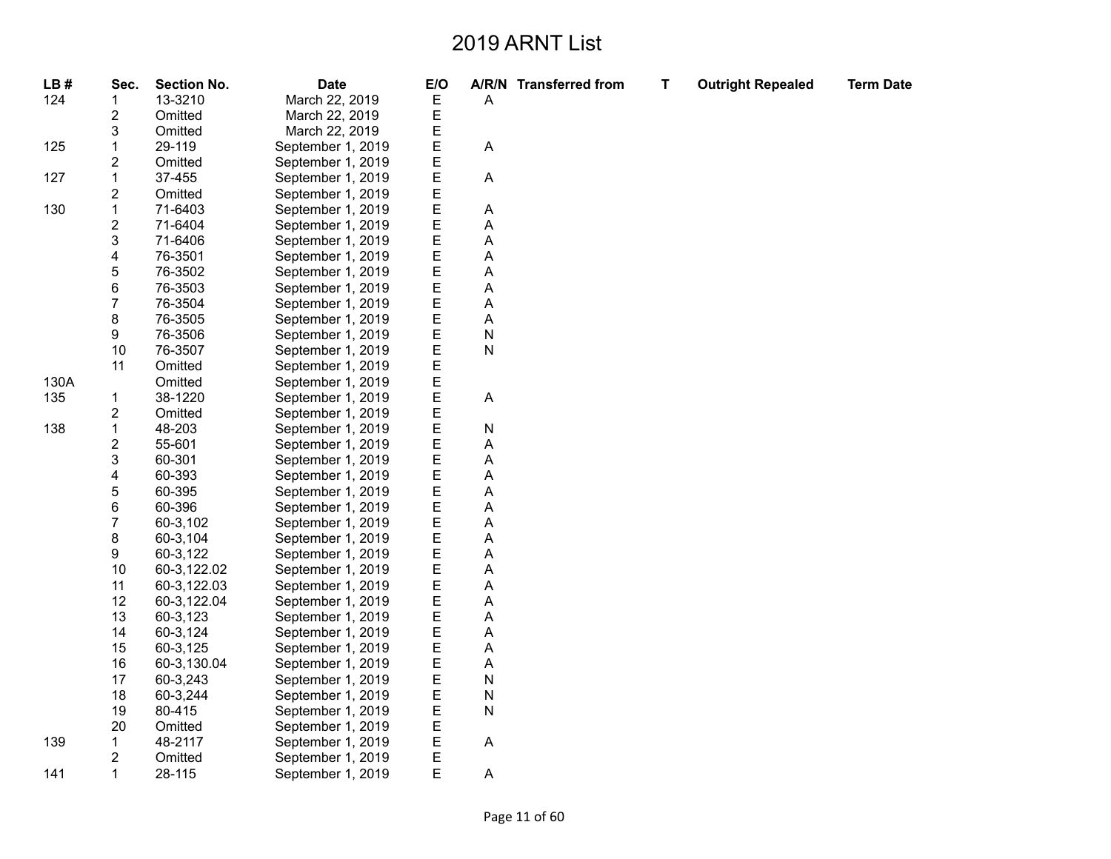| LB#  | Sec.                    | <b>Section No.</b> | <b>Date</b>       | E/O |                           | A/R/N Transferred from | T | <b>Outright Repealed</b> | <b>Term Date</b> |
|------|-------------------------|--------------------|-------------------|-----|---------------------------|------------------------|---|--------------------------|------------------|
| 124  | 1                       | 13-3210            | March 22, 2019    | Е   | A                         |                        |   |                          |                  |
|      | $\overline{\mathbf{c}}$ | Omitted            | March 22, 2019    | E   |                           |                        |   |                          |                  |
|      | 3                       | Omitted            | March 22, 2019    | E   |                           |                        |   |                          |                  |
| 125  | $\mathbf{1}$            | 29-119             | September 1, 2019 | E   | $\boldsymbol{\mathsf{A}}$ |                        |   |                          |                  |
|      | $\overline{2}$          | Omitted            | September 1, 2019 | E   |                           |                        |   |                          |                  |
| 127  | $\mathbf{1}$            | 37-455             | September 1, 2019 | E   | A                         |                        |   |                          |                  |
|      | $\overline{c}$          | Omitted            | September 1, 2019 | E   |                           |                        |   |                          |                  |
| 130  | $\mathbf{1}$            | 71-6403            | September 1, 2019 | E   | Α                         |                        |   |                          |                  |
|      | $\overline{\mathbf{c}}$ | 71-6404            | September 1, 2019 | E   | A                         |                        |   |                          |                  |
|      | $\mathsf 3$             | 71-6406            | September 1, 2019 | E   | A                         |                        |   |                          |                  |
|      | 4                       | 76-3501            | September 1, 2019 | E   | Α                         |                        |   |                          |                  |
|      | 5                       | 76-3502            | September 1, 2019 | E   | A                         |                        |   |                          |                  |
|      | 6                       | 76-3503            | September 1, 2019 | E   | Α                         |                        |   |                          |                  |
|      | $\overline{7}$          | 76-3504            | September 1, 2019 | E   | Α                         |                        |   |                          |                  |
|      | 8                       | 76-3505            | September 1, 2019 | E   | A                         |                        |   |                          |                  |
|      | 9                       | 76-3506            | September 1, 2019 | E   | ${\sf N}$                 |                        |   |                          |                  |
|      | 10                      | 76-3507            | September 1, 2019 | E   | ${\sf N}$                 |                        |   |                          |                  |
|      | 11                      | Omitted            | September 1, 2019 | E   |                           |                        |   |                          |                  |
| 130A |                         | Omitted            | September 1, 2019 | E   |                           |                        |   |                          |                  |
| 135  | 1                       | 38-1220            | September 1, 2019 | E   | A                         |                        |   |                          |                  |
|      | $\overline{\mathbf{c}}$ | Omitted            | September 1, 2019 | E   |                           |                        |   |                          |                  |
| 138  | $\mathbf{1}$            | 48-203             | September 1, 2019 | E   | ${\sf N}$                 |                        |   |                          |                  |
|      | $\overline{\mathbf{c}}$ | 55-601             | September 1, 2019 | E   | Α                         |                        |   |                          |                  |
|      | 3                       | 60-301             | September 1, 2019 | E   | A                         |                        |   |                          |                  |
|      | 4                       | 60-393             | September 1, 2019 | E   | Α                         |                        |   |                          |                  |
|      | 5                       | 60-395             | September 1, 2019 | E   | A                         |                        |   |                          |                  |
|      | 6                       | 60-396             | September 1, 2019 | E   | A                         |                        |   |                          |                  |
|      | $\overline{7}$          | 60-3,102           |                   | E   |                           |                        |   |                          |                  |
|      | 8                       | 60-3,104           | September 1, 2019 | E   | Α                         |                        |   |                          |                  |
|      | 9                       |                    | September 1, 2019 | E   | A<br>$\mathsf A$          |                        |   |                          |                  |
|      | 10                      | 60-3,122           | September 1, 2019 | E   |                           |                        |   |                          |                  |
|      | 11                      | 60-3,122.02        | September 1, 2019 | E   | Α<br>A                    |                        |   |                          |                  |
|      |                         | 60-3,122.03        | September 1, 2019 |     |                           |                        |   |                          |                  |
|      | 12                      | 60-3,122.04        | September 1, 2019 | E   | A                         |                        |   |                          |                  |
|      | 13                      | 60-3,123           | September 1, 2019 | E   | A                         |                        |   |                          |                  |
|      | 14                      | 60-3,124           | September 1, 2019 | E   | A                         |                        |   |                          |                  |
|      | 15                      | 60-3,125           | September 1, 2019 | E   | A                         |                        |   |                          |                  |
|      | 16                      | 60-3,130.04        | September 1, 2019 | E   | A                         |                        |   |                          |                  |
|      | 17                      | 60-3,243           | September 1, 2019 | E   | N                         |                        |   |                          |                  |
|      | 18                      | 60-3,244           | September 1, 2019 | E   | ${\sf N}$                 |                        |   |                          |                  |
|      | 19                      | 80-415             | September 1, 2019 | E   | ${\sf N}$                 |                        |   |                          |                  |
|      | 20                      | Omitted            | September 1, 2019 | E   |                           |                        |   |                          |                  |
| 139  | 1                       | 48-2117            | September 1, 2019 | E   | A                         |                        |   |                          |                  |
|      | $\overline{\mathbf{c}}$ | Omitted            | September 1, 2019 | E   |                           |                        |   |                          |                  |
| 141  | 1                       | 28-115             | September 1, 2019 | E   | A                         |                        |   |                          |                  |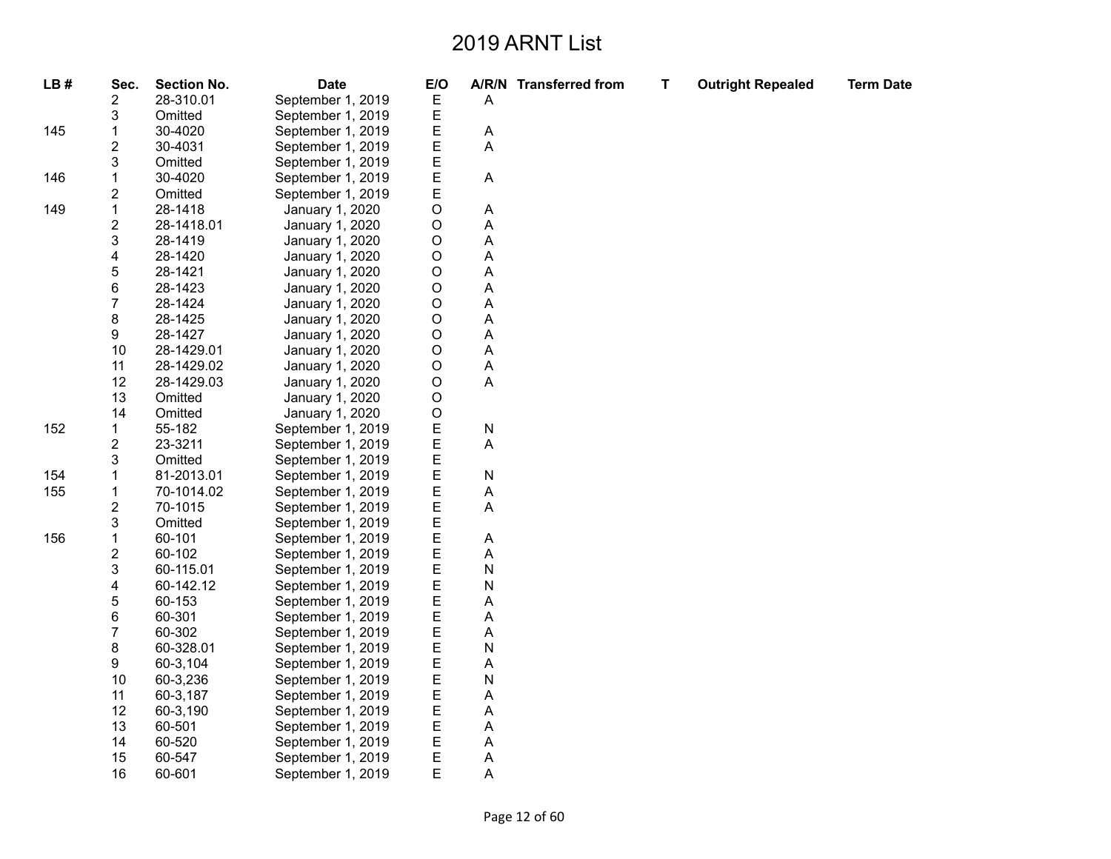| LB# | Sec.                    | <b>Section No.</b> | <b>Date</b>       | E/O         |           | A/R/N Transferred from | T | <b>Outright Repealed</b> | <b>Term Date</b> |
|-----|-------------------------|--------------------|-------------------|-------------|-----------|------------------------|---|--------------------------|------------------|
|     | 2                       | 28-310.01          | September 1, 2019 | E           | Α         |                        |   |                          |                  |
|     | 3                       | Omitted            | September 1, 2019 | E           |           |                        |   |                          |                  |
| 145 | 1                       | 30-4020            | September 1, 2019 | Ε           | Α         |                        |   |                          |                  |
|     | 2                       | 30-4031            | September 1, 2019 | E           | A         |                        |   |                          |                  |
|     | 3                       | Omitted            | September 1, 2019 | Ε           |           |                        |   |                          |                  |
| 146 | 1                       | 30-4020            | September 1, 2019 | E           | Α         |                        |   |                          |                  |
|     | $\overline{\mathbf{c}}$ | Omitted            | September 1, 2019 | E           |           |                        |   |                          |                  |
| 149 | 1                       | 28-1418            | January 1, 2020   | O           | Α         |                        |   |                          |                  |
|     | $\overline{c}$          | 28-1418.01         | January 1, 2020   | O           | Α         |                        |   |                          |                  |
|     | 3                       | 28-1419            | January 1, 2020   | O           | A         |                        |   |                          |                  |
|     | 4                       | 28-1420            | January 1, 2020   | $\mathsf O$ | A         |                        |   |                          |                  |
|     | 5                       | 28-1421            | January 1, 2020   | $\mathsf O$ | Α         |                        |   |                          |                  |
|     | 6                       | 28-1423            | January 1, 2020   | O           | A         |                        |   |                          |                  |
|     | 7                       | 28-1424            | January 1, 2020   | O           | A         |                        |   |                          |                  |
|     | 8                       | 28-1425            | January 1, 2020   | $\mathsf O$ | A         |                        |   |                          |                  |
|     | 9                       | 28-1427            | January 1, 2020   | O           | A         |                        |   |                          |                  |
|     | 10                      | 28-1429.01         | January 1, 2020   | O           | A         |                        |   |                          |                  |
|     | 11                      | 28-1429.02         | January 1, 2020   | $\mathsf O$ | A         |                        |   |                          |                  |
|     | 12                      | 28-1429.03         | January 1, 2020   | O           | Α         |                        |   |                          |                  |
|     | 13                      | Omitted            | January 1, 2020   | O           |           |                        |   |                          |                  |
|     | 14                      | Omitted            | January 1, 2020   | O           |           |                        |   |                          |                  |
| 152 | $\mathbf{1}$            | 55-182             | September 1, 2019 | E           | ${\sf N}$ |                        |   |                          |                  |
|     | 2                       | 23-3211            | September 1, 2019 | E           | A         |                        |   |                          |                  |
|     | 3                       | Omitted            | September 1, 2019 | E           |           |                        |   |                          |                  |
| 154 | 1                       | 81-2013.01         | September 1, 2019 | E           | N         |                        |   |                          |                  |
| 155 | $\mathbf 1$             | 70-1014.02         | September 1, 2019 | E           | A         |                        |   |                          |                  |
|     | $\overline{\mathbf{c}}$ | 70-1015            | September 1, 2019 | E           | A         |                        |   |                          |                  |
|     | 3                       | Omitted            | September 1, 2019 | E           |           |                        |   |                          |                  |
| 156 | $\mathbf{1}$            | 60-101             | September 1, 2019 | E           | Α         |                        |   |                          |                  |
|     | $\overline{\mathbf{c}}$ | 60-102             | September 1, 2019 | E           | A         |                        |   |                          |                  |
|     | 3                       | 60-115.01          | September 1, 2019 | E           | N         |                        |   |                          |                  |
|     | 4                       | 60-142.12          | September 1, 2019 | E           | N         |                        |   |                          |                  |
|     | 5                       | 60-153             | September 1, 2019 | E           | A         |                        |   |                          |                  |
|     | 6                       | 60-301             | September 1, 2019 | E           | A         |                        |   |                          |                  |
|     | $\boldsymbol{7}$        | 60-302             | September 1, 2019 | E           | A         |                        |   |                          |                  |
|     | 8                       | 60-328.01          | September 1, 2019 | E           | N         |                        |   |                          |                  |
|     | 9                       | 60-3,104           | September 1, 2019 | E           | Α         |                        |   |                          |                  |
|     | 10                      | 60-3,236           | September 1, 2019 | E           | N         |                        |   |                          |                  |
|     | 11                      | 60-3,187           | September 1, 2019 | E           | A         |                        |   |                          |                  |
|     | 12                      | 60-3,190           | September 1, 2019 | Ε           | A         |                        |   |                          |                  |
|     | 13                      | 60-501             | September 1, 2019 | Ε           | A         |                        |   |                          |                  |
|     | 14                      | 60-520             | September 1, 2019 | E           | Α         |                        |   |                          |                  |
|     | 15                      | 60-547             | September 1, 2019 | E           | Α         |                        |   |                          |                  |
|     | 16                      | 60-601             | September 1, 2019 | E           | A         |                        |   |                          |                  |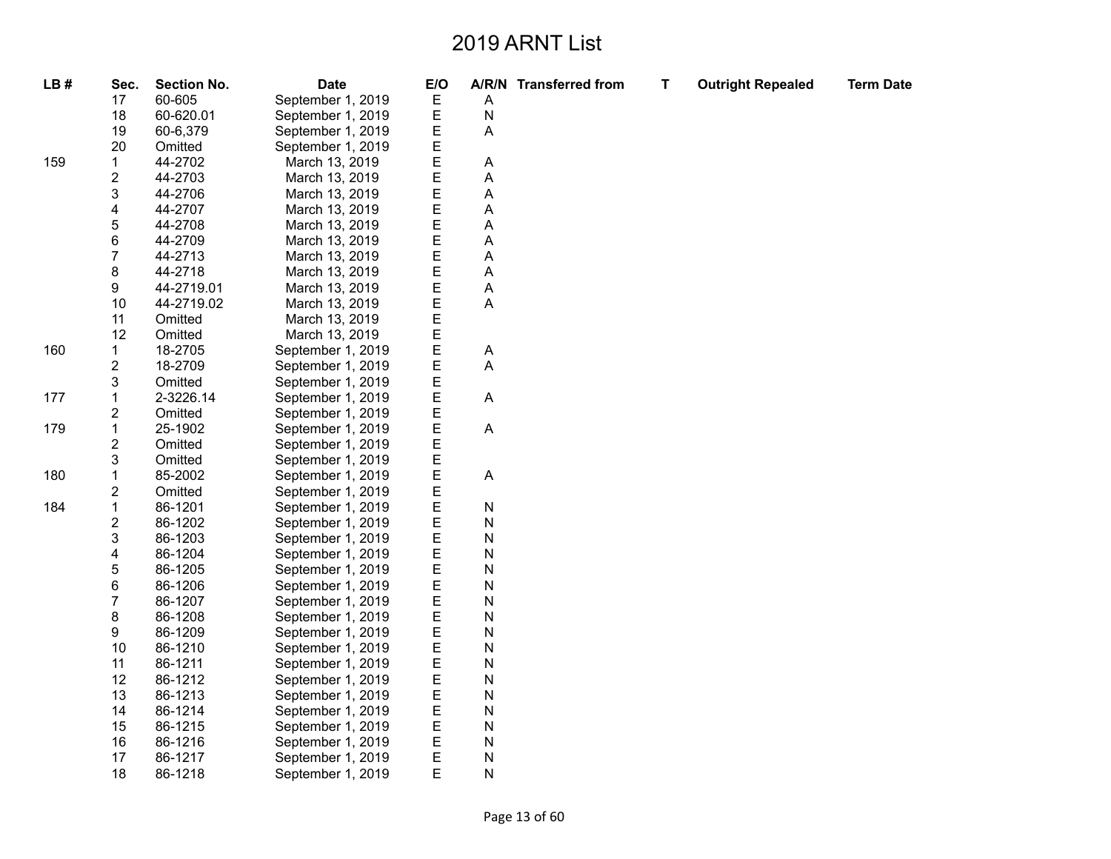| LB# | Sec.                    | <b>Section No.</b> | <b>Date</b>       | E/O |           | A/R/N Transferred from | T | <b>Outright Repealed</b> | <b>Term Date</b> |
|-----|-------------------------|--------------------|-------------------|-----|-----------|------------------------|---|--------------------------|------------------|
|     | 17                      | 60-605             | September 1, 2019 | Е   | Α         |                        |   |                          |                  |
|     | 18                      | 60-620.01          | September 1, 2019 | Е   | N         |                        |   |                          |                  |
|     | 19                      | 60-6,379           | September 1, 2019 | E   | A         |                        |   |                          |                  |
|     | 20                      | Omitted            | September 1, 2019 | Е   |           |                        |   |                          |                  |
| 159 | 1                       | 44-2702            | March 13, 2019    | E   | Α         |                        |   |                          |                  |
|     | 2                       | 44-2703            | March 13, 2019    | E   | А         |                        |   |                          |                  |
|     | 3                       | 44-2706            | March 13, 2019    | E   | Α         |                        |   |                          |                  |
|     | 4                       | 44-2707            | March 13, 2019    | Ε   | Α         |                        |   |                          |                  |
|     | 5                       | 44-2708            | March 13, 2019    | E   | А         |                        |   |                          |                  |
|     | 6                       | 44-2709            | March 13, 2019    | Ε   | Α         |                        |   |                          |                  |
|     | 7                       | 44-2713            | March 13, 2019    | E   | Α         |                        |   |                          |                  |
|     | 8                       | 44-2718            | March 13, 2019    | E   | А         |                        |   |                          |                  |
|     | 9                       | 44-2719.01         | March 13, 2019    | E   | Α         |                        |   |                          |                  |
|     | 10                      | 44-2719.02         | March 13, 2019    | E   | A         |                        |   |                          |                  |
|     | 11                      | Omitted            | March 13, 2019    | E   |           |                        |   |                          |                  |
|     | 12                      | Omitted            | March 13, 2019    | E   |           |                        |   |                          |                  |
| 160 | 1                       | 18-2705            | September 1, 2019 | E   | Α         |                        |   |                          |                  |
|     | $\overline{\mathbf{c}}$ | 18-2709            | September 1, 2019 | E   | Α         |                        |   |                          |                  |
|     | 3                       | Omitted            | September 1, 2019 | E   |           |                        |   |                          |                  |
| 177 | 1                       | 2-3226.14          | September 1, 2019 | E   | A         |                        |   |                          |                  |
|     | 2                       | Omitted            | September 1, 2019 | E   |           |                        |   |                          |                  |
| 179 | 1                       | 25-1902            | September 1, 2019 | E   | A         |                        |   |                          |                  |
|     | 2                       | Omitted            | September 1, 2019 | E   |           |                        |   |                          |                  |
|     | 3                       | Omitted            | September 1, 2019 | E   |           |                        |   |                          |                  |
| 180 | 1                       | 85-2002            | September 1, 2019 | E   | A         |                        |   |                          |                  |
|     | 2                       | Omitted            | September 1, 2019 | E   |           |                        |   |                          |                  |
| 184 | $\mathbf 1$             | 86-1201            | September 1, 2019 | E   | N         |                        |   |                          |                  |
|     | $\overline{\mathbf{c}}$ | 86-1202            | September 1, 2019 | E   | N         |                        |   |                          |                  |
|     | 3                       | 86-1203            | September 1, 2019 | E   | N         |                        |   |                          |                  |
|     | 4                       | 86-1204            | September 1, 2019 | E   | N         |                        |   |                          |                  |
|     | 5                       | 86-1205            | September 1, 2019 | E   | N         |                        |   |                          |                  |
|     | 6                       | 86-1206            | September 1, 2019 | E   | N         |                        |   |                          |                  |
|     | 7                       | 86-1207            | September 1, 2019 | E   | N         |                        |   |                          |                  |
|     | 8                       | 86-1208            | September 1, 2019 | E   | N         |                        |   |                          |                  |
|     | 9                       | 86-1209            | September 1, 2019 | E   | ${\sf N}$ |                        |   |                          |                  |
|     | 10                      | 86-1210            | September 1, 2019 | E   | N         |                        |   |                          |                  |
|     | 11                      | 86-1211            | September 1, 2019 | E   | N         |                        |   |                          |                  |
|     | 12                      | 86-1212            | September 1, 2019 | E   | N         |                        |   |                          |                  |
|     | 13                      | 86-1213            | September 1, 2019 | Е   | N         |                        |   |                          |                  |
|     | 14                      | 86-1214            | September 1, 2019 | E   | N         |                        |   |                          |                  |
|     | 15                      | 86-1215            | September 1, 2019 | E   | N         |                        |   |                          |                  |
|     | 16                      | 86-1216            | September 1, 2019 | Ε   | N         |                        |   |                          |                  |
|     | 17                      | 86-1217            | September 1, 2019 | Е   | N         |                        |   |                          |                  |
|     | 18                      | 86-1218            | September 1, 2019 | E   | Ν         |                        |   |                          |                  |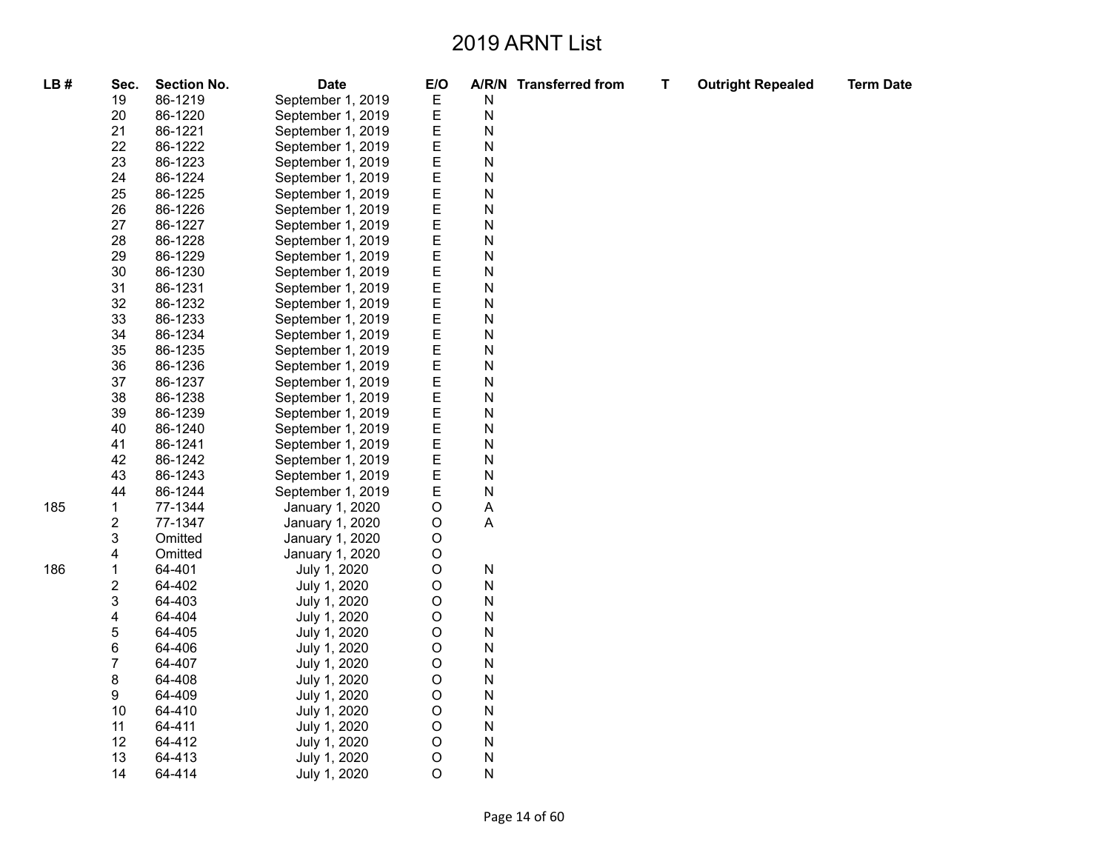Page 14 of 60

| LB# | Sec.           | <b>Section No.</b> | <b>Date</b>       | E/O         |              | A/R/N Transferred from | $\mathbf T$ | <b>Outright Repealed</b> | <b>Term Date</b> |
|-----|----------------|--------------------|-------------------|-------------|--------------|------------------------|-------------|--------------------------|------------------|
|     | 19             | 86-1219            | September 1, 2019 | Ε           | N            |                        |             |                          |                  |
|     | 20             | 86-1220            | September 1, 2019 | E           | $\mathsf{N}$ |                        |             |                          |                  |
|     | 21             | 86-1221            | September 1, 2019 | Ε           | $\mathsf{N}$ |                        |             |                          |                  |
|     | 22             | 86-1222            | September 1, 2019 | Е           | $\mathsf{N}$ |                        |             |                          |                  |
|     | 23             | 86-1223            | September 1, 2019 | Е           | $\mathsf{N}$ |                        |             |                          |                  |
|     | 24             | 86-1224            | September 1, 2019 | Ε           | $\mathsf{N}$ |                        |             |                          |                  |
|     | 25             | 86-1225            | September 1, 2019 | E           | $\mathsf{N}$ |                        |             |                          |                  |
|     | 26             | 86-1226            | September 1, 2019 | E           | $\mathsf{N}$ |                        |             |                          |                  |
|     | 27             | 86-1227            | September 1, 2019 | E           | $\mathsf{N}$ |                        |             |                          |                  |
|     | 28             | 86-1228            | September 1, 2019 | Е           | $\mathsf{N}$ |                        |             |                          |                  |
|     | 29             | 86-1229            | September 1, 2019 | E           | $\mathsf{N}$ |                        |             |                          |                  |
|     | 30             | 86-1230            | September 1, 2019 | E           | $\mathsf{N}$ |                        |             |                          |                  |
|     | 31             | 86-1231            | September 1, 2019 | Ε           | N            |                        |             |                          |                  |
|     | 32             | 86-1232            | September 1, 2019 | Е           | $\mathsf{N}$ |                        |             |                          |                  |
|     | 33             | 86-1233            | September 1, 2019 | E           | $\mathsf{N}$ |                        |             |                          |                  |
|     | 34             | 86-1234            | September 1, 2019 | Е           | $\mathsf{N}$ |                        |             |                          |                  |
|     | 35             | 86-1235            | September 1, 2019 | E           | $\mathsf{N}$ |                        |             |                          |                  |
|     | 36             | 86-1236            | September 1, 2019 | E           | N            |                        |             |                          |                  |
|     | 37             | 86-1237            | September 1, 2019 | Е           | N            |                        |             |                          |                  |
|     | 38             | 86-1238            | September 1, 2019 | Е           | $\mathsf{N}$ |                        |             |                          |                  |
|     | 39             | 86-1239            | September 1, 2019 | E           | $\mathsf{N}$ |                        |             |                          |                  |
|     | 40             | 86-1240            | September 1, 2019 | Е           | $\mathsf{N}$ |                        |             |                          |                  |
|     | 41             | 86-1241            | September 1, 2019 | E           | $\mathsf{N}$ |                        |             |                          |                  |
|     | 42             | 86-1242            | September 1, 2019 | E           | N            |                        |             |                          |                  |
|     | 43             | 86-1243            | September 1, 2019 | Ε           | $\mathsf{N}$ |                        |             |                          |                  |
|     | 44             | 86-1244            | September 1, 2019 | Е           | $\mathsf{N}$ |                        |             |                          |                  |
| 185 | 1              | 77-1344            | January 1, 2020   | O           | A            |                        |             |                          |                  |
|     | $\overline{c}$ | 77-1347            | January 1, 2020   | $\circ$     | A            |                        |             |                          |                  |
|     | 3              | Omitted            | January 1, 2020   | O           |              |                        |             |                          |                  |
|     | 4              | Omitted            | January 1, 2020   | O           |              |                        |             |                          |                  |
| 186 | $\mathbf 1$    | 64-401             | July 1, 2020      | $\circ$     | N            |                        |             |                          |                  |
|     | $\mathbf 2$    | 64-402             | July 1, 2020      | O           | $\mathsf{N}$ |                        |             |                          |                  |
|     | 3              | 64-403             | July 1, 2020      | O           | $\mathsf{N}$ |                        |             |                          |                  |
|     | 4              | 64-404             | July 1, 2020      | O           | $\mathsf{N}$ |                        |             |                          |                  |
|     | 5              | 64-405             | July 1, 2020      | $\mathsf O$ | $\mathsf{N}$ |                        |             |                          |                  |
|     | 6              | 64-406             | July 1, 2020      | O           | N            |                        |             |                          |                  |
|     | $\overline{7}$ | 64-407             | July 1, 2020      | О           | $\mathsf{N}$ |                        |             |                          |                  |
|     | 8              | 64-408             | July 1, 2020      | O           | $\mathsf{N}$ |                        |             |                          |                  |
|     | 9              | 64-409             | July 1, 2020      | O           | $\mathsf{N}$ |                        |             |                          |                  |
|     | 10             | 64-410             | July 1, 2020      | O           | $\mathsf{N}$ |                        |             |                          |                  |
|     | 11             | 64-411             | July 1, 2020      | $\mathsf O$ | $\mathsf{N}$ |                        |             |                          |                  |
|     | 12             | 64-412             | July 1, 2020      | O           | Ν            |                        |             |                          |                  |
|     | 13             | 64-413             | July 1, 2020      | O           | $\mathsf{N}$ |                        |             |                          |                  |
|     | 14             | 64-414             | July 1, 2020      | O           | N            |                        |             |                          |                  |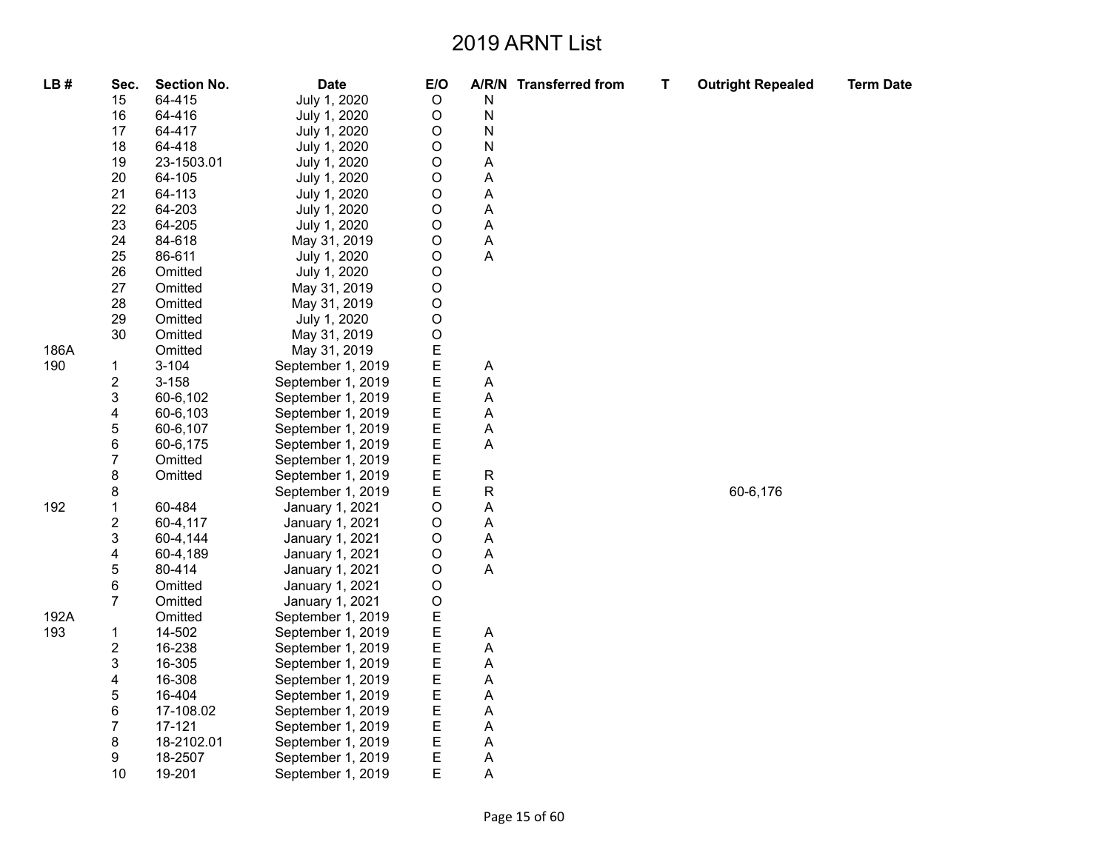| LB#  | Sec.                    | <b>Section No.</b> | <b>Date</b>       | E/O         |   | A/R/N Transferred from | T | <b>Outright Repealed</b> | <b>Term Date</b> |
|------|-------------------------|--------------------|-------------------|-------------|---|------------------------|---|--------------------------|------------------|
|      | 15                      | 64-415             | July 1, 2020      | $\circ$     | N |                        |   |                          |                  |
|      | 16                      | 64-416             | July 1, 2020      | $\circ$     | N |                        |   |                          |                  |
|      | 17                      | 64-417             | July 1, 2020      | $\mathsf O$ | N |                        |   |                          |                  |
|      | 18                      | 64-418             | July 1, 2020      | O           | N |                        |   |                          |                  |
|      | 19                      | 23-1503.01         | July 1, 2020      | O           | A |                        |   |                          |                  |
|      | 20                      | 64-105             | July 1, 2020      | $\mathsf O$ | A |                        |   |                          |                  |
|      | 21                      | 64-113             | July 1, 2020      | $\circ$     | A |                        |   |                          |                  |
|      | 22                      | 64-203             | July 1, 2020      | O           | А |                        |   |                          |                  |
|      | 23                      | 64-205             | July 1, 2020      | O           | А |                        |   |                          |                  |
|      | 24                      | 84-618             | May 31, 2019      | $\circ$     | A |                        |   |                          |                  |
|      | 25                      | 86-611             | July 1, 2020      | O           | Α |                        |   |                          |                  |
|      | 26                      | Omitted            | July 1, 2020      | $\mathsf O$ |   |                        |   |                          |                  |
|      | 27                      | Omitted            | May 31, 2019      | $\mathsf O$ |   |                        |   |                          |                  |
|      | 28                      | Omitted            | May 31, 2019      | $\circ$     |   |                        |   |                          |                  |
|      | 29                      | Omitted            | July 1, 2020      | O           |   |                        |   |                          |                  |
|      | 30                      | Omitted            | May 31, 2019      | O           |   |                        |   |                          |                  |
| 186A |                         | Omitted            | May 31, 2019      | E           |   |                        |   |                          |                  |
| 190  | $\mathbf{1}$            | $3 - 104$          | September 1, 2019 | E           | Α |                        |   |                          |                  |
|      | $\overline{\mathbf{c}}$ | $3 - 158$          | September 1, 2019 | E           | A |                        |   |                          |                  |
|      | 3                       | 60-6,102           | September 1, 2019 | E           | А |                        |   |                          |                  |
|      | 4                       | 60-6,103           | September 1, 2019 | E           | Α |                        |   |                          |                  |
|      | 5                       | 60-6,107           | September 1, 2019 | E           | А |                        |   |                          |                  |
|      | 6                       | 60-6,175           | September 1, 2019 | E           | Α |                        |   |                          |                  |
|      | $\overline{7}$          | Omitted            | September 1, 2019 | E           |   |                        |   |                          |                  |
|      | 8                       | Omitted            | September 1, 2019 | E           | R |                        |   |                          |                  |
|      | 8                       |                    | September 1, 2019 | E           | R |                        |   | 60-6,176                 |                  |
| 192  | $\mathbf{1}$            | 60-484             | January 1, 2021   | O           | А |                        |   |                          |                  |
|      | $\overline{\mathbf{c}}$ | 60-4,117           | January 1, 2021   | O           | Α |                        |   |                          |                  |
|      | 3                       | 60-4,144           | January 1, 2021   | O           | А |                        |   |                          |                  |
|      | $\overline{\mathbf{4}}$ | 60-4,189           | January 1, 2021   | $\circ$     | Α |                        |   |                          |                  |
|      | 5                       | 80-414             | January 1, 2021   | O           | А |                        |   |                          |                  |
|      | 6                       | Omitted            | January 1, 2021   | O           |   |                        |   |                          |                  |
|      | $\overline{7}$          | Omitted            | January 1, 2021   | O           |   |                        |   |                          |                  |
| 192A |                         | Omitted            | September 1, 2019 | E           |   |                        |   |                          |                  |
| 193  | $\mathbf{1}$            | 14-502             | September 1, 2019 | E           | Α |                        |   |                          |                  |
|      | $\overline{\mathbf{c}}$ | 16-238             | September 1, 2019 | E           | Α |                        |   |                          |                  |
|      | 3                       | 16-305             | September 1, 2019 | E           | Α |                        |   |                          |                  |
|      | 4                       | 16-308             | September 1, 2019 | E           | A |                        |   |                          |                  |
|      | 5                       | 16-404             | September 1, 2019 | E           | Α |                        |   |                          |                  |
|      | 6                       | 17-108.02          | September 1, 2019 | E           | А |                        |   |                          |                  |
|      | $\overline{7}$          | 17-121             | September 1, 2019 | E           | A |                        |   |                          |                  |
|      | 8                       | 18-2102.01         | September 1, 2019 | E           | Α |                        |   |                          |                  |
|      | 9                       | 18-2507            | September 1, 2019 | E           | А |                        |   |                          |                  |
|      | 10                      | 19-201             | September 1, 2019 | E           | Α |                        |   |                          |                  |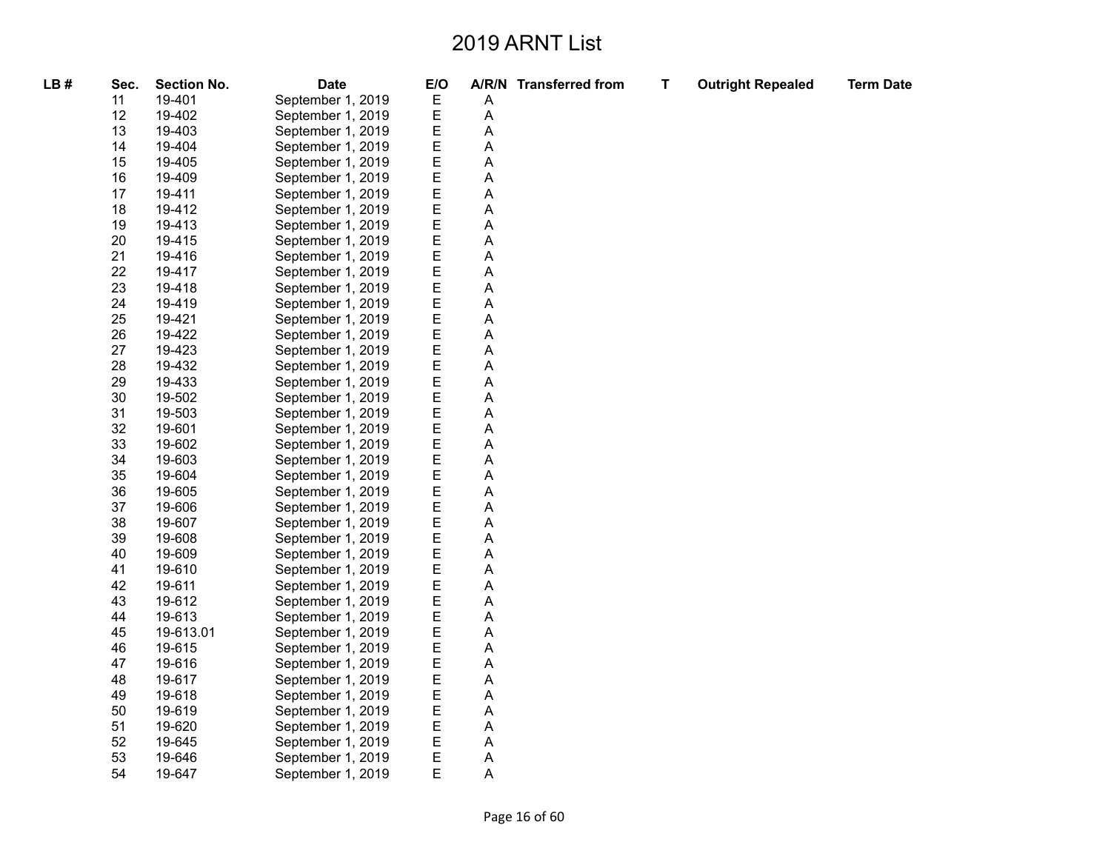| LB# | Sec. | <b>Section No.</b> | <b>Date</b>       | E/O |   | A/R/N Transferred from | T | <b>Outright Repealed</b> | <b>Term Date</b> |
|-----|------|--------------------|-------------------|-----|---|------------------------|---|--------------------------|------------------|
|     | 11   | 19-401             | September 1, 2019 | Ε   | Α |                        |   |                          |                  |
|     | 12   | 19-402             | September 1, 2019 | E   | A |                        |   |                          |                  |
|     | 13   | 19-403             | September 1, 2019 | E   | A |                        |   |                          |                  |
|     | 14   | 19-404             | September 1, 2019 | E   | A |                        |   |                          |                  |
|     | 15   | 19-405             | September 1, 2019 | E   | A |                        |   |                          |                  |
|     | 16   | 19-409             | September 1, 2019 | E   | A |                        |   |                          |                  |
|     | 17   | 19-411             | September 1, 2019 | E   | A |                        |   |                          |                  |
|     | 18   | 19-412             | September 1, 2019 | E   | Α |                        |   |                          |                  |
|     | 19   | 19-413             | September 1, 2019 | E   | Α |                        |   |                          |                  |
|     | 20   | 19-415             | September 1, 2019 | E   | A |                        |   |                          |                  |
|     | 21   | 19-416             | September 1, 2019 | E   | A |                        |   |                          |                  |
|     | 22   | 19-417             | September 1, 2019 | E   | A |                        |   |                          |                  |
|     | 23   | 19-418             | September 1, 2019 | E   | A |                        |   |                          |                  |
|     | 24   | 19-419             | September 1, 2019 | E   | A |                        |   |                          |                  |
|     | 25   | 19-421             | September 1, 2019 | E   | A |                        |   |                          |                  |
|     | 26   | 19-422             | September 1, 2019 | E   | A |                        |   |                          |                  |
|     | 27   | 19-423             | September 1, 2019 | E   | A |                        |   |                          |                  |
|     | 28   | 19-432             | September 1, 2019 | E   | A |                        |   |                          |                  |
|     | 29   | 19-433             | September 1, 2019 | E   | A |                        |   |                          |                  |
|     | 30   | 19-502             | September 1, 2019 | E   | A |                        |   |                          |                  |
|     | 31   | 19-503             | September 1, 2019 | E   | A |                        |   |                          |                  |
|     | 32   | 19-601             | September 1, 2019 | E   | Α |                        |   |                          |                  |
|     | 33   | 19-602             | September 1, 2019 | E   | A |                        |   |                          |                  |
|     | 34   | 19-603             | September 1, 2019 | E   | A |                        |   |                          |                  |
|     | 35   | 19-604             | September 1, 2019 | E   | Α |                        |   |                          |                  |
|     | 36   | 19-605             | September 1, 2019 | E   | A |                        |   |                          |                  |
|     | 37   | 19-606             | September 1, 2019 | E   | Α |                        |   |                          |                  |
|     | 38   | 19-607             | September 1, 2019 | E   | A |                        |   |                          |                  |
|     | 39   | 19-608             | September 1, 2019 | E   | A |                        |   |                          |                  |
|     | 40   | 19-609             | September 1, 2019 | E   | Α |                        |   |                          |                  |
|     | 41   | 19-610             | September 1, 2019 | E   | A |                        |   |                          |                  |
|     | 42   | 19-611             | September 1, 2019 | E   | A |                        |   |                          |                  |
|     | 43   | 19-612             | September 1, 2019 | E   | A |                        |   |                          |                  |
|     | 44   | 19-613             | September 1, 2019 | E   | A |                        |   |                          |                  |
|     | 45   | 19-613.01          | September 1, 2019 | E   | A |                        |   |                          |                  |
|     | 46   | 19-615             | September 1, 2019 | E   | A |                        |   |                          |                  |
|     | 47   | 19-616             | September 1, 2019 | E   | Α |                        |   |                          |                  |
|     | 48   | 19-617             | September 1, 2019 | E   | Α |                        |   |                          |                  |
|     | 49   | 19-618             | September 1, 2019 | E   | A |                        |   |                          |                  |
|     | 50   | 19-619             | September 1, 2019 | E   | A |                        |   |                          |                  |
|     | 51   | 19-620             | September 1, 2019 | E   | A |                        |   |                          |                  |
|     | 52   | 19-645             | September 1, 2019 | E   | A |                        |   |                          |                  |
|     | 53   | 19-646             | September 1, 2019 | E   | Α |                        |   |                          |                  |
|     | 54   | 19-647             | September 1, 2019 | E   | A |                        |   |                          |                  |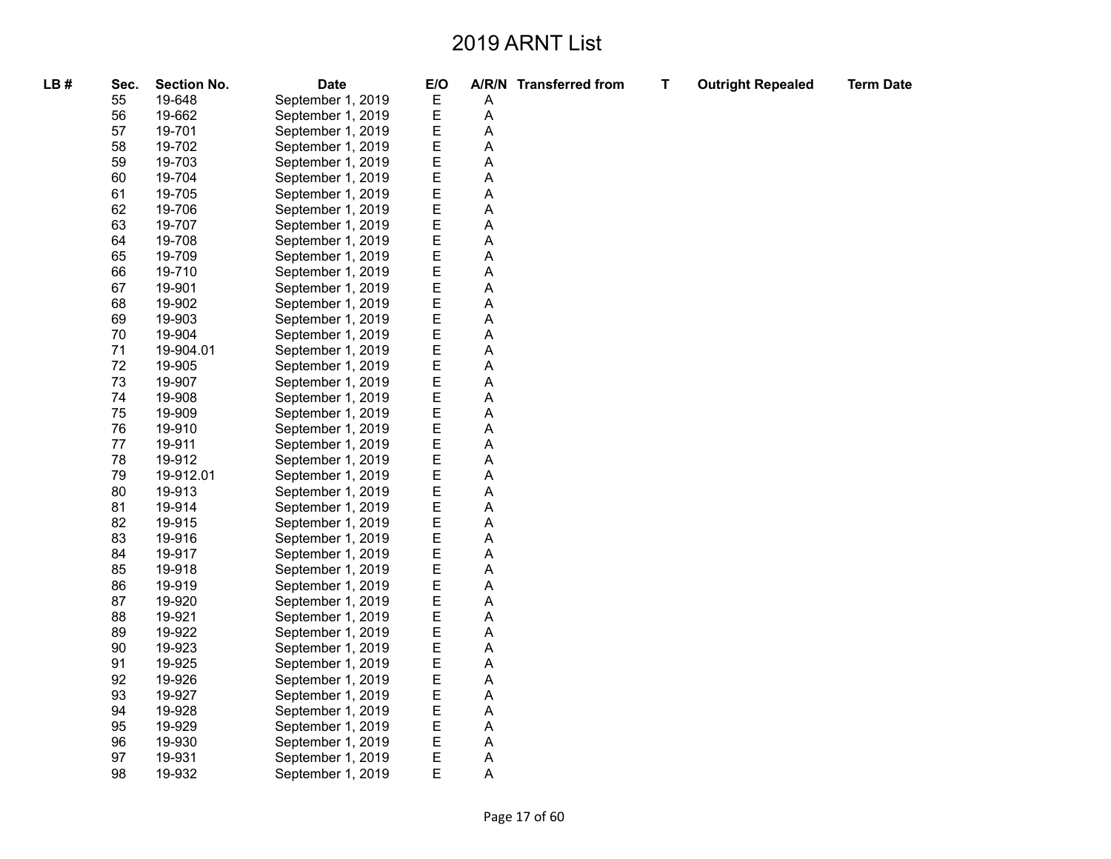| LB# | Sec. | <b>Section No.</b> | <b>Date</b>       | E/O |   | A/R/N Transferred from | $\mathbf T$ | <b>Outright Repealed</b> | <b>Term Date</b> |
|-----|------|--------------------|-------------------|-----|---|------------------------|-------------|--------------------------|------------------|
|     | 55   | 19-648             | September 1, 2019 | Ε   | Α |                        |             |                          |                  |
|     | 56   | 19-662             | September 1, 2019 | E   | A |                        |             |                          |                  |
|     | 57   | 19-701             | September 1, 2019 | E   | A |                        |             |                          |                  |
|     | 58   | 19-702             | September 1, 2019 | E   | A |                        |             |                          |                  |
|     | 59   | 19-703             | September 1, 2019 | E   | Α |                        |             |                          |                  |
|     | 60   | 19-704             | September 1, 2019 | E   | A |                        |             |                          |                  |
|     | 61   | 19-705             | September 1, 2019 | E   | A |                        |             |                          |                  |
|     | 62   | 19-706             | September 1, 2019 | E   | Α |                        |             |                          |                  |
|     | 63   | 19-707             | September 1, 2019 | E   | A |                        |             |                          |                  |
|     | 64   | 19-708             | September 1, 2019 | E   | A |                        |             |                          |                  |
|     | 65   | 19-709             | September 1, 2019 | E   | Α |                        |             |                          |                  |
|     | 66   | 19-710             | September 1, 2019 | E   | A |                        |             |                          |                  |
|     | 67   | 19-901             | September 1, 2019 | E   | A |                        |             |                          |                  |
|     | 68   | 19-902             | September 1, 2019 | E   | A |                        |             |                          |                  |
|     | 69   | 19-903             | September 1, 2019 | E   | A |                        |             |                          |                  |
|     | 70   | 19-904             | September 1, 2019 | E   | A |                        |             |                          |                  |
|     | 71   | 19-904.01          | September 1, 2019 | E   | A |                        |             |                          |                  |
|     | 72   | 19-905             | September 1, 2019 | E   | Α |                        |             |                          |                  |
|     | 73   | 19-907             | September 1, 2019 | E   | A |                        |             |                          |                  |
|     | 74   | 19-908             | September 1, 2019 | E   | A |                        |             |                          |                  |
|     | 75   | 19-909             | September 1, 2019 | E   | Α |                        |             |                          |                  |
|     | 76   | 19-910             | September 1, 2019 | E   | A |                        |             |                          |                  |
|     | 77   | 19-911             | September 1, 2019 | E   | A |                        |             |                          |                  |
|     | 78   | 19-912             | September 1, 2019 | E   | A |                        |             |                          |                  |
|     | 79   | 19-912.01          | September 1, 2019 | E   | A |                        |             |                          |                  |
|     | 80   | 19-913             | September 1, 2019 | E   | A |                        |             |                          |                  |
|     | 81   | 19-914             | September 1, 2019 | E   | Α |                        |             |                          |                  |
|     | 82   | 19-915             | September 1, 2019 | E   | Α |                        |             |                          |                  |
|     | 83   | 19-916             | September 1, 2019 | E   | A |                        |             |                          |                  |
|     | 84   | 19-917             | September 1, 2019 | E   | A |                        |             |                          |                  |
|     | 85   | 19-918             | September 1, 2019 | E   | Α |                        |             |                          |                  |
|     | 86   | 19-919             | September 1, 2019 | E   | A |                        |             |                          |                  |
|     | 87   | 19-920             | September 1, 2019 | E   | A |                        |             |                          |                  |
|     | 88   | 19-921             | September 1, 2019 | E   | Α |                        |             |                          |                  |
|     | 89   | 19-922             | September 1, 2019 | E   | A |                        |             |                          |                  |
|     | 90   | 19-923             | September 1, 2019 | E   | A |                        |             |                          |                  |
|     | 91   | 19-925             | September 1, 2019 | E   | Α |                        |             |                          |                  |
|     | 92   | 19-926             | September 1, 2019 | E   | A |                        |             |                          |                  |
|     | 93   | 19-927             | September 1, 2019 | E   | A |                        |             |                          |                  |
|     | 94   | 19-928             | September 1, 2019 | E   | Α |                        |             |                          |                  |
|     | 95   | 19-929             | September 1, 2019 | E   | A |                        |             |                          |                  |
|     | 96   | 19-930             | September 1, 2019 | E   | Α |                        |             |                          |                  |
|     | 97   | 19-931             | September 1, 2019 | E   | A |                        |             |                          |                  |
|     | 98   | 19-932             | September 1, 2019 | Е   | A |                        |             |                          |                  |
|     |      |                    |                   |     |   |                        |             |                          |                  |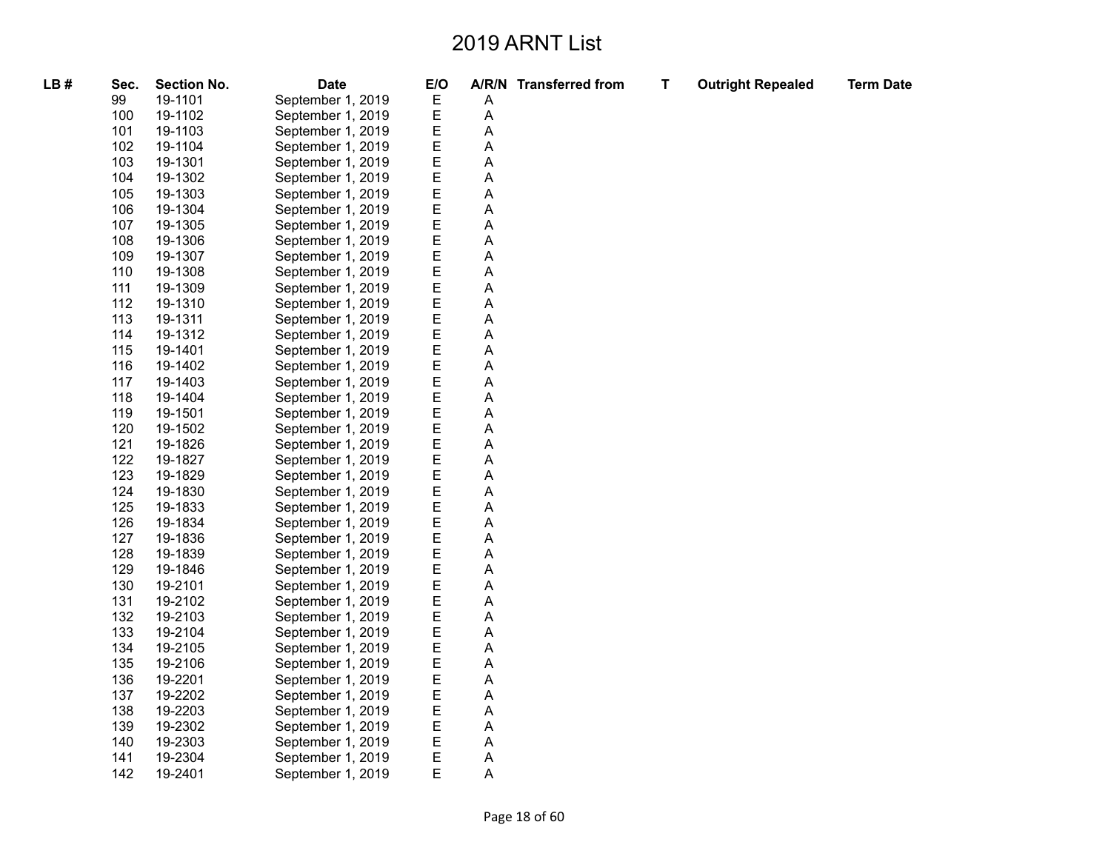| LB# | Sec. | <b>Section No.</b> | <b>Date</b>       | E/O |   | A/R/N Transferred from | T | <b>Outright Repealed</b> | <b>Term Date</b> |
|-----|------|--------------------|-------------------|-----|---|------------------------|---|--------------------------|------------------|
|     | 99   | 19-1101            | September 1, 2019 | Ε   | Α |                        |   |                          |                  |
|     | 100  | 19-1102            | September 1, 2019 | Ε   | Α |                        |   |                          |                  |
|     | 101  | 19-1103            | September 1, 2019 | Ε   | A |                        |   |                          |                  |
|     | 102  | 19-1104            | September 1, 2019 | Е   | Α |                        |   |                          |                  |
|     | 103  | 19-1301            | September 1, 2019 | Ε   | Α |                        |   |                          |                  |
|     | 104  | 19-1302            | September 1, 2019 | Ε   | А |                        |   |                          |                  |
|     | 105  | 19-1303            | September 1, 2019 | Е   | Α |                        |   |                          |                  |
|     | 106  | 19-1304            | September 1, 2019 | Е   | Α |                        |   |                          |                  |
|     | 107  | 19-1305            | September 1, 2019 | Ε   | А |                        |   |                          |                  |
|     | 108  | 19-1306            | September 1, 2019 | Е   | А |                        |   |                          |                  |
|     | 109  | 19-1307            | September 1, 2019 | Ε   | Α |                        |   |                          |                  |
|     | 110  | 19-1308            | September 1, 2019 | Ε   | А |                        |   |                          |                  |
|     | 111  | 19-1309            | September 1, 2019 | Е   | Α |                        |   |                          |                  |
|     | 112  | 19-1310            | September 1, 2019 | Е   | Α |                        |   |                          |                  |
|     | 113  | 19-1311            | September 1, 2019 | Ε   | А |                        |   |                          |                  |
|     | 114  | 19-1312            | September 1, 2019 | Е   | Α |                        |   |                          |                  |
|     | 115  | 19-1401            | September 1, 2019 | Е   | Α |                        |   |                          |                  |
|     | 116  | 19-1402            | September 1, 2019 | Ε   | Α |                        |   |                          |                  |
|     | 117  | 19-1403            | September 1, 2019 | Е   | А |                        |   |                          |                  |
|     | 118  | 19-1404            | September 1, 2019 | E   | A |                        |   |                          |                  |
|     | 119  | 19-1501            | September 1, 2019 | Е   | Α |                        |   |                          |                  |
|     | 120  | 19-1502            | September 1, 2019 | Ε   | Α |                        |   |                          |                  |
|     | 121  | 19-1826            | September 1, 2019 | Е   | A |                        |   |                          |                  |
|     | 122  | 19-1827            | September 1, 2019 | Ε   | Α |                        |   |                          |                  |
|     | 123  | 19-1829            | September 1, 2019 | Ε   | Α |                        |   |                          |                  |
|     | 124  | 19-1830            | September 1, 2019 | Е   | A |                        |   |                          |                  |
|     | 125  | 19-1833            | September 1, 2019 | Е   | Α |                        |   |                          |                  |
|     | 126  | 19-1834            | September 1, 2019 | Е   | Α |                        |   |                          |                  |
|     | 127  | 19-1836            | September 1, 2019 | E   | A |                        |   |                          |                  |
|     | 128  | 19-1839            | September 1, 2019 | Ε   | Α |                        |   |                          |                  |
|     | 129  | 19-1846            | September 1, 2019 | Е   | Α |                        |   |                          |                  |
|     | 130  | 19-2101            | September 1, 2019 | Е   | Α |                        |   |                          |                  |
|     | 131  | 19-2102            | September 1, 2019 | Ε   | А |                        |   |                          |                  |
|     | 132  | 19-2103            | September 1, 2019 | E   | Α |                        |   |                          |                  |
|     | 133  | 19-2104            | September 1, 2019 | Ε   | Α |                        |   |                          |                  |
|     | 134  | 19-2105            | September 1, 2019 | Е   | А |                        |   |                          |                  |
|     | 135  | 19-2106            | September 1, 2019 | Е   | Α |                        |   |                          |                  |
|     | 136  | 19-2201            | September 1, 2019 | Е   | Α |                        |   |                          |                  |
|     | 137  | 19-2202            | September 1, 2019 | Е   | Α |                        |   |                          |                  |
|     | 138  | 19-2203            | September 1, 2019 | E   | Α |                        |   |                          |                  |
|     | 139  | 19-2302            | September 1, 2019 | Е   | Α |                        |   |                          |                  |
|     | 140  | 19-2303            | September 1, 2019 | Ε   | А |                        |   |                          |                  |
|     | 141  | 19-2304            | September 1, 2019 | Е   | А |                        |   |                          |                  |
|     | 142  | 19-2401            | September 1, 2019 | E   | Α |                        |   |                          |                  |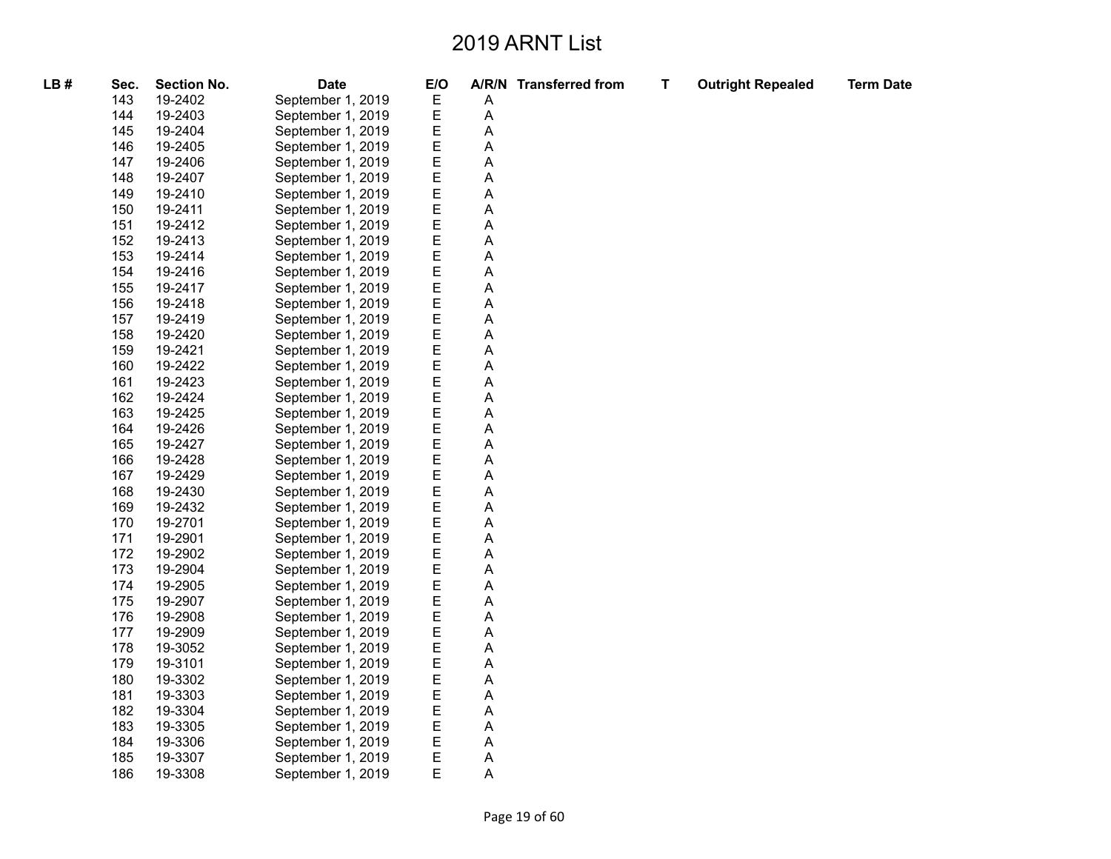| LB# | Sec. | <b>Section No.</b> | <b>Date</b>       | E/O |   | A/R/N Transferred from | T | <b>Outright Repealed</b> | <b>Term Date</b> |
|-----|------|--------------------|-------------------|-----|---|------------------------|---|--------------------------|------------------|
|     | 143  | 19-2402            | September 1, 2019 | Ε   | Α |                        |   |                          |                  |
|     | 144  | 19-2403            | September 1, 2019 | Ε   | Α |                        |   |                          |                  |
|     | 145  | 19-2404            | September 1, 2019 | Ε   | А |                        |   |                          |                  |
|     | 146  | 19-2405            | September 1, 2019 | Ε   | Α |                        |   |                          |                  |
|     | 147  | 19-2406            | September 1, 2019 | Ε   | Α |                        |   |                          |                  |
|     | 148  | 19-2407            | September 1, 2019 | Ε   | А |                        |   |                          |                  |
|     | 149  | 19-2410            | September 1, 2019 | Ε   | Α |                        |   |                          |                  |
|     | 150  | 19-2411            | September 1, 2019 | Ε   | А |                        |   |                          |                  |
|     | 151  | 19-2412            | September 1, 2019 | E   | А |                        |   |                          |                  |
|     | 152  | 19-2413            | September 1, 2019 | E   | А |                        |   |                          |                  |
|     | 153  | 19-2414            | September 1, 2019 | Ε   | Α |                        |   |                          |                  |
|     | 154  | 19-2416            | September 1, 2019 | Ε   | А |                        |   |                          |                  |
|     | 155  | 19-2417            | September 1, 2019 | Е   | А |                        |   |                          |                  |
|     | 156  | 19-2418            | September 1, 2019 | E   | А |                        |   |                          |                  |
|     | 157  | 19-2419            | September 1, 2019 | Ε   | А |                        |   |                          |                  |
|     | 158  | 19-2420            | September 1, 2019 | Ε   | А |                        |   |                          |                  |
|     | 159  | 19-2421            | September 1, 2019 | Ε   | А |                        |   |                          |                  |
|     | 160  | 19-2422            | September 1, 2019 | Ε   | А |                        |   |                          |                  |
|     | 161  | 19-2423            | September 1, 2019 | E   | А |                        |   |                          |                  |
|     | 162  | 19-2424            | September 1, 2019 | E   | А |                        |   |                          |                  |
|     | 163  | 19-2425            | September 1, 2019 | Ε   | А |                        |   |                          |                  |
|     | 164  | 19-2426            | September 1, 2019 | Ε   | Α |                        |   |                          |                  |
|     | 165  | 19-2427            | September 1, 2019 | Е   | А |                        |   |                          |                  |
|     | 166  | 19-2428            | September 1, 2019 | Ε   | Α |                        |   |                          |                  |
|     | 167  | 19-2429            | September 1, 2019 | E   | Α |                        |   |                          |                  |
|     | 168  | 19-2430            | September 1, 2019 | E   | А |                        |   |                          |                  |
|     | 169  | 19-2432            | September 1, 2019 | Ε   | А |                        |   |                          |                  |
|     | 170  | 19-2701            | September 1, 2019 | Ε   | А |                        |   |                          |                  |
|     | 171  | 19-2901            | September 1, 2019 | Е   | Α |                        |   |                          |                  |
|     | 172  | 19-2902            | September 1, 2019 | Ε   | А |                        |   |                          |                  |
|     | 173  | 19-2904            | September 1, 2019 | E   | А |                        |   |                          |                  |
|     | 174  | 19-2905            | September 1, 2019 | Ε   | Α |                        |   |                          |                  |
|     | 175  | 19-2907            | September 1, 2019 | Ε   | Α |                        |   |                          |                  |
|     | 176  | 19-2908            | September 1, 2019 | E   | А |                        |   |                          |                  |
|     | 177  | 19-2909            | September 1, 2019 | Ε   | А |                        |   |                          |                  |
|     | 178  | 19-3052            | September 1, 2019 | Ε   | Α |                        |   |                          |                  |
|     | 179  | 19-3101            | September 1, 2019 | E   | Α |                        |   |                          |                  |
|     | 180  | 19-3302            | September 1, 2019 | Ε   | Α |                        |   |                          |                  |
|     | 181  | 19-3303            | September 1, 2019 | Ε   | Α |                        |   |                          |                  |
|     | 182  | 19-3304            | September 1, 2019 | E   | А |                        |   |                          |                  |
|     | 183  | 19-3305            | September 1, 2019 | Ε   | А |                        |   |                          |                  |
|     | 184  | 19-3306            | September 1, 2019 | Ε   | Α |                        |   |                          |                  |
|     | 185  | 19-3307            | September 1, 2019 | Ε   | Α |                        |   |                          |                  |
|     | 186  | 19-3308            | September 1, 2019 | E   | А |                        |   |                          |                  |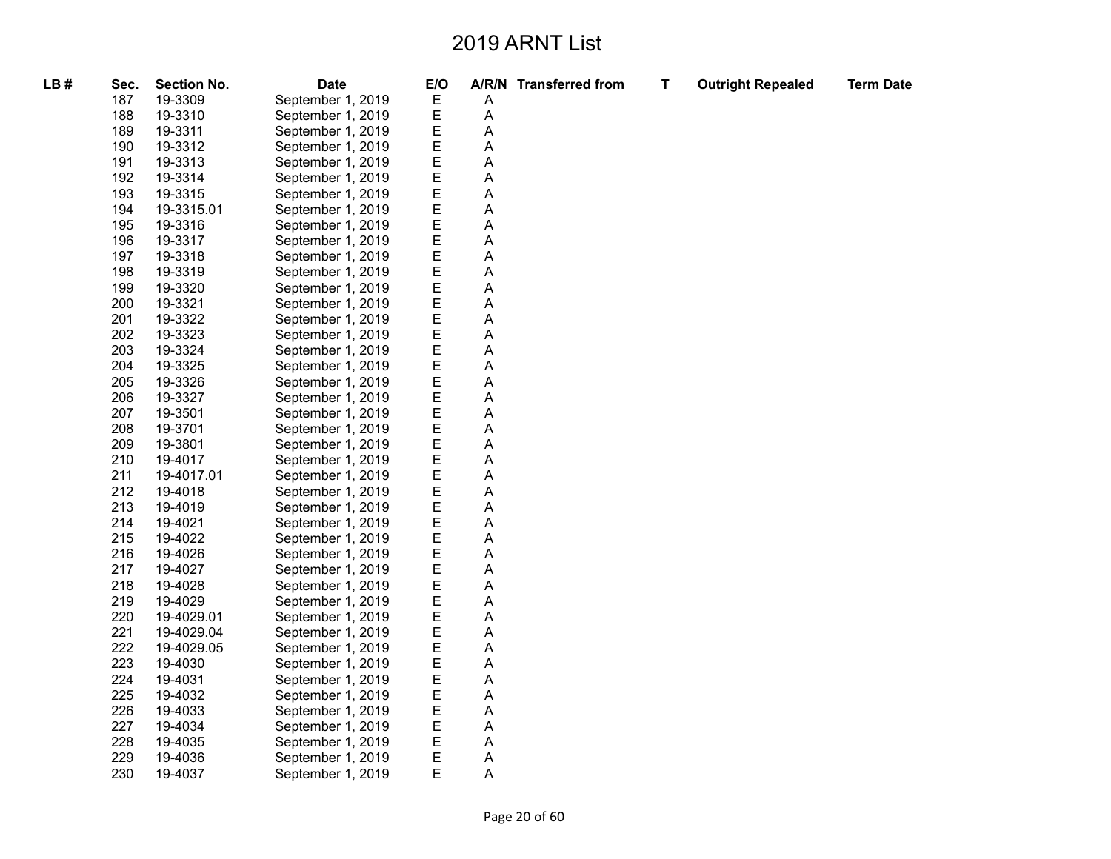**Term Date** 

| LB# | Sec. | <b>Section No.</b> | <b>Date</b>       | E/O |                           | A/R/N Transferred from | T | <b>Outright Repealed</b> |
|-----|------|--------------------|-------------------|-----|---------------------------|------------------------|---|--------------------------|
|     | 187  | 19-3309            | September 1, 2019 | Ε   | A                         |                        |   |                          |
|     | 188  | 19-3310            | September 1, 2019 | E   | A                         |                        |   |                          |
|     | 189  | 19-3311            | September 1, 2019 | E   | A                         |                        |   |                          |
|     | 190  | 19-3312            | September 1, 2019 | E   | A                         |                        |   |                          |
|     | 191  | 19-3313            | September 1, 2019 | E   | $\mathsf A$               |                        |   |                          |
|     | 192  | 19-3314            | September 1, 2019 | E   | A                         |                        |   |                          |
|     | 193  | 19-3315            | September 1, 2019 | E   | A                         |                        |   |                          |
|     | 194  | 19-3315.01         | September 1, 2019 | E   | $\mathsf A$               |                        |   |                          |
|     | 195  | 19-3316            | September 1, 2019 | E   | A                         |                        |   |                          |
|     | 196  | 19-3317            | September 1, 2019 | E   | A                         |                        |   |                          |
|     | 197  | 19-3318            | September 1, 2019 | E   | $\mathsf A$               |                        |   |                          |
|     | 198  | 19-3319            | September 1, 2019 | E   | $\mathsf A$               |                        |   |                          |
|     | 199  | 19-3320            | September 1, 2019 | E   | A                         |                        |   |                          |
|     | 200  | 19-3321            | September 1, 2019 | E   | $\mathsf A$               |                        |   |                          |
|     | 201  | 19-3322            | September 1, 2019 | E   | $\mathsf A$               |                        |   |                          |
|     | 202  | 19-3323            | September 1, 2019 | E   | A                         |                        |   |                          |
|     | 203  | 19-3324            | September 1, 2019 | E   | A                         |                        |   |                          |
|     | 204  | 19-3325            | September 1, 2019 | E   | $\mathsf A$               |                        |   |                          |
|     | 205  | 19-3326            | September 1, 2019 | E   | A                         |                        |   |                          |
|     | 206  | 19-3327            | September 1, 2019 | E   | A                         |                        |   |                          |
|     | 207  | 19-3501            | September 1, 2019 | E   | $\mathsf A$               |                        |   |                          |
|     | 208  | 19-3701            | September 1, 2019 | E   | $\mathsf A$               |                        |   |                          |
|     | 209  | 19-3801            | September 1, 2019 | E   | A                         |                        |   |                          |
|     | 210  | 19-4017            | September 1, 2019 | E   | $\mathsf A$               |                        |   |                          |
|     | 211  | 19-4017.01         | September 1, 2019 | E   | $\mathsf A$               |                        |   |                          |
|     | 212  | 19-4018            | September 1, 2019 | E   | $\mathsf A$               |                        |   |                          |
|     | 213  | 19-4019            | September 1, 2019 | E   | $\boldsymbol{\mathsf{A}}$ |                        |   |                          |
|     | 214  | 19-4021            | September 1, 2019 | E   | $\mathsf A$               |                        |   |                          |
|     | 215  | 19-4022            | September 1, 2019 | E   | A                         |                        |   |                          |
|     | 216  | 19-4026            | September 1, 2019 | E   | $\boldsymbol{\mathsf{A}}$ |                        |   |                          |
|     | 217  | 19-4027            | September 1, 2019 | E   | $\mathsf A$               |                        |   |                          |
|     | 218  | 19-4028            | September 1, 2019 | E   | $\mathsf A$               |                        |   |                          |
|     | 219  | 19-4029            | September 1, 2019 | E   | A                         |                        |   |                          |
|     | 220  | 19-4029.01         | September 1, 2019 | E   | $\mathsf A$               |                        |   |                          |
|     | 221  | 19-4029.04         | September 1, 2019 | E   | A                         |                        |   |                          |
|     | 222  | 19-4029.05         | September 1, 2019 | E   | A                         |                        |   |                          |
|     | 223  | 19-4030            | September 1, 2019 | E   | $\mathsf A$               |                        |   |                          |
|     | 224  | 19-4031            | September 1, 2019 | E   | $\mathsf A$               |                        |   |                          |
|     | 225  | 19-4032            | September 1, 2019 | E   | $\boldsymbol{\mathsf{A}}$ |                        |   |                          |
|     | 226  | 19-4033            | September 1, 2019 | E   | $\mathsf A$               |                        |   |                          |
|     | 227  | 19-4034            | September 1, 2019 | E   | A                         |                        |   |                          |
|     | 228  | 19-4035            | September 1, 2019 | Ε   | A                         |                        |   |                          |
|     | 229  | 19-4036            | September 1, 2019 | E   | $\mathsf A$               |                        |   |                          |
|     | 230  | 19-4037            | September 1, 2019 | E   | A                         |                        |   |                          |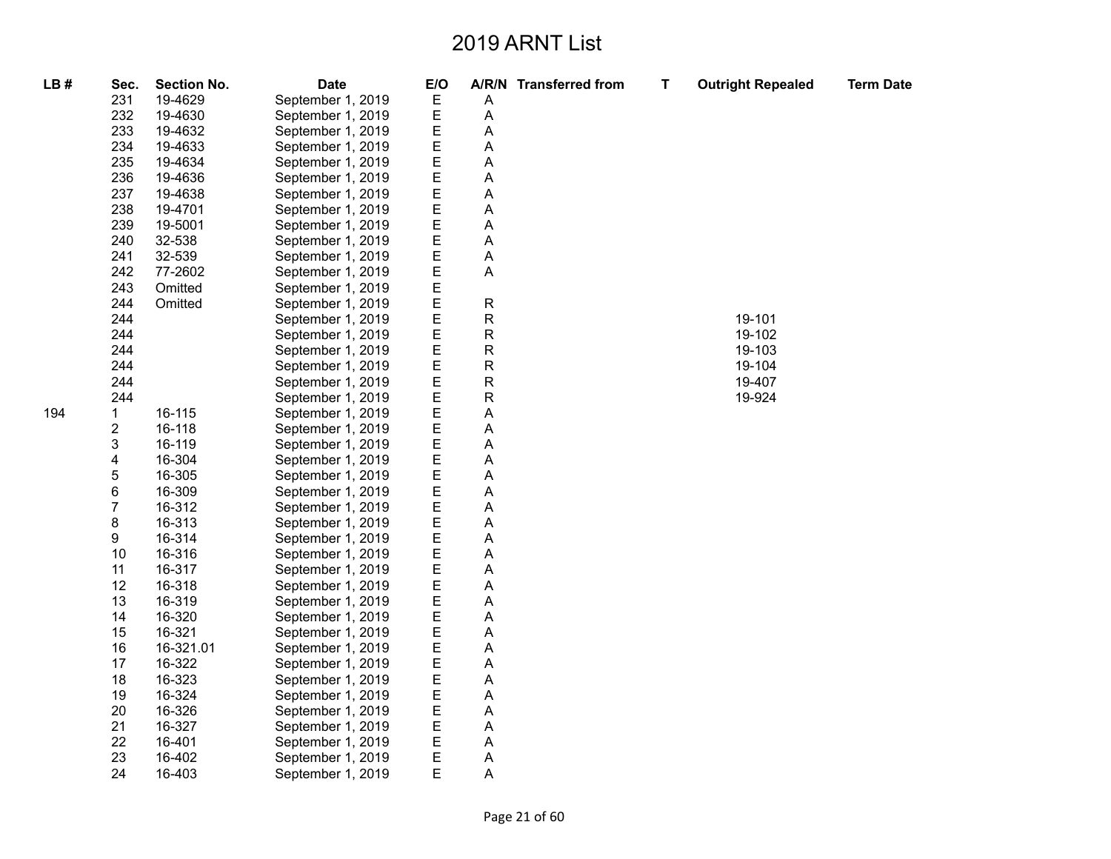| LB# | Sec.           | <b>Section No.</b> | <b>Date</b>       | E/O |              | A/R/N Transferred from | т | <b>Outright Repealed</b> | <b>Term Date</b> |
|-----|----------------|--------------------|-------------------|-----|--------------|------------------------|---|--------------------------|------------------|
|     | 231            | 19-4629            | September 1, 2019 | Е   | Α            |                        |   |                          |                  |
|     | 232            | 19-4630            | September 1, 2019 | Ε   | Α            |                        |   |                          |                  |
|     | 233            | 19-4632            | September 1, 2019 | Е   | А            |                        |   |                          |                  |
|     | 234            | 19-4633            | September 1, 2019 | Е   | А            |                        |   |                          |                  |
|     | 235            | 19-4634            | September 1, 2019 | Ε   | Α            |                        |   |                          |                  |
|     | 236            | 19-4636            | September 1, 2019 | E   | А            |                        |   |                          |                  |
|     | 237            | 19-4638            | September 1, 2019 | Ε   | А            |                        |   |                          |                  |
|     | 238            | 19-4701            | September 1, 2019 | Е   | А            |                        |   |                          |                  |
|     | 239            | 19-5001            | September 1, 2019 | Ε   | А            |                        |   |                          |                  |
|     | 240            | 32-538             | September 1, 2019 | Ε   | Α            |                        |   |                          |                  |
|     | 241            | 32-539             | September 1, 2019 | Е   | Α            |                        |   |                          |                  |
|     | 242            | 77-2602            | September 1, 2019 | Ε   | Α            |                        |   |                          |                  |
|     | 243            | Omitted            | September 1, 2019 | Ε   |              |                        |   |                          |                  |
|     | 244            | Omitted            | September 1, 2019 | Е   | $\mathsf{R}$ |                        |   |                          |                  |
|     | 244            |                    | September 1, 2019 | Е   | R            |                        |   | 19-101                   |                  |
|     | 244            |                    | September 1, 2019 | Ε   | R            |                        |   | 19-102                   |                  |
|     | 244            |                    | September 1, 2019 | Ε   | ${\sf R}$    |                        |   | 19-103                   |                  |
|     | 244            |                    | September 1, 2019 | Ε   | R            |                        |   | 19-104                   |                  |
|     | 244            |                    | September 1, 2019 | Е   | R            |                        |   | 19-407                   |                  |
|     | 244            |                    | September 1, 2019 | Ε   | R            |                        |   | 19-924                   |                  |
| 194 | $\mathbf{1}$   | 16-115             | September 1, 2019 | Ε   | А            |                        |   |                          |                  |
|     | $\overline{c}$ | 16-118             | September 1, 2019 | Ε   | А            |                        |   |                          |                  |
|     | 3              | 16-119             | September 1, 2019 | Е   | Α            |                        |   |                          |                  |
|     | 4              | 16-304             | September 1, 2019 | Ε   | Α            |                        |   |                          |                  |
|     | 5              | 16-305             | September 1, 2019 | E   | А            |                        |   |                          |                  |
|     | $\,6$          | 16-309             | September 1, 2019 | Ε   | А            |                        |   |                          |                  |
|     | $\overline{7}$ | 16-312             | September 1, 2019 | Ε   | Α            |                        |   |                          |                  |
|     | 8              | 16-313             | September 1, 2019 | E   | Α            |                        |   |                          |                  |
|     | 9              | 16-314             | September 1, 2019 | Ε   | А            |                        |   |                          |                  |
|     | 10             | 16-316             | September 1, 2019 | E   | А            |                        |   |                          |                  |
|     | 11             | 16-317             | September 1, 2019 | Ε   | Α            |                        |   |                          |                  |
|     | 12             | 16-318             | September 1, 2019 | Ε   | А            |                        |   |                          |                  |
|     | 13             | 16-319             | September 1, 2019 | Ε   | А            |                        |   |                          |                  |
|     | 14             | 16-320             | September 1, 2019 | Е   | Α            |                        |   |                          |                  |
|     | 15             | 16-321             | September 1, 2019 | Ε   | Α            |                        |   |                          |                  |
|     | 16             | 16-321.01          | September 1, 2019 | E   | А            |                        |   |                          |                  |
|     | 17             | 16-322             | September 1, 2019 | Ε   | А            |                        |   |                          |                  |
|     | 18             | 16-323             | September 1, 2019 | Ε   | А            |                        |   |                          |                  |
|     | 19             | 16-324             | September 1, 2019 | Ε   | А            |                        |   |                          |                  |
|     | 20             | 16-326             | September 1, 2019 | Е   | А            |                        |   |                          |                  |
|     | 21             | 16-327             | September 1, 2019 | Е   | А            |                        |   |                          |                  |
|     | 22             | 16-401             | September 1, 2019 | Ε   | Α            |                        |   |                          |                  |
|     | 23             | 16-402             | September 1, 2019 | Ε   | Α            |                        |   |                          |                  |
|     | 24             | 16-403             | September 1, 2019 | E   | Α            |                        |   |                          |                  |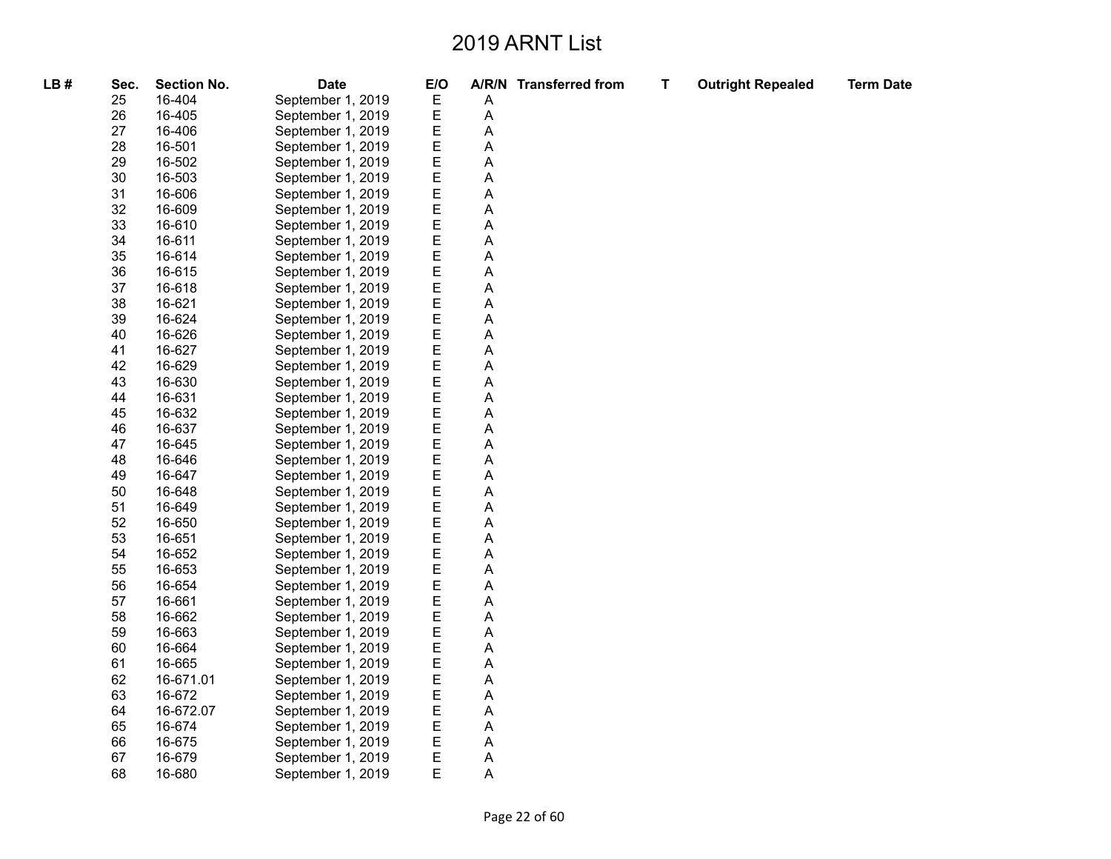| LB# | Sec. | <b>Section No.</b> | <b>Date</b>       | E/O         |   | A/R/N Transferred from | T. | <b>Outright Repealed</b> | <b>Term Date</b> |
|-----|------|--------------------|-------------------|-------------|---|------------------------|----|--------------------------|------------------|
|     | 25   | 16-404             | September 1, 2019 | Ε           | A |                        |    |                          |                  |
|     | 26   | 16-405             | September 1, 2019 | E           | A |                        |    |                          |                  |
|     | 27   | 16-406             | September 1, 2019 | E           | Α |                        |    |                          |                  |
|     | 28   | 16-501             | September 1, 2019 | E           | Α |                        |    |                          |                  |
|     | 29   | 16-502             | September 1, 2019 | E           | А |                        |    |                          |                  |
|     | 30   | 16-503             | September 1, 2019 | E           | А |                        |    |                          |                  |
|     | 31   | 16-606             | September 1, 2019 | E           | А |                        |    |                          |                  |
|     | 32   | 16-609             | September 1, 2019 | E           | А |                        |    |                          |                  |
|     | 33   | 16-610             | September 1, 2019 | E           | A |                        |    |                          |                  |
|     | 34   | 16-611             | September 1, 2019 | E           | Α |                        |    |                          |                  |
|     | 35   | 16-614             | September 1, 2019 | E           | А |                        |    |                          |                  |
|     | 36   | 16-615             | September 1, 2019 | E           | Α |                        |    |                          |                  |
|     | 37   | 16-618             | September 1, 2019 | E           | Α |                        |    |                          |                  |
|     | 38   | 16-621             | September 1, 2019 | E           | А |                        |    |                          |                  |
|     | 39   | 16-624             | September 1, 2019 | E           | Α |                        |    |                          |                  |
|     | 40   | 16-626             | September 1, 2019 | E           | Α |                        |    |                          |                  |
|     | 41   | 16-627             | September 1, 2019 | E           | А |                        |    |                          |                  |
|     | 42   | 16-629             | September 1, 2019 | E           | Α |                        |    |                          |                  |
|     | 43   | 16-630             | September 1, 2019 | E           | А |                        |    |                          |                  |
|     | 44   | 16-631             | September 1, 2019 | E           | А |                        |    |                          |                  |
|     | 45   | 16-632             | September 1, 2019 | E           | Α |                        |    |                          |                  |
|     | 46   | 16-637             | September 1, 2019 | E           | А |                        |    |                          |                  |
|     | 47   | 16-645             | September 1, 2019 | $\mathsf E$ | А |                        |    |                          |                  |
|     | 48   | 16-646             | September 1, 2019 | E           | Α |                        |    |                          |                  |
|     | 49   | 16-647             | September 1, 2019 | E           | А |                        |    |                          |                  |
|     | 50   | 16-648             | September 1, 2019 | E           | А |                        |    |                          |                  |
|     | 51   | 16-649             | September 1, 2019 | E           | А |                        |    |                          |                  |
|     | 52   | 16-650             | September 1, 2019 | E           | А |                        |    |                          |                  |
|     | 53   | 16-651             | September 1, 2019 | E           | А |                        |    |                          |                  |
|     | 54   | 16-652             | September 1, 2019 | E           | Α |                        |    |                          |                  |
|     | 55   | 16-653             | September 1, 2019 | E           | А |                        |    |                          |                  |
|     | 56   | 16-654             | September 1, 2019 | E           | А |                        |    |                          |                  |
|     | 57   | 16-661             | September 1, 2019 | E           | А |                        |    |                          |                  |
|     | 58   | 16-662             | September 1, 2019 | E           | Α |                        |    |                          |                  |
|     | 59   | 16-663             | September 1, 2019 | E           | А |                        |    |                          |                  |
|     | 60   | 16-664             | September 1, 2019 | E           | Α |                        |    |                          |                  |
|     | 61   | 16-665             | September 1, 2019 | E           | Α |                        |    |                          |                  |
|     | 62   | 16-671.01          | September 1, 2019 | E           | А |                        |    |                          |                  |
|     | 63   | 16-672             | September 1, 2019 | E           | Α |                        |    |                          |                  |
|     | 64   | 16-672.07          | September 1, 2019 | E           | А |                        |    |                          |                  |
|     | 65   | 16-674             | September 1, 2019 | E           | А |                        |    |                          |                  |
|     | 66   | 16-675             | September 1, 2019 | E           | А |                        |    |                          |                  |
|     | 67   | 16-679             | September 1, 2019 | E           | Α |                        |    |                          |                  |
|     | 68   | 16-680             | September 1, 2019 | E           | А |                        |    |                          |                  |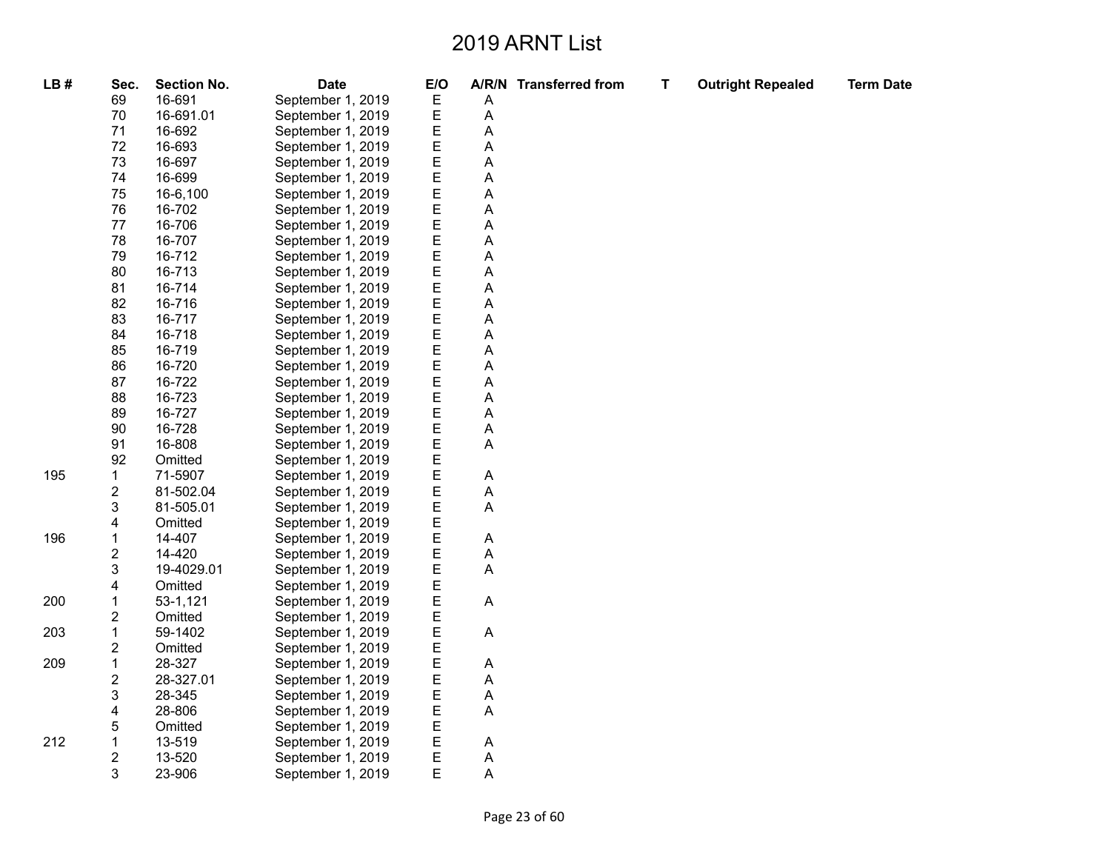| LB# | Sec.                    | <b>Section No.</b> | <b>Date</b>       | E/O         |   | A/R/N Transferred from | $\mathsf T$ | <b>Outright Repealed</b> | <b>Term Date</b> |
|-----|-------------------------|--------------------|-------------------|-------------|---|------------------------|-------------|--------------------------|------------------|
|     | 69                      | 16-691             | September 1, 2019 | E           | Α |                        |             |                          |                  |
|     | 70                      | 16-691.01          | September 1, 2019 | E           | A |                        |             |                          |                  |
|     | 71                      | 16-692             | September 1, 2019 | E           | А |                        |             |                          |                  |
|     | 72                      | 16-693             | September 1, 2019 | E           | А |                        |             |                          |                  |
|     | 73                      | 16-697             | September 1, 2019 | E           | А |                        |             |                          |                  |
|     | 74                      | 16-699             | September 1, 2019 | E           | A |                        |             |                          |                  |
|     | 75                      | 16-6,100           | September 1, 2019 |             | А |                        |             |                          |                  |
|     | 76                      | 16-702             | September 1, 2019 | E<br>E      | Α |                        |             |                          |                  |
|     | $77 \,$                 | 16-706             | September 1, 2019 | E           | А |                        |             |                          |                  |
|     | 78                      | 16-707             | September 1, 2019 | E           | Α |                        |             |                          |                  |
|     | 79                      | 16-712             | September 1, 2019 | E           | Α |                        |             |                          |                  |
|     | 80                      | 16-713             | September 1, 2019 | E           | А |                        |             |                          |                  |
|     | 81                      | 16-714             | September 1, 2019 | E           | А |                        |             |                          |                  |
|     | 82                      | 16-716             | September 1, 2019 | E           | А |                        |             |                          |                  |
|     | 83                      | 16-717             | September 1, 2019 | E           | A |                        |             |                          |                  |
|     | 84                      | 16-718             | September 1, 2019 | E           | А |                        |             |                          |                  |
|     | 85                      | 16-719             | September 1, 2019 | E           | А |                        |             |                          |                  |
|     | 86                      | 16-720             | September 1, 2019 | E           | А |                        |             |                          |                  |
|     | 87                      | 16-722             | September 1, 2019 | E           | А |                        |             |                          |                  |
|     | 88                      | 16-723             | September 1, 2019 | E           | А |                        |             |                          |                  |
|     | 89                      | 16-727             | September 1, 2019 | E           | А |                        |             |                          |                  |
|     | 90                      | 16-728             | September 1, 2019 | E           | Α |                        |             |                          |                  |
|     | 91                      | 16-808             | September 1, 2019 | E           | Α |                        |             |                          |                  |
|     | 92                      | Omitted            | September 1, 2019 | $\mathsf E$ |   |                        |             |                          |                  |
| 195 | 1                       | 71-5907            | September 1, 2019 | E           | Α |                        |             |                          |                  |
|     | 2                       | 81-502.04          | September 1, 2019 | E           | А |                        |             |                          |                  |
|     | 3                       | 81-505.01          | September 1, 2019 | E           | A |                        |             |                          |                  |
|     | 4                       | Omitted            | September 1, 2019 | E           |   |                        |             |                          |                  |
| 196 | 1                       | 14-407             | September 1, 2019 | E           | Α |                        |             |                          |                  |
|     | $\overline{\mathbf{c}}$ | 14-420             | September 1, 2019 | E           | A |                        |             |                          |                  |
|     | 3                       | 19-4029.01         | September 1, 2019 | E           | Α |                        |             |                          |                  |
|     | 4                       | Omitted            | September 1, 2019 | E           |   |                        |             |                          |                  |
| 200 | $\mathbf 1$             | 53-1,121           | September 1, 2019 | E           | A |                        |             |                          |                  |
|     | $\overline{\mathbf{c}}$ | Omitted            | September 1, 2019 | E           |   |                        |             |                          |                  |
| 203 | 1                       | 59-1402            | September 1, 2019 | E           | Α |                        |             |                          |                  |
|     | 2                       | Omitted            | September 1, 2019 | E           |   |                        |             |                          |                  |
| 209 | $\mathbf 1$             | 28-327             | September 1, 2019 | E           | Α |                        |             |                          |                  |
|     | $\overline{\mathbf{c}}$ | 28-327.01          | September 1, 2019 | E           | А |                        |             |                          |                  |
|     | 3                       | 28-345             | September 1, 2019 | E           | A |                        |             |                          |                  |
|     | 4                       | 28-806             | September 1, 2019 | E           | А |                        |             |                          |                  |
|     | 5                       | Omitted            | September 1, 2019 | E           |   |                        |             |                          |                  |
| 212 | $\mathbf 1$             | 13-519             | September 1, 2019 | E           | Α |                        |             |                          |                  |
|     | $\overline{c}$          | 13-520             | September 1, 2019 | E           | Α |                        |             |                          |                  |
|     | 3                       | 23-906             | September 1, 2019 | E           | A |                        |             |                          |                  |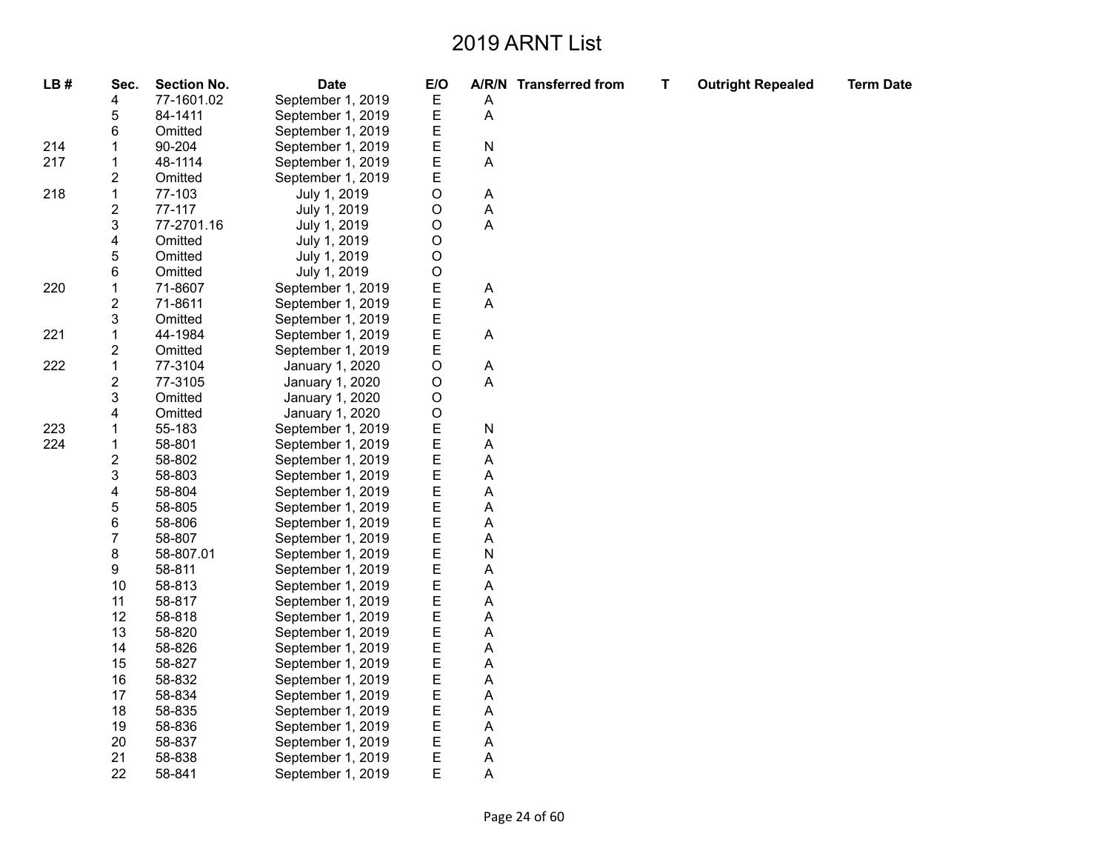| LB# | Sec.                    | <b>Section No.</b> | <b>Date</b>       | E/O     |   | A/R/N Transferred from | T | <b>Outright Repealed</b> | <b>Term Date</b> |
|-----|-------------------------|--------------------|-------------------|---------|---|------------------------|---|--------------------------|------------------|
|     | 4                       | 77-1601.02         | September 1, 2019 | E       | A |                        |   |                          |                  |
|     | 5                       | 84-1411            | September 1, 2019 | E       | Α |                        |   |                          |                  |
|     | 6                       | Omitted            | September 1, 2019 | Ε       |   |                        |   |                          |                  |
| 214 | $\mathbf 1$             | 90-204             | September 1, 2019 | E       | N |                        |   |                          |                  |
| 217 | 1                       | 48-1114            | September 1, 2019 | E       | А |                        |   |                          |                  |
|     | 2                       | Omitted            | September 1, 2019 | E       |   |                        |   |                          |                  |
| 218 | $\mathbf{1}$            | 77-103             | July 1, 2019      | O       | Α |                        |   |                          |                  |
|     | 2                       | 77-117             | July 1, 2019      | O       | Α |                        |   |                          |                  |
|     | 3                       | 77-2701.16         | July 1, 2019      | $\circ$ | A |                        |   |                          |                  |
|     | 4                       | Omitted            | July 1, 2019      | O       |   |                        |   |                          |                  |
|     | 5                       | Omitted            | July 1, 2019      | $\circ$ |   |                        |   |                          |                  |
|     | 6                       | Omitted            | July 1, 2019      | $\circ$ |   |                        |   |                          |                  |
| 220 | $\mathbf 1$             | 71-8607            | September 1, 2019 | E       | A |                        |   |                          |                  |
|     | $\overline{c}$          | 71-8611            | September 1, 2019 | E       | А |                        |   |                          |                  |
|     | 3                       | Omitted            | September 1, 2019 | E       |   |                        |   |                          |                  |
| 221 | $\mathbf 1$             | 44-1984            | September 1, 2019 | E       | A |                        |   |                          |                  |
|     | 2                       | Omitted            | September 1, 2019 | E       |   |                        |   |                          |                  |
| 222 | $\mathbf 1$             | 77-3104            | January 1, 2020   | O       | A |                        |   |                          |                  |
|     | $\overline{\mathbf{c}}$ | 77-3105            | January 1, 2020   | O       | А |                        |   |                          |                  |
|     | 3                       | Omitted            | January 1, 2020   | O       |   |                        |   |                          |                  |
|     | 4                       | Omitted            | January 1, 2020   | O       |   |                        |   |                          |                  |
| 223 | 1                       | 55-183             | September 1, 2019 | E       | N |                        |   |                          |                  |
| 224 | 1                       | 58-801             | September 1, 2019 | E       | А |                        |   |                          |                  |
|     | $\boldsymbol{2}$        | 58-802             | September 1, 2019 | E       | А |                        |   |                          |                  |
|     | 3                       | 58-803             | September 1, 2019 | E       | Α |                        |   |                          |                  |
|     | 4                       | 58-804             | September 1, 2019 | E       | Α |                        |   |                          |                  |
|     | 5                       | 58-805             | September 1, 2019 | E       | А |                        |   |                          |                  |
|     | 6                       | 58-806             | September 1, 2019 | E       | Α |                        |   |                          |                  |
|     | 7                       | 58-807             | September 1, 2019 | E       | А |                        |   |                          |                  |
|     | 8                       | 58-807.01          | September 1, 2019 | E       | N |                        |   |                          |                  |
|     | 9                       | 58-811             | September 1, 2019 | E       | Α |                        |   |                          |                  |
|     | 10                      | 58-813             | September 1, 2019 | E       | A |                        |   |                          |                  |
|     | 11                      | 58-817             | September 1, 2019 | E       | А |                        |   |                          |                  |
|     | 12                      | 58-818             | September 1, 2019 | E       | Α |                        |   |                          |                  |
|     | 13                      | 58-820             | September 1, 2019 | E       | A |                        |   |                          |                  |
|     | 14                      | 58-826             | September 1, 2019 | E       | A |                        |   |                          |                  |
|     | 15                      | 58-827             | September 1, 2019 | E       | Α |                        |   |                          |                  |
|     | 16                      | 58-832             | September 1, 2019 | E       | A |                        |   |                          |                  |
|     | 17                      | 58-834             | September 1, 2019 | Ε       | А |                        |   |                          |                  |
|     | 18                      | 58-835             | September 1, 2019 | E       | Α |                        |   |                          |                  |
|     | 19                      | 58-836             | September 1, 2019 | E       | А |                        |   |                          |                  |
|     | 20                      | 58-837             | September 1, 2019 | Ε       | А |                        |   |                          |                  |
|     | 21                      | 58-838             | September 1, 2019 | Е       | Α |                        |   |                          |                  |
|     | 22                      | 58-841             | September 1, 2019 | E       | A |                        |   |                          |                  |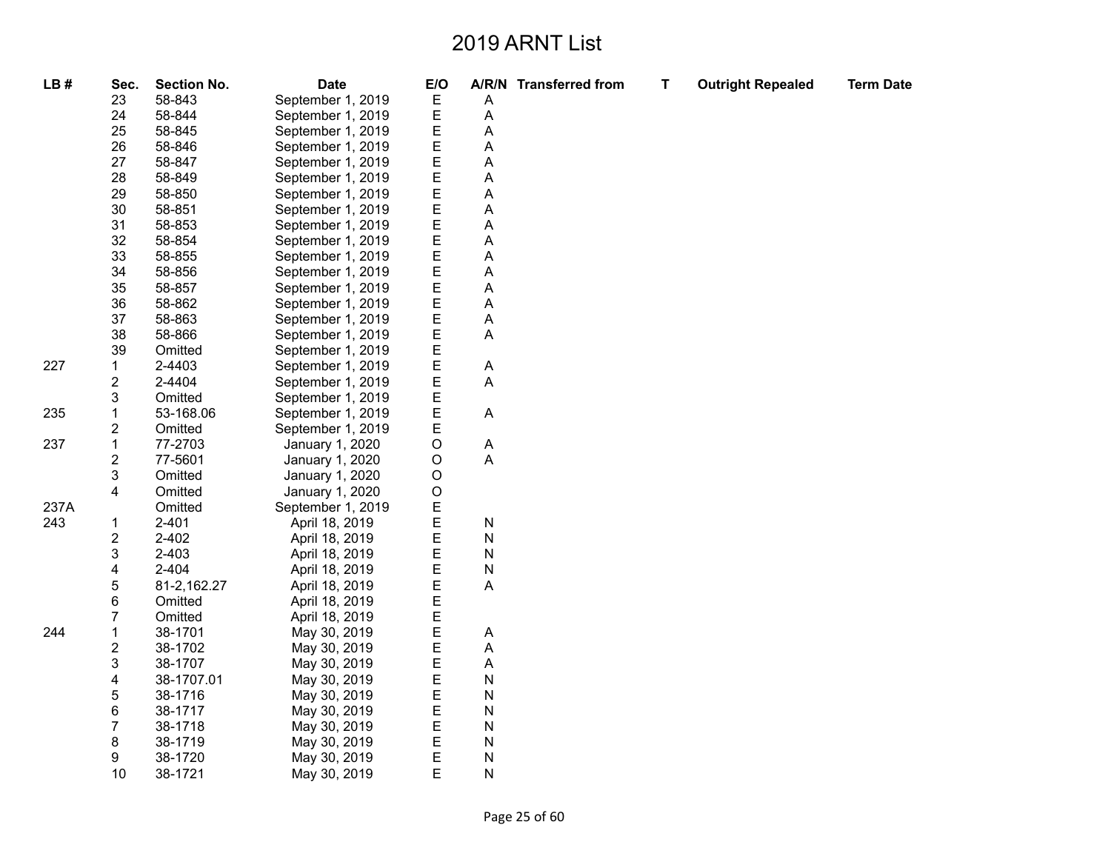| LB#  | Sec.                    | <b>Section No.</b> | <b>Date</b>       | E/O         |              | A/R/N Transferred from | $\mathbf T$ | <b>Outright Repealed</b> | <b>Term Date</b> |
|------|-------------------------|--------------------|-------------------|-------------|--------------|------------------------|-------------|--------------------------|------------------|
|      | 23                      | 58-843             | September 1, 2019 | Ε           | Α            |                        |             |                          |                  |
|      | 24                      | 58-844             | September 1, 2019 | Ε           | A            |                        |             |                          |                  |
|      | 25                      | 58-845             | September 1, 2019 | Ε           | A            |                        |             |                          |                  |
|      | 26                      | 58-846             | September 1, 2019 | E           | A            |                        |             |                          |                  |
|      | 27                      | 58-847             | September 1, 2019 | E           | А            |                        |             |                          |                  |
|      | 28                      | 58-849             | September 1, 2019 | E           | А            |                        |             |                          |                  |
|      | 29                      | 58-850             | September 1, 2019 | E           | А            |                        |             |                          |                  |
|      | 30                      | 58-851             | September 1, 2019 | E           | A            |                        |             |                          |                  |
|      | 31                      | 58-853             | September 1, 2019 | E           | A            |                        |             |                          |                  |
|      | 32                      | 58-854             | September 1, 2019 | E           | А            |                        |             |                          |                  |
|      | 33                      | 58-855             | September 1, 2019 | E           | А            |                        |             |                          |                  |
|      | 34                      | 58-856             | September 1, 2019 | E           | А            |                        |             |                          |                  |
|      | 35                      | 58-857             | September 1, 2019 | E           | Α            |                        |             |                          |                  |
|      | 36                      | 58-862             | September 1, 2019 | E           | А            |                        |             |                          |                  |
|      | 37                      | 58-863             | September 1, 2019 | E           | А            |                        |             |                          |                  |
|      | 38                      | 58-866             | September 1, 2019 | E           | A            |                        |             |                          |                  |
|      | 39                      | Omitted            | September 1, 2019 | E           |              |                        |             |                          |                  |
| 227  | 1                       | 2-4403             | September 1, 2019 | E           | Α            |                        |             |                          |                  |
|      | 2                       | 2-4404             | September 1, 2019 | E           | A            |                        |             |                          |                  |
|      | 3                       | Omitted            | September 1, 2019 | E           |              |                        |             |                          |                  |
| 235  | 1                       | 53-168.06          | September 1, 2019 | E           | A            |                        |             |                          |                  |
|      | $\overline{\mathbf{c}}$ | Omitted            | September 1, 2019 | E           |              |                        |             |                          |                  |
| 237  | $\mathbf 1$             | 77-2703            | January 1, 2020   | $\mathsf O$ | A            |                        |             |                          |                  |
|      | 2                       | 77-5601            | January 1, 2020   | $\mathsf O$ | A            |                        |             |                          |                  |
|      | 3                       | Omitted            | January 1, 2020   | $\mathsf O$ |              |                        |             |                          |                  |
|      | 4                       | Omitted            | January 1, 2020   | $\mathsf O$ |              |                        |             |                          |                  |
| 237A |                         | Omitted            | September 1, 2019 | Ε           |              |                        |             |                          |                  |
| 243  | 1                       | $2 - 401$          | April 18, 2019    | E           | $\mathsf{N}$ |                        |             |                          |                  |
|      | 2                       | 2-402              | April 18, 2019    | E           | N            |                        |             |                          |                  |
|      | 3                       | $2 - 403$          | April 18, 2019    | E           | N            |                        |             |                          |                  |
|      | 4                       | $2 - 404$          | April 18, 2019    | E           | $\mathsf{N}$ |                        |             |                          |                  |
|      | 5                       | 81-2,162.27        | April 18, 2019    | E           | A            |                        |             |                          |                  |
|      | 6                       | Omitted            | April 18, 2019    | E           |              |                        |             |                          |                  |
|      | 7                       | Omitted            | April 18, 2019    | E           |              |                        |             |                          |                  |
| 244  | 1                       | 38-1701            | May 30, 2019      | E           | Α            |                        |             |                          |                  |
|      | 2                       | 38-1702            | May 30, 2019      | E           | Α            |                        |             |                          |                  |
|      | 3                       | 38-1707            | May 30, 2019      | E           | Α            |                        |             |                          |                  |
|      | 4                       | 38-1707.01         | May 30, 2019      | E           | N            |                        |             |                          |                  |
|      | 5                       | 38-1716            | May 30, 2019      | E           | N            |                        |             |                          |                  |
|      | 6                       | 38-1717            | May 30, 2019      | E           | $\mathsf{N}$ |                        |             |                          |                  |
|      | 7                       | 38-1718            | May 30, 2019      | Ε           | N            |                        |             |                          |                  |
|      | 8                       | 38-1719            | May 30, 2019      | Ε           | $\mathsf{N}$ |                        |             |                          |                  |
|      | 9                       | 38-1720            | May 30, 2019      | E           | $\mathsf{N}$ |                        |             |                          |                  |
|      | 10                      | 38-1721            | May 30, 2019      | Ε           | N            |                        |             |                          |                  |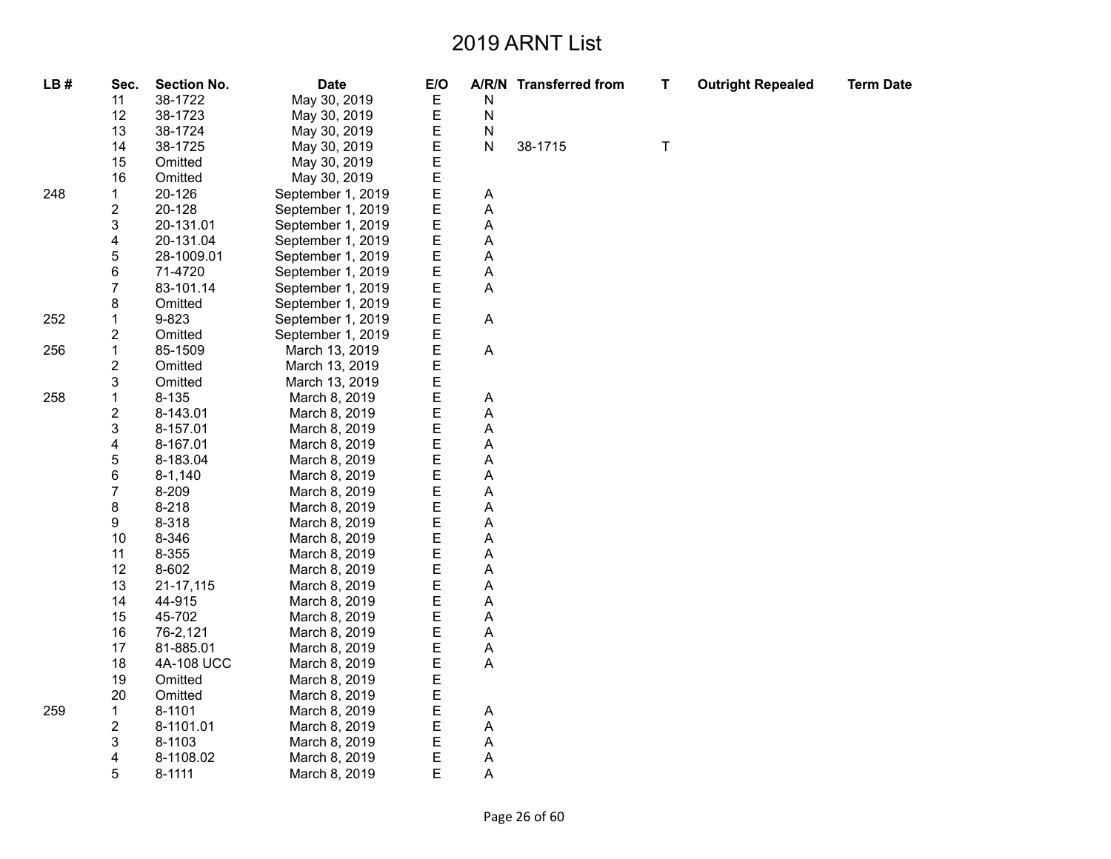| LB# | Sec.                    | <b>Section No.</b> | <b>Date</b>       | E/O |   | A/R/N Transferred from | T       | <b>Outright Repealed</b> | <b>Term Date</b> |
|-----|-------------------------|--------------------|-------------------|-----|---|------------------------|---------|--------------------------|------------------|
|     | 11                      | 38-1722            | May 30, 2019      | Е   | N |                        |         |                          |                  |
|     | 12                      | 38-1723            | May 30, 2019      | Ε   | N |                        |         |                          |                  |
|     | 13                      | 38-1724            | May 30, 2019      | Ε   | N |                        |         |                          |                  |
|     | 14                      | 38-1725            | May 30, 2019      | E   | N | 38-1715                | $\sf T$ |                          |                  |
|     | 15                      | Omitted            | May 30, 2019      | E   |   |                        |         |                          |                  |
|     | 16                      | Omitted            | May 30, 2019      | E   |   |                        |         |                          |                  |
| 248 | 1                       | 20-126             | September 1, 2019 | E   | Α |                        |         |                          |                  |
|     | 2                       | 20-128             | September 1, 2019 | E   | А |                        |         |                          |                  |
|     | 3                       | 20-131.01          | September 1, 2019 | E   | Α |                        |         |                          |                  |
|     | 4                       | 20-131.04          | September 1, 2019 | E   | Α |                        |         |                          |                  |
|     | 5                       | 28-1009.01         | September 1, 2019 | E   | А |                        |         |                          |                  |
|     | 6                       | 71-4720            | September 1, 2019 | E   | Α |                        |         |                          |                  |
|     | $\overline{7}$          | 83-101.14          | September 1, 2019 | E   | A |                        |         |                          |                  |
|     | 8                       | Omitted            | September 1, 2019 | E   |   |                        |         |                          |                  |
| 252 | 1                       | 9-823              | September 1, 2019 | E   | A |                        |         |                          |                  |
|     | 2                       | Omitted            | September 1, 2019 | Ε   |   |                        |         |                          |                  |
| 256 | 1                       | 85-1509            | March 13, 2019    | E   | Α |                        |         |                          |                  |
|     | $\overline{\mathbf{c}}$ | Omitted            | March 13, 2019    | E   |   |                        |         |                          |                  |
|     | 3                       | Omitted            | March 13, 2019    | E   |   |                        |         |                          |                  |
| 258 | 1                       | 8-135              | March 8, 2019     | E   | А |                        |         |                          |                  |
|     | 2                       | 8-143.01           | March 8, 2019     | E   | А |                        |         |                          |                  |
|     | 3                       | 8-157.01           | March 8, 2019     | E   | А |                        |         |                          |                  |
|     | 4                       | 8-167.01           | March 8, 2019     | E   | А |                        |         |                          |                  |
|     | 5                       | 8-183.04           | March 8, 2019     | E   | Α |                        |         |                          |                  |
|     | 6                       | $8 - 1,140$        | March 8, 2019     | E   | А |                        |         |                          |                  |
|     | $\boldsymbol{7}$        | 8-209              | March 8, 2019     | E   | A |                        |         |                          |                  |
|     | 8                       | $8 - 218$          | March 8, 2019     | Е   | А |                        |         |                          |                  |
|     | 9                       | 8-318              | March 8, 2019     | E   | А |                        |         |                          |                  |
|     | 10                      | 8-346              | March 8, 2019     | E   | A |                        |         |                          |                  |
|     | 11                      | 8-355              | March 8, 2019     | E   | А |                        |         |                          |                  |
|     | 12                      | 8-602              | March 8, 2019     | E   | Α |                        |         |                          |                  |
|     | 13                      | 21-17,115          | March 8, 2019     | E   | A |                        |         |                          |                  |
|     | 14                      | 44-915             | March 8, 2019     | E   | А |                        |         |                          |                  |
|     | 15                      | 45-702             | March 8, 2019     | E   | А |                        |         |                          |                  |
|     | 16                      | 76-2,121           | March 8, 2019     | E   | A |                        |         |                          |                  |
|     | 17                      | 81-885.01          | March 8, 2019     | E   | Α |                        |         |                          |                  |
|     | 18                      | 4A-108 UCC         | March 8, 2019     | E   | A |                        |         |                          |                  |
|     | 19                      | Omitted            | March 8, 2019     | E   |   |                        |         |                          |                  |
|     | 20                      | Omitted            | March 8, 2019     | E   |   |                        |         |                          |                  |
| 259 | 1                       | 8-1101             | March 8, 2019     | E   | Α |                        |         |                          |                  |
|     | 2                       | 8-1101.01          | March 8, 2019     | E   | Α |                        |         |                          |                  |
|     | 3                       | 8-1103             | March 8, 2019     | Ε   | Α |                        |         |                          |                  |
|     | 4                       | 8-1108.02          | March 8, 2019     | Е   | Α |                        |         |                          |                  |
|     | 5                       | 8-1111             | March 8, 2019     | E   | A |                        |         |                          |                  |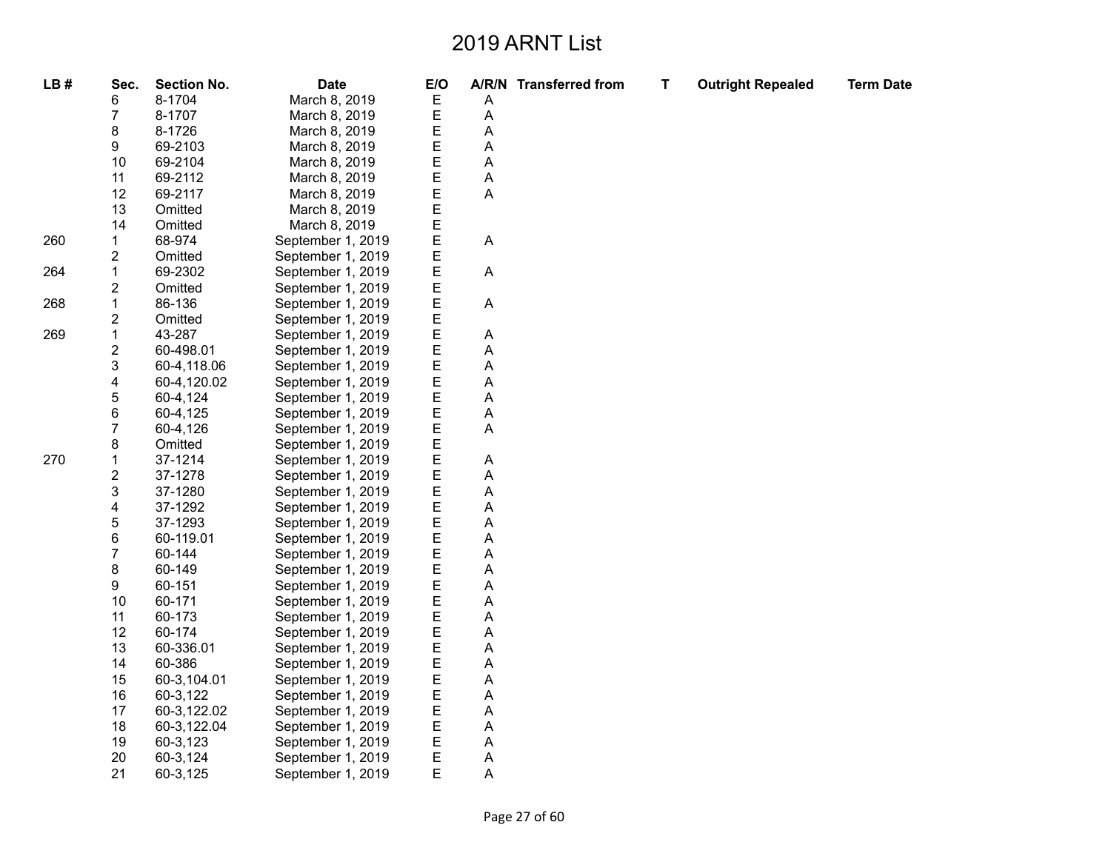| LB# | Sec.                    | <b>Section No.</b> | <b>Date</b>       | E/O |   | A/R/N Transferred from | T | <b>Outright Repealed</b> | <b>Term Date</b> |
|-----|-------------------------|--------------------|-------------------|-----|---|------------------------|---|--------------------------|------------------|
|     | 6                       | 8-1704             | March 8, 2019     | E   | Α |                        |   |                          |                  |
|     | 7                       | 8-1707             | March 8, 2019     | E   | Α |                        |   |                          |                  |
|     | 8                       | 8-1726             | March 8, 2019     | E   | Α |                        |   |                          |                  |
|     | 9                       | 69-2103            | March 8, 2019     | E   | А |                        |   |                          |                  |
|     | 10                      | 69-2104            | March 8, 2019     | E   | Α |                        |   |                          |                  |
|     | 11                      | 69-2112            | March 8, 2019     | E   | А |                        |   |                          |                  |
|     | 12                      | 69-2117            | March 8, 2019     | E   | А |                        |   |                          |                  |
|     | 13                      | Omitted            | March 8, 2019     | E   |   |                        |   |                          |                  |
|     | 14                      | Omitted            | March 8, 2019     | E   |   |                        |   |                          |                  |
| 260 | $\mathbf{1}$            | 68-974             | September 1, 2019 | E   | A |                        |   |                          |                  |
|     | 2                       | Omitted            | September 1, 2019 | E   |   |                        |   |                          |                  |
| 264 | $\mathbf{1}$            | 69-2302            | September 1, 2019 | E   | Α |                        |   |                          |                  |
|     | $\overline{c}$          | Omitted            | September 1, 2019 | E   |   |                        |   |                          |                  |
| 268 | $\mathbf 1$             | 86-136             | September 1, 2019 | E   | А |                        |   |                          |                  |
|     | $\overline{\mathbf{c}}$ | Omitted            | September 1, 2019 | E   |   |                        |   |                          |                  |
| 269 | $\mathbf 1$             | 43-287             | September 1, 2019 | E   | A |                        |   |                          |                  |
|     | $\overline{c}$          | 60-498.01          | September 1, 2019 | E   | А |                        |   |                          |                  |
|     | 3                       | 60-4,118.06        | September 1, 2019 | E   | А |                        |   |                          |                  |
|     | 4                       | 60-4,120.02        | September 1, 2019 | Е   | Α |                        |   |                          |                  |
|     | 5                       | 60-4,124           | September 1, 2019 | E   | Α |                        |   |                          |                  |
|     | 6                       | 60-4,125           | September 1, 2019 | E   | А |                        |   |                          |                  |
|     | 7                       | 60-4,126           | September 1, 2019 | E   | А |                        |   |                          |                  |
|     | 8                       | Omitted            | September 1, 2019 | E   |   |                        |   |                          |                  |
| 270 | $\mathbf{1}$            | 37-1214            | September 1, 2019 | E   | Α |                        |   |                          |                  |
|     | $\overline{\mathbf{c}}$ | 37-1278            | September 1, 2019 | E   | А |                        |   |                          |                  |
|     | 3                       | 37-1280            | September 1, 2019 | E   | Α |                        |   |                          |                  |
|     | 4                       | 37-1292            | September 1, 2019 | E   | А |                        |   |                          |                  |
|     | 5                       | 37-1293            | September 1, 2019 | E   | Α |                        |   |                          |                  |
|     | 6                       | 60-119.01          | September 1, 2019 | E   | A |                        |   |                          |                  |
|     | $\overline{7}$          | 60-144             | September 1, 2019 | E   | А |                        |   |                          |                  |
|     | 8                       | 60-149             | September 1, 2019 | E   | Α |                        |   |                          |                  |
|     | 9                       | 60-151             | September 1, 2019 | E   | А |                        |   |                          |                  |
|     | 10                      | 60-171             | September 1, 2019 | Е   | Α |                        |   |                          |                  |
|     | 11                      | 60-173             | September 1, 2019 | E   | Α |                        |   |                          |                  |
|     | 12                      | 60-174             | September 1, 2019 | E   | А |                        |   |                          |                  |
|     | 13                      | 60-336.01          | September 1, 2019 | Ε   | A |                        |   |                          |                  |
|     | 14                      | 60-386             | September 1, 2019 | E   | А |                        |   |                          |                  |
|     | 15                      | 60-3,104.01        | September 1, 2019 | E   | А |                        |   |                          |                  |
|     | 16                      | 60-3,122           | September 1, 2019 | E   | Α |                        |   |                          |                  |
|     | 17                      | 60-3,122.02        | September 1, 2019 | E   | A |                        |   |                          |                  |
|     | 18                      | 60-3,122.04        | September 1, 2019 | E   | А |                        |   |                          |                  |
|     | 19                      | 60-3,123           | September 1, 2019 | Е   | Α |                        |   |                          |                  |
|     | 20                      | 60-3,124           | September 1, 2019 | E   | Α |                        |   |                          |                  |
|     | 21                      | 60-3,125           | September 1, 2019 | E   | А |                        |   |                          |                  |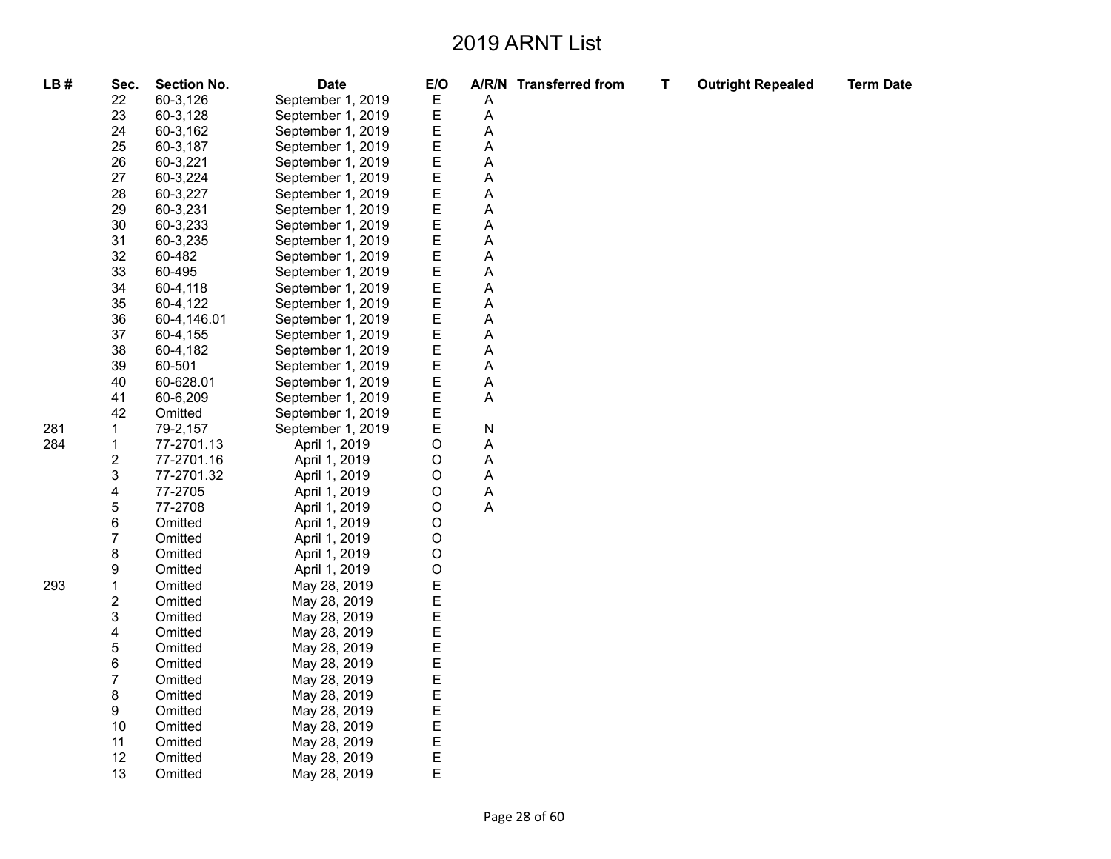| LB# | Sec.                    | <b>Section No.</b> | <b>Date</b>       | E/O     |   | A/R/N Transferred from | Т | <b>Outright Repealed</b> | <b>Term Date</b> |
|-----|-------------------------|--------------------|-------------------|---------|---|------------------------|---|--------------------------|------------------|
|     | 22                      | 60-3,126           | September 1, 2019 | Е       | Α |                        |   |                          |                  |
|     | 23                      | 60-3,128           | September 1, 2019 | Е       | Α |                        |   |                          |                  |
|     | 24                      | 60-3,162           | September 1, 2019 | Ε       | Α |                        |   |                          |                  |
|     | 25                      | 60-3,187           | September 1, 2019 | Е       | Α |                        |   |                          |                  |
|     | 26                      | 60-3,221           | September 1, 2019 | Е       | Α |                        |   |                          |                  |
|     | 27                      | 60-3,224           | September 1, 2019 | Е       | Α |                        |   |                          |                  |
|     | 28                      | 60-3,227           | September 1, 2019 | Е       | Α |                        |   |                          |                  |
|     | 29                      | 60-3,231           | September 1, 2019 | Ε       | А |                        |   |                          |                  |
|     | 30                      | 60-3,233           | September 1, 2019 | E       | А |                        |   |                          |                  |
|     | 31                      | 60-3,235           | September 1, 2019 | E       | Α |                        |   |                          |                  |
|     | 32                      | 60-482             | September 1, 2019 | Е       | Α |                        |   |                          |                  |
|     | 33                      | 60-495             | September 1, 2019 | E       | A |                        |   |                          |                  |
|     | 34                      | 60-4,118           | September 1, 2019 | Ε       | Α |                        |   |                          |                  |
|     | 35                      | 60-4,122           | September 1, 2019 | Ε       | Α |                        |   |                          |                  |
|     | 36                      | 60-4,146.01        | September 1, 2019 | Е       | A |                        |   |                          |                  |
|     | 37                      | 60-4,155           | September 1, 2019 | Е       | Α |                        |   |                          |                  |
|     | 38                      | 60-4,182           | September 1, 2019 | Е       | Α |                        |   |                          |                  |
|     | 39                      | 60-501             | September 1, 2019 | Е       | А |                        |   |                          |                  |
|     | 40                      | 60-628.01          | September 1, 2019 | Ε       | Α |                        |   |                          |                  |
|     | 41                      | 60-6,209           | September 1, 2019 | Е       | Α |                        |   |                          |                  |
|     | 42                      | Omitted            | September 1, 2019 | E       |   |                        |   |                          |                  |
| 281 | 1                       | 79-2,157           | September 1, 2019 | Ε       | N |                        |   |                          |                  |
| 284 | $\mathbf 1$             | 77-2701.13         | April 1, 2019     | $\circ$ | А |                        |   |                          |                  |
|     | $\overline{\mathbf{c}}$ | 77-2701.16         | April 1, 2019     | $\circ$ | Α |                        |   |                          |                  |
|     | 3                       | 77-2701.32         | April 1, 2019     | $\circ$ | А |                        |   |                          |                  |
|     | 4                       | 77-2705            | April 1, 2019     | $\circ$ | Α |                        |   |                          |                  |
|     | 5                       | 77-2708            | April 1, 2019     | O       | Α |                        |   |                          |                  |
|     | 6                       | Omitted            | April 1, 2019     | $\circ$ |   |                        |   |                          |                  |
|     | 7                       | Omitted            | April 1, 2019     | $\circ$ |   |                        |   |                          |                  |
|     | 8                       | Omitted            | April 1, 2019     | O       |   |                        |   |                          |                  |
|     | 9                       | Omitted            | April 1, 2019     | O       |   |                        |   |                          |                  |
| 293 | $\mathbf{1}$            | Omitted            | May 28, 2019      | E       |   |                        |   |                          |                  |
|     | $\overline{\mathbf{c}}$ | Omitted            | May 28, 2019      | E       |   |                        |   |                          |                  |
|     | 3                       | Omitted            | May 28, 2019      | E       |   |                        |   |                          |                  |
|     | 4                       | Omitted            | May 28, 2019      | E       |   |                        |   |                          |                  |
|     | 5                       | Omitted            | May 28, 2019      | E       |   |                        |   |                          |                  |
|     | 6                       | Omitted            | May 28, 2019      | E       |   |                        |   |                          |                  |
|     | 7                       | Omitted            | May 28, 2019      | E       |   |                        |   |                          |                  |
|     | 8                       | Omitted            | May 28, 2019      | E       |   |                        |   |                          |                  |
|     | 9                       | Omitted            | May 28, 2019      | Ε       |   |                        |   |                          |                  |
|     | 10                      | Omitted            | May 28, 2019      | E       |   |                        |   |                          |                  |
|     | 11                      | Omitted            | May 28, 2019      | E       |   |                        |   |                          |                  |
|     | 12                      | Omitted            | May 28, 2019      | E       |   |                        |   |                          |                  |
|     | 13                      | Omitted            | May 28, 2019      | E       |   |                        |   |                          |                  |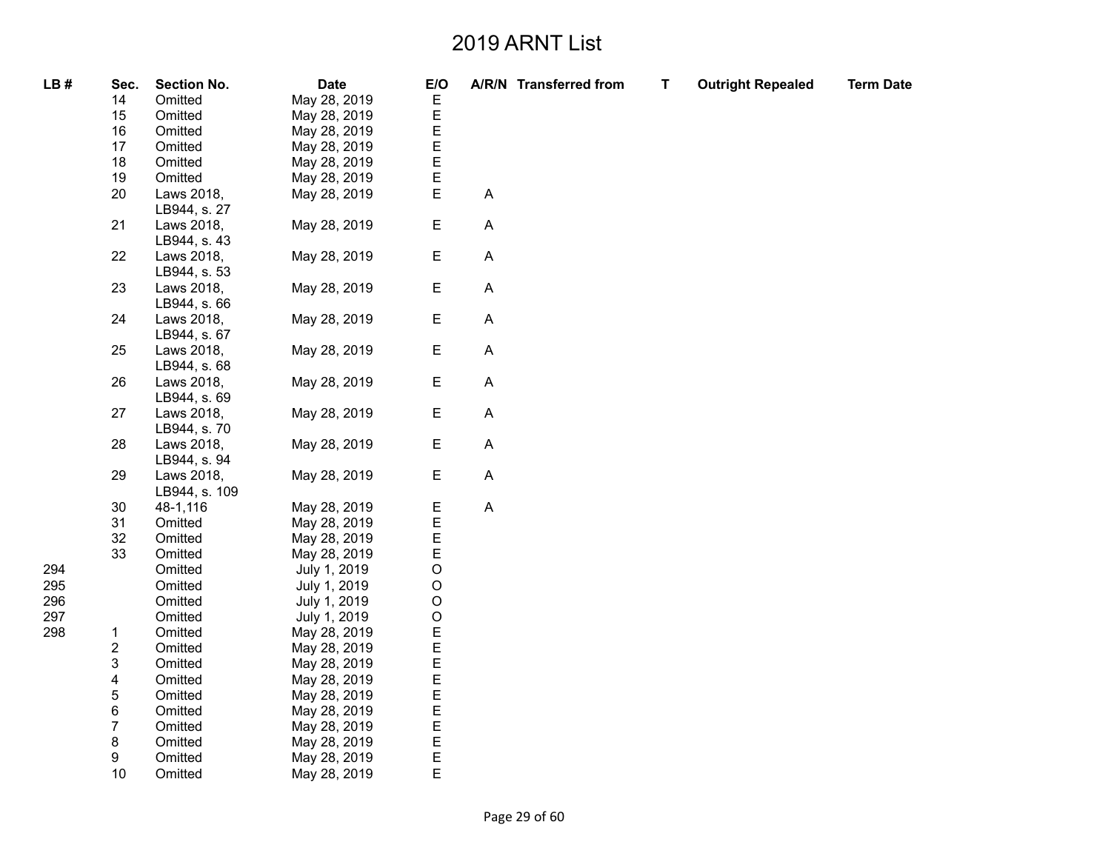| LB# | Sec.   | <b>Section No.</b> | <b>Date</b>  | E/O         |                           | A/R/N Transferred from | T | <b>Outright Repealed</b> | <b>Term Date</b> |
|-----|--------|--------------------|--------------|-------------|---------------------------|------------------------|---|--------------------------|------------------|
|     | 14     | Omitted            | May 28, 2019 | E           |                           |                        |   |                          |                  |
|     | 15     | Omitted            | May 28, 2019 |             |                           |                        |   |                          |                  |
|     | 16     | Omitted            | May 28, 2019 | E<br>E      |                           |                        |   |                          |                  |
|     | 17     | Omitted            | May 28, 2019 |             |                           |                        |   |                          |                  |
|     | 18     | Omitted            | May 28, 2019 | E<br>E      |                           |                        |   |                          |                  |
|     | 19     | Omitted            | May 28, 2019 | E           |                           |                        |   |                          |                  |
|     | 20     | Laws 2018,         | May 28, 2019 | E           | A                         |                        |   |                          |                  |
|     |        | LB944, s. 27       |              |             |                           |                        |   |                          |                  |
|     | 21     | Laws 2018,         | May 28, 2019 | E           | A                         |                        |   |                          |                  |
|     |        | LB944, s. 43       |              |             |                           |                        |   |                          |                  |
|     | 22     | Laws 2018,         | May 28, 2019 | Е           | A                         |                        |   |                          |                  |
|     |        | LB944, s. 53       |              |             |                           |                        |   |                          |                  |
|     | 23     | Laws 2018,         | May 28, 2019 | Е           | Α                         |                        |   |                          |                  |
|     |        | LB944, s. 66       |              |             |                           |                        |   |                          |                  |
|     | 24     | Laws 2018,         | May 28, 2019 | Ε           | $\mathsf A$               |                        |   |                          |                  |
|     |        | LB944, s. 67       |              |             |                           |                        |   |                          |                  |
|     | 25     | Laws 2018,         | May 28, 2019 | Ε           | A                         |                        |   |                          |                  |
|     |        | LB944, s. 68       |              |             |                           |                        |   |                          |                  |
|     | 26     | Laws 2018,         | May 28, 2019 | Ε           | A                         |                        |   |                          |                  |
|     |        | LB944, s. 69       |              |             |                           |                        |   |                          |                  |
|     | 27     | Laws 2018,         | May 28, 2019 | E           | A                         |                        |   |                          |                  |
|     |        | LB944, s. 70       |              |             |                           |                        |   |                          |                  |
|     | 28     | Laws 2018,         | May 28, 2019 | E           | A                         |                        |   |                          |                  |
|     |        | LB944, s. 94       |              |             |                           |                        |   |                          |                  |
|     | 29     | Laws 2018,         | May 28, 2019 | Ε           | $\boldsymbol{\mathsf{A}}$ |                        |   |                          |                  |
|     |        | LB944, s. 109      |              |             |                           |                        |   |                          |                  |
|     | $30\,$ | 48-1,116           | May 28, 2019 | E<br>E      | $\boldsymbol{\mathsf{A}}$ |                        |   |                          |                  |
|     | 31     | Omitted            | May 28, 2019 |             |                           |                        |   |                          |                  |
|     | 32     | Omitted            | May 28, 2019 | E           |                           |                        |   |                          |                  |
|     | 33     | Omitted            | May 28, 2019 | E           |                           |                        |   |                          |                  |
| 294 |        | Omitted            | July 1, 2019 | $\circ$     |                           |                        |   |                          |                  |
| 295 |        | Omitted            | July 1, 2019 | $\mathsf O$ |                           |                        |   |                          |                  |
| 296 |        | Omitted            | July 1, 2019 | $\mathsf O$ |                           |                        |   |                          |                  |
| 297 |        | Omitted            | July 1, 2019 | $\circ$     |                           |                        |   |                          |                  |
| 298 | 1      | Omitted            | May 28, 2019 |             |                           |                        |   |                          |                  |
|     | 2      | Omitted            | May 28, 2019 | E<br>E<br>E |                           |                        |   |                          |                  |
|     | 3      | Omitted            | May 28, 2019 |             |                           |                        |   |                          |                  |
|     | 4      | Omitted            | May 28, 2019 |             |                           |                        |   |                          |                  |
|     | 5      | Omitted            | May 28, 2019 | E<br>E      |                           |                        |   |                          |                  |
|     | 6      | Omitted            | May 28, 2019 | E<br>E      |                           |                        |   |                          |                  |
|     | 7      | Omitted            | May 28, 2019 |             |                           |                        |   |                          |                  |
|     | 8      | Omitted            | May 28, 2019 | E           |                           |                        |   |                          |                  |
|     | 9      | Omitted            | May 28, 2019 | E           |                           |                        |   |                          |                  |
|     | 10     | Omitted            | May 28, 2019 | Е           |                           |                        |   |                          |                  |
|     |        |                    |              |             |                           |                        |   |                          |                  |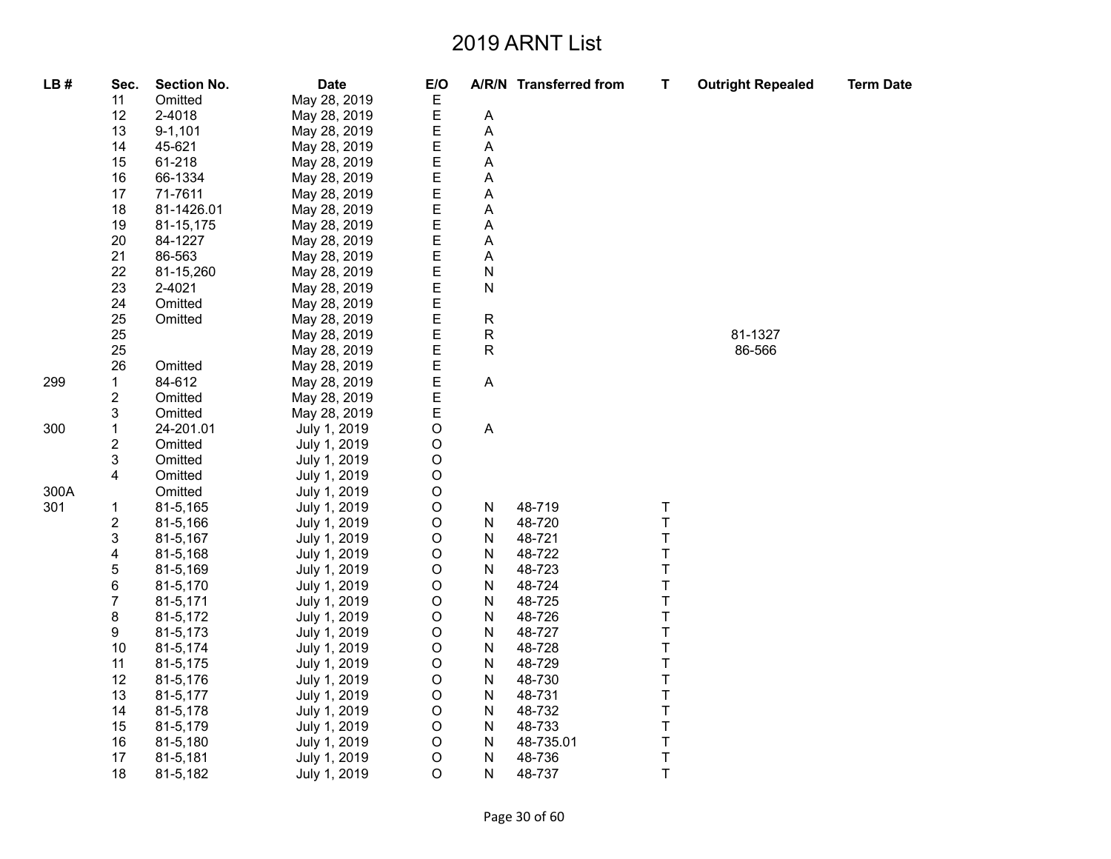| LB#  | Sec.         | <b>Section No.</b> | <b>Date</b>  | E/O         |                | A/R/N Transferred from | T       | <b>Outright Repealed</b> | <b>Term Date</b> |
|------|--------------|--------------------|--------------|-------------|----------------|------------------------|---------|--------------------------|------------------|
|      | 11           | Omitted            | May 28, 2019 | Ε           |                |                        |         |                          |                  |
|      | 12           | 2-4018             | May 28, 2019 | Е           | A              |                        |         |                          |                  |
|      | 13           | $9 - 1,101$        | May 28, 2019 | E           | $\overline{A}$ |                        |         |                          |                  |
|      | 14           | 45-621             | May 28, 2019 | E           | A              |                        |         |                          |                  |
|      | 15           | 61-218             | May 28, 2019 | E           | A              |                        |         |                          |                  |
|      | 16           | 66-1334            | May 28, 2019 | E           | A              |                        |         |                          |                  |
|      | 17           | 71-7611            | May 28, 2019 | E           | А              |                        |         |                          |                  |
|      | 18           | 81-1426.01         | May 28, 2019 | E           | Α              |                        |         |                          |                  |
|      | 19           | 81-15,175          | May 28, 2019 | E           | A              |                        |         |                          |                  |
|      | 20           | 84-1227            | May 28, 2019 | E           | A              |                        |         |                          |                  |
|      | 21           | 86-563             | May 28, 2019 | E           | Α              |                        |         |                          |                  |
|      | 22           | 81-15,260          | May 28, 2019 | E           | $\mathsf{N}$   |                        |         |                          |                  |
|      | 23           | 2-4021             | May 28, 2019 | E           | N              |                        |         |                          |                  |
|      | 24           | Omitted            | May 28, 2019 | E           |                |                        |         |                          |                  |
|      | 25           | Omitted            | May 28, 2019 | E           | ${\sf R}$      |                        |         |                          |                  |
|      | 25           |                    | May 28, 2019 | E           | R              |                        |         | 81-1327                  |                  |
|      | 25           |                    | May 28, 2019 | E           | ${\sf R}$      |                        |         | 86-566                   |                  |
|      | 26           | Omitted            | May 28, 2019 | E           |                |                        |         |                          |                  |
| 299  | $\mathbf{1}$ | 84-612             | May 28, 2019 | E           | $\mathsf{A}$   |                        |         |                          |                  |
|      | 2            | Omitted            | May 28, 2019 | E           |                |                        |         |                          |                  |
|      | 3            | Omitted            | May 28, 2019 | E           |                |                        |         |                          |                  |
| 300  | 1            | 24-201.01          | July 1, 2019 | O           | A              |                        |         |                          |                  |
|      | 2            | Omitted            | July 1, 2019 | $\mathsf O$ |                |                        |         |                          |                  |
|      | 3            | Omitted            | July 1, 2019 | O           |                |                        |         |                          |                  |
|      | 4            | Omitted            | July 1, 2019 | O           |                |                        |         |                          |                  |
| 300A |              | Omitted            | July 1, 2019 | $\mathsf O$ |                |                        |         |                          |                  |
| 301  | 1            | 81-5,165           | July 1, 2019 | $\circ$     | N              | 48-719                 | T       |                          |                  |
|      | 2            | 81-5,166           | July 1, 2019 | $\mathsf O$ | N              | 48-720                 | T       |                          |                  |
|      | 3            | 81-5,167           | July 1, 2019 | $\mathsf O$ | N              | 48-721                 | T       |                          |                  |
|      | 4            | 81-5,168           | July 1, 2019 | $\mathsf O$ | N              | 48-722                 | T       |                          |                  |
|      | 5            | 81-5,169           | July 1, 2019 | O           | N              | 48-723                 | T       |                          |                  |
|      | 6            | 81-5,170           | July 1, 2019 | O           | N              | 48-724                 | T       |                          |                  |
|      | 7            | 81-5,171           | July 1, 2019 | $\circ$     | N              | 48-725                 | T       |                          |                  |
|      | 8            | 81-5,172           | July 1, 2019 | $\mathsf O$ | N              | 48-726                 | T       |                          |                  |
|      | 9            | 81-5,173           | July 1, 2019 | O           | N              | 48-727                 | T       |                          |                  |
|      | 10           | 81-5,174           | July 1, 2019 | $\mathsf O$ | N              | 48-728                 | T       |                          |                  |
|      | 11           | 81-5,175           | July 1, 2019 | $\mathsf O$ | N              | 48-729                 | T       |                          |                  |
|      | 12           | 81-5,176           | July 1, 2019 | O           | N              | 48-730                 | T       |                          |                  |
|      | 13           | 81-5,177           | July 1, 2019 | $\circ$     | N              | 48-731                 | T       |                          |                  |
|      | 14           | 81-5,178           | July 1, 2019 | $\circ$     | N              | 48-732                 | T       |                          |                  |
|      | 15           | 81-5,179           | July 1, 2019 | $\mathsf O$ | N              | 48-733                 | T       |                          |                  |
|      | 16           | 81-5,180           | July 1, 2019 | O           | N              | 48-735.01              | T       |                          |                  |
|      | 17           | 81-5,181           | July 1, 2019 | $\mathsf O$ | $\mathsf{N}$   | 48-736                 | $\sf T$ |                          |                  |
|      | 18           | 81-5,182           | July 1, 2019 | $\circ$     | N              | 48-737                 | T       |                          |                  |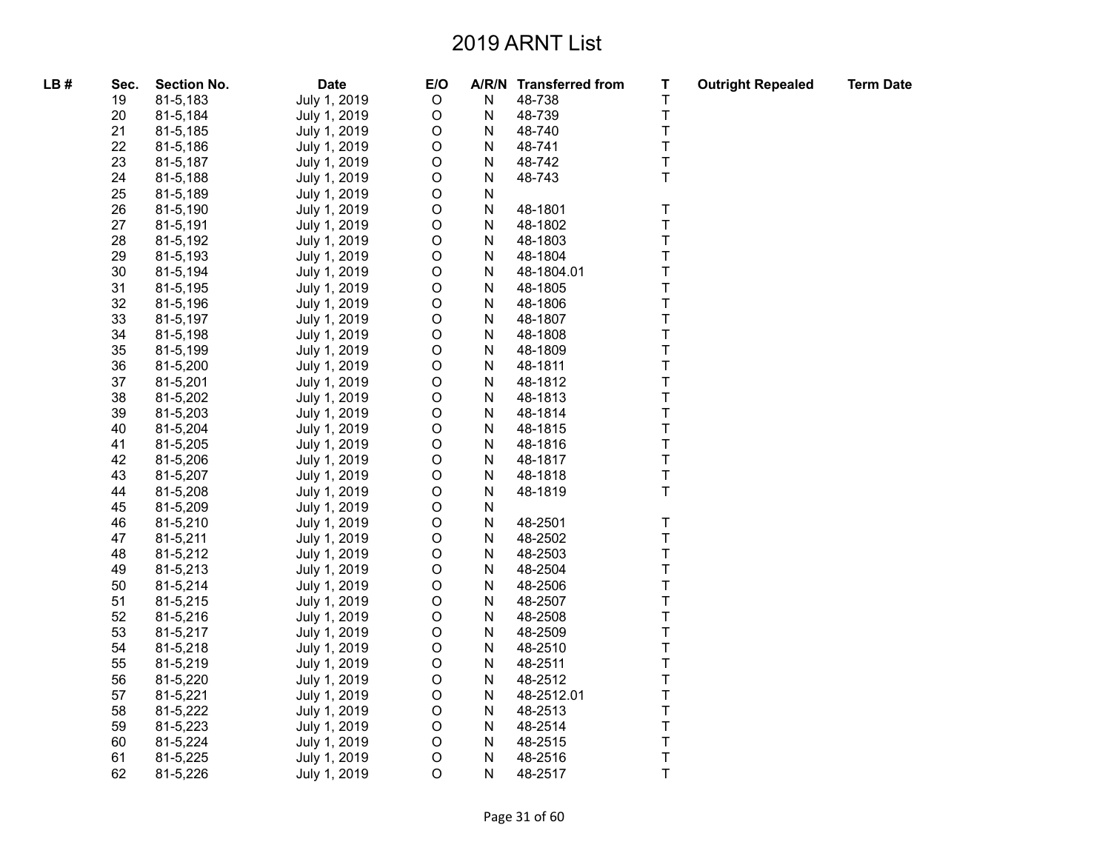| LB# | Sec. | <b>Section No.</b> | <b>Date</b>  | $E/O$       | A/R/N     | <b>Transferred from</b> | Τ | <b>Outright Repealed</b> | <b>Term Date</b> |
|-----|------|--------------------|--------------|-------------|-----------|-------------------------|---|--------------------------|------------------|
|     | 19   | 81-5,183           | July 1, 2019 | $\mathsf O$ | ${\sf N}$ | 48-738                  | T |                          |                  |
|     | 20   | 81-5,184           | July 1, 2019 | $\mathsf O$ | Ν         | 48-739                  | T |                          |                  |
|     | 21   | 81-5,185           | July 1, 2019 | $\mathsf O$ | N         | 48-740                  | T |                          |                  |
|     | 22   | 81-5,186           | July 1, 2019 | $\mathsf O$ | N         | 48-741                  | T |                          |                  |
|     | 23   | 81-5,187           | July 1, 2019 | $\mathsf O$ | N         | 48-742                  | T |                          |                  |
|     | 24   | 81-5,188           | July 1, 2019 | $\mathsf O$ | N         | 48-743                  | T |                          |                  |
|     | 25   | 81-5,189           | July 1, 2019 | $\mathsf O$ | ${\sf N}$ |                         |   |                          |                  |
|     | 26   | 81-5,190           | July 1, 2019 | $\mathsf O$ | ${\sf N}$ | 48-1801                 | T |                          |                  |
|     | 27   | 81-5,191           | July 1, 2019 | $\mathsf O$ | N         | 48-1802                 | T |                          |                  |
|     | 28   | 81-5,192           | July 1, 2019 | $\mathsf O$ | N         | 48-1803                 | T |                          |                  |
|     | 29   | 81-5,193           | July 1, 2019 | $\mathsf O$ | N         | 48-1804                 | T |                          |                  |
|     | 30   | 81-5,194           | July 1, 2019 | $\mathsf O$ | N         | 48-1804.01              | T |                          |                  |
|     | 31   | 81-5,195           | July 1, 2019 | $\mathsf O$ | ${\sf N}$ | 48-1805                 | T |                          |                  |
|     | 32   | 81-5,196           | July 1, 2019 | $\mathsf O$ | N         | 48-1806                 | T |                          |                  |
|     | 33   | 81-5,197           | July 1, 2019 | $\mathsf O$ | N         | 48-1807                 | T |                          |                  |
|     | 34   | 81-5,198           | July 1, 2019 | $\mathsf O$ | N         | 48-1808                 | T |                          |                  |
|     | 35   | 81-5,199           | July 1, 2019 | $\mathsf O$ | N         | 48-1809                 | T |                          |                  |
|     | 36   | 81-5,200           | July 1, 2019 | $\mathsf O$ | N         | 48-1811                 | T |                          |                  |
|     | 37   | 81-5,201           | July 1, 2019 | $\mathsf O$ | ${\sf N}$ | 48-1812                 | T |                          |                  |
|     | 38   | 81-5,202           | July 1, 2019 | $\mathsf O$ | N         | 48-1813                 | T |                          |                  |
|     | 39   | 81-5,203           | July 1, 2019 | $\mathsf O$ | N         | 48-1814                 | T |                          |                  |
|     | 40   | 81-5,204           | July 1, 2019 | $\mathsf O$ | N         | 48-1815                 | T |                          |                  |
|     | 41   | 81-5,205           | July 1, 2019 | $\mathsf O$ | ${\sf N}$ | 48-1816                 | T |                          |                  |
|     | 42   | 81-5,206           | July 1, 2019 | $\mathsf O$ | N         | 48-1817                 | T |                          |                  |
|     | 43   | 81-5,207           | July 1, 2019 | $\mathsf O$ | N         | 48-1818                 | T |                          |                  |
|     | 44   | 81-5,208           | July 1, 2019 | $\mathsf O$ | N         | 48-1819                 | T |                          |                  |
|     | 45   | 81-5,209           | July 1, 2019 | $\mathsf O$ | ${\sf N}$ |                         |   |                          |                  |
|     | 46   | 81-5,210           | July 1, 2019 | $\mathsf O$ | ${\sf N}$ | 48-2501                 | T |                          |                  |
|     | 47   | 81-5,211           | July 1, 2019 | $\mathsf O$ | ${\sf N}$ | 48-2502                 | T |                          |                  |
|     | 48   | 81-5,212           | July 1, 2019 | $\mathsf O$ | N         | 48-2503                 | T |                          |                  |
|     | 49   | 81-5,213           | July 1, 2019 | $\mathsf O$ | ${\sf N}$ | 48-2504                 | T |                          |                  |
|     | 50   | 81-5,214           | July 1, 2019 | $\mathsf O$ | N         | 48-2506                 | T |                          |                  |
|     | 51   | 81-5,215           | July 1, 2019 | $\mathsf O$ | N         | 48-2507                 | T |                          |                  |
|     | 52   | 81-5,216           | July 1, 2019 | $\mathsf O$ | N         | 48-2508                 | T |                          |                  |
|     | 53   | 81-5,217           | July 1, 2019 | $\mathsf O$ | ${\sf N}$ | 48-2509                 | T |                          |                  |
|     | 54   | 81-5,218           | July 1, 2019 | $\mathsf O$ | N         | 48-2510                 | T |                          |                  |
|     | 55   | 81-5,219           | July 1, 2019 | $\mathsf O$ | N         | 48-2511                 | T |                          |                  |
|     | 56   | 81-5,220           | July 1, 2019 | $\mathsf O$ | N         | 48-2512                 | T |                          |                  |
|     | 57   | 81-5,221           | July 1, 2019 | $\mathsf O$ | ${\sf N}$ | 48-2512.01              | T |                          |                  |
|     | 58   | 81-5,222           | July 1, 2019 | $\mathsf O$ | N         | 48-2513                 | T |                          |                  |
|     | 59   | 81-5,223           | July 1, 2019 | $\mathsf O$ | N         | 48-2514                 | T |                          |                  |
|     | 60   | 81-5,224           | July 1, 2019 | $\mathsf O$ | N         | 48-2515                 | T |                          |                  |
|     | 61   | 81-5,225           | July 1, 2019 | $\mathsf O$ | N         | 48-2516                 | T |                          |                  |
|     | 62   | 81-5,226           | July 1, 2019 | $\circ$     | N         | 48-2517                 | T |                          |                  |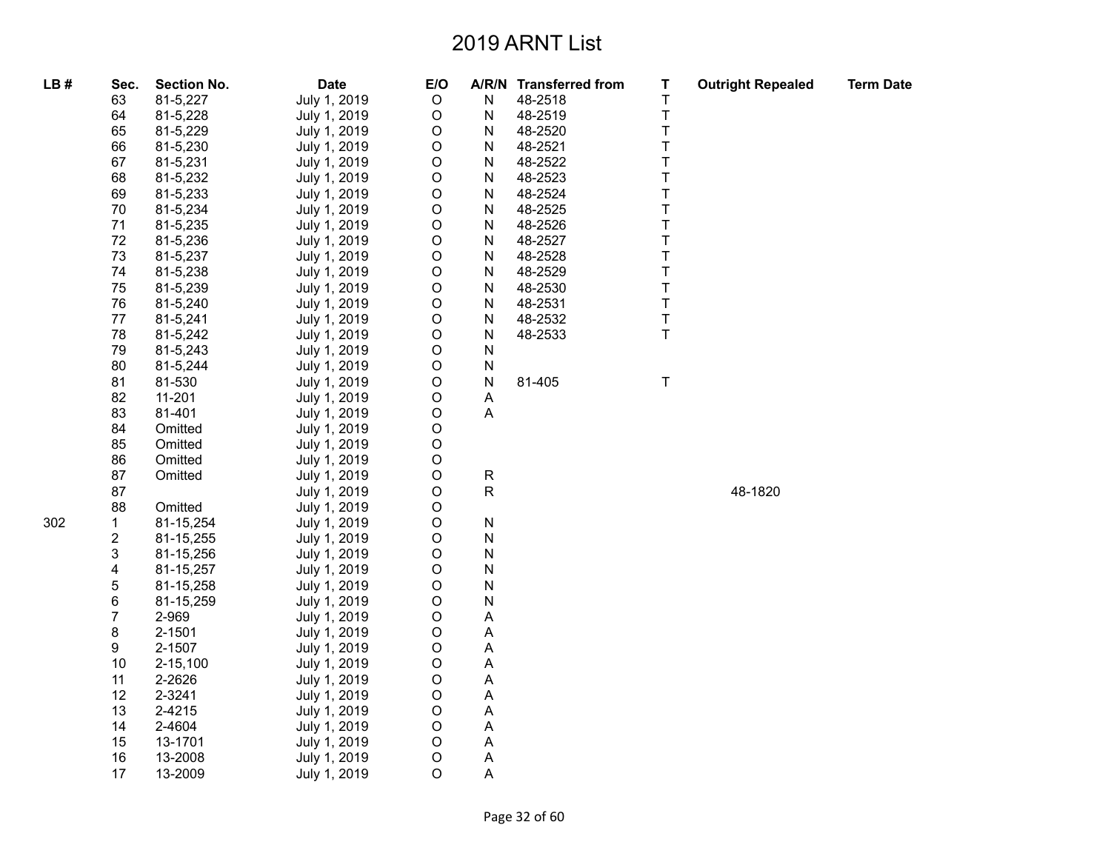| LB# | Sec.           | <b>Section No.</b> | <b>Date</b>  | E/O         |                           | A/R/N Transferred from | Τ           | <b>Outright Repealed</b> | <b>Term Date</b> |
|-----|----------------|--------------------|--------------|-------------|---------------------------|------------------------|-------------|--------------------------|------------------|
|     | 63             | 81-5,227           | July 1, 2019 | $\circ$     | N                         | 48-2518                | T           |                          |                  |
|     | 64             | 81-5,228           | July 1, 2019 | $\circ$     | ${\sf N}$                 | 48-2519                | $\top$      |                          |                  |
|     | 65             | 81-5,229           | July 1, 2019 | $\circ$     | N                         | 48-2520                | $\sf T$     |                          |                  |
|     | 66             | 81-5,230           | July 1, 2019 | $\mathsf O$ | N                         | 48-2521                | $\mathsf T$ |                          |                  |
|     | 67             | 81-5,231           | July 1, 2019 | $\mathsf O$ | ${\sf N}$                 | 48-2522                | $\mathsf T$ |                          |                  |
|     | 68             | 81-5,232           | July 1, 2019 | $\mathsf O$ | N                         | 48-2523                | $\mathsf T$ |                          |                  |
|     | 69             | 81-5,233           | July 1, 2019 | $\circ$     | N                         | 48-2524                | T           |                          |                  |
|     | 70             | 81-5,234           | July 1, 2019 | $\mathsf O$ | N                         | 48-2525                | $\top$      |                          |                  |
|     | 71             | 81-5,235           | July 1, 2019 | $\mathsf O$ | N                         | 48-2526                | $\top$      |                          |                  |
|     | 72             | 81-5,236           | July 1, 2019 | $\circ$     | N                         | 48-2527                | $\top$      |                          |                  |
|     | 73             | 81-5,237           | July 1, 2019 | $\circ$     | ${\sf N}$                 | 48-2528                | $\top$      |                          |                  |
|     | 74             | 81-5,238           | July 1, 2019 | $\circ$     | N                         | 48-2529                | $\top$      |                          |                  |
|     | 75             | 81-5,239           | July 1, 2019 | $\mathsf O$ | N                         | 48-2530                | $\mathsf T$ |                          |                  |
|     | 76             | 81-5,240           | July 1, 2019 | $\mathsf O$ | ${\sf N}$                 | 48-2531                | $\mathsf T$ |                          |                  |
|     | 77             | 81-5,241           | July 1, 2019 | $\mathsf O$ | N                         | 48-2532                | $\mathsf T$ |                          |                  |
|     | 78             | 81-5,242           | July 1, 2019 | $\circ$     | N                         | 48-2533                | T           |                          |                  |
|     | 79             | 81-5,243           | July 1, 2019 | $\mathsf O$ | ${\sf N}$                 |                        |             |                          |                  |
|     | 80             | 81-5,244           | July 1, 2019 | $\circ$     | ${\sf N}$                 |                        |             |                          |                  |
|     | 81             | 81-530             | July 1, 2019 | $\circ$     | ${\sf N}$                 | 81-405                 | $\top$      |                          |                  |
|     | 82             | 11-201             | July 1, 2019 | $\circ$     | A                         |                        |             |                          |                  |
|     | 83             | 81-401             | July 1, 2019 | $\mathsf O$ | $\boldsymbol{\mathsf{A}}$ |                        |             |                          |                  |
|     | 84             | Omitted            | July 1, 2019 | $\mathsf O$ |                           |                        |             |                          |                  |
|     | 85             | Omitted            | July 1, 2019 | $\mathsf O$ |                           |                        |             |                          |                  |
|     | 86             | Omitted            | July 1, 2019 | $\circ$     |                           |                        |             |                          |                  |
|     | 87             | Omitted            | July 1, 2019 | $\circ$     | ${\sf R}$                 |                        |             |                          |                  |
|     | 87             |                    | July 1, 2019 | $\circ$     | ${\sf R}$                 |                        |             | 48-1820                  |                  |
|     | 88             | Omitted            | July 1, 2019 | $\mathsf O$ |                           |                        |             |                          |                  |
| 302 | 1              | 81-15,254          | July 1, 2019 | $\circ$     | ${\sf N}$                 |                        |             |                          |                  |
|     | $\overline{c}$ | 81-15,255          | July 1, 2019 | $\circ$     | ${\sf N}$                 |                        |             |                          |                  |
|     | 3              | 81-15,256          | July 1, 2019 | $\mathsf O$ | ${\sf N}$                 |                        |             |                          |                  |
|     | 4              | 81-15,257          | July 1, 2019 | $\circ$     | N                         |                        |             |                          |                  |
|     | $\mathbf 5$    | 81-15,258          | July 1, 2019 | $\mathsf O$ | ${\sf N}$                 |                        |             |                          |                  |
|     | 6              | 81-15,259          | July 1, 2019 | $\circ$     | ${\sf N}$                 |                        |             |                          |                  |
|     | $\overline{7}$ | 2-969              | July 1, 2019 | $\circ$     | A                         |                        |             |                          |                  |
|     | 8              | 2-1501             | July 1, 2019 | $\circ$     | $\boldsymbol{\mathsf{A}}$ |                        |             |                          |                  |
|     | 9              | 2-1507             | July 1, 2019 | $\mathsf O$ | Α                         |                        |             |                          |                  |
|     | 10             | $2 - 15,100$       | July 1, 2019 | $\circ$     | A                         |                        |             |                          |                  |
|     | 11             | 2-2626             | July 1, 2019 | $\circ$     | $\boldsymbol{\mathsf{A}}$ |                        |             |                          |                  |
|     | 12             | 2-3241             | July 1, 2019 | $\mathsf O$ | А                         |                        |             |                          |                  |
|     | 13             | 2-4215             | July 1, 2019 | $\circ$     | A                         |                        |             |                          |                  |
|     | 14             | 2-4604             | July 1, 2019 | $\mathsf O$ | $\boldsymbol{\mathsf{A}}$ |                        |             |                          |                  |
|     | 15             | 13-1701            | July 1, 2019 | $\circ$     | Α                         |                        |             |                          |                  |
|     | 16             | 13-2008            | July 1, 2019 | $\circ$     | Α                         |                        |             |                          |                  |
|     | 17             | 13-2009            | July 1, 2019 | $\circ$     | A                         |                        |             |                          |                  |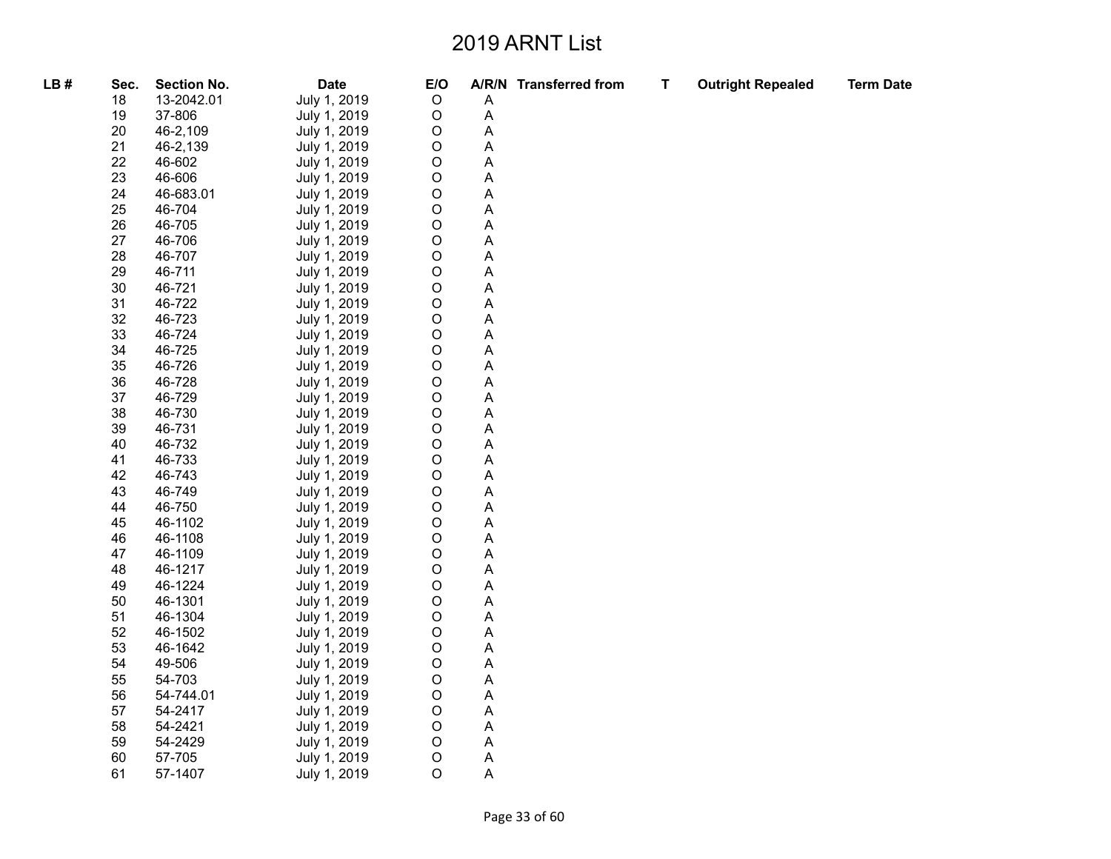| LB# | Sec. | <b>Section No.</b> | <b>Date</b>  | E/O         |                           | A/R/N Transferred from | $\mathbf T$ | <b>Outright Repealed</b> | <b>Term Date</b> |
|-----|------|--------------------|--------------|-------------|---------------------------|------------------------|-------------|--------------------------|------------------|
|     | 18   | 13-2042.01         | July 1, 2019 | $\mathsf O$ | Α                         |                        |             |                          |                  |
|     | 19   | 37-806             | July 1, 2019 | $\mathsf O$ | $\overline{A}$            |                        |             |                          |                  |
|     | 20   | 46-2,109           | July 1, 2019 | O           | Α                         |                        |             |                          |                  |
|     | 21   | 46-2,139           | July 1, 2019 | O           | $\boldsymbol{\mathsf{A}}$ |                        |             |                          |                  |
|     | 22   | 46-602             | July 1, 2019 | $\mathsf O$ | $\boldsymbol{\mathsf{A}}$ |                        |             |                          |                  |
|     | 23   | 46-606             | July 1, 2019 | O           | A                         |                        |             |                          |                  |
|     | 24   | 46-683.01          | July 1, 2019 | O           | Α                         |                        |             |                          |                  |
|     | 25   | 46-704             | July 1, 2019 | O           | $\boldsymbol{\mathsf{A}}$ |                        |             |                          |                  |
|     | 26   | 46-705             | July 1, 2019 | O           | $\boldsymbol{\mathsf{A}}$ |                        |             |                          |                  |
|     | 27   | 46-706             | July 1, 2019 | O           | A                         |                        |             |                          |                  |
|     | 28   | 46-707             | July 1, 2019 | O           | $\boldsymbol{\mathsf{A}}$ |                        |             |                          |                  |
|     | 29   | 46-711             | July 1, 2019 | O           | Α                         |                        |             |                          |                  |
|     | 30   | 46-721             | July 1, 2019 | O           | Α                         |                        |             |                          |                  |
|     | 31   | 46-722             | July 1, 2019 | O           | A                         |                        |             |                          |                  |
|     | 32   | 46-723             | July 1, 2019 | O           | Α                         |                        |             |                          |                  |
|     | 33   | 46-724             | July 1, 2019 | O           | A                         |                        |             |                          |                  |
|     | 34   | 46-725             | July 1, 2019 | O           | $\boldsymbol{\mathsf{A}}$ |                        |             |                          |                  |
|     | 35   | 46-726             | July 1, 2019 | O           | Α                         |                        |             |                          |                  |
|     | 36   | 46-728             | July 1, 2019 | O           | A                         |                        |             |                          |                  |
|     | 37   | 46-729             | July 1, 2019 | O           | $\boldsymbol{\mathsf{A}}$ |                        |             |                          |                  |
|     | 38   | 46-730             | July 1, 2019 | O           | Α                         |                        |             |                          |                  |
|     | 39   | 46-731             | July 1, 2019 | $\mathsf O$ | A                         |                        |             |                          |                  |
|     | 40   | 46-732             | July 1, 2019 | O           | A                         |                        |             |                          |                  |
|     | 41   | 46-733             | July 1, 2019 | O           | Α                         |                        |             |                          |                  |
|     | 42   | 46-743             | July 1, 2019 | $\mathsf O$ | $\mathsf A$               |                        |             |                          |                  |
|     | 43   | 46-749             | July 1, 2019 | O           | Α                         |                        |             |                          |                  |
|     | 44   | 46-750             | July 1, 2019 | O           | Α                         |                        |             |                          |                  |
|     | 45   | 46-1102            | July 1, 2019 | O           | A                         |                        |             |                          |                  |
|     | 46   | 46-1108            | July 1, 2019 | O           | Α                         |                        |             |                          |                  |
|     | 47   | 46-1109            | July 1, 2019 | O           | A                         |                        |             |                          |                  |
|     | 48   | 46-1217            | July 1, 2019 | O           | A                         |                        |             |                          |                  |
|     | 49   | 46-1224            | July 1, 2019 | O           | A                         |                        |             |                          |                  |
|     | 50   | 46-1301            | July 1, 2019 | O           | A                         |                        |             |                          |                  |
|     | 51   | 46-1304            | July 1, 2019 | O           | $\boldsymbol{\mathsf{A}}$ |                        |             |                          |                  |
|     | 52   | 46-1502            | July 1, 2019 | O           | A                         |                        |             |                          |                  |
|     | 53   | 46-1642            | July 1, 2019 | O           | A                         |                        |             |                          |                  |
|     | 54   | 49-506             | July 1, 2019 | O           | $\boldsymbol{\mathsf{A}}$ |                        |             |                          |                  |
|     | 55   | 54-703             | July 1, 2019 | O           | Α                         |                        |             |                          |                  |
|     | 56   | 54-744.01          | July 1, 2019 | O           | A                         |                        |             |                          |                  |
|     | 57   | 54-2417            | July 1, 2019 | O           | A                         |                        |             |                          |                  |
|     | 58   | 54-2421            | July 1, 2019 | O           | A                         |                        |             |                          |                  |
|     | 59   | 54-2429            | July 1, 2019 | $\mathsf O$ | $\mathsf A$               |                        |             |                          |                  |
|     | 60   | 57-705             | July 1, 2019 | O           | A                         |                        |             |                          |                  |
|     | 61   | 57-1407            | July 1, 2019 | O           | A                         |                        |             |                          |                  |
|     |      |                    |              |             |                           |                        |             |                          |                  |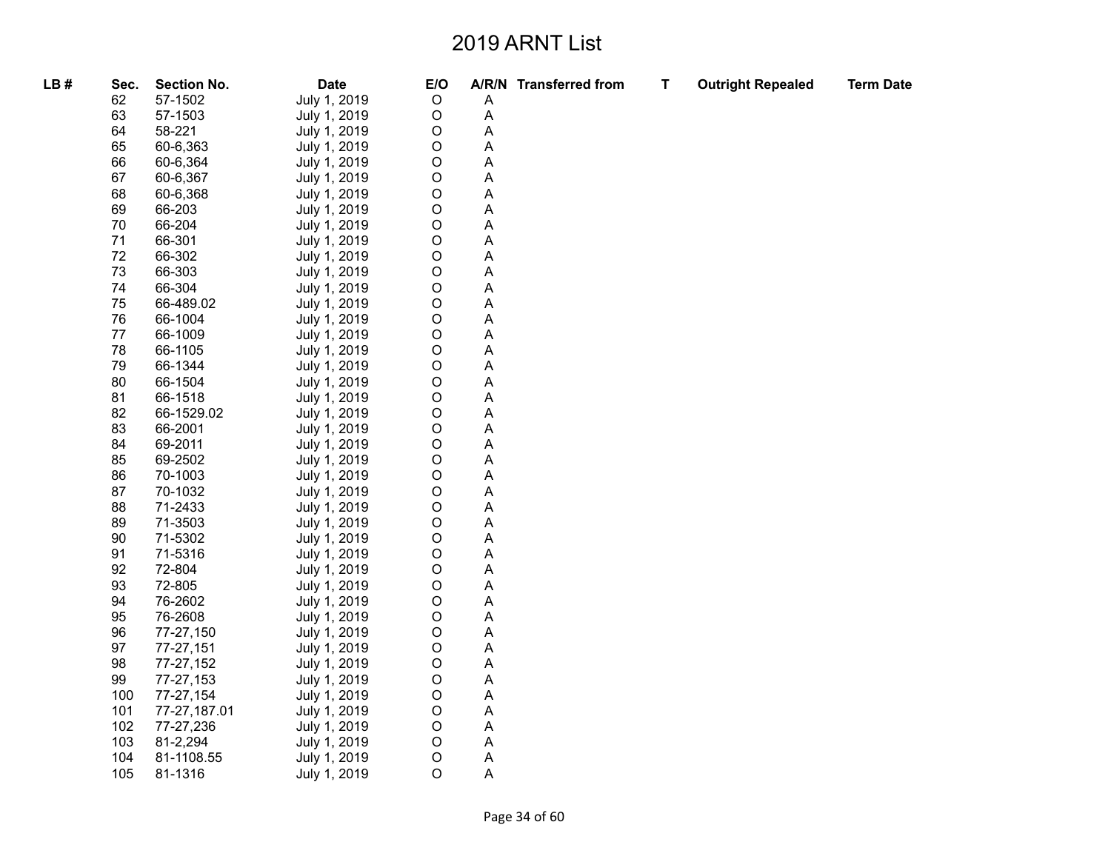| LB# | Sec. | <b>Section No.</b> | <b>Date</b>  | E/O         |                           | A/R/N Transferred from | $\mathbf T$ | <b>Outright Repealed</b> | <b>Term Date</b> |
|-----|------|--------------------|--------------|-------------|---------------------------|------------------------|-------------|--------------------------|------------------|
|     | 62   | 57-1502            | July 1, 2019 | $\mathsf O$ | A                         |                        |             |                          |                  |
|     | 63   | 57-1503            | July 1, 2019 | O           | A                         |                        |             |                          |                  |
|     | 64   | 58-221             | July 1, 2019 | O           | A                         |                        |             |                          |                  |
|     | 65   | 60-6,363           | July 1, 2019 | O           | Α                         |                        |             |                          |                  |
|     | 66   | 60-6,364           | July 1, 2019 | O           | A                         |                        |             |                          |                  |
|     | 67   | 60-6,367           | July 1, 2019 | O           | Α                         |                        |             |                          |                  |
|     | 68   | 60-6,368           | July 1, 2019 | O           | Α                         |                        |             |                          |                  |
|     | 69   | 66-203             | July 1, 2019 | O           | A                         |                        |             |                          |                  |
|     | 70   | 66-204             | July 1, 2019 | O           | Α                         |                        |             |                          |                  |
|     | 71   | 66-301             | July 1, 2019 | O           | Α                         |                        |             |                          |                  |
|     | 72   | 66-302             | July 1, 2019 | $\mathsf O$ | A                         |                        |             |                          |                  |
|     | 73   | 66-303             | July 1, 2019 | O           | Α                         |                        |             |                          |                  |
|     | 74   | 66-304             | July 1, 2019 | O           | A                         |                        |             |                          |                  |
|     | 75   | 66-489.02          | July 1, 2019 | O           | A                         |                        |             |                          |                  |
|     | 76   | 66-1004            | July 1, 2019 | O           | Α                         |                        |             |                          |                  |
|     | 77   | 66-1009            | July 1, 2019 | O           | Α                         |                        |             |                          |                  |
|     | 78   | 66-1105            | July 1, 2019 | O           | A                         |                        |             |                          |                  |
|     | 79   | 66-1344            | July 1, 2019 | O           | Α                         |                        |             |                          |                  |
|     | 80   | 66-1504            | July 1, 2019 | O           | A                         |                        |             |                          |                  |
|     | 81   | 66-1518            | July 1, 2019 | O           | A                         |                        |             |                          |                  |
|     | 82   | 66-1529.02         | July 1, 2019 | O           | Α                         |                        |             |                          |                  |
|     | 83   | 66-2001            | July 1, 2019 | O           | A                         |                        |             |                          |                  |
|     | 84   | 69-2011            | July 1, 2019 | O           | А                         |                        |             |                          |                  |
|     | 85   | 69-2502            | July 1, 2019 | O           | Α                         |                        |             |                          |                  |
|     | 86   | 70-1003            | July 1, 2019 | O           | A                         |                        |             |                          |                  |
|     | 87   | 70-1032            | July 1, 2019 | O           | Α                         |                        |             |                          |                  |
|     | 88   | 71-2433            | July 1, 2019 | O           | Α                         |                        |             |                          |                  |
|     | 89   | 71-3503            | July 1, 2019 | O           | A                         |                        |             |                          |                  |
|     | 90   | 71-5302            | July 1, 2019 | O           | Α                         |                        |             |                          |                  |
|     | 91   | 71-5316            | July 1, 2019 | O           | A                         |                        |             |                          |                  |
|     | 92   | 72-804             | July 1, 2019 | O           | A                         |                        |             |                          |                  |
|     | 93   | 72-805             | July 1, 2019 | O           | Α                         |                        |             |                          |                  |
|     | 94   | 76-2602            | July 1, 2019 | O           | Α                         |                        |             |                          |                  |
|     | 95   | 76-2608            | July 1, 2019 | O           | A                         |                        |             |                          |                  |
|     | 96   | 77-27,150          | July 1, 2019 | O           | A                         |                        |             |                          |                  |
|     | 97   | 77-27,151          | July 1, 2019 | O           | Α                         |                        |             |                          |                  |
|     | 98   | 77-27,152          | July 1, 2019 | O           | $\boldsymbol{\mathsf{A}}$ |                        |             |                          |                  |
|     | 99   | 77-27,153          | July 1, 2019 | O           | Α                         |                        |             |                          |                  |
|     | 100  | 77-27,154          | July 1, 2019 | O           | A                         |                        |             |                          |                  |
|     | 101  | 77-27,187.01       | July 1, 2019 | O           | $\boldsymbol{\mathsf{A}}$ |                        |             |                          |                  |
|     | 102  | 77-27,236          | July 1, 2019 | O           | Α                         |                        |             |                          |                  |
|     | 103  | 81-2,294           | July 1, 2019 | $\mathsf O$ | $\boldsymbol{\mathsf{A}}$ |                        |             |                          |                  |
|     | 104  | 81-1108.55         | July 1, 2019 | O           | A                         |                        |             |                          |                  |
|     | 105  | 81-1316            | July 1, 2019 | O           | Α                         |                        |             |                          |                  |
|     |      |                    |              |             |                           |                        |             |                          |                  |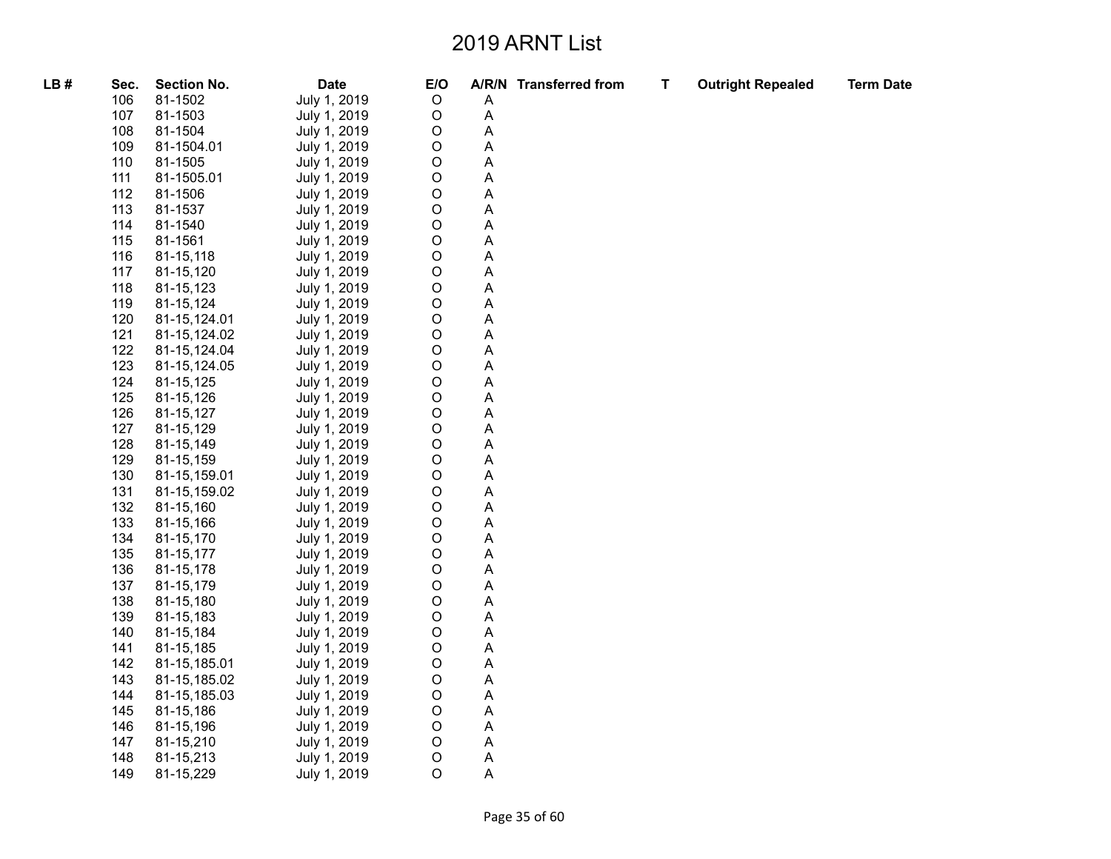| LB# | Sec. | <b>Section No.</b> | <b>Date</b>  | E/O         |   | A/R/N Transferred from | $\mathbf T$ | <b>Outright Repealed</b> | <b>Term Date</b> |
|-----|------|--------------------|--------------|-------------|---|------------------------|-------------|--------------------------|------------------|
|     | 106  | 81-1502            | July 1, 2019 | $\mathsf O$ | Α |                        |             |                          |                  |
|     | 107  | 81-1503            | July 1, 2019 | O           | A |                        |             |                          |                  |
|     | 108  | 81-1504            | July 1, 2019 | O           | А |                        |             |                          |                  |
|     | 109  | 81-1504.01         | July 1, 2019 | О           | Α |                        |             |                          |                  |
|     | 110  | 81-1505            | July 1, 2019 | O           | A |                        |             |                          |                  |
|     | 111  | 81-1505.01         | July 1, 2019 | O           | А |                        |             |                          |                  |
|     | 112  | 81-1506            | July 1, 2019 | O           | Α |                        |             |                          |                  |
|     | 113  | 81-1537            | July 1, 2019 | O           | A |                        |             |                          |                  |
|     | 114  | 81-1540            | July 1, 2019 | O           | A |                        |             |                          |                  |
|     | 115  | 81-1561            | July 1, 2019 | O           | Α |                        |             |                          |                  |
|     | 116  | 81-15,118          | July 1, 2019 | O           | А |                        |             |                          |                  |
|     | 117  | 81-15,120          | July 1, 2019 | O           | Α |                        |             |                          |                  |
|     | 118  | 81-15,123          | July 1, 2019 | O           | Α |                        |             |                          |                  |
|     | 119  | 81-15,124          | July 1, 2019 | O           | А |                        |             |                          |                  |
|     | 120  | 81-15,124.01       | July 1, 2019 | О           | Α |                        |             |                          |                  |
|     | 121  | 81-15,124.02       | July 1, 2019 | O           | A |                        |             |                          |                  |
|     | 122  | 81-15,124.04       | July 1, 2019 | O           | А |                        |             |                          |                  |
|     | 123  | 81-15,124.05       | July 1, 2019 | O           | A |                        |             |                          |                  |
|     | 124  | 81-15,125          | July 1, 2019 | O           | А |                        |             |                          |                  |
|     | 125  | 81-15,126          | July 1, 2019 | O           | Α |                        |             |                          |                  |
|     | 126  | 81-15,127          | July 1, 2019 | О           | Α |                        |             |                          |                  |
|     | 127  | 81-15,129          | July 1, 2019 | O           | А |                        |             |                          |                  |
|     | 128  | 81-15,149          | July 1, 2019 | O           | Α |                        |             |                          |                  |
|     | 129  | 81-15,159          | July 1, 2019 | O           | A |                        |             |                          |                  |
|     | 130  | 81-15,159.01       | July 1, 2019 | O           | A |                        |             |                          |                  |
|     | 131  | 81-15,159.02       | July 1, 2019 | O           | Α |                        |             |                          |                  |
|     | 132  | 81-15,160          | July 1, 2019 | O           | A |                        |             |                          |                  |
|     | 133  | 81-15,166          | July 1, 2019 | O           | A |                        |             |                          |                  |
|     | 134  | 81-15,170          | July 1, 2019 | O           | A |                        |             |                          |                  |
|     | 135  | 81-15,177          | July 1, 2019 | O           | A |                        |             |                          |                  |
|     | 136  | 81-15,178          | July 1, 2019 | O           | A |                        |             |                          |                  |
|     | 137  | 81-15,179          | July 1, 2019 | O           | Α |                        |             |                          |                  |
|     | 138  | 81-15,180          | July 1, 2019 | O           | А |                        |             |                          |                  |
|     | 139  | 81-15,183          | July 1, 2019 | O           | А |                        |             |                          |                  |
|     | 140  | 81-15,184          | July 1, 2019 | O           | A |                        |             |                          |                  |
|     | 141  | 81-15,185          | July 1, 2019 | O           | Α |                        |             |                          |                  |
|     | 142  | 81-15,185.01       | July 1, 2019 | O           | A |                        |             |                          |                  |
|     | 143  | 81-15,185.02       | July 1, 2019 | O           | A |                        |             |                          |                  |
|     | 144  | 81-15,185.03       | July 1, 2019 | O           | А |                        |             |                          |                  |
|     | 145  | 81-15,186          | July 1, 2019 | O           | A |                        |             |                          |                  |
|     | 146  | 81-15,196          | July 1, 2019 | O           | Α |                        |             |                          |                  |
|     | 147  | 81-15,210          | July 1, 2019 | O           | A |                        |             |                          |                  |
|     | 148  | 81-15,213          | July 1, 2019 | O           | A |                        |             |                          |                  |
|     | 149  | 81-15,229          | July 1, 2019 | O           | А |                        |             |                          |                  |
|     |      |                    |              |             |   |                        |             |                          |                  |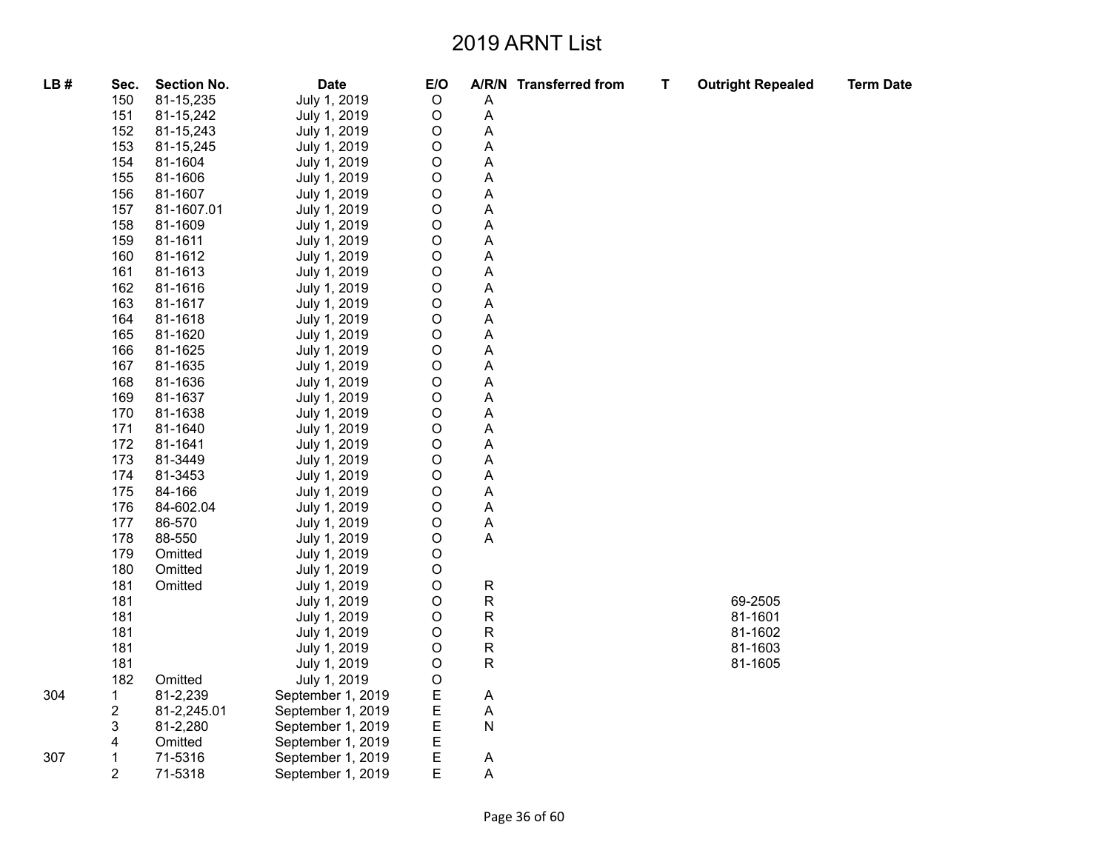| LB# | Sec.                    | <b>Section No.</b> | <b>Date</b>       | E/O         |                           | A/R/N Transferred from | $\mathsf T$ | <b>Outright Repealed</b> | <b>Term Date</b> |
|-----|-------------------------|--------------------|-------------------|-------------|---------------------------|------------------------|-------------|--------------------------|------------------|
|     | 150                     | 81-15,235          | July 1, 2019      | $\mathsf O$ | Α                         |                        |             |                          |                  |
|     | 151                     | 81-15,242          | July 1, 2019      | O           | A                         |                        |             |                          |                  |
|     | 152                     | 81-15,243          | July 1, 2019      | O           | A                         |                        |             |                          |                  |
|     | 153                     | 81-15,245          | July 1, 2019      | O           | A                         |                        |             |                          |                  |
|     | 154                     | 81-1604            | July 1, 2019      | O           | A                         |                        |             |                          |                  |
|     | 155                     | 81-1606            | July 1, 2019      | O           | A                         |                        |             |                          |                  |
|     | 156                     | 81-1607            | July 1, 2019      | O           | A                         |                        |             |                          |                  |
|     | 157                     | 81-1607.01         | July 1, 2019      | O           | Α                         |                        |             |                          |                  |
|     | 158                     | 81-1609            | July 1, 2019      | O           | A                         |                        |             |                          |                  |
|     | 159                     | 81-1611            | July 1, 2019      | O           | A                         |                        |             |                          |                  |
|     | 160                     | 81-1612            | July 1, 2019      | O           | Α                         |                        |             |                          |                  |
|     | 161                     | 81-1613            | July 1, 2019      | O           | A                         |                        |             |                          |                  |
|     | 162                     | 81-1616            | July 1, 2019      | O           | Α                         |                        |             |                          |                  |
|     | 163                     | 81-1617            | July 1, 2019      | O           | A                         |                        |             |                          |                  |
|     | 164                     | 81-1618            | July 1, 2019      | O           | A                         |                        |             |                          |                  |
|     | 165                     | 81-1620            | July 1, 2019      | O           | Α                         |                        |             |                          |                  |
|     | 166                     | 81-1625            | July 1, 2019      | O           | Α                         |                        |             |                          |                  |
|     | 167                     | 81-1635            | July 1, 2019      | O           | A                         |                        |             |                          |                  |
|     | 168                     | 81-1636            | July 1, 2019      | O           | A                         |                        |             |                          |                  |
|     | 169                     | 81-1637            | July 1, 2019      | O           | A                         |                        |             |                          |                  |
|     | 170                     | 81-1638            | July 1, 2019      | O           | A                         |                        |             |                          |                  |
|     | 171                     | 81-1640            | July 1, 2019      | О           | A                         |                        |             |                          |                  |
|     | 172                     | 81-1641            | July 1, 2019      | O           | A                         |                        |             |                          |                  |
|     | 173                     | 81-3449            | July 1, 2019      | O           | A                         |                        |             |                          |                  |
|     | 174                     | 81-3453            | July 1, 2019      | O           | A                         |                        |             |                          |                  |
|     | 175                     | 84-166             | July 1, 2019      | $\circ$     | Α                         |                        |             |                          |                  |
|     | 176                     | 84-602.04          | July 1, 2019      | O           | Α                         |                        |             |                          |                  |
|     | 177                     | 86-570             | July 1, 2019      | O           | A                         |                        |             |                          |                  |
|     | 178                     | 88-550             | July 1, 2019      | O           | A                         |                        |             |                          |                  |
|     | 179                     | Omitted            | July 1, 2019      | O           |                           |                        |             |                          |                  |
|     | 180                     | Omitted            | July 1, 2019      | O           |                           |                        |             |                          |                  |
|     | 181                     | Omitted            | July 1, 2019      | O           | ${\sf R}$                 |                        |             |                          |                  |
|     | 181                     |                    | July 1, 2019      | O           | R                         |                        |             | 69-2505                  |                  |
|     | 181                     |                    | July 1, 2019      | O           | ${\sf R}$                 |                        |             | 81-1601                  |                  |
|     | 181                     |                    | July 1, 2019      | O           | ${\sf R}$                 |                        |             | 81-1602                  |                  |
|     | 181                     |                    | July 1, 2019      | O           | ${\sf R}$                 |                        |             | 81-1603                  |                  |
|     | 181                     |                    | July 1, 2019      | O           | $\mathsf R$               |                        |             | 81-1605                  |                  |
|     | 182                     | Omitted            | July 1, 2019      | O           |                           |                        |             |                          |                  |
| 304 | 1                       | 81-2,239           | September 1, 2019 | E           | $\boldsymbol{\mathsf{A}}$ |                        |             |                          |                  |
|     | $\overline{\mathbf{c}}$ | 81-2,245.01        | September 1, 2019 | E           | $\boldsymbol{\mathsf{A}}$ |                        |             |                          |                  |
|     | 3                       | 81-2,280           | September 1, 2019 | E           | N                         |                        |             |                          |                  |
|     | 4                       | Omitted            | September 1, 2019 | E           |                           |                        |             |                          |                  |
| 307 | 1                       | 71-5316            | September 1, 2019 | E           | Α                         |                        |             |                          |                  |
|     | 2                       | 71-5318            | September 1, 2019 | E           | Α                         |                        |             |                          |                  |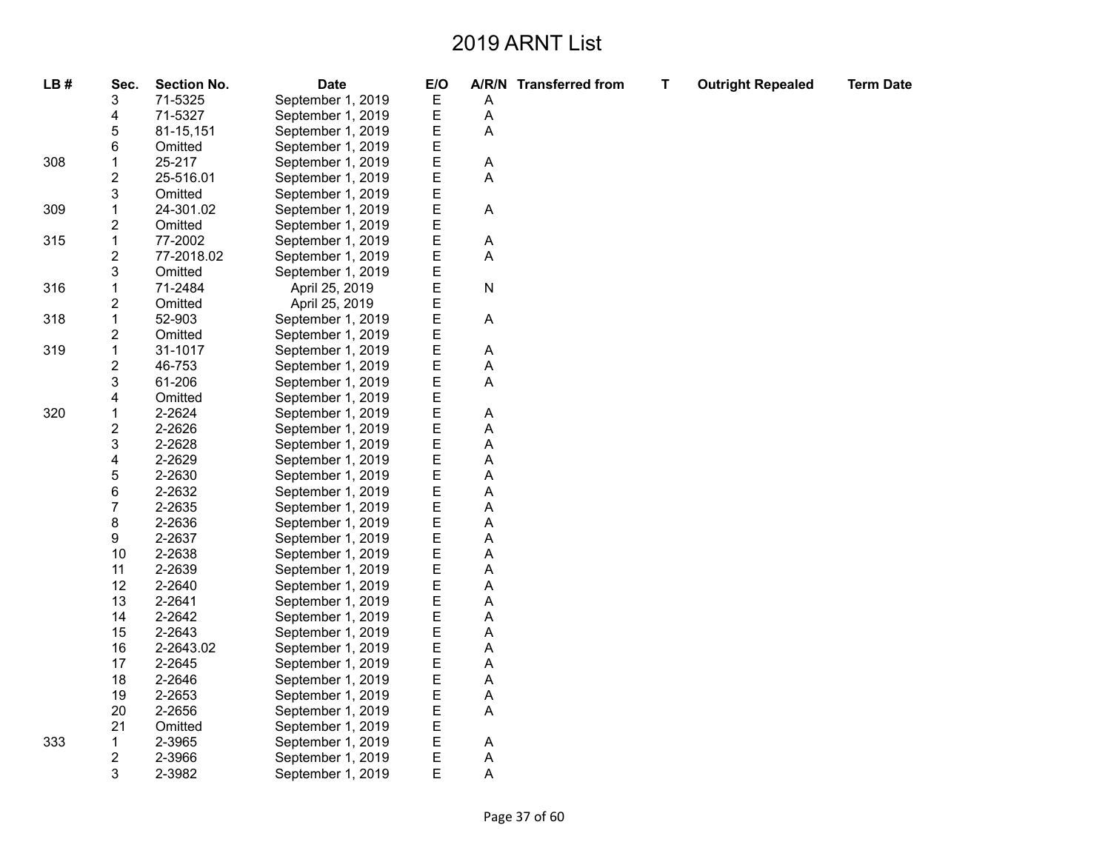| LB# | Sec.                    | <b>Section No.</b> | <b>Date</b>       | E/O    |                           | A/R/N Transferred from | Т | <b>Outright Repealed</b> | <b>Term Date</b> |
|-----|-------------------------|--------------------|-------------------|--------|---------------------------|------------------------|---|--------------------------|------------------|
|     | 3                       | 71-5325            | September 1, 2019 | Ε      | Α                         |                        |   |                          |                  |
|     | 4                       | 71-5327            | September 1, 2019 | Е      | A                         |                        |   |                          |                  |
|     | 5                       | 81-15,151          | September 1, 2019 | E      | A                         |                        |   |                          |                  |
|     | 6                       | Omitted            | September 1, 2019 | E      |                           |                        |   |                          |                  |
| 308 | 1                       | 25-217             | September 1, 2019 | E      | Α                         |                        |   |                          |                  |
|     | $\overline{\mathbf{c}}$ | 25-516.01          | September 1, 2019 | E      | A                         |                        |   |                          |                  |
|     | 3                       | Omitted            | September 1, 2019 | E<br>E |                           |                        |   |                          |                  |
| 309 | 1                       | 24-301.02          | September 1, 2019 |        | $\boldsymbol{\mathsf{A}}$ |                        |   |                          |                  |
|     | 2                       | Omitted            | September 1, 2019 | E      |                           |                        |   |                          |                  |
| 315 | 1                       | 77-2002            | September 1, 2019 | E      | Α                         |                        |   |                          |                  |
|     | 2                       | 77-2018.02         | September 1, 2019 | E      | A                         |                        |   |                          |                  |
|     | 3                       | Omitted            | September 1, 2019 | E      |                           |                        |   |                          |                  |
| 316 | 1                       | 71-2484            | April 25, 2019    | E      | ${\sf N}$                 |                        |   |                          |                  |
|     | 2                       | Omitted            | April 25, 2019    | E      |                           |                        |   |                          |                  |
| 318 | 1                       | 52-903             | September 1, 2019 | E      | A                         |                        |   |                          |                  |
|     | $\overline{\mathbf{c}}$ | Omitted            | September 1, 2019 | E      |                           |                        |   |                          |                  |
| 319 | 1                       | 31-1017            | September 1, 2019 |        | A                         |                        |   |                          |                  |
|     | 2                       | 46-753             | September 1, 2019 | E<br>E | A                         |                        |   |                          |                  |
|     | 3                       | 61-206             | September 1, 2019 |        | A                         |                        |   |                          |                  |
|     | 4                       | Omitted            | September 1, 2019 | E<br>E |                           |                        |   |                          |                  |
| 320 | 1                       | 2-2624             | September 1, 2019 | E      | Α                         |                        |   |                          |                  |
|     | 2                       | 2-2626             | September 1, 2019 | E      | Α                         |                        |   |                          |                  |
|     | 3                       | 2-2628             | September 1, 2019 | E      | A                         |                        |   |                          |                  |
|     | 4                       | 2-2629             | September 1, 2019 | E      | A                         |                        |   |                          |                  |
|     | 5                       | 2-2630             | September 1, 2019 | E      | Α                         |                        |   |                          |                  |
|     | 6                       | 2-2632             | September 1, 2019 | E      | A                         |                        |   |                          |                  |
|     | $\overline{7}$          | 2-2635             | September 1, 2019 | E      | A                         |                        |   |                          |                  |
|     | 8                       | 2-2636             | September 1, 2019 | E      | A                         |                        |   |                          |                  |
|     | 9                       | 2-2637             | September 1, 2019 | E      | A                         |                        |   |                          |                  |
|     | 10                      | 2-2638             | September 1, 2019 | E      | A                         |                        |   |                          |                  |
|     | 11                      | 2-2639             | September 1, 2019 | E      | Α                         |                        |   |                          |                  |
|     | 12                      | 2-2640             | September 1, 2019 | E      | A                         |                        |   |                          |                  |
|     | 13                      | 2-2641             | September 1, 2019 | E      | A                         |                        |   |                          |                  |
|     | 14                      | 2-2642             | September 1, 2019 | E      | Α                         |                        |   |                          |                  |
|     | 15                      | 2-2643             | September 1, 2019 | E<br>E | A                         |                        |   |                          |                  |
|     | 16                      | 2-2643.02          | September 1, 2019 |        | A                         |                        |   |                          |                  |
|     | 17                      | 2-2645             | September 1, 2019 | E      | Α                         |                        |   |                          |                  |
|     | 18                      | 2-2646             | September 1, 2019 | E      | A                         |                        |   |                          |                  |
|     | 19                      | 2-2653             | September 1, 2019 | E      | A                         |                        |   |                          |                  |
|     | 20                      | 2-2656             | September 1, 2019 | E      | A                         |                        |   |                          |                  |
|     | 21                      | Omitted            | September 1, 2019 | E      |                           |                        |   |                          |                  |
| 333 | 1                       | 2-3965             | September 1, 2019 | E      | Α                         |                        |   |                          |                  |
|     | 2                       | 2-3966             | September 1, 2019 | E      | Α                         |                        |   |                          |                  |
|     | 3                       | 2-3982             | September 1, 2019 | E      | A                         |                        |   |                          |                  |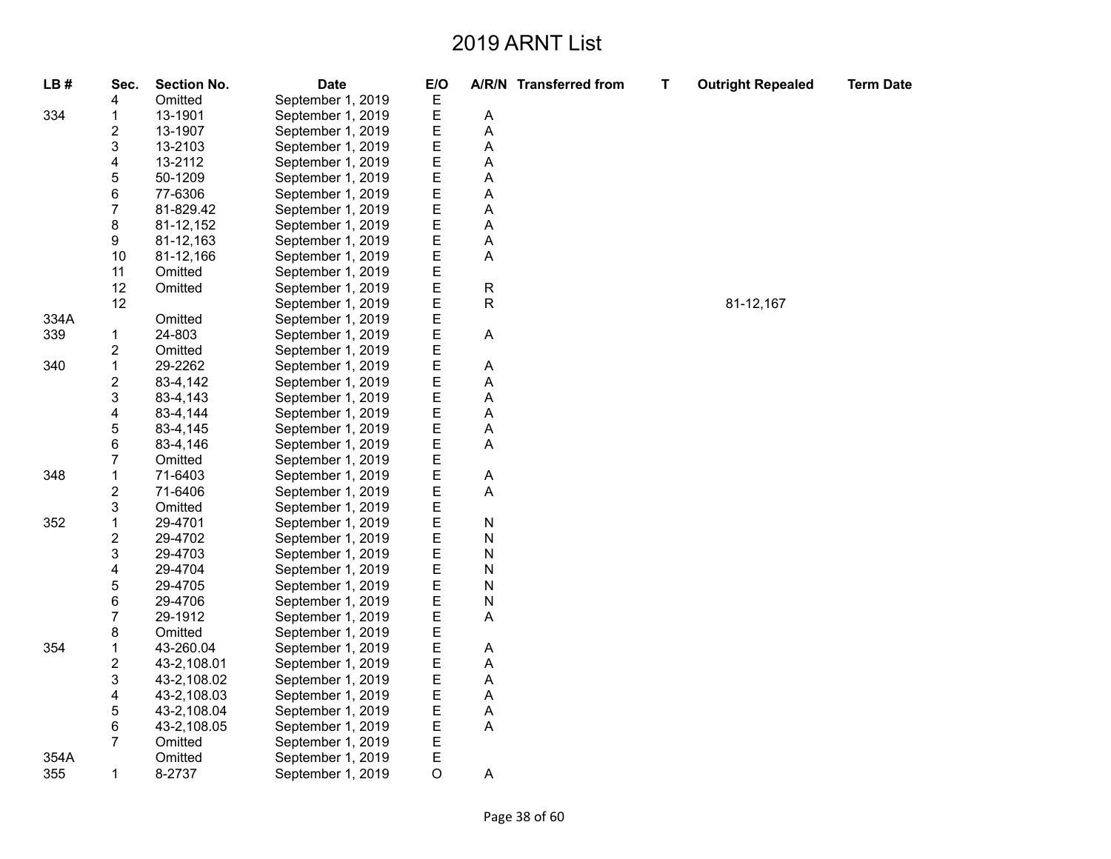| LB#  | Sec.           | <b>Section No.</b> | <b>Date</b>       | E/O |    | A/R/N Transferred from | Т | <b>Outright Repealed</b> | <b>Term Date</b> |
|------|----------------|--------------------|-------------------|-----|----|------------------------|---|--------------------------|------------------|
|      | 4              | Omitted            | September 1, 2019 | Е   |    |                        |   |                          |                  |
| 334  | 1              | 13-1901            | September 1, 2019 | Ε   | Α  |                        |   |                          |                  |
|      | 2              | 13-1907            | September 1, 2019 | E   | А  |                        |   |                          |                  |
|      | 3              | 13-2103            | September 1, 2019 | E   | A  |                        |   |                          |                  |
|      | 4              | 13-2112            | September 1, 2019 | E   | А  |                        |   |                          |                  |
|      | 5              | 50-1209            | September 1, 2019 | E   | Α  |                        |   |                          |                  |
|      | 6              | 77-6306            | September 1, 2019 | E   | А  |                        |   |                          |                  |
|      | 7              | 81-829.42          | September 1, 2019 | E   | А  |                        |   |                          |                  |
|      | 8              | 81-12,152          | September 1, 2019 | E   | Α  |                        |   |                          |                  |
|      | 9              | 81-12,163          | September 1, 2019 | E   | А  |                        |   |                          |                  |
|      | 10             | 81-12,166          | September 1, 2019 | E   | A  |                        |   |                          |                  |
|      | 11             | Omitted            | September 1, 2019 | E   |    |                        |   |                          |                  |
|      | 12             | Omitted            | September 1, 2019 | E   | R  |                        |   |                          |                  |
|      | 12             |                    | September 1, 2019 | E   | R. |                        |   | 81-12,167                |                  |
| 334A |                | Omitted            | September 1, 2019 | E   |    |                        |   |                          |                  |
| 339  | 1              | 24-803             | September 1, 2019 | E   | A  |                        |   |                          |                  |
|      | 2              | Omitted            | September 1, 2019 | E   |    |                        |   |                          |                  |
| 340  | $\mathbf{1}$   | 29-2262            | September 1, 2019 | E   | А  |                        |   |                          |                  |
|      | 2              | 83-4,142           | September 1, 2019 | E   | А  |                        |   |                          |                  |
|      | 3              | 83-4,143           | September 1, 2019 | E   | А  |                        |   |                          |                  |
|      | 4              | 83-4,144           | September 1, 2019 | E   | А  |                        |   |                          |                  |
|      | 5              | 83-4,145           | September 1, 2019 | E   | А  |                        |   |                          |                  |
|      | 6              | 83-4,146           | September 1, 2019 | E   | Α  |                        |   |                          |                  |
|      | 7              | Omitted            | September 1, 2019 | E   |    |                        |   |                          |                  |
| 348  | $\mathbf{1}$   | 71-6403            | September 1, 2019 | E   | Α  |                        |   |                          |                  |
|      | 2              | 71-6406            | September 1, 2019 | E   | A  |                        |   |                          |                  |
|      | 3              | Omitted            | September 1, 2019 | E   |    |                        |   |                          |                  |
| 352  | 1              | 29-4701            | September 1, 2019 | E   | N  |                        |   |                          |                  |
|      | $\overline{c}$ | 29-4702            | September 1, 2019 | E   | N  |                        |   |                          |                  |
|      | 3              | 29-4703            | September 1, 2019 | E   | N  |                        |   |                          |                  |
|      | 4              | 29-4704            | September 1, 2019 | E   | N  |                        |   |                          |                  |
|      | 5              | 29-4705            | September 1, 2019 | E   | N  |                        |   |                          |                  |
|      | 6              | 29-4706            | September 1, 2019 | E   | N  |                        |   |                          |                  |
|      | $\overline{7}$ | 29-1912            | September 1, 2019 | E   | Α  |                        |   |                          |                  |
|      | 8              | Omitted            | September 1, 2019 | E   |    |                        |   |                          |                  |
| 354  | 1              | 43-260.04          | September 1, 2019 | E   | Α  |                        |   |                          |                  |
|      | 2              | 43-2,108.01        | September 1, 2019 | E   | А  |                        |   |                          |                  |
|      | 3              | 43-2,108.02        | September 1, 2019 | E   | А  |                        |   |                          |                  |
|      | 4              | 43-2,108.03        | September 1, 2019 | Е   | Α  |                        |   |                          |                  |
|      | 5              | 43-2,108.04        | September 1, 2019 | E   | А  |                        |   |                          |                  |
|      | 6              | 43-2,108.05        | September 1, 2019 | E   | Α  |                        |   |                          |                  |
|      | 7              | Omitted            | September 1, 2019 | Е   |    |                        |   |                          |                  |
| 354A |                | Omitted            | September 1, 2019 | E   |    |                        |   |                          |                  |
| 355  | $\mathbf{1}$   | 8-2737             | September 1, 2019 | O   | А  |                        |   |                          |                  |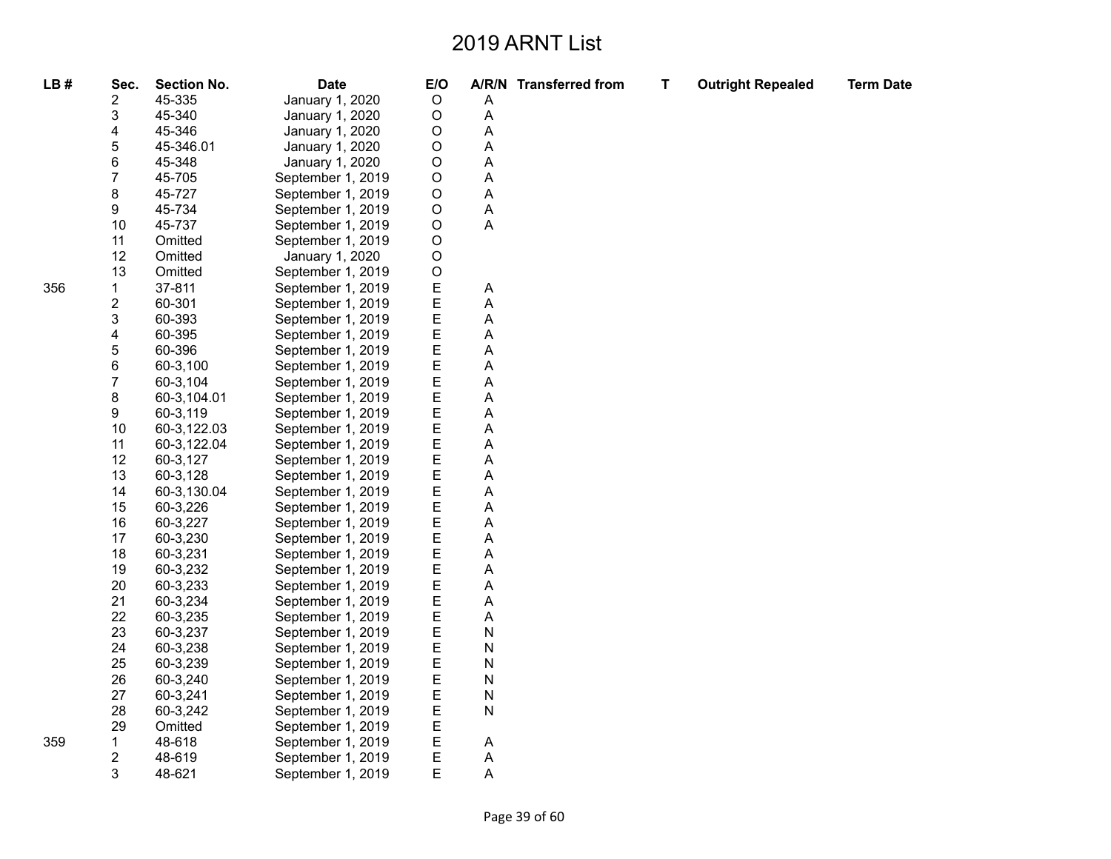| LB# | Sec.           | <b>Section No.</b> | <b>Date</b>       | E/O         |              | A/R/N Transferred from | $\mathbf T$ | <b>Outright Repealed</b> | <b>Term Date</b> |
|-----|----------------|--------------------|-------------------|-------------|--------------|------------------------|-------------|--------------------------|------------------|
|     | 2              | 45-335             | January 1, 2020   | $\mathsf O$ | Α            |                        |             |                          |                  |
|     | 3              | 45-340             | January 1, 2020   | O           | Α            |                        |             |                          |                  |
|     | 4              | 45-346             | January 1, 2020   | O           | А            |                        |             |                          |                  |
|     | 5              | 45-346.01          | January 1, 2020   | O           | Α            |                        |             |                          |                  |
|     | 6              | 45-348             | January 1, 2020   | O           | Α            |                        |             |                          |                  |
|     | $\overline{7}$ | 45-705             | September 1, 2019 | $\mathsf O$ | A            |                        |             |                          |                  |
|     | 8              | 45-727             | September 1, 2019 | $\mathsf O$ | А            |                        |             |                          |                  |
|     | 9              | 45-734             | September 1, 2019 | O           | Α            |                        |             |                          |                  |
|     | 10             | 45-737             | September 1, 2019 | $\mathsf O$ | Α            |                        |             |                          |                  |
|     | 11             | Omitted            | September 1, 2019 | $\mathsf O$ |              |                        |             |                          |                  |
|     | 12             | Omitted            | January 1, 2020   | $\mathsf O$ |              |                        |             |                          |                  |
|     | 13             | Omitted            | September 1, 2019 | $\mathsf O$ |              |                        |             |                          |                  |
| 356 | $\mathbf{1}$   | 37-811             | September 1, 2019 | E           | A            |                        |             |                          |                  |
|     | 2              | 60-301             | September 1, 2019 | E           | Α            |                        |             |                          |                  |
|     | 3              | 60-393             | September 1, 2019 | E           | A            |                        |             |                          |                  |
|     | 4              | 60-395             | September 1, 2019 | Е           | А            |                        |             |                          |                  |
|     | 5              | 60-396             | September 1, 2019 | E           | Α            |                        |             |                          |                  |
|     | 6              | 60-3,100           | September 1, 2019 | E           | А            |                        |             |                          |                  |
|     | 7              | 60-3,104           | September 1, 2019 | E           | Α            |                        |             |                          |                  |
|     | 8              | 60-3,104.01        | September 1, 2019 | E           | А            |                        |             |                          |                  |
|     | 9              | 60-3,119           | September 1, 2019 | Ε           | А            |                        |             |                          |                  |
|     | 10             | 60-3,122.03        | September 1, 2019 | E           | Α            |                        |             |                          |                  |
|     | 11             | 60-3,122.04        | September 1, 2019 | E           | Α            |                        |             |                          |                  |
|     | 12             | 60-3,127           | September 1, 2019 | Е           | А            |                        |             |                          |                  |
|     | 13             | 60-3,128           | September 1, 2019 | E           | А            |                        |             |                          |                  |
|     | 14             | 60-3,130.04        | September 1, 2019 | E           | А            |                        |             |                          |                  |
|     | 15             | 60-3,226           | September 1, 2019 | Е           | Α            |                        |             |                          |                  |
|     | 16             | 60-3,227           | September 1, 2019 | E           | Α            |                        |             |                          |                  |
|     | 17             | 60-3,230           | September 1, 2019 | E           | A            |                        |             |                          |                  |
|     | 18             | 60-3,231           | September 1, 2019 | E           | А            |                        |             |                          |                  |
|     | 19             | 60-3,232           | September 1, 2019 | Ε           | А            |                        |             |                          |                  |
|     | 20             | 60-3,233           | September 1, 2019 | E           | Α            |                        |             |                          |                  |
|     | 21             | 60-3,234           | September 1, 2019 | E           | А            |                        |             |                          |                  |
|     | 22             | 60-3,235           | September 1, 2019 | Е           | Α            |                        |             |                          |                  |
|     | 23             | 60-3,237           | September 1, 2019 | E           | N            |                        |             |                          |                  |
|     | 24             | 60-3,238           | September 1, 2019 | E           | ${\sf N}$    |                        |             |                          |                  |
|     | 25             | 60-3,239           | September 1, 2019 | E           | N            |                        |             |                          |                  |
|     | 26             | 60-3,240           | September 1, 2019 | E           | N            |                        |             |                          |                  |
|     | 27             | 60-3,241           | September 1, 2019 | Ε           | N            |                        |             |                          |                  |
|     | 28             | 60-3,242           | September 1, 2019 | E           | $\mathsf{N}$ |                        |             |                          |                  |
|     | 29             | Omitted            | September 1, 2019 | E           |              |                        |             |                          |                  |
| 359 | 1              | 48-618             | September 1, 2019 | E           | Α            |                        |             |                          |                  |
|     | 2              | 48-619             | September 1, 2019 | E           | Α            |                        |             |                          |                  |
|     | 3              | 48-621             | September 1, 2019 | E           | Α            |                        |             |                          |                  |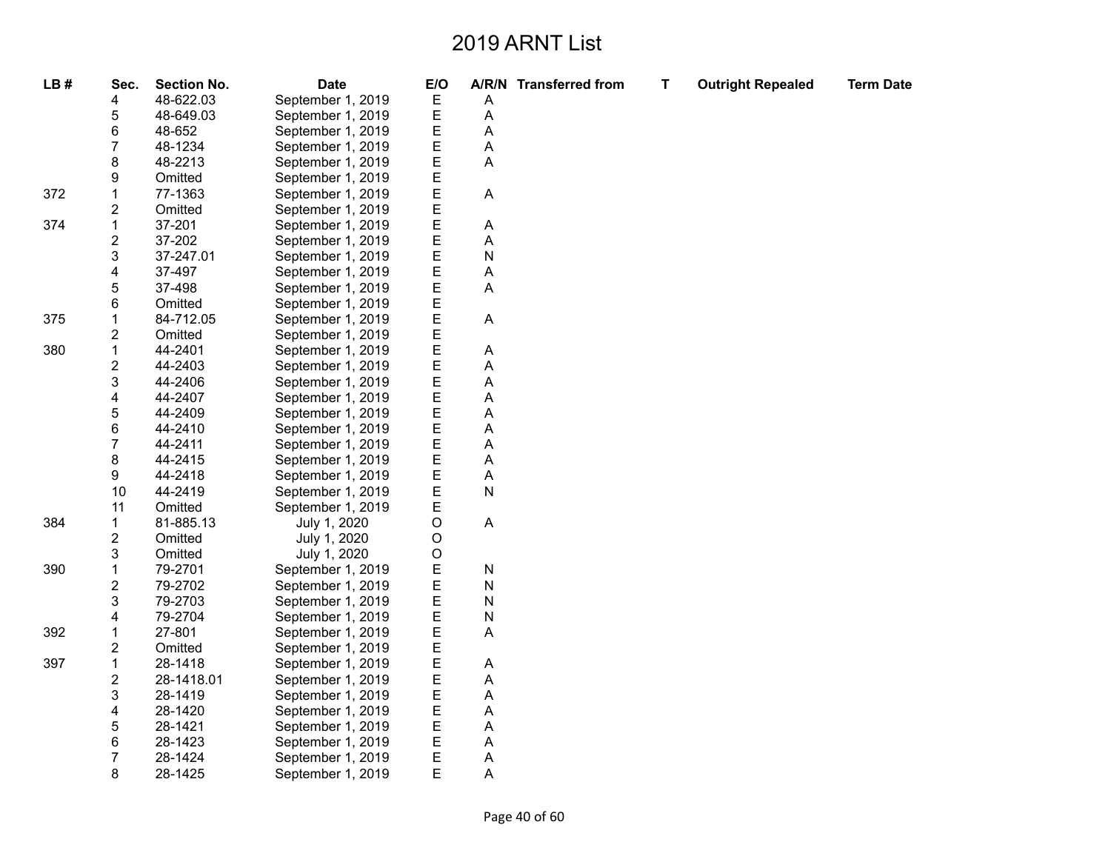| LB# | Sec.                    | <b>Section No.</b> | <b>Date</b>       | E/O |   | A/R/N Transferred from | т | <b>Outright Repealed</b> | <b>Term Date</b> |
|-----|-------------------------|--------------------|-------------------|-----|---|------------------------|---|--------------------------|------------------|
|     | 4                       | 48-622.03          | September 1, 2019 | Ε   | Α |                        |   |                          |                  |
|     | 5                       | 48-649.03          | September 1, 2019 | E   | A |                        |   |                          |                  |
|     | 6                       | 48-652             | September 1, 2019 | E   | A |                        |   |                          |                  |
|     | $\overline{7}$          | 48-1234            | September 1, 2019 | E   | Α |                        |   |                          |                  |
|     | 8                       | 48-2213            | September 1, 2019 | E   | Α |                        |   |                          |                  |
|     | 9                       | Omitted            | September 1, 2019 | E   |   |                        |   |                          |                  |
| 372 | $\mathbf 1$             | 77-1363            | September 1, 2019 | E   | Α |                        |   |                          |                  |
|     | $\overline{\mathbf{c}}$ | Omitted            | September 1, 2019 | E   |   |                        |   |                          |                  |
| 374 | $\mathbf{1}$            | 37-201             | September 1, 2019 | E   | Α |                        |   |                          |                  |
|     | $\overline{\mathbf{c}}$ | 37-202             | September 1, 2019 | E   | Α |                        |   |                          |                  |
|     | 3                       | 37-247.01          | September 1, 2019 | E   | N |                        |   |                          |                  |
|     | 4                       | 37-497             | September 1, 2019 | E   | Α |                        |   |                          |                  |
|     | 5                       | 37-498             | September 1, 2019 | E   | Α |                        |   |                          |                  |
|     | 6                       | Omitted            | September 1, 2019 | E   |   |                        |   |                          |                  |
| 375 | $\mathbf 1$             | 84-712.05          | September 1, 2019 | E   | A |                        |   |                          |                  |
|     | 2                       | Omitted            | September 1, 2019 | Ε   |   |                        |   |                          |                  |
| 380 | $\mathbf 1$             | 44-2401            | September 1, 2019 | E   | Α |                        |   |                          |                  |
|     | $\overline{\mathbf{c}}$ | 44-2403            | September 1, 2019 | E   | A |                        |   |                          |                  |
|     | 3                       | 44-2406            | September 1, 2019 | E   | A |                        |   |                          |                  |
|     | 4                       | 44-2407            | September 1, 2019 | E   | Α |                        |   |                          |                  |
|     | 5                       | 44-2409            | September 1, 2019 | E   | A |                        |   |                          |                  |
|     | 6                       | 44-2410            | September 1, 2019 | E   | A |                        |   |                          |                  |
|     | 7                       | 44-2411            | September 1, 2019 | E   | A |                        |   |                          |                  |
|     | 8                       | 44-2415            | September 1, 2019 | E   | Α |                        |   |                          |                  |
|     | 9                       | 44-2418            | September 1, 2019 | E   | Α |                        |   |                          |                  |
|     | 10                      | 44-2419            | September 1, 2019 | E   | N |                        |   |                          |                  |
|     | 11                      | Omitted            | September 1, 2019 | E   |   |                        |   |                          |                  |
| 384 | $\mathbf{1}$            | 81-885.13          | July 1, 2020      | O   | A |                        |   |                          |                  |
|     | $\overline{\mathbf{c}}$ | Omitted            | July 1, 2020      | O   |   |                        |   |                          |                  |
|     | 3                       | Omitted            | July 1, 2020      | O   |   |                        |   |                          |                  |
| 390 | $\mathbf 1$             | 79-2701            | September 1, 2019 | E   | N |                        |   |                          |                  |
|     | 2                       | 79-2702            | September 1, 2019 | E   | N |                        |   |                          |                  |
|     | 3                       | 79-2703            | September 1, 2019 | E   | N |                        |   |                          |                  |
|     | 4                       | 79-2704            | September 1, 2019 | E   | N |                        |   |                          |                  |
| 392 | 1                       | 27-801             | September 1, 2019 | E   | Α |                        |   |                          |                  |
|     | $\overline{c}$          | Omitted            | September 1, 2019 | E   |   |                        |   |                          |                  |
| 397 | $\mathbf{1}$            | 28-1418            | September 1, 2019 | E   | Α |                        |   |                          |                  |
|     | 2                       | 28-1418.01         | September 1, 2019 | E   | A |                        |   |                          |                  |
|     | 3                       | 28-1419            | September 1, 2019 | E   | Α |                        |   |                          |                  |
|     | 4                       | 28-1420            | September 1, 2019 | E   | Α |                        |   |                          |                  |
|     | 5                       | 28-1421            | September 1, 2019 | E   | Α |                        |   |                          |                  |
|     | 6                       | 28-1423            | September 1, 2019 | E   | Α |                        |   |                          |                  |
|     | 7                       | 28-1424            | September 1, 2019 | E   | A |                        |   |                          |                  |
|     | 8                       | 28-1425            | September 1, 2019 | E   | Α |                        |   |                          |                  |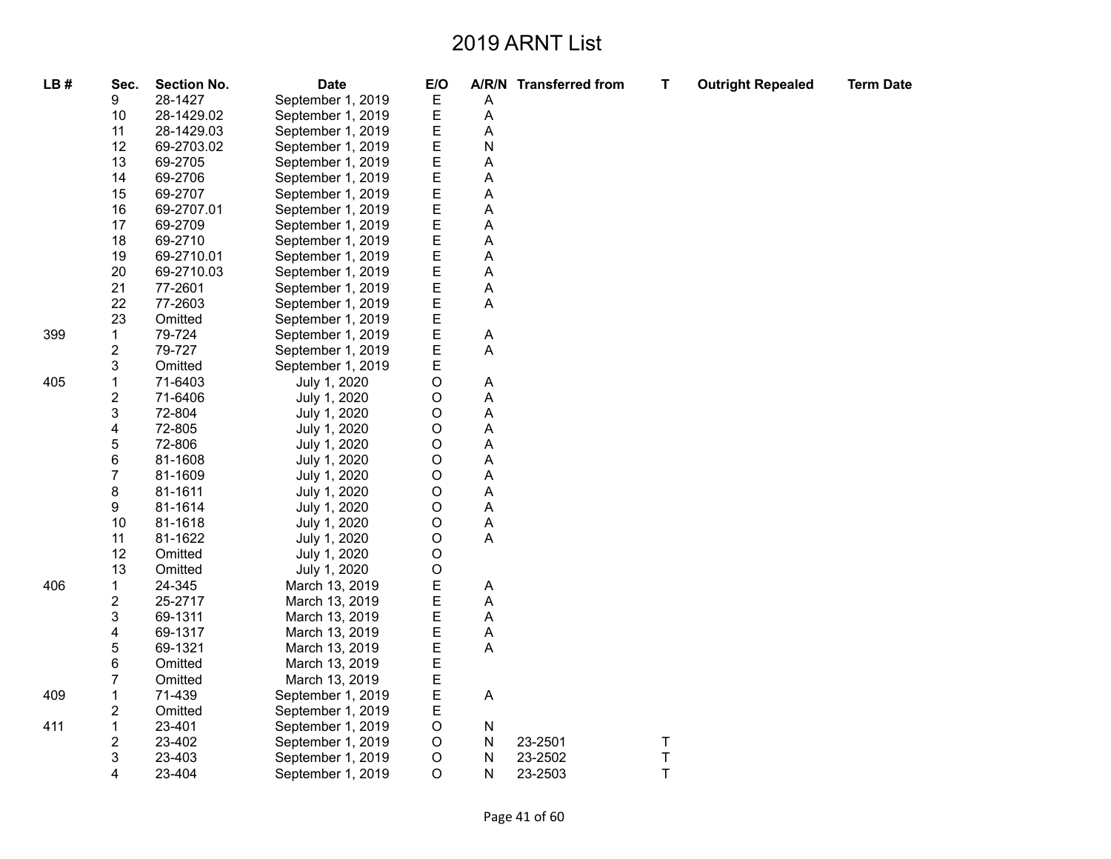| LB# | Sec.                    | <b>Section No.</b> | <b>Date</b>       | E/O         |   | A/R/N Transferred from | Т             | <b>Outright Repealed</b> | <b>Term Date</b> |
|-----|-------------------------|--------------------|-------------------|-------------|---|------------------------|---------------|--------------------------|------------------|
|     | 9                       | 28-1427            | September 1, 2019 | Ε           | Α |                        |               |                          |                  |
|     | 10                      | 28-1429.02         | September 1, 2019 | Ε           | А |                        |               |                          |                  |
|     | 11                      | 28-1429.03         | September 1, 2019 | Ε           | Α |                        |               |                          |                  |
|     | 12                      | 69-2703.02         | September 1, 2019 | Ε           | N |                        |               |                          |                  |
|     | 13                      | 69-2705            | September 1, 2019 | Ε           | Α |                        |               |                          |                  |
|     | 14                      | 69-2706            | September 1, 2019 | E           | А |                        |               |                          |                  |
|     | 15                      | 69-2707            | September 1, 2019 | E           | Α |                        |               |                          |                  |
|     | 16                      | 69-2707.01         | September 1, 2019 | E           | А |                        |               |                          |                  |
|     | 17                      | 69-2709            | September 1, 2019 | E           | А |                        |               |                          |                  |
|     | 18                      | 69-2710            | September 1, 2019 | E           | Α |                        |               |                          |                  |
|     | 19                      | 69-2710.01         | September 1, 2019 | E           | А |                        |               |                          |                  |
|     | 20                      | 69-2710.03         | September 1, 2019 | E           | A |                        |               |                          |                  |
|     | 21                      | 77-2601            | September 1, 2019 | Ε           | Α |                        |               |                          |                  |
|     | 22                      | 77-2603            | September 1, 2019 | E           | A |                        |               |                          |                  |
|     | 23                      | Omitted            | September 1, 2019 | E           |   |                        |               |                          |                  |
| 399 | 1                       | 79-724             | September 1, 2019 | E           | A |                        |               |                          |                  |
|     | 2                       | 79-727             | September 1, 2019 | E           | A |                        |               |                          |                  |
|     | 3                       | Omitted            | September 1, 2019 | E           |   |                        |               |                          |                  |
| 405 | 1                       | 71-6403            | July 1, 2020      | $\circ$     | Α |                        |               |                          |                  |
|     | 2                       | 71-6406            | July 1, 2020      | $\circ$     | А |                        |               |                          |                  |
|     | 3                       | 72-804             | July 1, 2020      | $\mathsf O$ | А |                        |               |                          |                  |
|     | 4                       | 72-805             | July 1, 2020      | $\circ$     | А |                        |               |                          |                  |
|     | 5                       | 72-806             | July 1, 2020      | $\circ$     | А |                        |               |                          |                  |
|     | 6                       | 81-1608            | July 1, 2020      | $\mathsf O$ | А |                        |               |                          |                  |
|     | $\overline{7}$          | 81-1609            | July 1, 2020      | $\circ$     | А |                        |               |                          |                  |
|     | 8                       | 81-1611            | July 1, 2020      | $\circ$     | А |                        |               |                          |                  |
|     | 9                       | 81-1614            | July 1, 2020      | $\mathsf O$ | A |                        |               |                          |                  |
|     | 10                      | 81-1618            | July 1, 2020      | O           | Α |                        |               |                          |                  |
|     | 11                      | 81-1622            | July 1, 2020      | $\circ$     | Α |                        |               |                          |                  |
|     | 12                      | Omitted            | July 1, 2020      | $\mathsf O$ |   |                        |               |                          |                  |
|     | 13                      | Omitted            | July 1, 2020      | O           |   |                        |               |                          |                  |
| 406 | 1                       | 24-345             | March 13, 2019    | E           | А |                        |               |                          |                  |
|     | $\overline{\mathbf{c}}$ | 25-2717            | March 13, 2019    | Ε           | А |                        |               |                          |                  |
|     | 3                       | 69-1311            | March 13, 2019    | E           | A |                        |               |                          |                  |
|     | 4                       | 69-1317            | March 13, 2019    | E           | А |                        |               |                          |                  |
|     | 5                       | 69-1321            | March 13, 2019    | Е           | Α |                        |               |                          |                  |
|     | 6                       | Omitted            | March 13, 2019    | E           |   |                        |               |                          |                  |
|     | $\overline{7}$          | Omitted            | March 13, 2019    | E           |   |                        |               |                          |                  |
| 409 | 1                       | 71-439             | September 1, 2019 | Ε           | A |                        |               |                          |                  |
|     | 2                       | Omitted            | September 1, 2019 | Ε           |   |                        |               |                          |                  |
| 411 | $\mathbf{1}$            | 23-401             | September 1, 2019 | $\circ$     | N |                        |               |                          |                  |
|     | 2                       | 23-402             | September 1, 2019 | $\circ$     | N | 23-2501                | $\frac{1}{T}$ |                          |                  |
|     | 3                       | 23-403             | September 1, 2019 | $\circ$     | N | 23-2502                |               |                          |                  |
|     | 4                       | 23-404             | September 1, 2019 | $\circ$     | Ν | 23-2503                | $\top$        |                          |                  |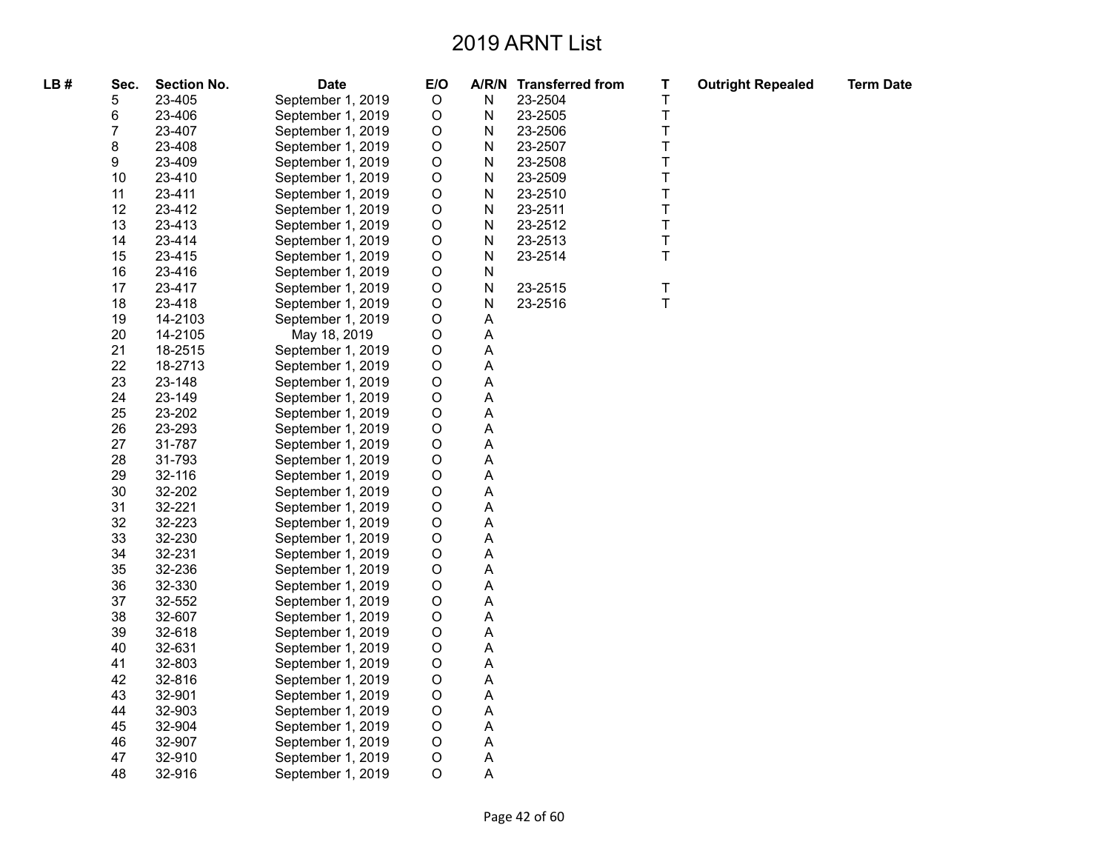| LB# | Sec. | <b>Section No.</b> | <b>Date</b>       | E/O         |             | A/R/N Transferred from | T           | <b>Outright Repealed</b> | <b>Term Date</b> |
|-----|------|--------------------|-------------------|-------------|-------------|------------------------|-------------|--------------------------|------------------|
|     | 5    | 23-405             | September 1, 2019 | $\mathsf O$ | N           | 23-2504                | T           |                          |                  |
|     | 6    | 23-406             | September 1, 2019 | $\circ$     | N           | 23-2505                | $\mathsf T$ |                          |                  |
|     | 7    | 23-407             | September 1, 2019 | $\circ$     | N           | 23-2506                | T           |                          |                  |
|     | 8    | 23-408             | September 1, 2019 | $\mathsf O$ | N           | 23-2507                | $\mathsf T$ |                          |                  |
|     | 9    | 23-409             | September 1, 2019 | $\mathsf O$ | N           | 23-2508                | T           |                          |                  |
|     | 10   | 23-410             | September 1, 2019 | $\circ$     | N           | 23-2509                | T           |                          |                  |
|     | 11   | 23-411             | September 1, 2019 | $\mathsf O$ | ${\sf N}$   | 23-2510                | T           |                          |                  |
|     | 12   | 23-412             | September 1, 2019 | $\mathsf O$ | N           | 23-2511                | T           |                          |                  |
|     | 13   | 23-413             | September 1, 2019 | $\mathsf O$ | N           | 23-2512                | T           |                          |                  |
|     | 14   | 23-414             | September 1, 2019 | $\circ$     | N           | 23-2513                | $\sf T$     |                          |                  |
|     | 15   | 23-415             | September 1, 2019 | $\mathsf O$ | N           | 23-2514                | T           |                          |                  |
|     | 16   | 23-416             | September 1, 2019 | $\mathsf O$ | N           |                        |             |                          |                  |
|     | 17   | 23-417             | September 1, 2019 | $\circ$     | N           | 23-2515                | T           |                          |                  |
|     | 18   | 23-418             | September 1, 2019 | $\mathsf O$ | N           | 23-2516                | $\mathsf T$ |                          |                  |
|     | 19   | 14-2103            | September 1, 2019 | $\mathsf O$ | A           |                        |             |                          |                  |
|     | 20   | 14-2105            | May 18, 2019      | $\circ$     | A           |                        |             |                          |                  |
|     | 21   | 18-2515            | September 1, 2019 | $\mathsf O$ | A           |                        |             |                          |                  |
|     | 22   | 18-2713            | September 1, 2019 | $\mathsf O$ | А           |                        |             |                          |                  |
|     | 23   | 23-148             | September 1, 2019 | $\circ$     | Α           |                        |             |                          |                  |
|     | 24   | 23-149             | September 1, 2019 | $\mathsf O$ | A           |                        |             |                          |                  |
|     | 25   | 23-202             | September 1, 2019 | $\circ$     | А           |                        |             |                          |                  |
|     | 26   | 23-293             | September 1, 2019 | $\circ$     | A           |                        |             |                          |                  |
|     | 27   | 31-787             | September 1, 2019 | $\mathsf O$ | Α           |                        |             |                          |                  |
|     | 28   | 31-793             | September 1, 2019 | $\circ$     | А           |                        |             |                          |                  |
|     | 29   | 32-116             | September 1, 2019 | $\circ$     | A           |                        |             |                          |                  |
|     | 30   | 32-202             | September 1, 2019 | $\mathsf O$ | Α           |                        |             |                          |                  |
|     | 31   | 32-221             | September 1, 2019 | $\mathsf O$ | А           |                        |             |                          |                  |
|     | 32   | 32-223             | September 1, 2019 | $\circ$     | Α           |                        |             |                          |                  |
|     | 33   | 32-230             | September 1, 2019 | $\mathsf O$ | А           |                        |             |                          |                  |
|     | 34   | 32-231             | September 1, 2019 | $\mathsf O$ | А           |                        |             |                          |                  |
|     | 35   | 32-236             | September 1, 2019 | $\circ$     | Α           |                        |             |                          |                  |
|     | 36   | 32-330             | September 1, 2019 | $\circ$     | A           |                        |             |                          |                  |
|     | 37   | 32-552             | September 1, 2019 | $\mathsf O$ | Α           |                        |             |                          |                  |
|     | 38   | 32-607             | September 1, 2019 | $\mathsf O$ | A           |                        |             |                          |                  |
|     | 39   | 32-618             | September 1, 2019 | $\circ$     | A           |                        |             |                          |                  |
|     | 40   | 32-631             | September 1, 2019 | $\mathsf O$ | Α           |                        |             |                          |                  |
|     | 41   | 32-803             | September 1, 2019 | $\circ$     | Α           |                        |             |                          |                  |
|     | 42   | 32-816             | September 1, 2019 | $\circ$     | А           |                        |             |                          |                  |
|     | 43   | 32-901             | September 1, 2019 | $\circ$     | $\mathsf A$ |                        |             |                          |                  |
|     | 44   | 32-903             | September 1, 2019 | $\mathsf O$ | Α           |                        |             |                          |                  |
|     | 45   | 32-904             | September 1, 2019 | $\mathsf O$ | Α           |                        |             |                          |                  |
|     | 46   | 32-907             | September 1, 2019 | $\circ$     | Α           |                        |             |                          |                  |
|     | 47   | 32-910             | September 1, 2019 | $\mathsf O$ | Α           |                        |             |                          |                  |
|     | 48   | 32-916             | September 1, 2019 | $\circ$     | Α           |                        |             |                          |                  |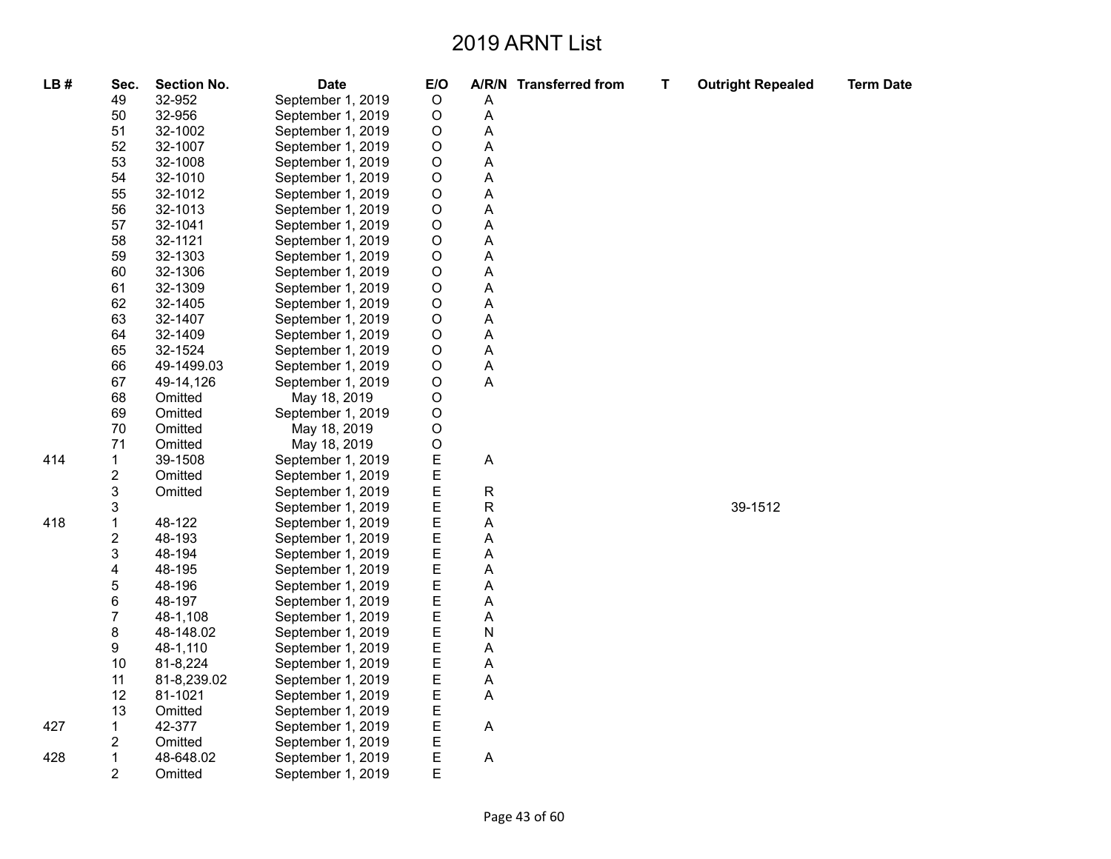| LB# | Sec.<br>49              | <b>Section No.</b><br>32-952 | <b>Date</b><br>September 1, 2019 | E/O<br>$\circ$ | Α                         | A/R/N Transferred from | T | <b>Outright Repealed</b> | <b>Term Date</b> |
|-----|-------------------------|------------------------------|----------------------------------|----------------|---------------------------|------------------------|---|--------------------------|------------------|
|     | 50                      | 32-956                       | September 1, 2019                | $\mathsf O$    | $\boldsymbol{\mathsf{A}}$ |                        |   |                          |                  |
|     | 51                      | 32-1002                      | September 1, 2019                | $\mathsf O$    | Α                         |                        |   |                          |                  |
|     | 52                      | 32-1007                      | September 1, 2019                | $\circ$        | A                         |                        |   |                          |                  |
|     | 53                      | 32-1008                      | September 1, 2019                | O              | A                         |                        |   |                          |                  |
|     | 54                      | 32-1010                      | September 1, 2019                | $\circ$        | Α                         |                        |   |                          |                  |
|     | 55                      | 32-1012                      | September 1, 2019                | $\mathsf O$    | A                         |                        |   |                          |                  |
|     | 56                      | 32-1013                      | September 1, 2019                | $\mathsf O$    | Α                         |                        |   |                          |                  |
|     | 57                      | 32-1041                      | September 1, 2019                | $\circ$        | A                         |                        |   |                          |                  |
|     | 58                      | 32-1121                      | September 1, 2019                | O              | A                         |                        |   |                          |                  |
|     | 59                      | 32-1303                      | September 1, 2019                | $\circ$        | Α                         |                        |   |                          |                  |
|     | 60                      | 32-1306                      | September 1, 2019                | O              | A                         |                        |   |                          |                  |
|     | 61                      | 32-1309                      | September 1, 2019                | O              | A                         |                        |   |                          |                  |
|     | 62                      | 32-1405                      | September 1, 2019                | $\circ$        | Α                         |                        |   |                          |                  |
|     | 63                      | 32-1407                      | September 1, 2019                | O              | A                         |                        |   |                          |                  |
|     | 64                      | 32-1409                      | September 1, 2019                | O              | A                         |                        |   |                          |                  |
|     | 65                      | 32-1524                      | September 1, 2019                | O              | A                         |                        |   |                          |                  |
|     | 66                      | 49-1499.03                   | September 1, 2019                | $\mathsf O$    | Α                         |                        |   |                          |                  |
|     | 67                      | 49-14,126                    | September 1, 2019                | O              | A                         |                        |   |                          |                  |
|     | 68                      | Omitted                      | May 18, 2019                     | O              |                           |                        |   |                          |                  |
|     | 69                      | Omitted                      | September 1, 2019                | $\mathsf O$    |                           |                        |   |                          |                  |
|     | 70                      | Omitted                      | May 18, 2019                     | O              |                           |                        |   |                          |                  |
|     | 71                      | Omitted                      | May 18, 2019                     | $\circ$        |                           |                        |   |                          |                  |
| 414 | 1                       | 39-1508                      | September 1, 2019                | Ε              | A                         |                        |   |                          |                  |
|     | 2                       | Omitted                      | September 1, 2019                | Ε              |                           |                        |   |                          |                  |
|     | 3                       | Omitted                      | September 1, 2019                | E              | ${\sf R}$                 |                        |   |                          |                  |
|     | 3                       |                              | September 1, 2019                | Ε              | $\mathsf R$               |                        |   | 39-1512                  |                  |
| 418 | $\mathbf 1$             | 48-122                       | September 1, 2019                | E              | A                         |                        |   |                          |                  |
|     | $\overline{\mathbf{c}}$ | 48-193                       | September 1, 2019                | E              | Α                         |                        |   |                          |                  |
|     | 3                       | 48-194                       | September 1, 2019                | E              | A                         |                        |   |                          |                  |
|     | 4                       | 48-195                       | September 1, 2019                | E              | Α                         |                        |   |                          |                  |
|     | 5                       | 48-196                       | September 1, 2019                | Ε              | A                         |                        |   |                          |                  |
|     | 6                       | 48-197                       | September 1, 2019                | E              | A                         |                        |   |                          |                  |
|     | $\overline{7}$          | 48-1,108                     | September 1, 2019                | E              | Α                         |                        |   |                          |                  |
|     | 8                       | 48-148.02                    | September 1, 2019                | Ε              | N                         |                        |   |                          |                  |
|     | 9                       | 48-1,110                     | September 1, 2019                | E              | Α                         |                        |   |                          |                  |
|     | 10                      | 81-8,224                     | September 1, 2019                | E              | Α                         |                        |   |                          |                  |
|     | 11                      | 81-8,239.02                  | September 1, 2019                | E              | $\boldsymbol{\mathsf{A}}$ |                        |   |                          |                  |
|     | 12                      | 81-1021                      | September 1, 2019                | E              | Α                         |                        |   |                          |                  |
|     | 13                      | Omitted                      | September 1, 2019                | E              |                           |                        |   |                          |                  |
| 427 | 1                       | 42-377                       | September 1, 2019                | E              | $\boldsymbol{\mathsf{A}}$ |                        |   |                          |                  |
|     | 2                       | Omitted                      | September 1, 2019                | E              |                           |                        |   |                          |                  |
| 428 | 1<br>2                  | 48-648.02                    | September 1, 2019                | E<br>E         | A                         |                        |   |                          |                  |
|     |                         | Omitted                      | September 1, 2019                |                |                           |                        |   |                          |                  |

 $4<sup>7</sup>$ 

 $42$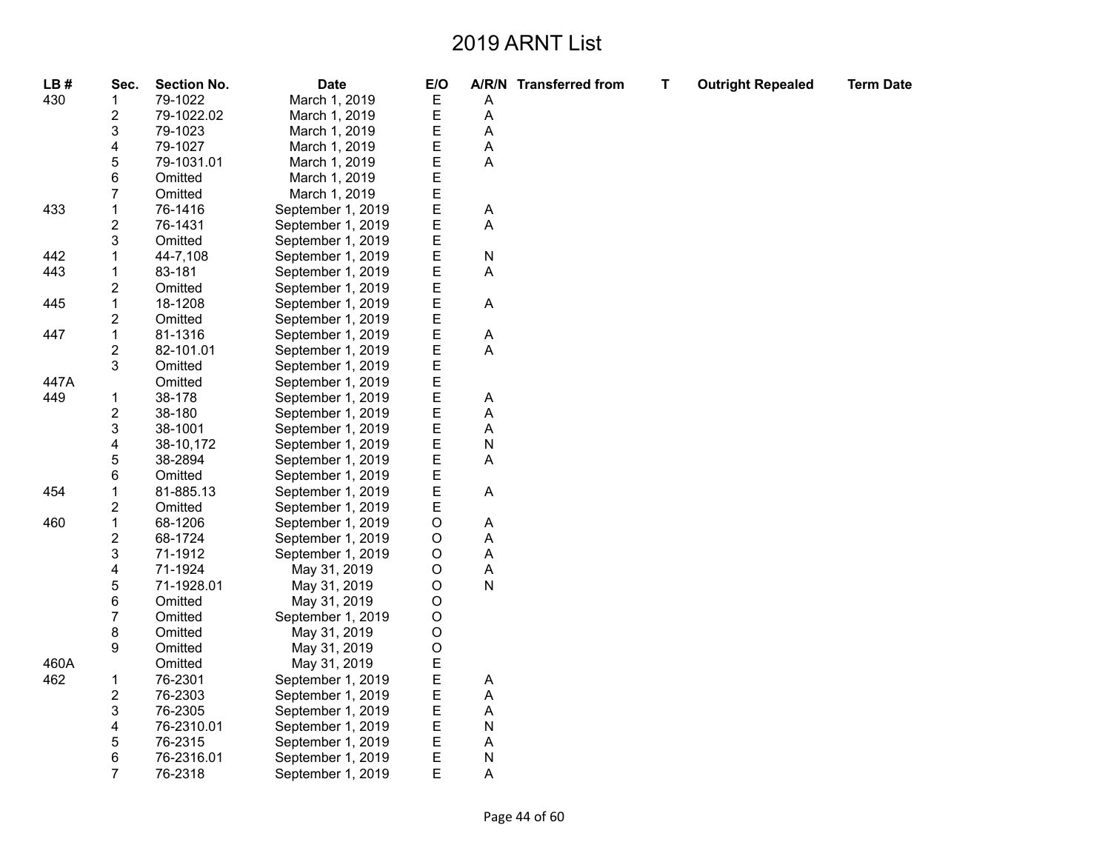| LB#  | Sec.                    | <b>Section No.</b> | <b>Date</b>       | E/O         |           | A/R/N Transferred from | $\mathbf T$ | <b>Outright Repealed</b> | <b>Term Date</b> |
|------|-------------------------|--------------------|-------------------|-------------|-----------|------------------------|-------------|--------------------------|------------------|
| 430  | 1                       | 79-1022            | March 1, 2019     | Ε           | A         |                        |             |                          |                  |
|      | $\mathbf{2}$            | 79-1022.02         | March 1, 2019     | E           | A         |                        |             |                          |                  |
|      | 3                       | 79-1023            | March 1, 2019     | E           | A         |                        |             |                          |                  |
|      | 4                       | 79-1027            | March 1, 2019     | E           | Α         |                        |             |                          |                  |
|      | 5                       | 79-1031.01         | March 1, 2019     | E           | A         |                        |             |                          |                  |
|      | 6                       | Omitted            | March 1, 2019     | E           |           |                        |             |                          |                  |
|      | $\overline{7}$          | Omitted            | March 1, 2019     | E           |           |                        |             |                          |                  |
| 433  | 1                       | 76-1416            | September 1, 2019 | E           | A         |                        |             |                          |                  |
|      | $\overline{c}$          | 76-1431            | September 1, 2019 | E           | A         |                        |             |                          |                  |
|      | 3                       | Omitted            | September 1, 2019 | Ε           |           |                        |             |                          |                  |
| 442  |                         | 44-7,108           | September 1, 2019 | E           | N         |                        |             |                          |                  |
| 443  | $\mathbf{1}$            | 83-181             | September 1, 2019 | E           | A         |                        |             |                          |                  |
|      | $\overline{\mathbf{c}}$ | Omitted            | September 1, 2019 | E           |           |                        |             |                          |                  |
| 445  | 1                       | 18-1208            | September 1, 2019 | E           | A         |                        |             |                          |                  |
|      | $\mathbf{2}$            | Omitted            | September 1, 2019 | E           |           |                        |             |                          |                  |
| 447  | $\mathbf{1}$            | 81-1316            | September 1, 2019 | E           | A         |                        |             |                          |                  |
|      | $\mathbf{2}$            | 82-101.01          | September 1, 2019 | E           | Α         |                        |             |                          |                  |
|      | 3                       | Omitted            | September 1, 2019 | E           |           |                        |             |                          |                  |
| 447A |                         | Omitted            | September 1, 2019 | E           |           |                        |             |                          |                  |
| 449  | 1                       | 38-178             | September 1, 2019 | E           | A         |                        |             |                          |                  |
|      | $\mathbf{2}$            | 38-180             | September 1, 2019 | E           | A         |                        |             |                          |                  |
|      | 3                       | 38-1001            | September 1, 2019 | E           | Α         |                        |             |                          |                  |
|      | 4                       | 38-10,172          | September 1, 2019 | E           | N         |                        |             |                          |                  |
|      | 5                       | 38-2894            | September 1, 2019 | E           | A         |                        |             |                          |                  |
|      | 6                       | Omitted            | September 1, 2019 | E           |           |                        |             |                          |                  |
| 454  | 1                       | 81-885.13          | September 1, 2019 | E           | A         |                        |             |                          |                  |
|      | $\overline{\mathbf{c}}$ | Omitted            | September 1, 2019 | E           |           |                        |             |                          |                  |
| 460  | $\mathbf{1}$            | 68-1206            | September 1, 2019 | O           | A         |                        |             |                          |                  |
|      | $\overline{\mathbf{c}}$ | 68-1724            | September 1, 2019 | O           | A         |                        |             |                          |                  |
|      | $\mathsf 3$             | 71-1912            | September 1, 2019 | O           | A         |                        |             |                          |                  |
|      | 4                       | 71-1924            | May 31, 2019      | O           | Α         |                        |             |                          |                  |
|      | 5                       | 71-1928.01         | May 31, 2019      | O           | ${\sf N}$ |                        |             |                          |                  |
|      | 6                       | Omitted            | May 31, 2019      | O           |           |                        |             |                          |                  |
|      | $\overline{7}$          | Omitted            | September 1, 2019 | O           |           |                        |             |                          |                  |
|      | 8                       | Omitted            | May 31, 2019      | O           |           |                        |             |                          |                  |
|      | 9                       | Omitted            | May 31, 2019      | $\mathsf O$ |           |                        |             |                          |                  |
| 460A |                         | Omitted            | May 31, 2019      | E           |           |                        |             |                          |                  |
| 462  | 1                       | 76-2301            | September 1, 2019 | E           | Α         |                        |             |                          |                  |
|      | $\mathbf{2}$            | 76-2303            | September 1, 2019 | E           | Α         |                        |             |                          |                  |
|      | 3                       | 76-2305            | September 1, 2019 | E           | A         |                        |             |                          |                  |
|      | 4                       | 76-2310.01         | September 1, 2019 | E           | N         |                        |             |                          |                  |
|      | 5                       | 76-2315            | September 1, 2019 | E           | A         |                        |             |                          |                  |
|      | 6                       | 76-2316.01         | September 1, 2019 | E           | N         |                        |             |                          |                  |
|      | $\overline{7}$          | 76-2318            | September 1, 2019 | Ε           | Α         |                        |             |                          |                  |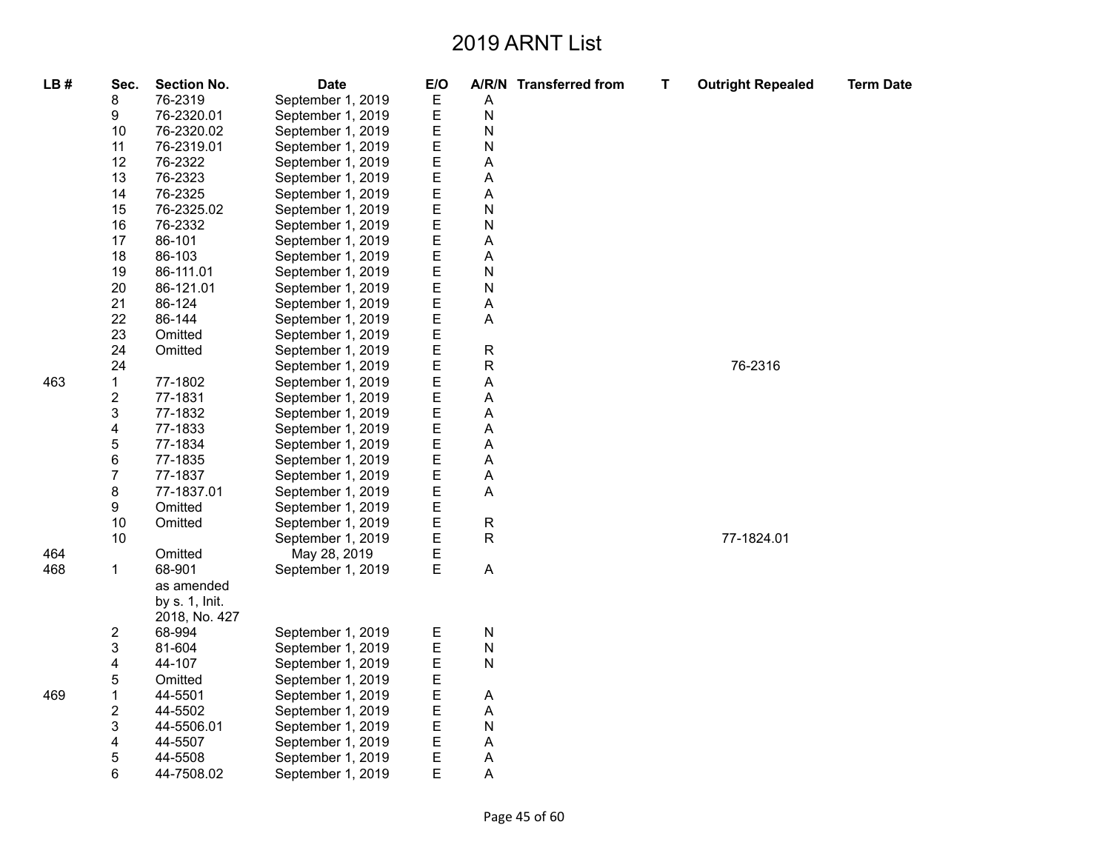| LB# | Sec.                    | <b>Section No.</b> | <b>Date</b>       | E/O |             | A/R/N Transferred from | Т | <b>Outright Repealed</b> | <b>Term Date</b> |
|-----|-------------------------|--------------------|-------------------|-----|-------------|------------------------|---|--------------------------|------------------|
|     | 8                       | 76-2319            | September 1, 2019 | Ε   | Α           |                        |   |                          |                  |
|     | 9                       | 76-2320.01         | September 1, 2019 | Ε   | N           |                        |   |                          |                  |
|     | 10                      | 76-2320.02         | September 1, 2019 | Ε   | N           |                        |   |                          |                  |
|     | 11                      | 76-2319.01         | September 1, 2019 | E   | N           |                        |   |                          |                  |
|     | 12                      | 76-2322            | September 1, 2019 | Ε   | Α           |                        |   |                          |                  |
|     | 13                      | 76-2323            | September 1, 2019 | E   | Α           |                        |   |                          |                  |
|     | 14                      | 76-2325            | September 1, 2019 | E   | Α           |                        |   |                          |                  |
|     | 15                      | 76-2325.02         | September 1, 2019 | Ε   | N           |                        |   |                          |                  |
|     | 16                      | 76-2332            | September 1, 2019 | E   | N           |                        |   |                          |                  |
|     | 17                      | 86-101             | September 1, 2019 | Ε   | Α           |                        |   |                          |                  |
|     | 18                      | 86-103             | September 1, 2019 | E   | Α           |                        |   |                          |                  |
|     | 19                      | 86-111.01          | September 1, 2019 | Ε   | N           |                        |   |                          |                  |
|     | 20                      | 86-121.01          | September 1, 2019 | E   | N           |                        |   |                          |                  |
|     | 21                      | 86-124             | September 1, 2019 | Ε   | Α           |                        |   |                          |                  |
|     | 22                      | 86-144             | September 1, 2019 | Ε   | A           |                        |   |                          |                  |
|     | 23                      | Omitted            | September 1, 2019 | E   |             |                        |   |                          |                  |
|     | 24                      | Omitted            | September 1, 2019 | Ε   | ${\sf R}$   |                        |   |                          |                  |
|     | 24                      |                    | September 1, 2019 | Ε   | $\mathsf R$ |                        |   | 76-2316                  |                  |
| 463 | $\mathbf{1}$            | 77-1802            | September 1, 2019 | E   | Α           |                        |   |                          |                  |
|     | $\overline{\mathbf{c}}$ | 77-1831            | September 1, 2019 | E   | A           |                        |   |                          |                  |
|     | 3                       | 77-1832            | September 1, 2019 | E   | Α           |                        |   |                          |                  |
|     | 4                       | 77-1833            | September 1, 2019 | Ε   | Α           |                        |   |                          |                  |
|     | 5                       | 77-1834            | September 1, 2019 | Ε   | Α           |                        |   |                          |                  |
|     | 6                       | 77-1835            | September 1, 2019 | E   | Α           |                        |   |                          |                  |
|     | $\overline{7}$          | 77-1837            | September 1, 2019 | E   | Α           |                        |   |                          |                  |
|     | 8                       | 77-1837.01         | September 1, 2019 | Ε   | Α           |                        |   |                          |                  |
|     | 9                       | Omitted            | September 1, 2019 | Ε   |             |                        |   |                          |                  |
|     | 10                      | Omitted            | September 1, 2019 | Ε   | R           |                        |   |                          |                  |
|     | 10                      |                    | September 1, 2019 | E   | $\mathsf R$ |                        |   | 77-1824.01               |                  |
| 464 |                         | Omitted            | May 28, 2019      | E   |             |                        |   |                          |                  |
| 468 | $\mathbf{1}$            | 68-901             | September 1, 2019 | E   | A           |                        |   |                          |                  |
|     |                         | as amended         |                   |     |             |                        |   |                          |                  |
|     |                         | by s. 1, Init.     |                   |     |             |                        |   |                          |                  |
|     |                         | 2018, No. 427      |                   |     |             |                        |   |                          |                  |
|     | $\overline{\mathbf{c}}$ | 68-994             | September 1, 2019 | Е   | N           |                        |   |                          |                  |
|     | 3                       | 81-604             | September 1, 2019 | E   | N           |                        |   |                          |                  |
|     | 4                       | 44-107             | September 1, 2019 | E   | N           |                        |   |                          |                  |
|     | 5                       | Omitted            | September 1, 2019 | E   |             |                        |   |                          |                  |
| 469 | $\mathbf 1$             | 44-5501            | September 1, 2019 | E   | Α           |                        |   |                          |                  |
|     | $\overline{\mathbf{c}}$ | 44-5502            | September 1, 2019 | Ε   | A           |                        |   |                          |                  |
|     | 3                       | 44-5506.01         | September 1, 2019 | E   | N           |                        |   |                          |                  |
|     | 4                       | 44-5507            | September 1, 2019 | E   | Α           |                        |   |                          |                  |
|     | 5                       | 44-5508            | September 1, 2019 | E   | Α           |                        |   |                          |                  |
|     | 6                       | 44-7508.02         | September 1, 2019 | E   | Α           |                        |   |                          |                  |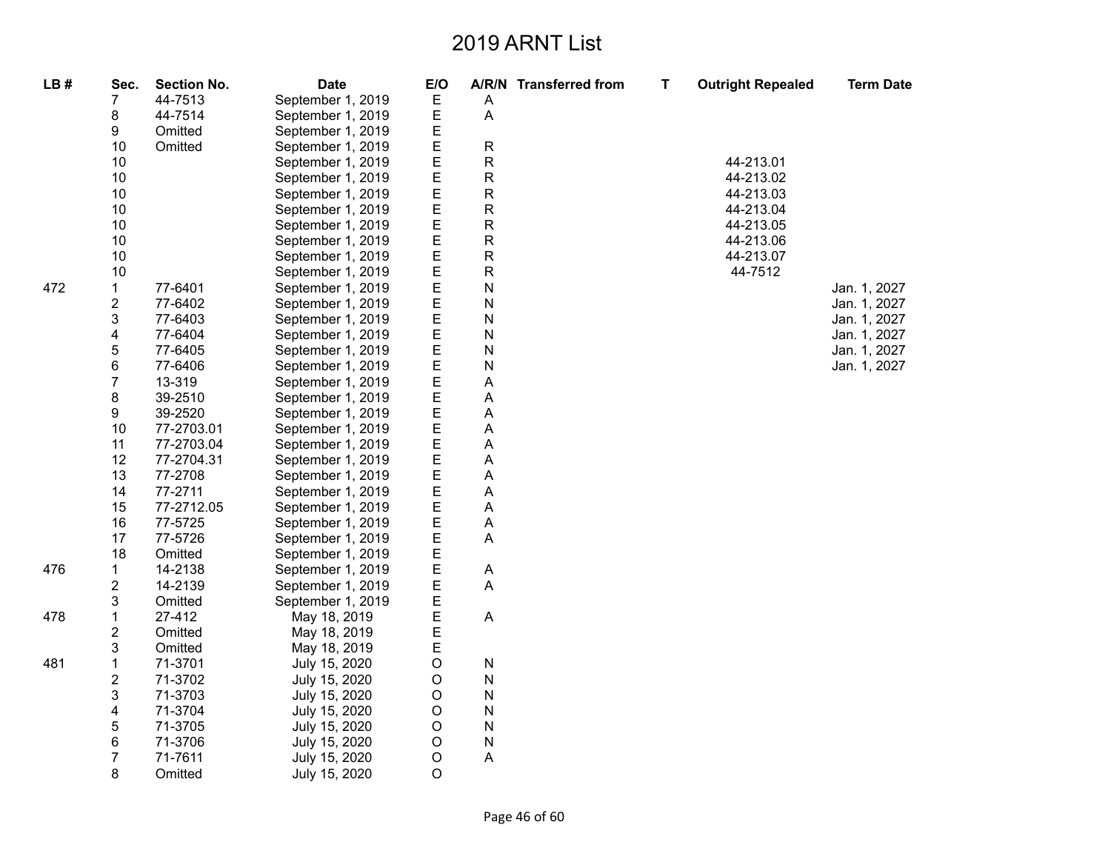| LB# | Sec.           | <b>Section No.</b>       | <b>Date</b>                            | E/O         |                                | A/R/N Transferred from | Т | <b>Outright Repealed</b> | <b>Term Date</b> |
|-----|----------------|--------------------------|----------------------------------------|-------------|--------------------------------|------------------------|---|--------------------------|------------------|
|     | 7              | 44-7513                  | September 1, 2019                      | Ε           | A                              |                        |   |                          |                  |
|     | 8              | 44-7514                  | September 1, 2019                      | Е           | A                              |                        |   |                          |                  |
|     | 9              | Omitted                  | September 1, 2019                      | E           |                                |                        |   |                          |                  |
|     | 10             | Omitted                  | September 1, 2019                      | E           | ${\sf R}$                      |                        |   |                          |                  |
|     | 10             |                          | September 1, 2019                      | Ε           | R                              |                        |   | 44-213.01                |                  |
|     | 10             |                          | September 1, 2019                      | E           | ${\sf R}$                      |                        |   | 44-213.02                |                  |
|     | 10             |                          | September 1, 2019                      | E           | ${\sf R}$                      |                        |   | 44-213.03                |                  |
|     | 10             |                          | September 1, 2019                      | E           | ${\sf R}$                      |                        |   | 44-213.04                |                  |
|     | 10             |                          | September 1, 2019                      | E           | ${\sf R}$                      |                        |   | 44-213.05                |                  |
|     | 10             |                          | September 1, 2019                      | Ε           | R                              |                        |   | 44-213.06                |                  |
|     | $10$           |                          | September 1, 2019                      | E           | R                              |                        |   | 44-213.07                |                  |
|     | 10             |                          | September 1, 2019                      | E           | R                              |                        |   | 44-7512                  |                  |
| 472 | $\mathbf{1}$   | 77-6401                  | September 1, 2019                      | E           | ${\sf N}$                      |                        |   |                          | Jan. 1, 2027     |
|     | 2              | 77-6402                  | September 1, 2019                      | E           | ${\sf N}$                      |                        |   |                          | Jan. 1, 2027     |
|     | 3              | 77-6403                  | September 1, 2019                      | E           | ${\sf N}$                      |                        |   |                          | Jan. 1, 2027     |
|     | 4              | 77-6404                  | September 1, 2019                      | E           | $\mathsf{N}$                   |                        |   |                          | Jan. 1, 2027     |
|     | 5              | 77-6405                  | September 1, 2019                      | Ε           | ${\sf N}$                      |                        |   |                          | Jan. 1, 2027     |
|     | 6              | 77-6406                  | September 1, 2019                      | E           | ${\sf N}$                      |                        |   |                          | Jan. 1, 2027     |
|     | 7              | 13-319                   | September 1, 2019                      | E           | A                              |                        |   |                          |                  |
|     | 8              | 39-2510                  | September 1, 2019                      | E           | A                              |                        |   |                          |                  |
|     | 9              | 39-2520                  | September 1, 2019                      | E           | $\boldsymbol{\mathsf{A}}$      |                        |   |                          |                  |
|     | 10<br>11       | 77-2703.01<br>77-2703.04 | September 1, 2019                      | Е<br>E      | $\boldsymbol{\mathsf{A}}$<br>A |                        |   |                          |                  |
|     | 12             | 77-2704.31               | September 1, 2019<br>September 1, 2019 | E           | A                              |                        |   |                          |                  |
|     | 13             | 77-2708                  | September 1, 2019                      | Ε           | A                              |                        |   |                          |                  |
|     | 14             | 77-2711                  | September 1, 2019                      | E           | A                              |                        |   |                          |                  |
|     | 15             | 77-2712.05               | September 1, 2019                      | Е           | Α                              |                        |   |                          |                  |
|     | 16             | 77-5725                  | September 1, 2019                      | E           | $\boldsymbol{\mathsf{A}}$      |                        |   |                          |                  |
|     | 17             | 77-5726                  | September 1, 2019                      | E           | A                              |                        |   |                          |                  |
|     | 18             | Omitted                  | September 1, 2019                      | Ε           |                                |                        |   |                          |                  |
| 476 | 1              | 14-2138                  | September 1, 2019                      | E           | A                              |                        |   |                          |                  |
|     | 2              | 14-2139                  | September 1, 2019                      | E           | A                              |                        |   |                          |                  |
|     | 3              | Omitted                  | September 1, 2019                      |             |                                |                        |   |                          |                  |
| 478 | 1              | 27-412                   | May 18, 2019                           | E<br>E      | $\boldsymbol{\mathsf{A}}$      |                        |   |                          |                  |
|     | 2              | Omitted                  | May 18, 2019                           | E           |                                |                        |   |                          |                  |
|     | 3              | Omitted                  | May 18, 2019                           | E           |                                |                        |   |                          |                  |
| 481 | 1              | 71-3701                  | July 15, 2020                          | $\circ$     | $\mathsf{N}$                   |                        |   |                          |                  |
|     | 2              | 71-3702                  | July 15, 2020                          | $\mathsf O$ | ${\sf N}$                      |                        |   |                          |                  |
|     | 3              | 71-3703                  | July 15, 2020                          | $\circ$     | N                              |                        |   |                          |                  |
|     | 4              | 71-3704                  | July 15, 2020                          | $\mathsf O$ | $\mathsf{N}$                   |                        |   |                          |                  |
|     | 5              | 71-3705                  | July 15, 2020                          | $\mathsf O$ | N                              |                        |   |                          |                  |
|     | 6              | 71-3706                  | July 15, 2020                          | $\mathsf O$ | ${\sf N}$                      |                        |   |                          |                  |
|     | $\overline{7}$ | 71-7611                  | July 15, 2020                          | $\mathsf O$ | $\boldsymbol{\mathsf{A}}$      |                        |   |                          |                  |
|     | 8              | Omitted                  | July 15, 2020                          | O           |                                |                        |   |                          |                  |

Page 46 of 60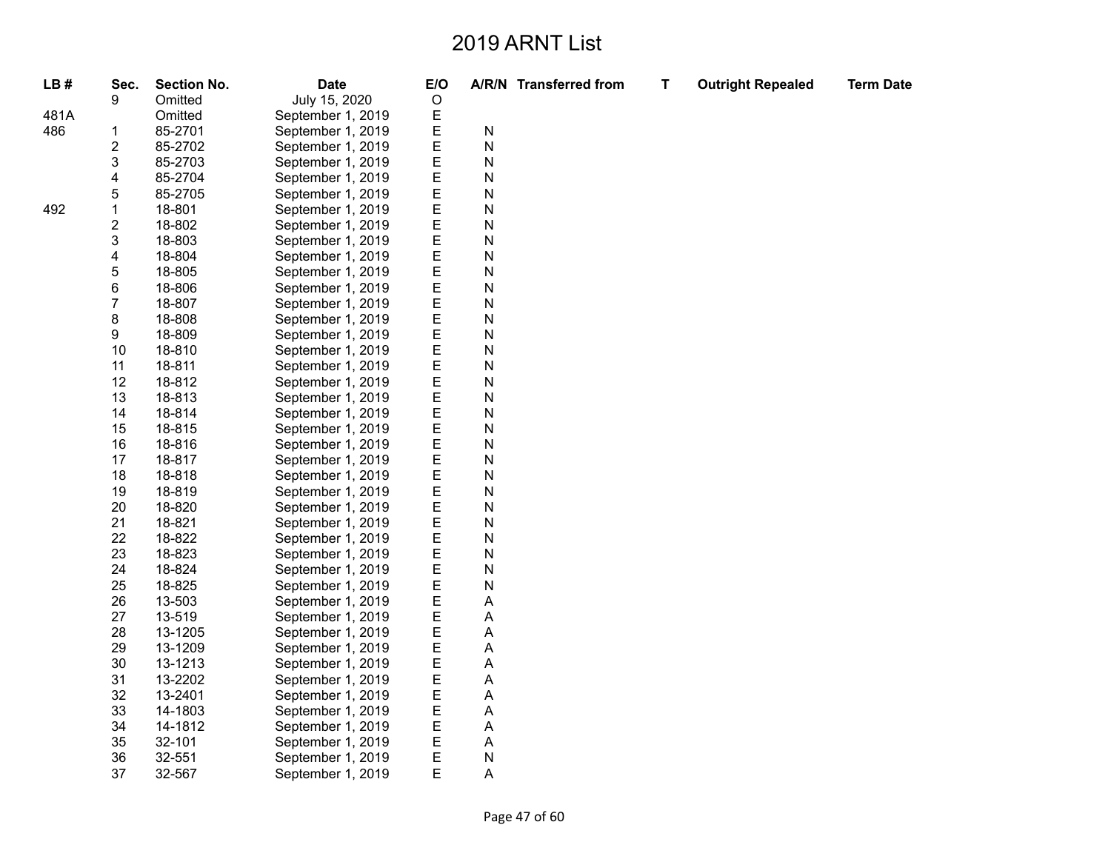**T Outright Repealed Term Date**

| LB#  | Sec.                    | <b>Section No.</b> | <b>Date</b>       | E/O |           | A/R/N Transferred from |
|------|-------------------------|--------------------|-------------------|-----|-----------|------------------------|
|      | 9                       | Omitted            | July 15, 2020     | O   |           |                        |
| 481A |                         | Omitted            | September 1, 2019 | E   |           |                        |
| 486  | 1                       | 85-2701            | September 1, 2019 | Е   | ${\sf N}$ |                        |
|      | $\overline{\mathbf{c}}$ | 85-2702            | September 1, 2019 | E   | N         |                        |
|      | 3                       | 85-2703            | September 1, 2019 | E   | N         |                        |
|      | 4                       | 85-2704            | September 1, 2019 | Е   | ${\sf N}$ |                        |
|      | 5                       | 85-2705            | September 1, 2019 | E   | N         |                        |
| 492  | $\mathbf 1$             | 18-801             | September 1, 2019 | E   | N         |                        |
|      | $\overline{\mathbf{c}}$ | 18-802             | September 1, 2019 | E   | N         |                        |
|      | 3                       | 18-803             | September 1, 2019 | E   | N         |                        |
|      | 4                       | 18-804             | September 1, 2019 | E   | N         |                        |
|      | 5                       | 18-805             | September 1, 2019 | Ε   | ${\sf N}$ |                        |
|      | 6                       | 18-806             | September 1, 2019 | E   | N         |                        |
|      | 7                       | 18-807             | September 1, 2019 | E   | N         |                        |
|      | 8                       | 18-808             | September 1, 2019 | E   | N         |                        |
|      | 9                       | 18-809             | September 1, 2019 | E   | N         |                        |
|      | 10                      | 18-810             | September 1, 2019 | E   | ${\sf N}$ |                        |
|      | 11                      | 18-811             | September 1, 2019 | Ε   | ${\sf N}$ |                        |
|      | 12                      | 18-812             | September 1, 2019 | E   | N         |                        |
|      | 13                      | 18-813             | September 1, 2019 | E   | N         |                        |
|      | 14                      | 18-814             | September 1, 2019 | E   | N         |                        |
|      | 15                      | 18-815             | September 1, 2019 | E   | N         |                        |
|      | 16                      | 18-816             | September 1, 2019 | E   | N         |                        |
|      | 17                      | 18-817             | September 1, 2019 | Ε   | ${\sf N}$ |                        |
|      | 18                      | 18-818             | September 1, 2019 | E   | N         |                        |
|      | 19                      | 18-819             | September 1, 2019 | E   | N         |                        |
|      | 20                      | 18-820             | September 1, 2019 | Ε   | N         |                        |
|      | 21                      | 18-821             | September 1, 2019 | E   | N         |                        |
|      | 22                      | 18-822             | September 1, 2019 | E   | N         |                        |
|      | 23                      | 18-823             | September 1, 2019 | Ε   | ${\sf N}$ |                        |
|      | 24                      | 18-824             | September 1, 2019 | E   | N         |                        |
|      | 25                      | 18-825             | September 1, 2019 | E   | N         |                        |
|      | 26                      | 13-503             | September 1, 2019 | Ε   | A         |                        |
|      | 27                      | 13-519             | September 1, 2019 | E   | A         |                        |
|      | 28                      | 13-1205            | September 1, 2019 | E   | A         |                        |
|      | 29                      | 13-1209            | September 1, 2019 | Ε   | A         |                        |
|      | 30                      | 13-1213            | September 1, 2019 | E   | A         |                        |
|      | 31                      | 13-2202            | September 1, 2019 | E   | A         |                        |
|      | 32                      | 13-2401            | September 1, 2019 | E   | A         |                        |
|      | 33                      | 14-1803            | September 1, 2019 | E   | A         |                        |
|      | 34                      | 14-1812            | September 1, 2019 | E   | A         |                        |
|      | 35                      | 32-101             | September 1, 2019 | E   | A         |                        |
|      | 36                      | 32-551             | September 1, 2019 | E   | ${\sf N}$ |                        |
|      | 37                      | 32-567             | September 1, 2019 | E   | A         |                        |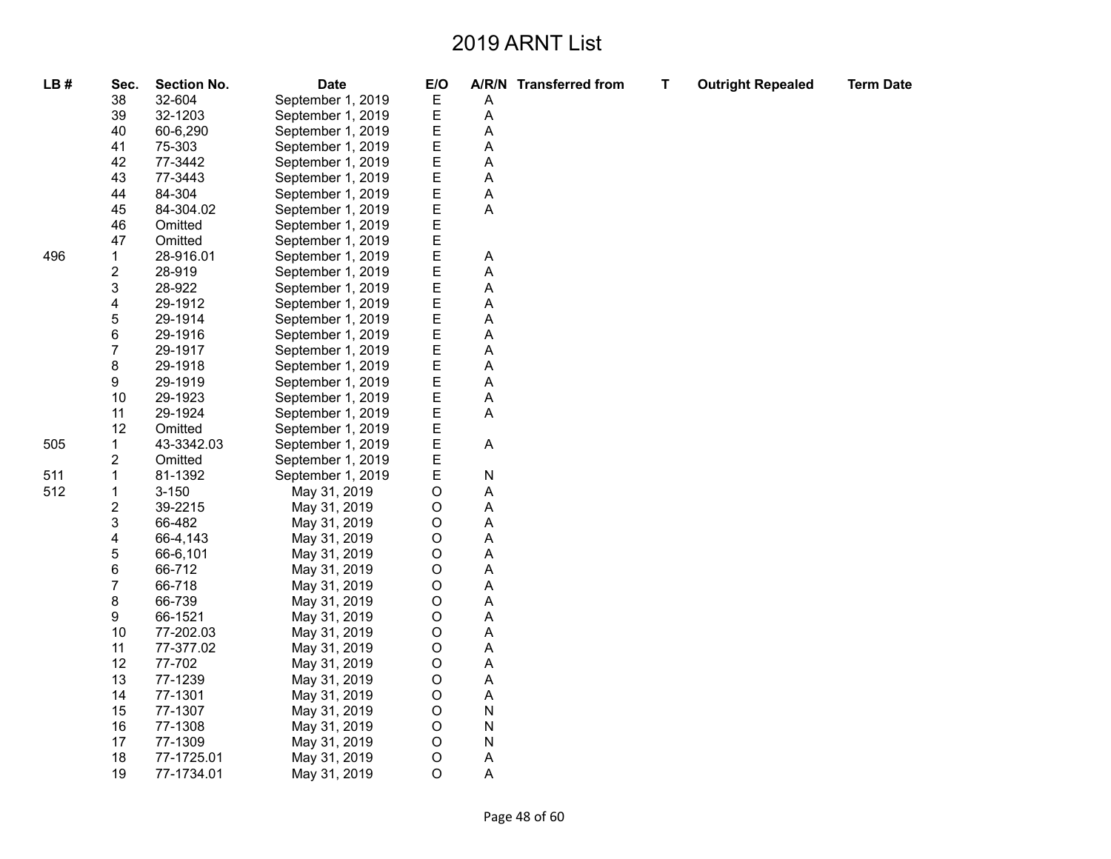| LB# | Sec.                    | <b>Section No.</b> | <b>Date</b>       | E/O         |             | A/R/N Transferred from | T | <b>Outright Repealed</b> | <b>Term Date</b> |
|-----|-------------------------|--------------------|-------------------|-------------|-------------|------------------------|---|--------------------------|------------------|
|     | 38                      | 32-604             | September 1, 2019 | Ε           | Α           |                        |   |                          |                  |
|     | 39                      | 32-1203            | September 1, 2019 | E           | А           |                        |   |                          |                  |
|     | 40                      | 60-6,290           | September 1, 2019 | E           | Α           |                        |   |                          |                  |
|     | 41                      | 75-303             | September 1, 2019 | E           | А           |                        |   |                          |                  |
|     | 42                      | 77-3442            | September 1, 2019 | E           | А           |                        |   |                          |                  |
|     | 43                      | 77-3443            | September 1, 2019 | E           | Α           |                        |   |                          |                  |
|     | 44                      | 84-304             | September 1, 2019 | E           | A           |                        |   |                          |                  |
|     | 45                      | 84-304.02          | September 1, 2019 | E           | $\mathsf A$ |                        |   |                          |                  |
|     | 46                      | Omitted            | September 1, 2019 | E           |             |                        |   |                          |                  |
|     | 47                      | Omitted            | September 1, 2019 | E           |             |                        |   |                          |                  |
| 496 | 1                       | 28-916.01          | September 1, 2019 | E           | A           |                        |   |                          |                  |
|     | $\overline{\mathbf{c}}$ | 28-919             | September 1, 2019 | E           | А           |                        |   |                          |                  |
|     | 3                       | 28-922             | September 1, 2019 | E           | А           |                        |   |                          |                  |
|     | 4                       | 29-1912            | September 1, 2019 | E           | А           |                        |   |                          |                  |
|     | 5                       | 29-1914            | September 1, 2019 | E           | А           |                        |   |                          |                  |
|     | 6                       | 29-1916            | September 1, 2019 | E           | А           |                        |   |                          |                  |
|     | $\overline{7}$          | 29-1917            | September 1, 2019 | E           | А           |                        |   |                          |                  |
|     | 8                       | 29-1918            | September 1, 2019 | E           | Α           |                        |   |                          |                  |
|     | 9                       | 29-1919            | September 1, 2019 | E           | Α           |                        |   |                          |                  |
|     | 10                      | 29-1923            | September 1, 2019 | E           | А           |                        |   |                          |                  |
|     | 11                      | 29-1924            | September 1, 2019 | E           | А           |                        |   |                          |                  |
|     | 12                      | Omitted            | September 1, 2019 | E           |             |                        |   |                          |                  |
| 505 | 1                       | 43-3342.03         | September 1, 2019 | E           | A           |                        |   |                          |                  |
|     | $\overline{c}$          | Omitted            | September 1, 2019 | E           |             |                        |   |                          |                  |
| 511 | 1                       | 81-1392            | September 1, 2019 | E           | N           |                        |   |                          |                  |
| 512 | $\mathbf 1$             | $3 - 150$          | May 31, 2019      | O           | Α           |                        |   |                          |                  |
|     | $\overline{\mathbf{c}}$ | 39-2215            | May 31, 2019      | O           | Α           |                        |   |                          |                  |
|     | 3                       | 66-482             | May 31, 2019      | $\mathsf O$ | А           |                        |   |                          |                  |
|     | 4                       | 66-4,143           | May 31, 2019      | $\mathsf O$ | А           |                        |   |                          |                  |
|     | 5                       | 66-6,101           | May 31, 2019      | O           | А           |                        |   |                          |                  |
|     | 6                       | 66-712             | May 31, 2019      | $\mathsf O$ | А           |                        |   |                          |                  |
|     | $\overline{7}$          | 66-718             | May 31, 2019      | $\mathsf O$ | Α           |                        |   |                          |                  |
|     | 8                       | 66-739             | May 31, 2019      | O           | А           |                        |   |                          |                  |
|     | 9                       | 66-1521            | May 31, 2019      | $\circ$     | А           |                        |   |                          |                  |
|     | 10                      | 77-202.03          | May 31, 2019      | $\mathsf O$ | Α           |                        |   |                          |                  |
|     | 11                      | 77-377.02          | May 31, 2019      | $\mathsf O$ | А           |                        |   |                          |                  |
|     | 12                      | 77-702             | May 31, 2019      | $\circ$     | А           |                        |   |                          |                  |
|     | 13                      | 77-1239            | May 31, 2019      | O           | А           |                        |   |                          |                  |
|     | 14                      | 77-1301            | May 31, 2019      | $\mathsf O$ | А           |                        |   |                          |                  |
|     | 15                      | 77-1307            | May 31, 2019      | $\mathsf O$ | N           |                        |   |                          |                  |
|     | 16                      | 77-1308            | May 31, 2019      | $\mathsf O$ | N           |                        |   |                          |                  |
|     | 17                      | 77-1309            | May 31, 2019      | $\mathsf O$ | N           |                        |   |                          |                  |
|     | 18                      | 77-1725.01         | May 31, 2019      | $\mathsf O$ | Α           |                        |   |                          |                  |
|     | 19                      | 77-1734.01         | May 31, 2019      | $\mathsf O$ | A           |                        |   |                          |                  |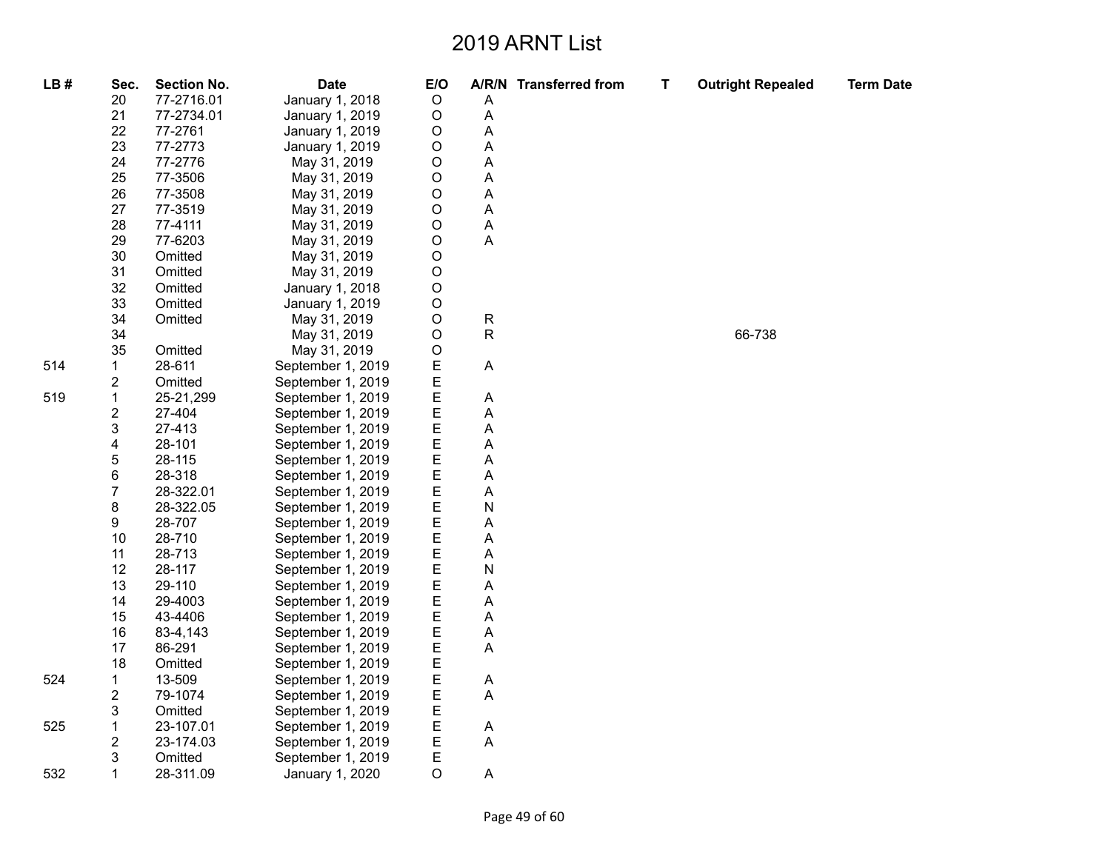| LB# | Sec.                    | <b>Section No.</b> | <b>Date</b>       | E/O         |   | A/R/N Transferred from | T | <b>Outright Repealed</b> | <b>Term Date</b> |
|-----|-------------------------|--------------------|-------------------|-------------|---|------------------------|---|--------------------------|------------------|
|     | 20                      | 77-2716.01         | January 1, 2018   | $\mathsf O$ | Α |                        |   |                          |                  |
|     | 21                      | 77-2734.01         | January 1, 2019   | $\circ$     | A |                        |   |                          |                  |
|     | 22                      | 77-2761            | January 1, 2019   | О           | А |                        |   |                          |                  |
|     | 23                      | 77-2773            | January 1, 2019   | O           | Α |                        |   |                          |                  |
|     | 24                      | 77-2776            | May 31, 2019      | O           | А |                        |   |                          |                  |
|     | 25                      | 77-3506            | May 31, 2019      | O           | Α |                        |   |                          |                  |
|     | 26                      | 77-3508            | May 31, 2019      | O           | Α |                        |   |                          |                  |
|     | 27                      | 77-3519            | May 31, 2019      | O           | Α |                        |   |                          |                  |
|     | 28                      | 77-4111            | May 31, 2019      | O           | А |                        |   |                          |                  |
|     | 29                      | 77-6203            | May 31, 2019      | O           | Α |                        |   |                          |                  |
|     | 30                      | Omitted            | May 31, 2019      | O           |   |                        |   |                          |                  |
|     | 31                      | Omitted            | May 31, 2019      | O           |   |                        |   |                          |                  |
|     | 32                      | Omitted            | January 1, 2018   | O           |   |                        |   |                          |                  |
|     | 33                      | Omitted            | January 1, 2019   | O           |   |                        |   |                          |                  |
|     | 34                      | Omitted            | May 31, 2019      | O           | R |                        |   |                          |                  |
|     | 34                      |                    | May 31, 2019      | O           | R |                        |   | 66-738                   |                  |
|     | 35                      | Omitted            | May 31, 2019      | O           |   |                        |   |                          |                  |
| 514 | 1                       | 28-611             | September 1, 2019 | E           | A |                        |   |                          |                  |
|     | $\overline{c}$          | Omitted            | September 1, 2019 | E           |   |                        |   |                          |                  |
| 519 | 1                       | 25-21,299          | September 1, 2019 | E           | А |                        |   |                          |                  |
|     | $\overline{\mathbf{c}}$ | 27-404             | September 1, 2019 | E           | A |                        |   |                          |                  |
|     | 3                       | 27-413             | September 1, 2019 | E           | А |                        |   |                          |                  |
|     | 4                       | 28-101             | September 1, 2019 | E           | А |                        |   |                          |                  |
|     | 5                       | 28-115             | September 1, 2019 | E           | A |                        |   |                          |                  |
|     | 6                       | 28-318             | September 1, 2019 | E           | Α |                        |   |                          |                  |
|     | $\overline{7}$          | 28-322.01          | September 1, 2019 | E           | А |                        |   |                          |                  |
|     | 8                       | 28-322.05          | September 1, 2019 | E           | N |                        |   |                          |                  |
|     | 9                       | 28-707             | September 1, 2019 | E           | А |                        |   |                          |                  |
|     | 10                      | 28-710             | September 1, 2019 | E           | Α |                        |   |                          |                  |
|     | 11                      | 28-713             | September 1, 2019 | E           | А |                        |   |                          |                  |
|     | 12                      | 28-117             | September 1, 2019 | E           | N |                        |   |                          |                  |
|     | 13                      | 29-110             | September 1, 2019 | E           | Α |                        |   |                          |                  |
|     | 14                      | 29-4003            | September 1, 2019 | E           | А |                        |   |                          |                  |
|     | 15                      | 43-4406            | September 1, 2019 | E           | A |                        |   |                          |                  |
|     | 16                      | 83-4,143           | September 1, 2019 | E           | Α |                        |   |                          |                  |
|     | 17                      | 86-291             | September 1, 2019 | E           | Α |                        |   |                          |                  |
|     | 18                      | Omitted            | September 1, 2019 | E           |   |                        |   |                          |                  |
| 524 | 1                       | 13-509             | September 1, 2019 | E           | Α |                        |   |                          |                  |
|     | $\overline{2}$          | 79-1074            | September 1, 2019 | E           | A |                        |   |                          |                  |
|     | 3                       | Omitted            | September 1, 2019 | E           |   |                        |   |                          |                  |
| 525 | 1                       | 23-107.01          | September 1, 2019 | E           | A |                        |   |                          |                  |
|     | $\overline{\mathbf{c}}$ | 23-174.03          | September 1, 2019 | E           | А |                        |   |                          |                  |
|     | 3                       | Omitted            | September 1, 2019 | E           |   |                        |   |                          |                  |
| 532 | 1                       | 28-311.09          | January 1, 2020   | O           | А |                        |   |                          |                  |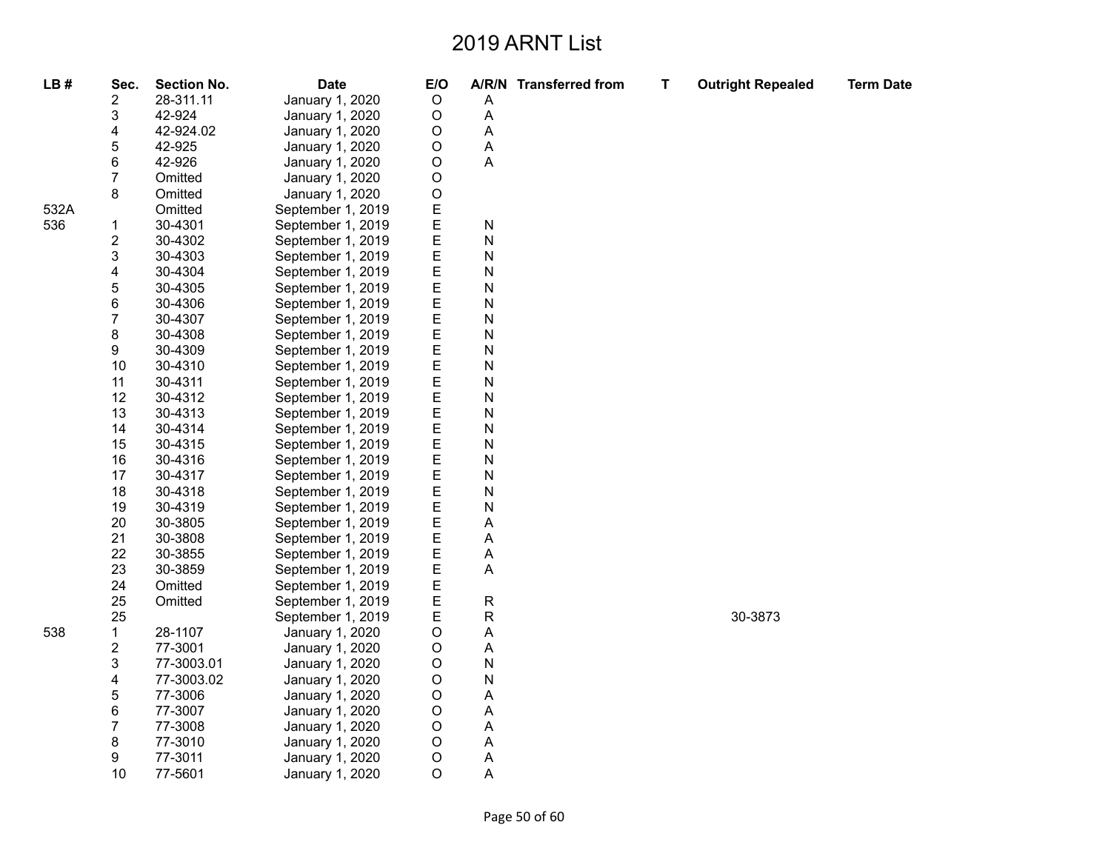| LB#  | Sec.           | <b>Section No.</b> | <b>Date</b>       | E/O     |           | A/R/N Transferred from | Т | <b>Outright Repealed</b> | <b>Term Date</b> |
|------|----------------|--------------------|-------------------|---------|-----------|------------------------|---|--------------------------|------------------|
|      | 2              | 28-311.11          | January 1, 2020   | $\circ$ | Α         |                        |   |                          |                  |
|      | 3              | 42-924             | January 1, 2020   | $\circ$ | A         |                        |   |                          |                  |
|      | 4              | 42-924.02          | January 1, 2020   | O       | A         |                        |   |                          |                  |
|      | 5              | 42-925             | January 1, 2020   | O       | Α         |                        |   |                          |                  |
|      | 6              | 42-926             | January 1, 2020   | $\circ$ | A         |                        |   |                          |                  |
|      | $\overline{7}$ | Omitted            | January 1, 2020   | O       |           |                        |   |                          |                  |
|      | 8              | Omitted            | January 1, 2020   | $\circ$ |           |                        |   |                          |                  |
| 532A |                | Omitted            | September 1, 2019 | Ε       |           |                        |   |                          |                  |
| 536  | $\mathbf{1}$   | 30-4301            | September 1, 2019 | E       | ${\sf N}$ |                        |   |                          |                  |
|      | 2              | 30-4302            | September 1, 2019 | E       | N         |                        |   |                          |                  |
|      | 3              | 30-4303            | September 1, 2019 | E       | ${\sf N}$ |                        |   |                          |                  |
|      | 4              | 30-4304            | September 1, 2019 | Ε       | N         |                        |   |                          |                  |
|      | 5              | 30-4305            | September 1, 2019 | E       | N         |                        |   |                          |                  |
|      | 6              | 30-4306            | September 1, 2019 | E       | ${\sf N}$ |                        |   |                          |                  |
|      | 7              | 30-4307            | September 1, 2019 | Ε       | N         |                        |   |                          |                  |
|      | 8              | 30-4308            | September 1, 2019 | E       | N         |                        |   |                          |                  |
|      | 9              | 30-4309            | September 1, 2019 | E       | N         |                        |   |                          |                  |
|      | 10             | 30-4310            | September 1, 2019 | Ε       | N         |                        |   |                          |                  |
|      | 11             | 30-4311            | September 1, 2019 | E       | N         |                        |   |                          |                  |
|      | 12             | 30-4312            | September 1, 2019 | Ε       | N         |                        |   |                          |                  |
|      | 13             | 30-4313            | September 1, 2019 | E       | N         |                        |   |                          |                  |
|      | 14             | 30-4314            | September 1, 2019 | E       | ${\sf N}$ |                        |   |                          |                  |
|      | 15             | 30-4315            | September 1, 2019 | Ε       | N         |                        |   |                          |                  |
|      | 16             | 30-4316            | September 1, 2019 | E       | N         |                        |   |                          |                  |
|      | 17             | 30-4317            | September 1, 2019 | E       | ${\sf N}$ |                        |   |                          |                  |
|      | 18             | 30-4318            | September 1, 2019 | Ε       | N         |                        |   |                          |                  |
|      | 19             | 30-4319            | September 1, 2019 | E       | N         |                        |   |                          |                  |
|      | 20             | 30-3805            | September 1, 2019 | E       | А         |                        |   |                          |                  |
|      | 21             | 30-3808            | September 1, 2019 | E       | Α         |                        |   |                          |                  |
|      | 22             | 30-3855            | September 1, 2019 | E       | A         |                        |   |                          |                  |
|      | 23             | 30-3859            | September 1, 2019 | E       | A         |                        |   |                          |                  |
|      | 24             | Omitted            | September 1, 2019 | E       |           |                        |   |                          |                  |
|      | 25             | Omitted            | September 1, 2019 | E       | ${\sf R}$ |                        |   |                          |                  |
|      | 25             |                    | September 1, 2019 | Е       | R         |                        |   | 30-3873                  |                  |
| 538  | 1              | 28-1107            | January 1, 2020   | $\circ$ | A         |                        |   |                          |                  |
|      | $\overline{c}$ | 77-3001            | January 1, 2020   | O       | Α         |                        |   |                          |                  |
|      | 3              | 77-3003.01         | January 1, 2020   | $\circ$ | N         |                        |   |                          |                  |
|      | 4              | 77-3003.02         | January 1, 2020   | $\circ$ | N         |                        |   |                          |                  |
|      | 5              | 77-3006            | January 1, 2020   | $\circ$ | А         |                        |   |                          |                  |
|      | 6              | 77-3007            | January 1, 2020   | $\circ$ | Α         |                        |   |                          |                  |
|      | $\overline{7}$ | 77-3008            | January 1, 2020   | O       | А         |                        |   |                          |                  |
|      | 8              | 77-3010            | January 1, 2020   | O       | Α         |                        |   |                          |                  |
|      | 9              | 77-3011            | January 1, 2020   | $\circ$ | Α         |                        |   |                          |                  |
|      | 10             | 77-5601            | January 1, 2020   | $\circ$ | A         |                        |   |                          |                  |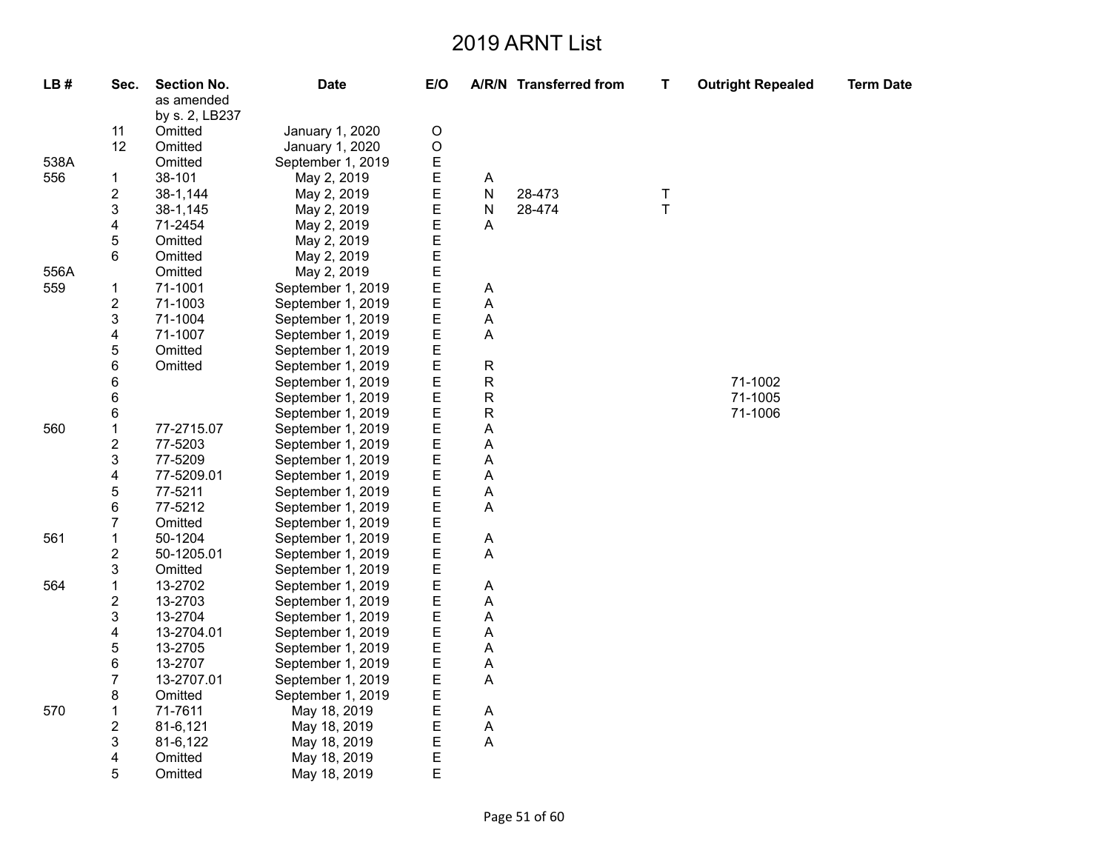| LB#  | Sec.                    | <b>Section No.</b> | <b>Date</b>       | E/O         |                | A/R/N Transferred from | $\mathbf T$ | <b>Outright Repealed</b> | <b>Term Date</b> |
|------|-------------------------|--------------------|-------------------|-------------|----------------|------------------------|-------------|--------------------------|------------------|
|      |                         | as amended         |                   |             |                |                        |             |                          |                  |
|      |                         | by s. 2, LB237     |                   |             |                |                        |             |                          |                  |
|      | 11                      | Omitted            | January 1, 2020   | $\circ$     |                |                        |             |                          |                  |
|      | 12                      | Omitted            | January 1, 2020   | $\mathsf O$ |                |                        |             |                          |                  |
| 538A |                         | Omitted            | September 1, 2019 | E           |                |                        |             |                          |                  |
| 556  | $\mathbf{1}$            | 38-101             | May 2, 2019       | E           | A              |                        |             |                          |                  |
|      | $\overline{\mathbf{c}}$ | 38-1,144           | May 2, 2019       | E           | N              | 28-473                 | Τ           |                          |                  |
|      | 3                       | 38-1,145           | May 2, 2019       | E           | N              | 28-474                 | $\bar{T}$   |                          |                  |
|      | 4                       | 71-2454            | May 2, 2019       | E           | A              |                        |             |                          |                  |
|      | 5                       | Omitted            | May 2, 2019       | E           |                |                        |             |                          |                  |
|      | 6                       | Omitted            | May 2, 2019       | E           |                |                        |             |                          |                  |
| 556A |                         | Omitted            | May 2, 2019       |             |                |                        |             |                          |                  |
| 559  | $\mathbf{1}$            | 71-1001            | September 1, 2019 | $E$<br>$E$  | Α              |                        |             |                          |                  |
|      | 2                       | 71-1003            | September 1, 2019 | E           | A              |                        |             |                          |                  |
|      | 3                       | 71-1004            | September 1, 2019 | E           | A              |                        |             |                          |                  |
|      | 4                       | 71-1007            | September 1, 2019 | E           | Α              |                        |             |                          |                  |
|      | 5                       | Omitted            | September 1, 2019 | E           |                |                        |             |                          |                  |
|      | 6                       | Omitted            | September 1, 2019 | E           | ${\sf R}$      |                        |             |                          |                  |
|      | 6                       |                    | September 1, 2019 | E           | R              |                        |             | 71-1002                  |                  |
|      | 6                       |                    | September 1, 2019 | E           | ${\sf R}$      |                        |             | 71-1005                  |                  |
|      | 6                       |                    | September 1, 2019 | E           | R              |                        |             | 71-1006                  |                  |
| 560  | $\mathbf{1}$            | 77-2715.07         | September 1, 2019 | E           | Α              |                        |             |                          |                  |
|      | 2                       | 77-5203            | September 1, 2019 | E           | A              |                        |             |                          |                  |
|      | 3                       | 77-5209            | September 1, 2019 | E           | А              |                        |             |                          |                  |
|      | 4                       | 77-5209.01         | September 1, 2019 | E           | Α              |                        |             |                          |                  |
|      | 5                       | 77-5211            | September 1, 2019 | E           | A              |                        |             |                          |                  |
|      | 6                       | 77-5212            | September 1, 2019 | E           | Α              |                        |             |                          |                  |
|      | 7                       | Omitted            | September 1, 2019 | E           |                |                        |             |                          |                  |
| 561  | $\mathbf{1}$            | 50-1204            | September 1, 2019 | E           | $\overline{A}$ |                        |             |                          |                  |
|      | 2                       | 50-1205.01         | September 1, 2019 | E           | Α              |                        |             |                          |                  |
|      | 3                       | Omitted            | September 1, 2019 | E           |                |                        |             |                          |                  |
| 564  | $\mathbf 1$             | 13-2702            | September 1, 2019 | E           | Α              |                        |             |                          |                  |
|      | 2                       | 13-2703            | September 1, 2019 | E           | A              |                        |             |                          |                  |
|      | 3                       | 13-2704            | September 1, 2019 | E           | A              |                        |             |                          |                  |
|      | 4                       | 13-2704.01         | September 1, 2019 | E           | A              |                        |             |                          |                  |
|      | 5                       | 13-2705            | September 1, 2019 | E           | A              |                        |             |                          |                  |
|      | 6                       | 13-2707            | September 1, 2019 | E           | Α              |                        |             |                          |                  |
|      | 7                       | 13-2707.01         | September 1, 2019 | E           | A              |                        |             |                          |                  |
|      | 8                       | Omitted            | September 1, 2019 | E           |                |                        |             |                          |                  |
| 570  | $\mathbf{1}$            | 71-7611            | May 18, 2019      | E           | A              |                        |             |                          |                  |
|      | 2                       | 81-6,121           | May 18, 2019      | E           | A              |                        |             |                          |                  |
|      | 3                       | 81-6,122           | May 18, 2019      | E           | Α              |                        |             |                          |                  |
|      | 4                       | Omitted            | May 18, 2019      | E           |                |                        |             |                          |                  |
|      | 5                       | Omitted            | May 18, 2019      | E           |                |                        |             |                          |                  |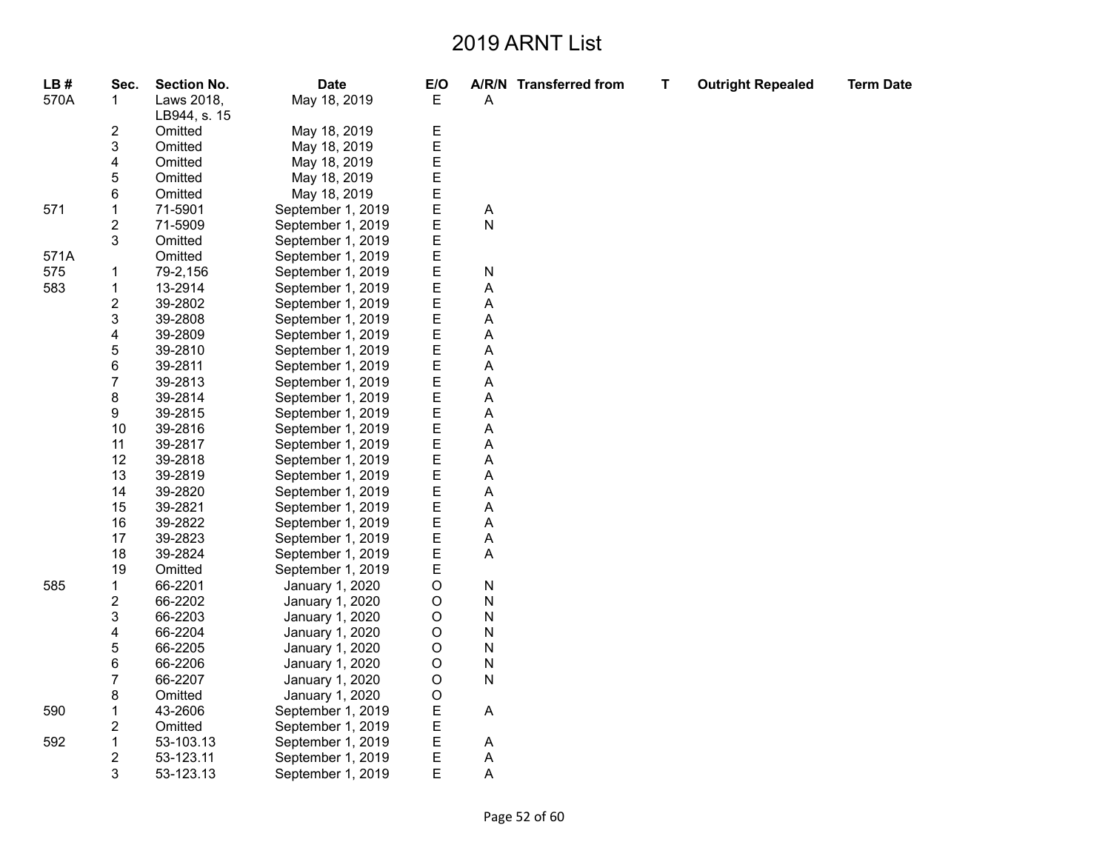| LB#  | Sec.                    | <b>Section No.</b> | <b>Date</b>       | E/O    |                | A/R/N Transferred from | Τ | <b>Outright Repealed</b> | <b>Term Date</b> |
|------|-------------------------|--------------------|-------------------|--------|----------------|------------------------|---|--------------------------|------------------|
| 570A | 1                       | Laws 2018,         | May 18, 2019      | E      | Α              |                        |   |                          |                  |
|      |                         | LB944, s. 15       |                   |        |                |                        |   |                          |                  |
|      | $\overline{\mathbf{c}}$ | Omitted            | May 18, 2019      |        |                |                        |   |                          |                  |
|      | 3                       | Omitted            | May 18, 2019      | E<br>E |                |                        |   |                          |                  |
|      | 4                       | Omitted            | May 18, 2019      | E      |                |                        |   |                          |                  |
|      | 5                       | Omitted            | May 18, 2019      | E      |                |                        |   |                          |                  |
|      | 6                       | Omitted            | May 18, 2019      |        |                |                        |   |                          |                  |
| 571  | $\mathbf{1}$            | 71-5901            | September 1, 2019 | E<br>E | A              |                        |   |                          |                  |
|      | $\sqrt{2}$              | 71-5909            | September 1, 2019 | E      | $\overline{N}$ |                        |   |                          |                  |
|      | 3                       | Omitted            | September 1, 2019 | E      |                |                        |   |                          |                  |
| 571A |                         | Omitted            | September 1, 2019 | E      |                |                        |   |                          |                  |
| 575  | 1                       | 79-2,156           | September 1, 2019 | E      | ${\sf N}$      |                        |   |                          |                  |
| 583  | $\mathbf{1}$            | 13-2914            | September 1, 2019 | E      | Α              |                        |   |                          |                  |
|      | $\overline{c}$          | 39-2802            | September 1, 2019 | E      | Α              |                        |   |                          |                  |
|      | 3                       | 39-2808            | September 1, 2019 | E      | A              |                        |   |                          |                  |
|      | 4                       | 39-2809            | September 1, 2019 | E      | Α              |                        |   |                          |                  |
|      | 5                       | 39-2810            | September 1, 2019 | E      | А              |                        |   |                          |                  |
|      | 6                       | 39-2811            | September 1, 2019 | E      | Α              |                        |   |                          |                  |
|      | $\overline{7}$          | 39-2813            | September 1, 2019 | E      | А              |                        |   |                          |                  |
|      | 8                       | 39-2814            | September 1, 2019 | E      | A              |                        |   |                          |                  |
|      | 9                       | 39-2815            | September 1, 2019 | E      | A              |                        |   |                          |                  |
|      | 10                      | 39-2816            | September 1, 2019 | E      | А              |                        |   |                          |                  |
|      | 11                      | 39-2817            | September 1, 2019 | E      | A              |                        |   |                          |                  |
|      | 12                      | 39-2818            | September 1, 2019 | E      | А              |                        |   |                          |                  |
|      | 13                      | 39-2819            | September 1, 2019 | E      | А              |                        |   |                          |                  |
|      | 14                      | 39-2820            | September 1, 2019 | E      | А              |                        |   |                          |                  |
|      | 15                      | 39-2821            | September 1, 2019 | E      | A              |                        |   |                          |                  |
|      | 16                      | 39-2822            | September 1, 2019 | E      | А              |                        |   |                          |                  |
|      | 17                      | 39-2823            | September 1, 2019 | E      | A              |                        |   |                          |                  |
|      | 18                      | 39-2824            | September 1, 2019 | E      | А              |                        |   |                          |                  |
|      | 19                      | Omitted            | September 1, 2019 | E      |                |                        |   |                          |                  |
| 585  | 1                       | 66-2201            | January 1, 2020   | O      | ${\sf N}$      |                        |   |                          |                  |
|      | $\overline{c}$          | 66-2202            | January 1, 2020   | O      | N              |                        |   |                          |                  |
|      | 3                       | 66-2203            | January 1, 2020   | O      | ${\sf N}$      |                        |   |                          |                  |
|      | 4                       | 66-2204            | January 1, 2020   | O      | N              |                        |   |                          |                  |
|      | 5                       | 66-2205            | January 1, 2020   | O      | N              |                        |   |                          |                  |
|      | 6                       | 66-2206            | January 1, 2020   | O      | ${\sf N}$      |                        |   |                          |                  |
|      | $\overline{7}$          | 66-2207            | January 1, 2020   | O      | ${\sf N}$      |                        |   |                          |                  |
|      | 8                       | Omitted            | January 1, 2020   | O      |                |                        |   |                          |                  |
| 590  | $\mathbf{1}$            | 43-2606            | September 1, 2019 | E      | A              |                        |   |                          |                  |
|      | $\overline{\mathbf{c}}$ | Omitted            | September 1, 2019 | E      |                |                        |   |                          |                  |
| 592  | 1                       | 53-103.13          | September 1, 2019 | E      | Α              |                        |   |                          |                  |
|      | $\boldsymbol{2}$        | 53-123.11          | September 1, 2019 | E      | Α              |                        |   |                          |                  |
|      | 3                       | 53-123.13          | September 1, 2019 | E      | A              |                        |   |                          |                  |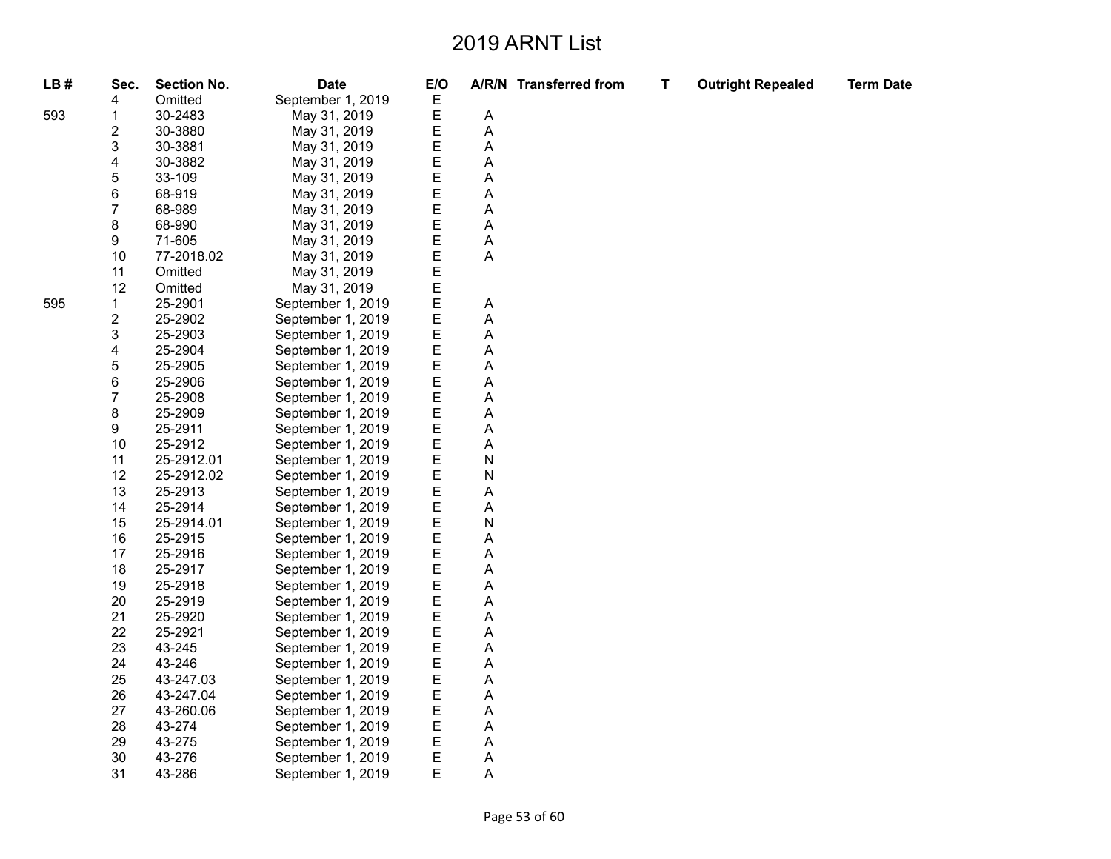| LB# | Sec.<br>4        | Section No.<br>Omitted | <b>Date</b><br>September 1, 2019 | E/O<br>Ε |                           | A/R/N Transferred from | т | <b>Outright Repealed</b> | <b>Term Date</b> |
|-----|------------------|------------------------|----------------------------------|----------|---------------------------|------------------------|---|--------------------------|------------------|
| 593 | 1                | 30-2483                | May 31, 2019                     | E        | $\boldsymbol{\mathsf{A}}$ |                        |   |                          |                  |
|     | 2                | 30-3880                | May 31, 2019                     | E        | A                         |                        |   |                          |                  |
|     | 3                | 30-3881                | May 31, 2019                     | E        | A                         |                        |   |                          |                  |
|     | 4                | 30-3882                | May 31, 2019                     | E        | Α                         |                        |   |                          |                  |
|     | 5                | 33-109                 | May 31, 2019                     | E        | A                         |                        |   |                          |                  |
|     | 6                | 68-919                 | May 31, 2019                     | E        | Α                         |                        |   |                          |                  |
|     | $\boldsymbol{7}$ | 68-989                 | May 31, 2019                     | E        | Α                         |                        |   |                          |                  |
|     | 8                | 68-990                 | May 31, 2019                     | E        | Α                         |                        |   |                          |                  |
|     | 9                | 71-605                 | May 31, 2019                     | E        | A                         |                        |   |                          |                  |
|     | 10               | 77-2018.02             |                                  | E        |                           |                        |   |                          |                  |
|     | 11               | Omitted                | May 31, 2019                     | E        | Α                         |                        |   |                          |                  |
|     | 12               | Omitted                | May 31, 2019                     | E        |                           |                        |   |                          |                  |
|     |                  |                        | May 31, 2019                     | E        |                           |                        |   |                          |                  |
| 595 | 1                | 25-2901                | September 1, 2019                |          | Α                         |                        |   |                          |                  |
|     | 2                | 25-2902                | September 1, 2019                | E        | A                         |                        |   |                          |                  |
|     | 3                | 25-2903                | September 1, 2019                | E        | Α                         |                        |   |                          |                  |
|     | 4                | 25-2904                | September 1, 2019                | E        | Α                         |                        |   |                          |                  |
|     | 5                | 25-2905                | September 1, 2019                | E        | Α                         |                        |   |                          |                  |
|     | 6                | 25-2906                | September 1, 2019                | E        | A                         |                        |   |                          |                  |
|     | 7                | 25-2908                | September 1, 2019                | E        | Α                         |                        |   |                          |                  |
|     | 8                | 25-2909                | September 1, 2019                | E        | Α                         |                        |   |                          |                  |
|     | 9                | 25-2911                | September 1, 2019                | E        | А                         |                        |   |                          |                  |
|     | 10               | 25-2912                | September 1, 2019                | E        | Α                         |                        |   |                          |                  |
|     | 11               | 25-2912.01             | September 1, 2019                | E        | N                         |                        |   |                          |                  |
|     | 12               | 25-2912.02             | September 1, 2019                | E        | N                         |                        |   |                          |                  |
|     | 13               | 25-2913                | September 1, 2019                | E        | Α                         |                        |   |                          |                  |
|     | 14               | 25-2914                | September 1, 2019                | E        | Α                         |                        |   |                          |                  |
|     | 15               | 25-2914.01             | September 1, 2019                | E        | N                         |                        |   |                          |                  |
|     | 16               | 25-2915                | September 1, 2019                | E        | Α                         |                        |   |                          |                  |
|     | 17               | 25-2916                | September 1, 2019                | E        | Α                         |                        |   |                          |                  |
|     | 18               | 25-2917                | September 1, 2019                | E        | А                         |                        |   |                          |                  |
|     | 19               | 25-2918                | September 1, 2019                | E        | Α                         |                        |   |                          |                  |
|     | 20               | 25-2919                | September 1, 2019                | E        | Α                         |                        |   |                          |                  |
|     | 21               | 25-2920                | September 1, 2019                | Ε        | Α                         |                        |   |                          |                  |
|     | 22               | 25-2921                | September 1, 2019                | E        | A                         |                        |   |                          |                  |
|     | 23               | 43-245                 | September 1, 2019                | E        | Α                         |                        |   |                          |                  |
|     | 24               | 43-246                 | September 1, 2019                | E        | Α                         |                        |   |                          |                  |
|     | 25               | 43-247.03              | September 1, 2019                | E        | Α                         |                        |   |                          |                  |
|     | 26               | 43-247.04              | September 1, 2019                | E        | Α                         |                        |   |                          |                  |
|     | 27               | 43-260.06              | September 1, 2019                | E        | A                         |                        |   |                          |                  |
|     | 28               | 43-274                 | September 1, 2019                | E        | Α                         |                        |   |                          |                  |
|     | 29               | 43-275                 | September 1, 2019                | Ε        | Α                         |                        |   |                          |                  |
|     | 30               | 43-276                 | September 1, 2019                | E        | Α                         |                        |   |                          |                  |
|     | 31               | 43-286                 | September 1, 2019                | E        | A                         |                        |   |                          |                  |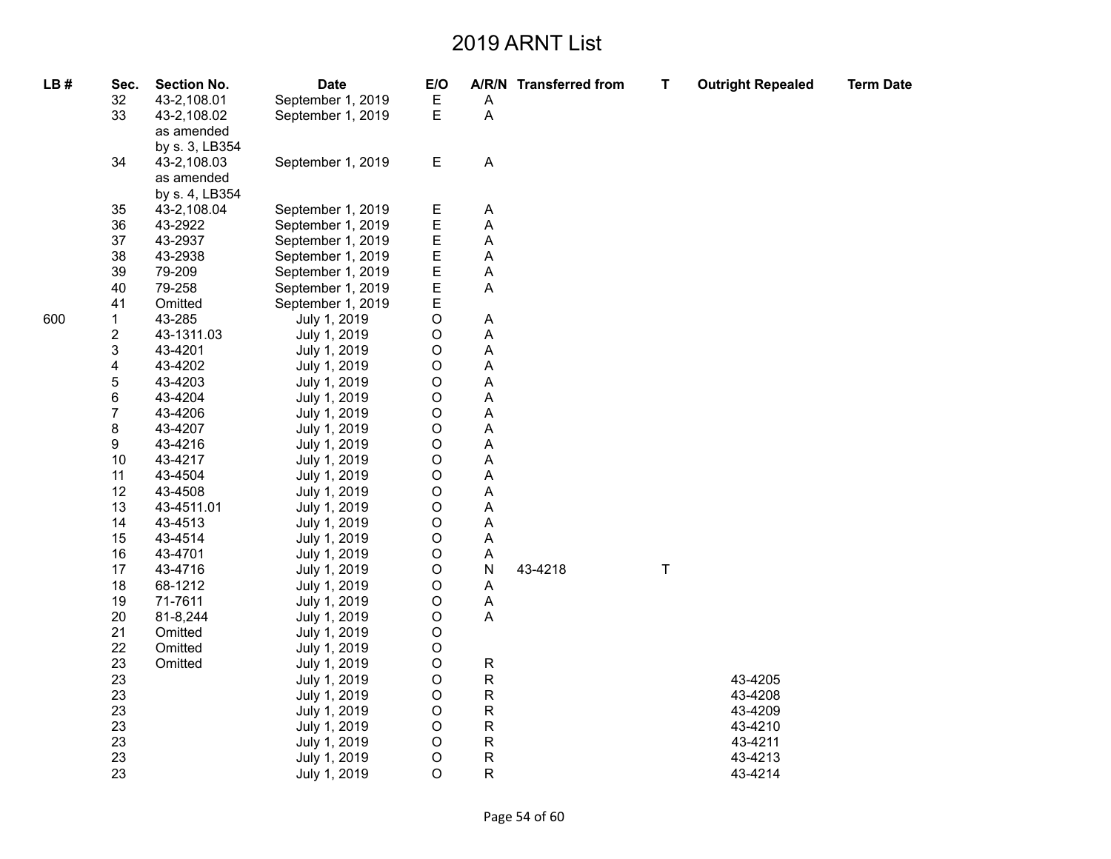| LB# | Sec.                    | <b>Section No.</b> | <b>Date</b>       | E/O         |             | A/R/N Transferred from | T | <b>Outright Repealed</b> | <b>Term Date</b> |
|-----|-------------------------|--------------------|-------------------|-------------|-------------|------------------------|---|--------------------------|------------------|
|     | 32                      | 43-2,108.01        | September 1, 2019 | $\mathsf E$ | Α           |                        |   |                          |                  |
|     | 33                      | 43-2,108.02        | September 1, 2019 | E           | A           |                        |   |                          |                  |
|     |                         | as amended         |                   |             |             |                        |   |                          |                  |
|     |                         | by s. 3, LB354     |                   |             |             |                        |   |                          |                  |
|     | 34                      | 43-2,108.03        | September 1, 2019 | $\mathsf E$ | A           |                        |   |                          |                  |
|     |                         | as amended         |                   |             |             |                        |   |                          |                  |
|     |                         | by s. 4, LB354     |                   |             |             |                        |   |                          |                  |
|     | 35                      | 43-2,108.04        | September 1, 2019 | Е           | Α           |                        |   |                          |                  |
|     | 36                      | 43-2922            | September 1, 2019 | E           | A           |                        |   |                          |                  |
|     | 37                      | 43-2937            | September 1, 2019 | E           | А           |                        |   |                          |                  |
|     | 38                      | 43-2938            | September 1, 2019 | E           | Α           |                        |   |                          |                  |
|     | 39                      | 79-209             | September 1, 2019 | E           | A           |                        |   |                          |                  |
|     | 40                      | 79-258             | September 1, 2019 | E           | А           |                        |   |                          |                  |
|     | 41                      | Omitted            | September 1, 2019 | E           |             |                        |   |                          |                  |
| 600 | $\mathbf{1}$            | 43-285             | July 1, 2019      | $\mathsf O$ | Α           |                        |   |                          |                  |
|     | $\overline{\mathbf{c}}$ | 43-1311.03         | July 1, 2019      | O           | А           |                        |   |                          |                  |
|     | 3                       | 43-4201            | July 1, 2019      | $\mathsf O$ | Α           |                        |   |                          |                  |
|     | $\overline{\mathbf{4}}$ | 43-4202            | July 1, 2019      | O           | А           |                        |   |                          |                  |
|     | $\mathbf 5$             | 43-4203            | July 1, 2019      | O           | Α           |                        |   |                          |                  |
|     | 6                       | 43-4204            | July 1, 2019      | O           | А           |                        |   |                          |                  |
|     | $\overline{7}$          | 43-4206            | July 1, 2019      | О           | A           |                        |   |                          |                  |
|     | 8                       | 43-4207            | July 1, 2019      | O           | Α           |                        |   |                          |                  |
|     | 9                       | 43-4216            | July 1, 2019      | O           | А           |                        |   |                          |                  |
|     | 10                      | 43-4217            | July 1, 2019      | О           | А           |                        |   |                          |                  |
|     | 11                      | 43-4504            | July 1, 2019      | О           | А           |                        |   |                          |                  |
|     | 12                      | 43-4508            | July 1, 2019      | O           | Α           |                        |   |                          |                  |
|     | 13                      | 43-4511.01         | July 1, 2019      | O           | Α           |                        |   |                          |                  |
|     | 14                      | 43-4513            | July 1, 2019      | О           | А           |                        |   |                          |                  |
|     | 15                      | 43-4514            | July 1, 2019      | O           | А           |                        |   |                          |                  |
|     | 16                      | 43-4701            | July 1, 2019      | О           | А           |                        |   |                          |                  |
|     | 17                      | 43-4716            | July 1, 2019      | $\mathsf O$ | N           | 43-4218                | T |                          |                  |
|     | 18                      | 68-1212            | July 1, 2019      | O           | Α           |                        |   |                          |                  |
|     | 19                      | 71-7611            | July 1, 2019      | O           | Α           |                        |   |                          |                  |
|     | 20                      | 81-8,244           | July 1, 2019      | $\mathsf O$ | Α           |                        |   |                          |                  |
|     | 21                      | Omitted            | July 1, 2019      | O           |             |                        |   |                          |                  |
|     | 22                      | Omitted            | July 1, 2019      | O           |             |                        |   |                          |                  |
|     | 23                      | Omitted            | July 1, 2019      | $\mathsf O$ | ${\sf R}$   |                        |   |                          |                  |
|     | 23                      |                    | July 1, 2019      | O           | $\mathsf R$ |                        |   | 43-4205                  |                  |
|     | 23                      |                    | July 1, 2019      | O           | $\mathsf R$ |                        |   | 43-4208                  |                  |
|     | 23                      |                    | July 1, 2019      | O           | ${\sf R}$   |                        |   | 43-4209                  |                  |
|     | 23                      |                    | July 1, 2019      | $\mathsf O$ | ${\sf R}$   |                        |   | 43-4210                  |                  |
|     | 23                      |                    | July 1, 2019      | O           | ${\sf R}$   |                        |   | 43-4211                  |                  |
|     | 23                      |                    | July 1, 2019      | O           | ${\sf R}$   |                        |   | 43-4213                  |                  |
|     | 23                      |                    | July 1, 2019      | O           | R           |                        |   | 43-4214                  |                  |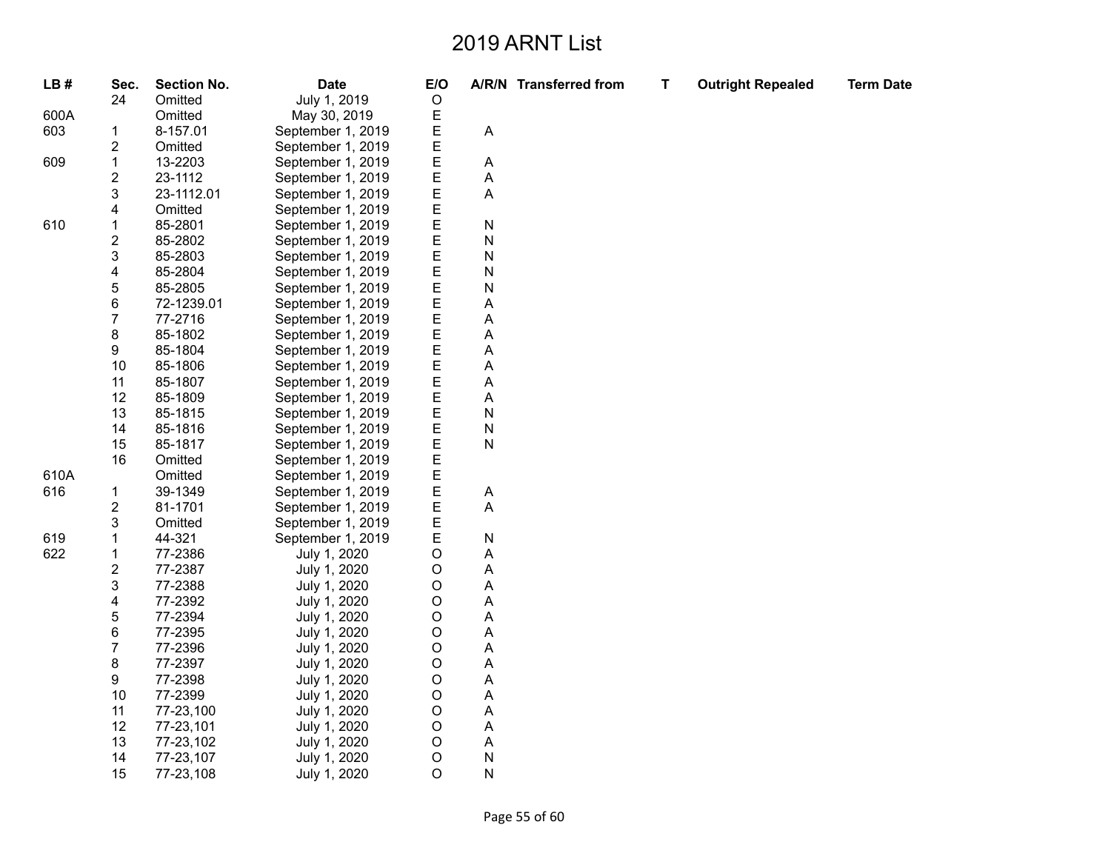| LB#  | Sec.                    | <b>Section No.</b> | <b>Date</b>       | E/O         |           | A/R/N Transferred from | Т | <b>Outright Repealed</b> | <b>Term Date</b> |
|------|-------------------------|--------------------|-------------------|-------------|-----------|------------------------|---|--------------------------|------------------|
|      | 24                      | Omitted            | July 1, 2019      | $\circ$     |           |                        |   |                          |                  |
| 600A |                         | Omitted            | May 30, 2019      | Ε           |           |                        |   |                          |                  |
| 603  | 1                       | 8-157.01           | September 1, 2019 | E           | Α         |                        |   |                          |                  |
|      | $\overline{\mathbf{c}}$ | Omitted            | September 1, 2019 | E           |           |                        |   |                          |                  |
| 609  | $\mathbf 1$             | 13-2203            | September 1, 2019 | Ε           | A         |                        |   |                          |                  |
|      | 2                       | 23-1112            | September 1, 2019 | E           | A         |                        |   |                          |                  |
|      | 3                       | 23-1112.01         | September 1, 2019 | E           | Α         |                        |   |                          |                  |
|      | 4                       | Omitted            | September 1, 2019 |             |           |                        |   |                          |                  |
| 610  | $\mathbf{1}$            | 85-2801            | September 1, 2019 | E<br>E      | ${\sf N}$ |                        |   |                          |                  |
|      | 2                       | 85-2802            | September 1, 2019 | Ε           | N         |                        |   |                          |                  |
|      | 3                       | 85-2803            | September 1, 2019 | E           | ${\sf N}$ |                        |   |                          |                  |
|      | 4                       | 85-2804            | September 1, 2019 | E           | N         |                        |   |                          |                  |
|      | 5                       | 85-2805            | September 1, 2019 | E           | N         |                        |   |                          |                  |
|      | 6                       | 72-1239.01         | September 1, 2019 | E           | A         |                        |   |                          |                  |
|      | $\overline{7}$          | 77-2716            | September 1, 2019 | E           | A         |                        |   |                          |                  |
|      | 8                       | 85-1802            | September 1, 2019 | E           | Α         |                        |   |                          |                  |
|      | 9                       | 85-1804            | September 1, 2019 |             | A         |                        |   |                          |                  |
|      | 10                      | 85-1806            | September 1, 2019 | E<br>E      | A         |                        |   |                          |                  |
|      | 11                      | 85-1807            | September 1, 2019 | E           | A         |                        |   |                          |                  |
|      | 12                      | 85-1809            | September 1, 2019 | E           | A         |                        |   |                          |                  |
|      | 13                      | 85-1815            | September 1, 2019 | E           | ${\sf N}$ |                        |   |                          |                  |
|      | 14                      | 85-1816            | September 1, 2019 | Ε           | N         |                        |   |                          |                  |
|      | 15                      | 85-1817            | September 1, 2019 | E<br>E      | ${\sf N}$ |                        |   |                          |                  |
|      | 16                      | Omitted            | September 1, 2019 |             |           |                        |   |                          |                  |
| 610A |                         | Omitted            | September 1, 2019 | E           |           |                        |   |                          |                  |
| 616  | 1                       | 39-1349            | September 1, 2019 | E           | A         |                        |   |                          |                  |
|      | $\overline{\mathbf{c}}$ | 81-1701            | September 1, 2019 | E           | A         |                        |   |                          |                  |
|      | 3                       | Omitted            | September 1, 2019 | E           |           |                        |   |                          |                  |
| 619  | $\mathbf{1}$            | 44-321             | September 1, 2019 | E           | ${\sf N}$ |                        |   |                          |                  |
| 622  | $\mathbf{1}$            | 77-2386            | July 1, 2020      | O           | A         |                        |   |                          |                  |
|      | $\overline{\mathbf{c}}$ | 77-2387            | July 1, 2020      | O           | A         |                        |   |                          |                  |
|      | 3                       | 77-2388            | July 1, 2020      | O           | A         |                        |   |                          |                  |
|      | 4                       | 77-2392            | July 1, 2020      | $\mathsf O$ | A         |                        |   |                          |                  |
|      | 5                       | 77-2394            | July 1, 2020      | $\circ$     | A         |                        |   |                          |                  |
|      | 6                       | 77-2395            | July 1, 2020      | O           | A         |                        |   |                          |                  |
|      | $\overline{7}$          | 77-2396            | July 1, 2020      | $\circ$     | Α         |                        |   |                          |                  |
|      | 8                       | 77-2397            | July 1, 2020      | $\circ$     | A         |                        |   |                          |                  |
|      | 9                       | 77-2398            | July 1, 2020      | O           | A         |                        |   |                          |                  |
|      | 10                      | 77-2399            | July 1, 2020      | $\circ$     | A         |                        |   |                          |                  |
|      | 11                      | 77-23,100          | July 1, 2020      | $\mathsf O$ | A         |                        |   |                          |                  |
|      | 12                      | 77-23,101          | July 1, 2020      | O           | A         |                        |   |                          |                  |
|      | 13                      | 77-23,102          | July 1, 2020      | $\circ$     | A         |                        |   |                          |                  |
|      | 14                      | 77-23,107          | July 1, 2020      | $\mathsf O$ | N         |                        |   |                          |                  |
|      | 15                      | 77-23,108          | July 1, 2020      | $\circ$     | N         |                        |   |                          |                  |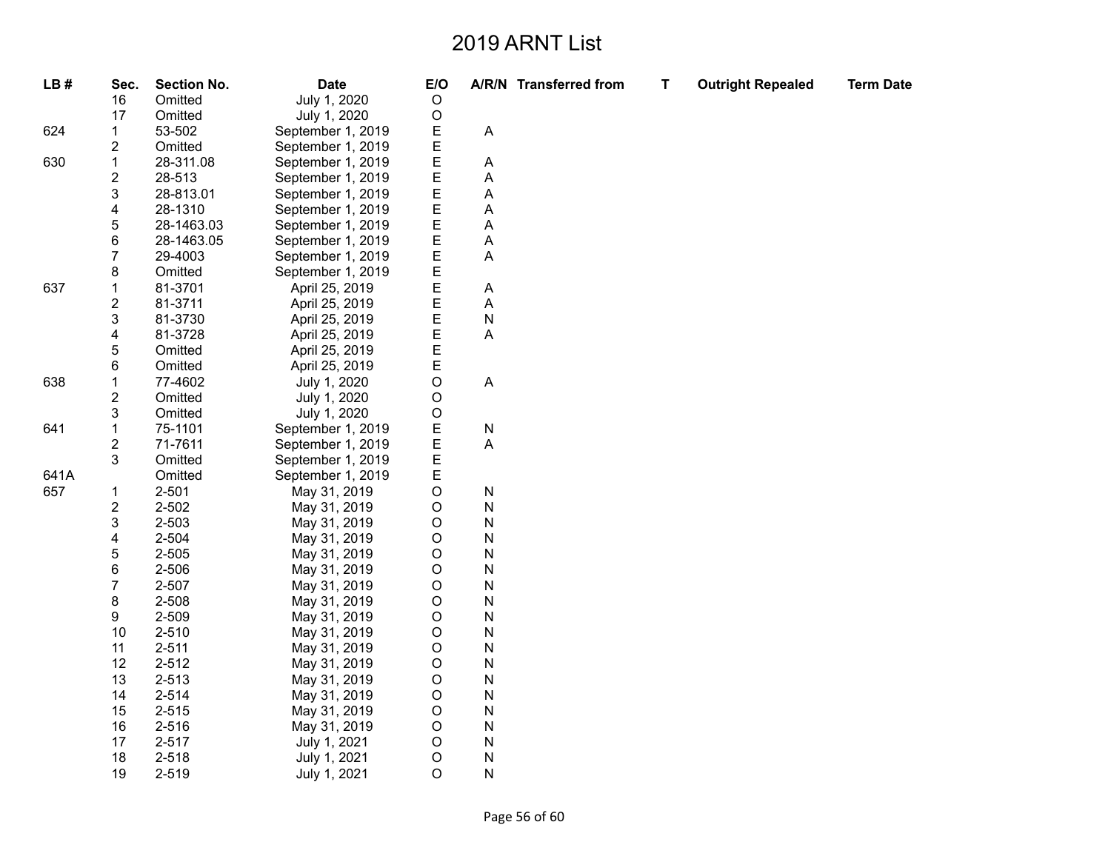**T Outright Repealed Term Date**

| LB#  | Sec.                    | <b>Section No.</b> | <b>Date</b>       | E/O     |           | A/R/N Transferred from | т |
|------|-------------------------|--------------------|-------------------|---------|-----------|------------------------|---|
|      | 16                      | Omitted            | July 1, 2020      | O       |           |                        |   |
|      | 17                      | Omitted            | July 1, 2020      | O       |           |                        |   |
| 624  | 1                       | 53-502             | September 1, 2019 | Е       | A         |                        |   |
|      | $\overline{\mathbf{c}}$ | Omitted            | September 1, 2019 | E       |           |                        |   |
| 630  | $\mathbf 1$             | 28-311.08          | September 1, 2019 | E       | Α         |                        |   |
|      | $\overline{c}$          | 28-513             | September 1, 2019 | E       | A         |                        |   |
|      | 3                       | 28-813.01          | September 1, 2019 | E       | A         |                        |   |
|      | 4                       | 28-1310            | September 1, 2019 | E       | A         |                        |   |
|      | 5                       | 28-1463.03         | September 1, 2019 | E       | A         |                        |   |
|      | 6                       | 28-1463.05         | September 1, 2019 | Ε       | A         |                        |   |
|      | $\overline{7}$          | 29-4003            | September 1, 2019 | E       | A         |                        |   |
|      | 8                       | Omitted            | September 1, 2019 | E       |           |                        |   |
| 637  | $\mathbf 1$             | 81-3701            | April 25, 2019    | E       | A         |                        |   |
|      | $\overline{c}$          | 81-3711            | April 25, 2019    | E       | A         |                        |   |
|      | 3                       | 81-3730            | April 25, 2019    | E       | ${\sf N}$ |                        |   |
|      | $\overline{\mathbf{4}}$ | 81-3728            | April 25, 2019    | E       | A         |                        |   |
|      | 5                       | Omitted            | April 25, 2019    | E       |           |                        |   |
|      | 6                       | Omitted            | April 25, 2019    | E       |           |                        |   |
| 638  | 1                       | 77-4602            | July 1, 2020      | O       | A         |                        |   |
|      | $\boldsymbol{2}$        | Omitted            | July 1, 2020      | O       |           |                        |   |
|      | 3                       | Omitted            | July 1, 2020      | O       |           |                        |   |
| 641  | 1                       | 75-1101            | September 1, 2019 | Ε       | ${\sf N}$ |                        |   |
|      | $\overline{c}$          | 71-7611            | September 1, 2019 | E       | A         |                        |   |
|      | 3                       | Omitted            | September 1, 2019 | E       |           |                        |   |
| 641A |                         | Omitted            | September 1, 2019 | Ε       |           |                        |   |
| 657  | 1                       | 2-501              | May 31, 2019      | O       | ${\sf N}$ |                        |   |
|      | $\overline{c}$          | 2-502              | May 31, 2019      | O       | ${\sf N}$ |                        |   |
|      | 3                       | 2-503              | May 31, 2019      | O       | N         |                        |   |
|      | $\overline{\mathbf{4}}$ | 2-504              | May 31, 2019      | O       | N         |                        |   |
|      | 5                       | 2-505              | May 31, 2019      | O       | N         |                        |   |
|      | 6                       | 2-506              | May 31, 2019      | O       | N         |                        |   |
|      | $\overline{7}$          | 2-507              | May 31, 2019      | O       | ${\sf N}$ |                        |   |
|      | 8                       | 2-508              | May 31, 2019      | O       | N         |                        |   |
|      | 9                       | 2-509              | May 31, 2019      | O       | N         |                        |   |
|      | 10                      | $2 - 510$          | May 31, 2019      | O       | N         |                        |   |
|      | 11                      | $2 - 511$          | May 31, 2019      | O       | N         |                        |   |
|      | 12                      | $2 - 512$          | May 31, 2019      | O       | N         |                        |   |
|      | 13                      | $2 - 513$          | May 31, 2019      | O       | N         |                        |   |
|      | 14                      | $2 - 514$          | May 31, 2019      | O       | N         |                        |   |
|      | 15                      | 2-515              | May 31, 2019      | O       | N         |                        |   |
|      | 16                      | 2-516              | May 31, 2019      | O       | N         |                        |   |
|      | 17                      | $2 - 517$          | July 1, 2021      | O       | N         |                        |   |
|      | 18                      | 2-518              | July 1, 2021      | O       | N         |                        |   |
|      | 19                      | 2-519              | July 1, 2021      | $\circ$ | N         |                        |   |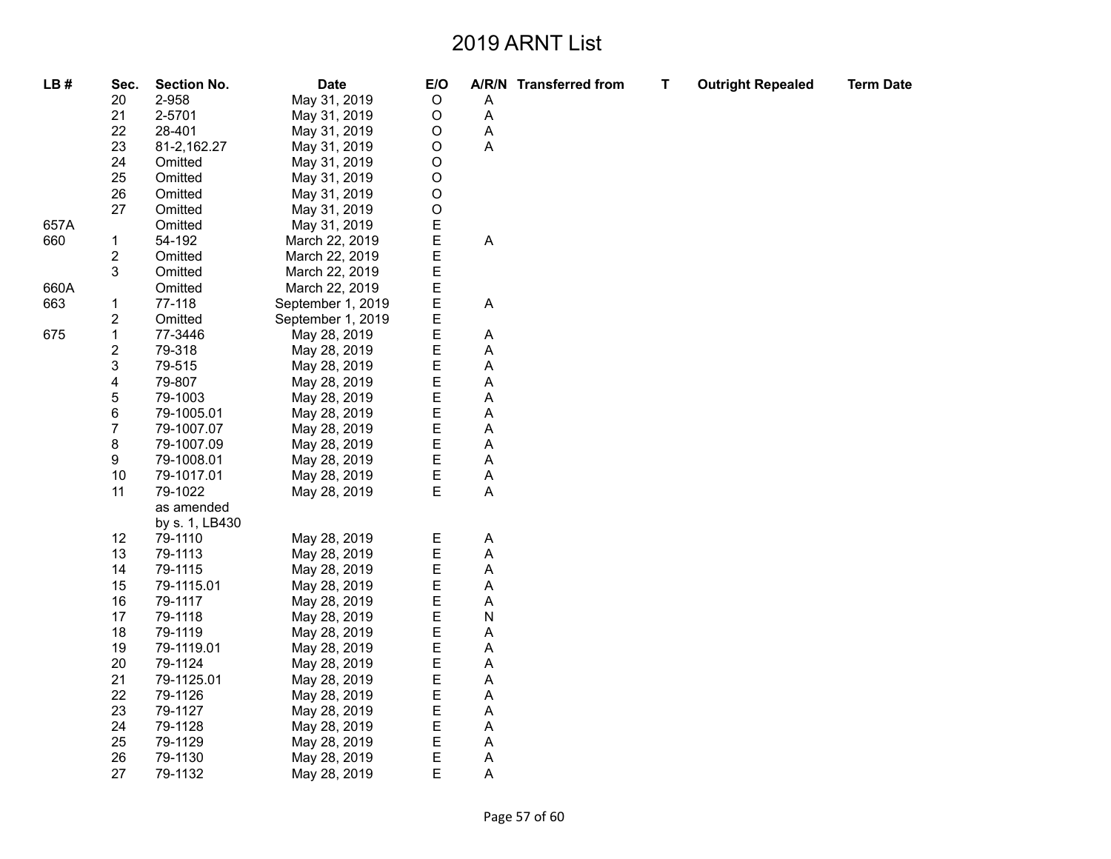| LB#  | Sec.                    | <b>Section No.</b> | <b>Date</b>       | E/O         |   | A/R/N Transferred from | T. | <b>Outright Repealed</b> | <b>Term Date</b> |
|------|-------------------------|--------------------|-------------------|-------------|---|------------------------|----|--------------------------|------------------|
|      | 20                      | 2-958              | May 31, 2019      | $\circ$     | A |                        |    |                          |                  |
|      | 21                      | 2-5701             | May 31, 2019      | $\mathsf O$ | A |                        |    |                          |                  |
|      | 22                      | 28-401             | May 31, 2019      | $\mathsf O$ | A |                        |    |                          |                  |
|      | 23                      | 81-2,162.27        | May 31, 2019      | $\mathsf O$ | A |                        |    |                          |                  |
|      | 24                      | Omitted            | May 31, 2019      | $\mathsf O$ |   |                        |    |                          |                  |
|      | 25                      | Omitted            | May 31, 2019      | $\mathsf O$ |   |                        |    |                          |                  |
|      | 26                      | Omitted            | May 31, 2019      | $\mathsf O$ |   |                        |    |                          |                  |
|      | 27                      | Omitted            | May 31, 2019      | $\mathsf O$ |   |                        |    |                          |                  |
| 657A |                         | Omitted            | May 31, 2019      | Ε           |   |                        |    |                          |                  |
| 660  | 1                       | 54-192             | March 22, 2019    |             | A |                        |    |                          |                  |
|      | $\overline{\mathbf{c}}$ | Omitted            | March 22, 2019    | E<br>E      |   |                        |    |                          |                  |
|      | 3                       | Omitted            | March 22, 2019    | E           |   |                        |    |                          |                  |
| 660A |                         | Omitted            | March 22, 2019    | E           |   |                        |    |                          |                  |
| 663  | 1                       | 77-118             | September 1, 2019 | E           | A |                        |    |                          |                  |
|      | $\overline{\mathbf{c}}$ | Omitted            | September 1, 2019 | E           |   |                        |    |                          |                  |
| 675  | $\mathbf 1$             | 77-3446            | May 28, 2019      | E           | Α |                        |    |                          |                  |
|      | $\overline{\mathbf{c}}$ | 79-318             | May 28, 2019      | E           | Α |                        |    |                          |                  |
|      | 3                       | 79-515             | May 28, 2019      | E           | Α |                        |    |                          |                  |
|      | 4                       | 79-807             | May 28, 2019      | E           | Α |                        |    |                          |                  |
|      | 5                       | 79-1003            | May 28, 2019      | E           | Α |                        |    |                          |                  |
|      | 6                       | 79-1005.01         | May 28, 2019      | E           | Α |                        |    |                          |                  |
|      | $\boldsymbol{7}$        | 79-1007.07         | May 28, 2019      | E           | Α |                        |    |                          |                  |
|      | 8                       | 79-1007.09         | May 28, 2019      | E           | Α |                        |    |                          |                  |
|      | 9                       | 79-1008.01         | May 28, 2019      | E           | A |                        |    |                          |                  |
|      | 10                      | 79-1017.01         | May 28, 2019      | E           | Α |                        |    |                          |                  |
|      | 11                      | 79-1022            | May 28, 2019      | E           | Α |                        |    |                          |                  |
|      |                         | as amended         |                   |             |   |                        |    |                          |                  |
|      |                         | by s. 1, LB430     |                   |             |   |                        |    |                          |                  |
|      | 12                      | 79-1110            | May 28, 2019      |             | A |                        |    |                          |                  |
|      | 13                      | 79-1113            | May 28, 2019      | E<br>E      | Α |                        |    |                          |                  |
|      | 14                      | 79-1115            | May 28, 2019      | E           | Α |                        |    |                          |                  |
|      | 15                      | 79-1115.01         | May 28, 2019      | E           | Α |                        |    |                          |                  |
|      | 16                      | 79-1117            | May 28, 2019      | E           | Α |                        |    |                          |                  |
|      | 17                      | 79-1118            | May 28, 2019      | E           | N |                        |    |                          |                  |
|      | 18                      | 79-1119            | May 28, 2019      | E           | A |                        |    |                          |                  |
|      | 19                      | 79-1119.01         | May 28, 2019      | E           | А |                        |    |                          |                  |
|      | 20                      | 79-1124            | May 28, 2019      | Ε           | Α |                        |    |                          |                  |
|      | 21                      | 79-1125.01         | May 28, 2019      | E           | A |                        |    |                          |                  |
|      | 22                      | 79-1126            | May 28, 2019      | E           | Α |                        |    |                          |                  |
|      | 23                      | 79-1127            | May 28, 2019      | E           | Α |                        |    |                          |                  |
|      | 24                      | 79-1128            | May 28, 2019      | E           | А |                        |    |                          |                  |
|      | 25                      | 79-1129            | May 28, 2019      | E           | Α |                        |    |                          |                  |
|      | 26                      | 79-1130            | May 28, 2019      | Е           | Α |                        |    |                          |                  |
|      | 27                      | 79-1132            | May 28, 2019      | E           | A |                        |    |                          |                  |
|      |                         |                    |                   |             |   |                        |    |                          |                  |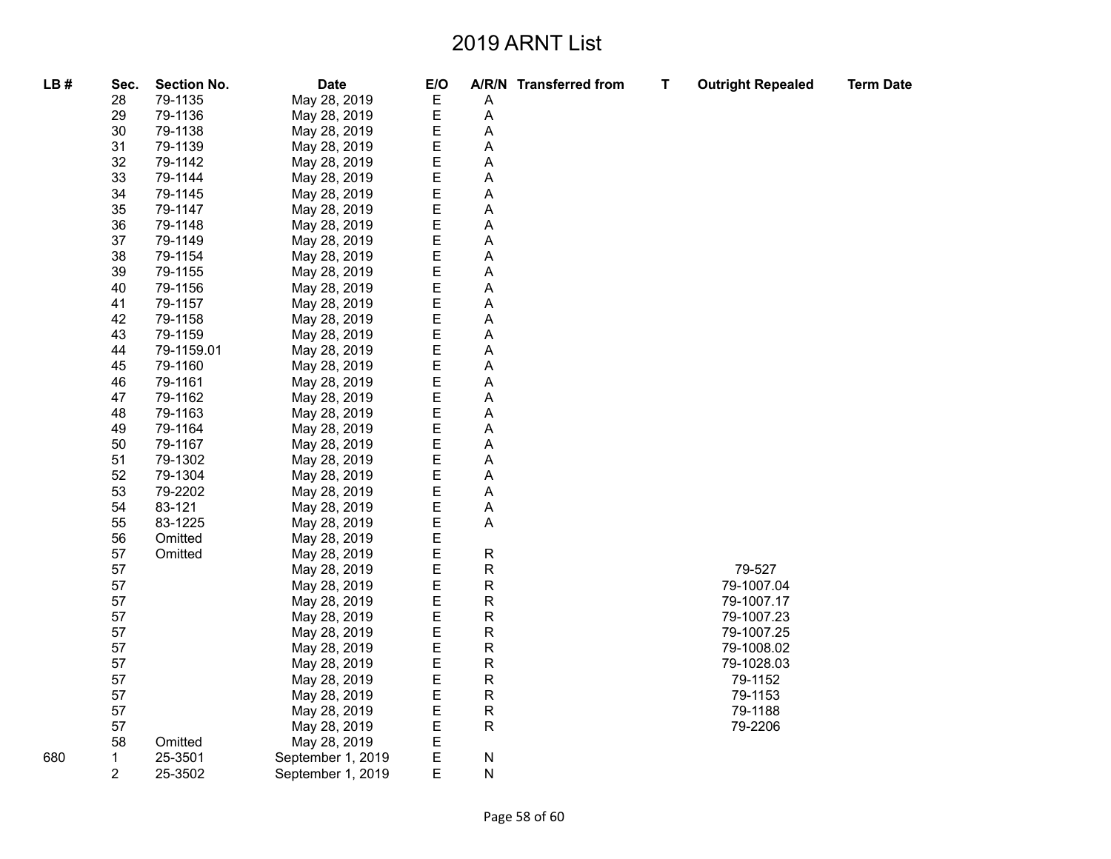| LB# | Sec.           | <b>Section No.</b> | <b>Date</b>       | E/O    |                           | A/R/N Transferred from | T | <b>Outright Repealed</b> | <b>Term Date</b> |
|-----|----------------|--------------------|-------------------|--------|---------------------------|------------------------|---|--------------------------|------------------|
|     | 28             | 79-1135            | May 28, 2019      | E      | A                         |                        |   |                          |                  |
|     | 29             | 79-1136            | May 28, 2019      | E      | A                         |                        |   |                          |                  |
|     | 30             | 79-1138            | May 28, 2019      | E      | A                         |                        |   |                          |                  |
|     | 31             | 79-1139            | May 28, 2019      | E      | $\boldsymbol{\mathsf{A}}$ |                        |   |                          |                  |
|     | 32             | 79-1142            | May 28, 2019      | E      | Α                         |                        |   |                          |                  |
|     | 33             | 79-1144            | May 28, 2019      | E      | A                         |                        |   |                          |                  |
|     | 34             | 79-1145            | May 28, 2019      |        | A                         |                        |   |                          |                  |
|     | 35             | 79-1147            | May 28, 2019      | E<br>E | Α                         |                        |   |                          |                  |
|     | 36             | 79-1148            | May 28, 2019      | E      | A                         |                        |   |                          |                  |
|     | 37             | 79-1149            | May 28, 2019      | E      | A                         |                        |   |                          |                  |
|     | 38             | 79-1154            | May 28, 2019      | E      | A                         |                        |   |                          |                  |
|     | 39             | 79-1155            | May 28, 2019      | E      | A                         |                        |   |                          |                  |
|     | 40             | 79-1156            | May 28, 2019      | E      | A                         |                        |   |                          |                  |
|     | 41             | 79-1157            | May 28, 2019      | E      | A                         |                        |   |                          |                  |
|     | 42             | 79-1158            | May 28, 2019      | E      | A                         |                        |   |                          |                  |
|     | 43             | 79-1159            | May 28, 2019      | E      | A                         |                        |   |                          |                  |
|     | 44             | 79-1159.01         | May 28, 2019      | E      | A                         |                        |   |                          |                  |
|     | 45             | 79-1160            | May 28, 2019      | E      | A                         |                        |   |                          |                  |
|     | 46             | 79-1161            | May 28, 2019      | E      | A                         |                        |   |                          |                  |
|     | 47             | 79-1162            | May 28, 2019      | E      | A                         |                        |   |                          |                  |
|     | 48             | 79-1163            | May 28, 2019      | E      | A                         |                        |   |                          |                  |
|     | 49             | 79-1164            | May 28, 2019      | E      | A                         |                        |   |                          |                  |
|     | 50             | 79-1167            | May 28, 2019      |        | A                         |                        |   |                          |                  |
|     | 51             | 79-1302            | May 28, 2019      | E<br>E | A                         |                        |   |                          |                  |
|     | 52             | 79-1304            | May 28, 2019      | E      | A                         |                        |   |                          |                  |
|     | 53             | 79-2202            | May 28, 2019      | E      | A                         |                        |   |                          |                  |
|     | 54             | 83-121             | May 28, 2019      | E      | Α                         |                        |   |                          |                  |
|     | 55             | 83-1225            | May 28, 2019      | E      | A                         |                        |   |                          |                  |
|     | 56             | Omitted            | May 28, 2019      | E      |                           |                        |   |                          |                  |
|     | 57             | Omitted            | May 28, 2019      | E      | R                         |                        |   |                          |                  |
|     | 57             |                    | May 28, 2019      | E<br>E | R                         |                        |   | 79-527                   |                  |
|     | 57             |                    | May 28, 2019      |        | R                         |                        |   | 79-1007.04               |                  |
|     | 57             |                    | May 28, 2019      | E      | R                         |                        |   | 79-1007.17               |                  |
|     | 57             |                    | May 28, 2019      | E      | R                         |                        |   | 79-1007.23               |                  |
|     | 57             |                    | May 28, 2019      | E      | ${\sf R}$                 |                        |   | 79-1007.25               |                  |
|     | 57             |                    | May 28, 2019      | E      | R                         |                        |   | 79-1008.02               |                  |
|     | 57             |                    | May 28, 2019      | E      | R                         |                        |   | 79-1028.03               |                  |
|     | 57             |                    | May 28, 2019      | E      | R                         |                        |   | 79-1152                  |                  |
|     | 57             |                    | May 28, 2019      | E      | R                         |                        |   | 79-1153                  |                  |
|     | 57             |                    | May 28, 2019      | E      | R                         |                        |   | 79-1188                  |                  |
|     | 57             |                    | May 28, 2019      | E      | R                         |                        |   | 79-2206                  |                  |
|     | 58             | Omitted            | May 28, 2019      | E      |                           |                        |   |                          |                  |
| 680 | 1              | 25-3501            | September 1, 2019 | Е      | N                         |                        |   |                          |                  |
|     | $\overline{2}$ | 25-3502            | September 1, 2019 | E      | N                         |                        |   |                          |                  |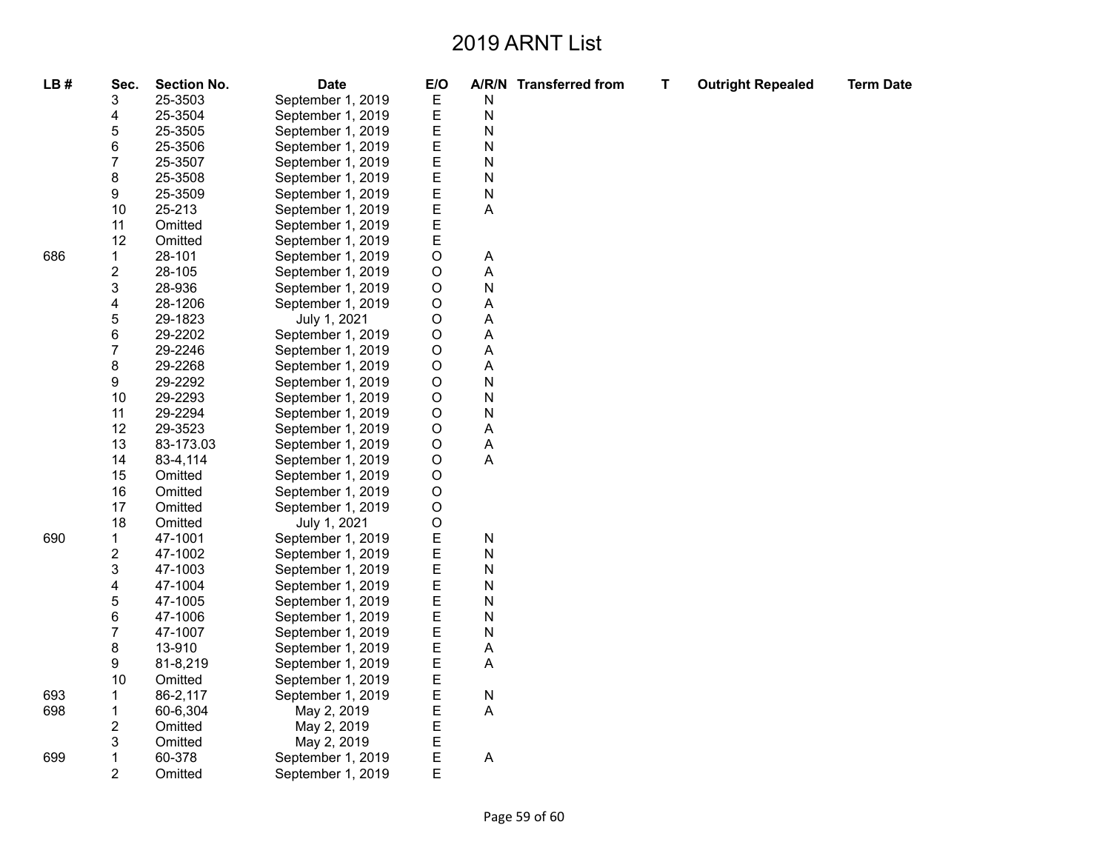**Term Date** 

| LB# | Sec.                    | <b>Section No.</b> | <b>Date</b>       | E/O         |                           | A/R/N Transferred from | T | <b>Outright Repealed</b> |
|-----|-------------------------|--------------------|-------------------|-------------|---------------------------|------------------------|---|--------------------------|
|     | 3                       | 25-3503            | September 1, 2019 | E           | N                         |                        |   |                          |
|     | 4                       | 25-3504            | September 1, 2019 | E           | $\mathsf{N}$              |                        |   |                          |
|     | 5                       | 25-3505            | September 1, 2019 | E           | N                         |                        |   |                          |
|     | 6                       | 25-3506            | September 1, 2019 | E           | N                         |                        |   |                          |
|     | 7                       | 25-3507            | September 1, 2019 | E           | $\mathsf{N}$              |                        |   |                          |
|     | 8                       | 25-3508            | September 1, 2019 | E           | $\mathsf{N}$              |                        |   |                          |
|     | 9                       | 25-3509            | September 1, 2019 | E           | $\mathsf{N}$              |                        |   |                          |
|     | 10                      | 25-213             | September 1, 2019 |             | A                         |                        |   |                          |
|     | 11                      | Omitted            | September 1, 2019 | E<br>E      |                           |                        |   |                          |
|     | 12                      | Omitted            | September 1, 2019 | E           |                           |                        |   |                          |
| 686 | 1                       | 28-101             | September 1, 2019 | O           | A                         |                        |   |                          |
|     | $\overline{\mathbf{c}}$ | 28-105             | September 1, 2019 | $\mathsf O$ | $\mathsf A$               |                        |   |                          |
|     | 3                       | 28-936             | September 1, 2019 | $\circ$     | $\mathsf{N}$              |                        |   |                          |
|     | 4                       | 28-1206            | September 1, 2019 | $\circ$     | A                         |                        |   |                          |
|     | 5                       | 29-1823            | July 1, 2021      | $\circ$     | $\mathsf A$               |                        |   |                          |
|     | 6                       | 29-2202            | September 1, 2019 | $\circ$     | A                         |                        |   |                          |
|     | 7                       | 29-2246            | September 1, 2019 | $\circ$     | A                         |                        |   |                          |
|     | 8                       | 29-2268            | September 1, 2019 | $\mathsf O$ | $\boldsymbol{\mathsf{A}}$ |                        |   |                          |
|     | 9                       | 29-2292            | September 1, 2019 | O           | $\mathsf{N}$              |                        |   |                          |
|     | 10                      | 29-2293            | September 1, 2019 | $\circ$     | $\overline{\mathsf{N}}$   |                        |   |                          |
|     | 11                      | 29-2294            | September 1, 2019 | $\circ$     | ${\sf N}$                 |                        |   |                          |
|     | 12                      | 29-3523            | September 1, 2019 | O           | A                         |                        |   |                          |
|     | 13                      | 83-173.03          | September 1, 2019 | $\mathsf O$ | A                         |                        |   |                          |
|     | 14                      | 83-4,114           | September 1, 2019 | $\circ$     | $\mathsf A$               |                        |   |                          |
|     | 15                      | Omitted            | September 1, 2019 | O           |                           |                        |   |                          |
|     | 16                      | Omitted            | September 1, 2019 | $\mathsf O$ |                           |                        |   |                          |
|     | 17                      | Omitted            | September 1, 2019 | $\circ$     |                           |                        |   |                          |
|     | 18                      | Omitted            | July 1, 2021      | $\circ$     |                           |                        |   |                          |
| 690 | 1                       | 47-1001            | September 1, 2019 | E           | N                         |                        |   |                          |
|     | $\overline{\mathbf{c}}$ | 47-1002            | September 1, 2019 | E           | ${\sf N}$                 |                        |   |                          |
|     | 3                       | 47-1003            | September 1, 2019 | E           | $\mathsf{N}$              |                        |   |                          |
|     | 4                       | 47-1004            | September 1, 2019 | E           | N                         |                        |   |                          |
|     | 5                       | 47-1005            | September 1, 2019 | E           | N                         |                        |   |                          |
|     | 6                       | 47-1006            | September 1, 2019 | E           | $\mathsf{N}$              |                        |   |                          |
|     | $\overline{7}$          | 47-1007            | September 1, 2019 | E           | $\mathsf{N}$              |                        |   |                          |
|     | 8                       | 13-910             | September 1, 2019 | E           | A                         |                        |   |                          |
|     | 9                       | 81-8,219           | September 1, 2019 | E           | $\boldsymbol{\mathsf{A}}$ |                        |   |                          |
|     | 10                      | Omitted            | September 1, 2019 | E           |                           |                        |   |                          |
| 693 | 1                       | 86-2,117           | September 1, 2019 | Ε           | ${\sf N}$                 |                        |   |                          |
| 698 | 1                       | 60-6,304           | May 2, 2019       | E           | A                         |                        |   |                          |
|     | 2                       | Omitted            | May 2, 2019       | E           |                           |                        |   |                          |
|     | 3                       | Omitted            | May 2, 2019       | Ε           |                           |                        |   |                          |
| 699 | 1                       | 60-378             | September 1, 2019 | E           | A                         |                        |   |                          |
|     | $\overline{2}$          | Omitted            | September 1, 2019 | E           |                           |                        |   |                          |